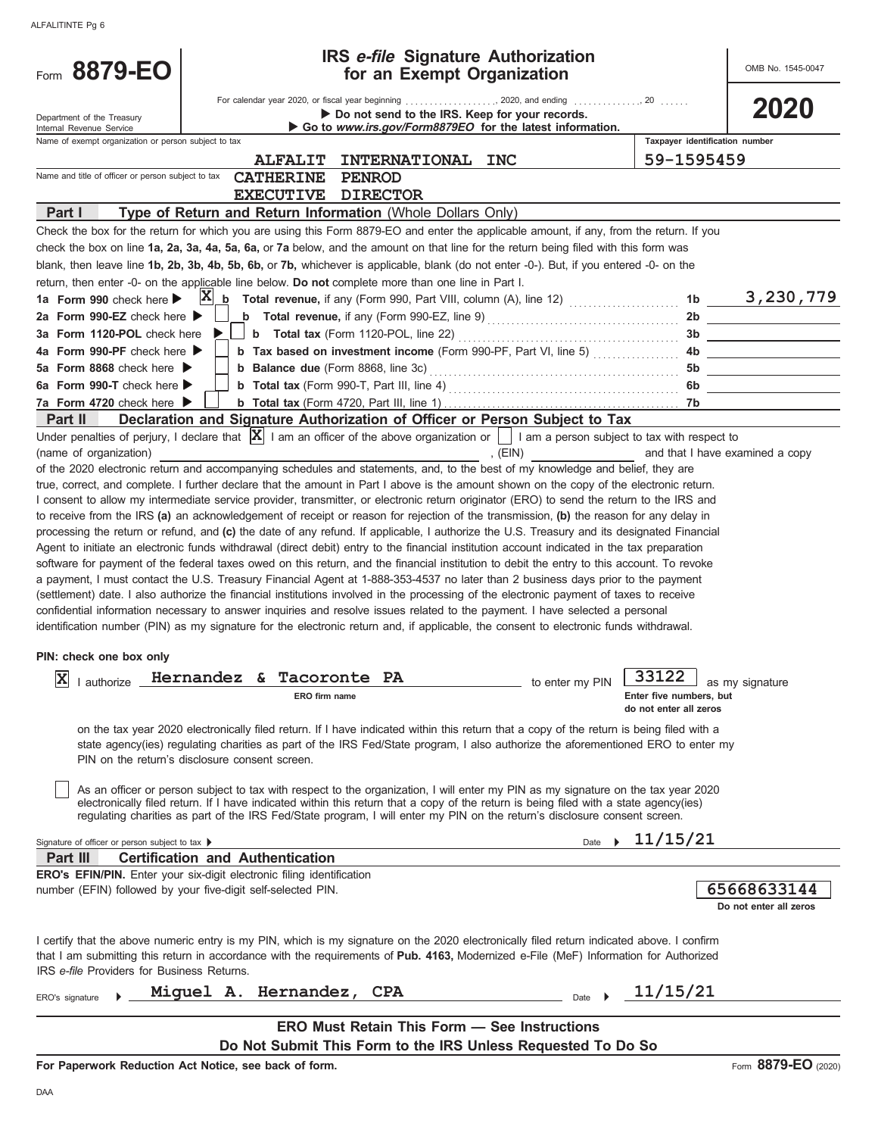| Form 8879-EO                                         | <b>IRS e-file Signature Authorization</b><br>for an Exempt Organization                                                                                                                                                                                                                   |                                | OMB No. 1545-0047               |
|------------------------------------------------------|-------------------------------------------------------------------------------------------------------------------------------------------------------------------------------------------------------------------------------------------------------------------------------------------|--------------------------------|---------------------------------|
| Department of the Treasury                           | Do not send to the IRS. Keep for your records.                                                                                                                                                                                                                                            |                                | 2020                            |
| Internal Revenue Service                             | Go to www.irs.gov/Form8879EO for the latest information.                                                                                                                                                                                                                                  |                                |                                 |
| Name of exempt organization or person subject to tax |                                                                                                                                                                                                                                                                                           | Taxpayer identification number |                                 |
|                                                      | <b>ALFALIT</b><br><b>INTERNATIONAL</b><br><b>INC</b>                                                                                                                                                                                                                                      | 59-1595459                     |                                 |
| Name and title of officer or person subject to tax   | <b>CATHERINE</b><br><b>PENROD</b>                                                                                                                                                                                                                                                         |                                |                                 |
|                                                      | <b>EXECUTIVE</b><br><b>DIRECTOR</b>                                                                                                                                                                                                                                                       |                                |                                 |
| Part I                                               | Type of Return and Return Information (Whole Dollars Only)                                                                                                                                                                                                                                |                                |                                 |
|                                                      | Check the box for the return for which you are using this Form 8879-EO and enter the applicable amount, if any, from the return. If you                                                                                                                                                   |                                |                                 |
|                                                      | check the box on line 1a, 2a, 3a, 4a, 5a, 6a, or 7a below, and the amount on that line for the return being filed with this form was                                                                                                                                                      |                                |                                 |
|                                                      | blank, then leave line 1b, 2b, 3b, 4b, 5b, 6b, or 7b, whichever is applicable, blank (do not enter -0-). But, if you entered -0- on the                                                                                                                                                   |                                |                                 |
|                                                      | return, then enter -0- on the applicable line below. Do not complete more than one line in Part I.                                                                                                                                                                                        |                                |                                 |
| 1a Form 990 check here $\blacktriangleright$         |                                                                                                                                                                                                                                                                                           |                                |                                 |
| 2a Form 990-EZ check here $\blacktriangleright$      |                                                                                                                                                                                                                                                                                           |                                |                                 |
| 3a Form 1120-POL check here                          |                                                                                                                                                                                                                                                                                           |                                |                                 |
| 4a Form 990-PF check here ▶                          | b Tax based on investment income (Form 990-PF, Part VI, line 5)                                                                                                                                                                                                                           |                                |                                 |
| 5a Form 8868 check here ▶                            |                                                                                                                                                                                                                                                                                           |                                |                                 |
| 6a Form 990-T check here $\blacktriangleright$       |                                                                                                                                                                                                                                                                                           |                                |                                 |
| 7a Form 4720 check here $\blacktriangleright$        |                                                                                                                                                                                                                                                                                           |                                |                                 |
| Part II                                              | Declaration and Signature Authorization of Officer or Person Subject to Tax                                                                                                                                                                                                               |                                |                                 |
|                                                      | Under penalties of perjury, I declare that $ \mathbf{X} $ I am an officer of the above organization or $\ \cdot\ $ I am a person subject to tax with respect to                                                                                                                           |                                |                                 |
| (name of organization)                               | E(N)                                                                                                                                                                                                                                                                                      |                                | and that I have examined a copy |
|                                                      | of the 2020 electronic return and accompanying schedules and statements, and, to the best of my knowledge and belief, they are                                                                                                                                                            |                                |                                 |
|                                                      | true, correct, and complete. I further declare that the amount in Part I above is the amount shown on the copy of the electronic return.                                                                                                                                                  |                                |                                 |
|                                                      | I consent to allow my intermediate service provider, transmitter, or electronic return originator (ERO) to send the return to the IRS and                                                                                                                                                 |                                |                                 |
|                                                      | to receive from the IRS (a) an acknowledgement of receipt or reason for rejection of the transmission, (b) the reason for any delay in                                                                                                                                                    |                                |                                 |
|                                                      | processing the return or refund, and (c) the date of any refund. If applicable, I authorize the U.S. Treasury and its designated Financial<br>Agent to initiate an electronic funds withdrawal (direct debit) entry to the financial institution account indicated in the tax preparation |                                |                                 |
|                                                      | software for payment of the federal taxes owed on this return, and the financial institution to debit the entry to this account. To revoke                                                                                                                                                |                                |                                 |
|                                                      | a payment, I must contact the U.S. Treasury Financial Agent at 1-888-353-4537 no later than 2 business days prior to the payment                                                                                                                                                          |                                |                                 |
|                                                      | (settlement) date. I also authorize the financial institutions involved in the processing of the electronic payment of taxes to receive                                                                                                                                                   |                                |                                 |
|                                                      | confidential information necessary to answer inquiries and resolve issues related to the payment. I have selected a personal                                                                                                                                                              |                                |                                 |
|                                                      | identification number (PIN) as my signature for the electronic return and, if applicable, the consent to electronic funds withdrawal.                                                                                                                                                     |                                |                                 |
|                                                      |                                                                                                                                                                                                                                                                                           |                                |                                 |
| PIN: check one box only                              |                                                                                                                                                                                                                                                                                           |                                |                                 |
| $\overline{z}$<br>▵<br>I authorize                   | Hernandez & Tacoronte PA<br>to enter my PIN                                                                                                                                                                                                                                               | 33122                          | $\Box$ as my signature          |
|                                                      | ERO firm name                                                                                                                                                                                                                                                                             | Enter five numbers, but        |                                 |
|                                                      |                                                                                                                                                                                                                                                                                           | do not enter all zeros         |                                 |
|                                                      | on the tax year 2020 electronically filed return. If I have indicated within this return that a copy of the return is being filed with a                                                                                                                                                  |                                |                                 |
|                                                      | state agency(ies) regulating charities as part of the IRS Fed/State program, I also authorize the aforementioned ERO to enter my                                                                                                                                                          |                                |                                 |
|                                                      | PIN on the return's disclosure consent screen.                                                                                                                                                                                                                                            |                                |                                 |
|                                                      |                                                                                                                                                                                                                                                                                           |                                |                                 |
|                                                      | As an officer or person subject to tax with respect to the organization, I will enter my PIN as my signature on the tax year 2020                                                                                                                                                         |                                |                                 |
|                                                      | electronically filed return. If I have indicated within this return that a copy of the return is being filed with a state agency(ies)                                                                                                                                                     |                                |                                 |
|                                                      | regulating charities as part of the IRS Fed/State program, I will enter my PIN on the return's disclosure consent screen.                                                                                                                                                                 |                                |                                 |
| Signature of officer or person subject to tax ▶      | Date                                                                                                                                                                                                                                                                                      | 11/15/21                       |                                 |
| Part III                                             | <b>Certification and Authentication</b>                                                                                                                                                                                                                                                   |                                |                                 |
|                                                      | <b>ERO's EFIN/PIN.</b> Enter your six-digit electronic filing identification                                                                                                                                                                                                              |                                |                                 |
|                                                      | number (EFIN) followed by your five-digit self-selected PIN.                                                                                                                                                                                                                              |                                | 65668633144                     |
|                                                      |                                                                                                                                                                                                                                                                                           |                                | Do not enter all zeros          |
|                                                      |                                                                                                                                                                                                                                                                                           |                                |                                 |
|                                                      | I certify that the above numeric entry is my PIN, which is my signature on the 2020 electronically filed return indicated above. I confirm                                                                                                                                                |                                |                                 |
|                                                      | that I am submitting this return in accordance with the requirements of Pub. 4163, Modernized e-File (MeF) Information for Authorized                                                                                                                                                     |                                |                                 |
| IRS e-file Providers for Business Returns.           |                                                                                                                                                                                                                                                                                           |                                |                                 |
|                                                      | Miguel A. Hernandez,<br><b>CPA</b>                                                                                                                                                                                                                                                        | 11/15/21                       |                                 |
| ERO's signature                                      | Date                                                                                                                                                                                                                                                                                      |                                |                                 |
|                                                      | <b>ERO Must Retain This Form - See Instructions</b>                                                                                                                                                                                                                                       |                                |                                 |
|                                                      | Do Not Submit This Form to the IRS Unless Requested To Do So                                                                                                                                                                                                                              |                                |                                 |
|                                                      |                                                                                                                                                                                                                                                                                           |                                |                                 |
|                                                      | For Paperwork Reduction Act Notice, see back of form.                                                                                                                                                                                                                                     |                                | Form 8879-EO (2020)             |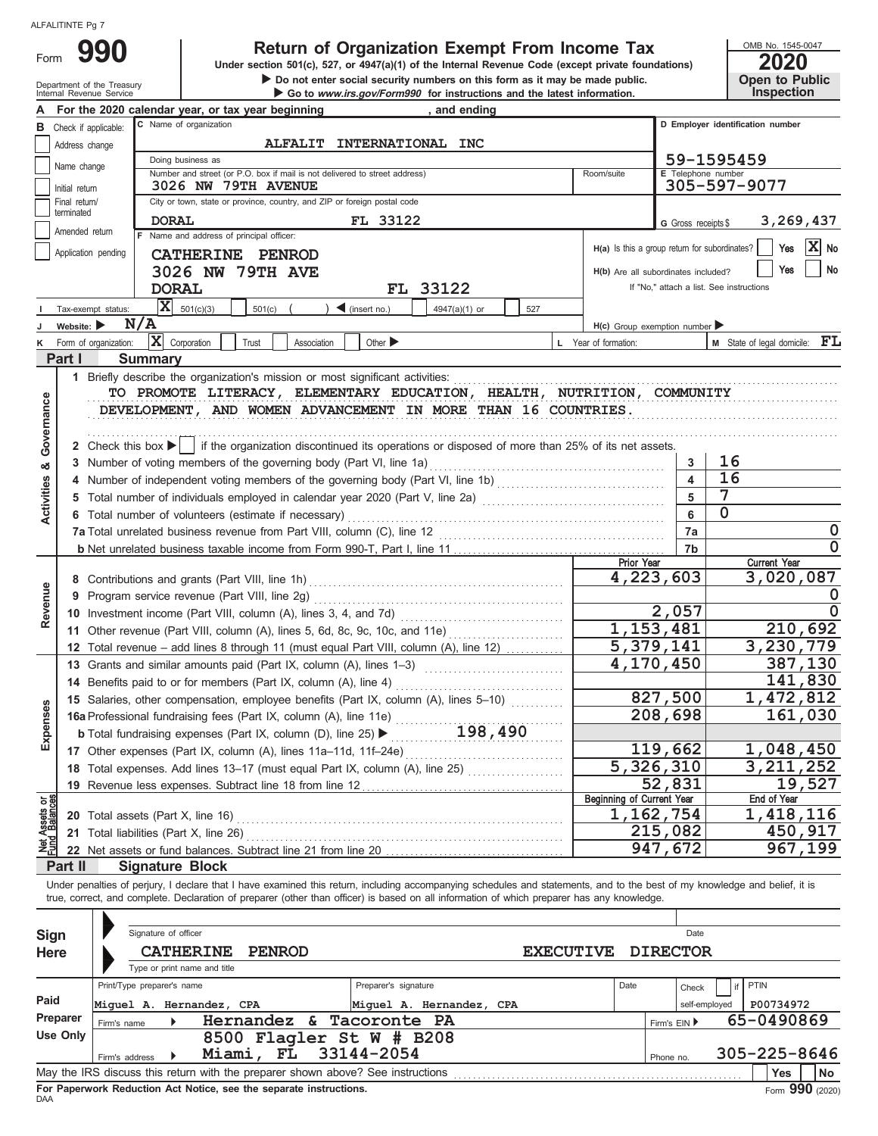Form

# **990 2000 2020 2020 2020 2020 2020 2020 2020 2020 2020 2020 2020 2020 2020 2020**

Department of the Treasury **Department of the Treasury Department of the Treasury Department of the Treasury Department of the Treasury Department of the Treasury Department of the Internal Revenue Service Dep**  $\triangleright$  Do not enter social security numbers on this form as it may be made public. OMB No. 1545-0047

|  | ZUZU                  |
|--|-----------------------|
|  | <b>Open to Public</b> |
|  | <b>Inspection</b>     |

|                                |                                                                                                                | For the 2020 calendar year, or tax year beginning<br>and ending                                                                                                                                                                                                                                                          |                                               |                         |                                                                                              |  |  |  |  |  |  |  |
|--------------------------------|----------------------------------------------------------------------------------------------------------------|--------------------------------------------------------------------------------------------------------------------------------------------------------------------------------------------------------------------------------------------------------------------------------------------------------------------------|-----------------------------------------------|-------------------------|----------------------------------------------------------------------------------------------|--|--|--|--|--|--|--|
| в                              | Check if applicable:                                                                                           | C Name of organization                                                                                                                                                                                                                                                                                                   |                                               |                         | D Employer identification number                                                             |  |  |  |  |  |  |  |
|                                | <b>ALFALIT</b><br>INTERNATIONAL INC<br>Address change                                                          |                                                                                                                                                                                                                                                                                                                          |                                               |                         |                                                                                              |  |  |  |  |  |  |  |
|                                | Name change                                                                                                    | Doing business as<br>59-1595459                                                                                                                                                                                                                                                                                          |                                               |                         |                                                                                              |  |  |  |  |  |  |  |
|                                | E Telephone number<br>Number and street (or P.O. box if mail is not delivered to street address)<br>Room/suite |                                                                                                                                                                                                                                                                                                                          |                                               |                         |                                                                                              |  |  |  |  |  |  |  |
|                                | 305-597-9077<br>3026 NW 79TH AVENUE<br>Initial return                                                          |                                                                                                                                                                                                                                                                                                                          |                                               |                         |                                                                                              |  |  |  |  |  |  |  |
|                                | City or town, state or province, country, and ZIP or foreign postal code<br>Final return/<br>terminated        |                                                                                                                                                                                                                                                                                                                          |                                               |                         |                                                                                              |  |  |  |  |  |  |  |
|                                | Amended return                                                                                                 | FL 33122<br><b>DORAL</b>                                                                                                                                                                                                                                                                                                 |                                               | G Gross receipts \$     | 3,269,437                                                                                    |  |  |  |  |  |  |  |
|                                |                                                                                                                | F Name and address of principal officer:                                                                                                                                                                                                                                                                                 | H(a) Is this a group return for subordinates? |                         | IXI<br>Yes<br>No                                                                             |  |  |  |  |  |  |  |
|                                | Application pending                                                                                            | CATHERINE PENROD                                                                                                                                                                                                                                                                                                         |                                               |                         |                                                                                              |  |  |  |  |  |  |  |
|                                |                                                                                                                | 3026 NW 79TH AVE                                                                                                                                                                                                                                                                                                         |                                               |                         | No<br>Yes<br>H(b) Are all subordinates included?<br>If "No," attach a list. See instructions |  |  |  |  |  |  |  |
|                                |                                                                                                                | FL 33122<br><b>DORAL</b>                                                                                                                                                                                                                                                                                                 |                                               |                         |                                                                                              |  |  |  |  |  |  |  |
|                                | Tax-exempt status:                                                                                             | x <br>501(c)(3)<br>501(c)<br>$\blacktriangleleft$ (insert no.)<br>4947(a)(1) or<br>527                                                                                                                                                                                                                                   |                                               |                         |                                                                                              |  |  |  |  |  |  |  |
|                                | Website: $\blacktriangleright$                                                                                 | N/A                                                                                                                                                                                                                                                                                                                      | $H(c)$ Group exemption number                 |                         |                                                                                              |  |  |  |  |  |  |  |
|                                | Form of organization:                                                                                          | x <br>Corporation<br>Other $\blacktriangleright$<br>Trust<br>Association                                                                                                                                                                                                                                                 | L Year of formation:                          |                         | <b>M</b> State of legal domicile: $\mathbf{FL}$                                              |  |  |  |  |  |  |  |
|                                | Part I                                                                                                         | <b>Summary</b>                                                                                                                                                                                                                                                                                                           |                                               |                         |                                                                                              |  |  |  |  |  |  |  |
|                                |                                                                                                                | 1 Briefly describe the organization's mission or most significant activities:                                                                                                                                                                                                                                            |                                               |                         |                                                                                              |  |  |  |  |  |  |  |
|                                |                                                                                                                | TO PROMOTE LITERACY, ELEMENTARY EDUCATION, HEALTH, NUTRITION, COMMUNITY                                                                                                                                                                                                                                                  |                                               |                         |                                                                                              |  |  |  |  |  |  |  |
|                                |                                                                                                                | DEVELOPMENT, AND WOMEN ADVANCEMENT IN MORE THAN 16 COUNTRIES.                                                                                                                                                                                                                                                            |                                               |                         |                                                                                              |  |  |  |  |  |  |  |
| Governance                     |                                                                                                                |                                                                                                                                                                                                                                                                                                                          |                                               |                         |                                                                                              |  |  |  |  |  |  |  |
|                                |                                                                                                                | 2 Check this box $\blacktriangleright$   if the organization discontinued its operations or disposed of more than 25% of its net assets.                                                                                                                                                                                 |                                               |                         |                                                                                              |  |  |  |  |  |  |  |
| య                              |                                                                                                                |                                                                                                                                                                                                                                                                                                                          |                                               | 3                       | 16                                                                                           |  |  |  |  |  |  |  |
|                                |                                                                                                                |                                                                                                                                                                                                                                                                                                                          |                                               | $\overline{\mathbf{4}}$ | 16                                                                                           |  |  |  |  |  |  |  |
|                                |                                                                                                                |                                                                                                                                                                                                                                                                                                                          |                                               | 5                       | 7                                                                                            |  |  |  |  |  |  |  |
| Activities                     |                                                                                                                | 6 Total number of volunteers (estimate if necessary)                                                                                                                                                                                                                                                                     |                                               | 6                       | 0                                                                                            |  |  |  |  |  |  |  |
|                                |                                                                                                                |                                                                                                                                                                                                                                                                                                                          |                                               | 7a                      | 0                                                                                            |  |  |  |  |  |  |  |
|                                |                                                                                                                |                                                                                                                                                                                                                                                                                                                          | 7b                                            | $\mathbf 0$             |                                                                                              |  |  |  |  |  |  |  |
|                                |                                                                                                                |                                                                                                                                                                                                                                                                                                                          | <b>Prior Year</b>                             |                         | <b>Current Year</b>                                                                          |  |  |  |  |  |  |  |
|                                |                                                                                                                |                                                                                                                                                                                                                                                                                                                          | 4,223,603                                     |                         | 3,020,087                                                                                    |  |  |  |  |  |  |  |
| Revenue                        |                                                                                                                | 9 Program service revenue (Part VIII, line 2g)                                                                                                                                                                                                                                                                           |                                               |                         | 0                                                                                            |  |  |  |  |  |  |  |
|                                |                                                                                                                |                                                                                                                                                                                                                                                                                                                          |                                               | $\overline{2}$ , 057    | $\Omega$                                                                                     |  |  |  |  |  |  |  |
|                                |                                                                                                                | 11 Other revenue (Part VIII, column (A), lines 5, 6d, 8c, 9c, 10c, and 11e)                                                                                                                                                                                                                                              | 1,153,481                                     |                         | 210,692                                                                                      |  |  |  |  |  |  |  |
|                                |                                                                                                                | 12 Total revenue - add lines 8 through 11 (must equal Part VIII, column (A), line 12)                                                                                                                                                                                                                                    | 5,379,141                                     |                         | 3,230,779                                                                                    |  |  |  |  |  |  |  |
|                                |                                                                                                                | 13 Grants and similar amounts paid (Part IX, column (A), lines 1-3)                                                                                                                                                                                                                                                      |                                               | 4,170,450               | 387,130                                                                                      |  |  |  |  |  |  |  |
|                                |                                                                                                                | 14 Benefits paid to or for members (Part IX, column (A), line 4)                                                                                                                                                                                                                                                         |                                               | 141,830                 |                                                                                              |  |  |  |  |  |  |  |
|                                |                                                                                                                | 15 Salaries, other compensation, employee benefits (Part IX, column (A), lines 5-10)<br>15 Salaries, other compensation, comparison, column (A), line 11e)<br>16a Professional fundraising fees (Part IX, column (A), line 25)<br>$\blacktriangleright$ 198, 490                                                         |                                               | 827,500                 | 1,472,812                                                                                    |  |  |  |  |  |  |  |
| kpenses                        |                                                                                                                |                                                                                                                                                                                                                                                                                                                          |                                               | 208,698                 | 161,030                                                                                      |  |  |  |  |  |  |  |
|                                |                                                                                                                |                                                                                                                                                                                                                                                                                                                          |                                               |                         |                                                                                              |  |  |  |  |  |  |  |
| шì                             |                                                                                                                | 17 Other expenses (Part IX, column (A), lines 11a-11d, 11f-24e)                                                                                                                                                                                                                                                          |                                               | 119,662                 | 1,048,450                                                                                    |  |  |  |  |  |  |  |
|                                |                                                                                                                | 18 Total expenses. Add lines 13-17 (must equal Part IX, column (A), line 25) [                                                                                                                                                                                                                                           |                                               | 5,326,310               | 3, 211, 252                                                                                  |  |  |  |  |  |  |  |
|                                |                                                                                                                | 19 Revenue less expenses. Subtract line 18 from line 12                                                                                                                                                                                                                                                                  |                                               | 52,831                  | 19,527                                                                                       |  |  |  |  |  |  |  |
| Net Assets or<br>Fund Balances |                                                                                                                |                                                                                                                                                                                                                                                                                                                          | Beginning of Current Year                     | 1,162,754               | End of Year<br>1,418,116                                                                     |  |  |  |  |  |  |  |
|                                |                                                                                                                |                                                                                                                                                                                                                                                                                                                          |                                               | 215,082                 | 450,917                                                                                      |  |  |  |  |  |  |  |
|                                |                                                                                                                |                                                                                                                                                                                                                                                                                                                          |                                               | 947,672                 | 967,199                                                                                      |  |  |  |  |  |  |  |
|                                | Part II                                                                                                        | 22 Net assets or fund balances. Subtract line 21 from line 20                                                                                                                                                                                                                                                            |                                               |                         |                                                                                              |  |  |  |  |  |  |  |
|                                |                                                                                                                | <b>Signature Block</b>                                                                                                                                                                                                                                                                                                   |                                               |                         |                                                                                              |  |  |  |  |  |  |  |
|                                |                                                                                                                | Under penalties of perjury, I declare that I have examined this return, including accompanying schedules and statements, and to the best of my knowledge and belief, it is<br>true, correct, and complete. Declaration of preparer (other than officer) is based on all information of which preparer has any knowledge. |                                               |                         |                                                                                              |  |  |  |  |  |  |  |
|                                |                                                                                                                |                                                                                                                                                                                                                                                                                                                          |                                               |                         |                                                                                              |  |  |  |  |  |  |  |
|                                |                                                                                                                | Signature of officer                                                                                                                                                                                                                                                                                                     |                                               | Date                    |                                                                                              |  |  |  |  |  |  |  |
| Sign                           |                                                                                                                |                                                                                                                                                                                                                                                                                                                          |                                               | <b>DIRECTOR</b>         |                                                                                              |  |  |  |  |  |  |  |
| Here                           |                                                                                                                | <b>CATHERINE</b><br><b>PENROD</b><br><b>EXECUTIVE</b><br>Type or print name and title                                                                                                                                                                                                                                    |                                               |                         |                                                                                              |  |  |  |  |  |  |  |
|                                |                                                                                                                | Print/Type preparer's name<br>Preparer's signature                                                                                                                                                                                                                                                                       | Date                                          |                         | <b>PTIN</b>                                                                                  |  |  |  |  |  |  |  |
| Paid                           |                                                                                                                |                                                                                                                                                                                                                                                                                                                          |                                               | Check                   |                                                                                              |  |  |  |  |  |  |  |
|                                | Preparer                                                                                                       | Miquel A. Hernandez, CPA<br>Miquel A. Hernandez, CPA                                                                                                                                                                                                                                                                     |                                               | self-employed           | P00734972<br>65-0490869                                                                      |  |  |  |  |  |  |  |
|                                | <b>Use Only</b>                                                                                                | Hernandez<br>&<br>Tacoronte PA<br>Firm's name                                                                                                                                                                                                                                                                            |                                               | Firm's EIN ▶            |                                                                                              |  |  |  |  |  |  |  |
|                                |                                                                                                                | 8500 Flagler St W # B208<br>33144-2054<br>Miami,<br>FL                                                                                                                                                                                                                                                                   |                                               |                         | 305-225-8646                                                                                 |  |  |  |  |  |  |  |
|                                |                                                                                                                | Firm's address                                                                                                                                                                                                                                                                                                           |                                               | Phone no.               |                                                                                              |  |  |  |  |  |  |  |
|                                |                                                                                                                | May the IRS discuss this return with the preparer shown above? See instructions                                                                                                                                                                                                                                          |                                               |                         | Yes<br>No                                                                                    |  |  |  |  |  |  |  |

| Sign<br><b>Here</b> |                                                                       | Signature of officer<br><b>CATHERINE</b><br>Type or print name and title | <b>PENROD</b>  |                                                                                                                           | <b>EXECUTIVE</b> |      |              | Date<br><b>DIRECTOR</b> |      |                         |      |
|---------------------|-----------------------------------------------------------------------|--------------------------------------------------------------------------|----------------|---------------------------------------------------------------------------------------------------------------------------|------------------|------|--------------|-------------------------|------|-------------------------|------|
| Paid<br>Preparer    | Print/Type preparer's name<br>Miquel A. Hernandez, CPA<br>Firm's name |                                                                          | Hernandez $\&$ | Preparer's signature<br>Miquel A. Hernandez, CPA<br>Tacoronte PA                                                          |                  | Date | Firm's $EIN$ | Check<br>self-employed  | PTIN | P00734972<br>65-0490869 |      |
| Use Only            | Firm's address                                                        |                                                                          | Miami, FL      | 8500 Flagler St W # B208<br>33144-2054<br>May the IRS discuss this return with the preparer shown above? See instructions |                  |      | Phone no.    |                         |      | 305-225-8646<br>Yes     | l No |
|                     |                                                                       |                                                                          |                |                                                                                                                           |                  |      |              |                         |      | $\sim$                  |      |

**For Paperwork Reduction Act Notice, see the separate instructions.**<br>DAA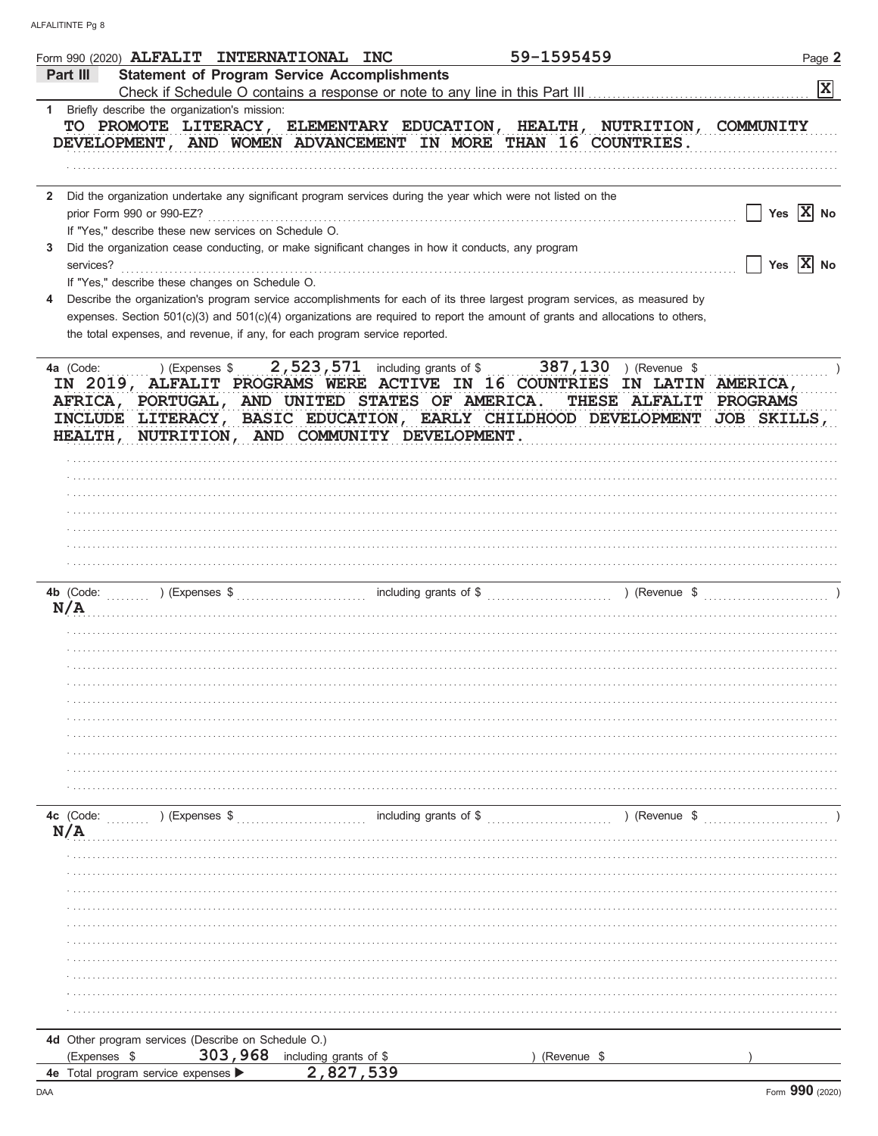| Form 990 (2020) ALFALIT INTERNATIONAL INC                                                                                                                                                                                                                                                                                                   |                                                                                                   | 59-1595459  |                        | Page 2                                           |
|---------------------------------------------------------------------------------------------------------------------------------------------------------------------------------------------------------------------------------------------------------------------------------------------------------------------------------------------|---------------------------------------------------------------------------------------------------|-------------|------------------------|--------------------------------------------------|
| Part III                                                                                                                                                                                                                                                                                                                                    | <b>Statement of Program Service Accomplishments</b>                                               |             |                        | 図                                                |
|                                                                                                                                                                                                                                                                                                                                             |                                                                                                   |             |                        |                                                  |
| 1 Briefly describe the organization's mission:<br>TO PROMOTE LITERACY, ELEMENTARY EDUCATION, HEALTH, NUTRITION, COMMUNITY<br>DEVELOPMENT, AND WOMEN ADVANCEMENT IN MORE THAN 16 COUNTRIES.                                                                                                                                                  |                                                                                                   |             |                        |                                                  |
|                                                                                                                                                                                                                                                                                                                                             |                                                                                                   |             |                        |                                                  |
| Did the organization undertake any significant program services during the year which were not listed on the<br>$\mathbf{2}$                                                                                                                                                                                                                |                                                                                                   |             |                        |                                                  |
| If "Yes," describe these new services on Schedule O.                                                                                                                                                                                                                                                                                        |                                                                                                   |             |                        | Yes $ X $ No                                     |
| Did the organization cease conducting, or make significant changes in how it conducts, any program<br>3                                                                                                                                                                                                                                     |                                                                                                   |             |                        |                                                  |
| services?                                                                                                                                                                                                                                                                                                                                   |                                                                                                   |             |                        | $\sqrt{\phantom{a}}$ Yes $\sqrt{\phantom{a}}$ No |
| If "Yes," describe these changes on Schedule O.                                                                                                                                                                                                                                                                                             |                                                                                                   |             |                        |                                                  |
| Describe the organization's program service accomplishments for each of its three largest program services, as measured by<br>expenses. Section 501(c)(3) and 501(c)(4) organizations are required to report the amount of grants and allocations to others,<br>the total expenses, and revenue, if any, for each program service reported. |                                                                                                   |             |                        |                                                  |
| 4a (Code:<br>IN 2019, ALFALIT PROGRAMS WERE ACTIVE IN 16 COUNTRIES IN LATIN AMERICA,<br>AFRICA, PORTUGAL, AND UNITED STATES OF AMERICA.<br>INCLUDE LITERACY,<br><b>HEALTH,</b>                                                                                                                                                              | BASIC EDUCATION, EARLY CHILDHOOD DEVELOPMENT JOB SKILLS,<br>NUTRITION, AND COMMUNITY DEVELOPMENT. |             | THESE ALFALIT PROGRAMS |                                                  |
|                                                                                                                                                                                                                                                                                                                                             |                                                                                                   |             |                        |                                                  |
|                                                                                                                                                                                                                                                                                                                                             |                                                                                                   |             |                        |                                                  |
|                                                                                                                                                                                                                                                                                                                                             |                                                                                                   |             |                        |                                                  |
|                                                                                                                                                                                                                                                                                                                                             |                                                                                                   |             |                        |                                                  |
|                                                                                                                                                                                                                                                                                                                                             |                                                                                                   |             |                        |                                                  |
|                                                                                                                                                                                                                                                                                                                                             |                                                                                                   |             |                        |                                                  |
| 4b (Code:<br>N/A                                                                                                                                                                                                                                                                                                                            |                                                                                                   |             |                        |                                                  |
|                                                                                                                                                                                                                                                                                                                                             |                                                                                                   |             |                        |                                                  |
|                                                                                                                                                                                                                                                                                                                                             |                                                                                                   |             |                        |                                                  |
|                                                                                                                                                                                                                                                                                                                                             |                                                                                                   |             |                        |                                                  |
|                                                                                                                                                                                                                                                                                                                                             |                                                                                                   |             |                        |                                                  |
|                                                                                                                                                                                                                                                                                                                                             |                                                                                                   |             |                        |                                                  |
|                                                                                                                                                                                                                                                                                                                                             |                                                                                                   |             |                        |                                                  |
|                                                                                                                                                                                                                                                                                                                                             |                                                                                                   |             |                        |                                                  |
|                                                                                                                                                                                                                                                                                                                                             |                                                                                                   |             |                        |                                                  |
|                                                                                                                                                                                                                                                                                                                                             |                                                                                                   |             |                        |                                                  |
| 4c (Code:<br>(Expenses \$) (Expenses \,                                                                                                                                                                                                                                                                                                     |                                                                                                   |             | $($ Revenue \$         |                                                  |
| N/A                                                                                                                                                                                                                                                                                                                                         |                                                                                                   |             |                        |                                                  |
|                                                                                                                                                                                                                                                                                                                                             |                                                                                                   |             |                        |                                                  |
|                                                                                                                                                                                                                                                                                                                                             |                                                                                                   |             |                        |                                                  |
|                                                                                                                                                                                                                                                                                                                                             |                                                                                                   |             |                        |                                                  |
|                                                                                                                                                                                                                                                                                                                                             |                                                                                                   |             |                        |                                                  |
|                                                                                                                                                                                                                                                                                                                                             |                                                                                                   |             |                        |                                                  |
|                                                                                                                                                                                                                                                                                                                                             |                                                                                                   |             |                        |                                                  |
|                                                                                                                                                                                                                                                                                                                                             |                                                                                                   |             |                        |                                                  |
|                                                                                                                                                                                                                                                                                                                                             |                                                                                                   |             |                        |                                                  |
|                                                                                                                                                                                                                                                                                                                                             |                                                                                                   |             |                        |                                                  |
| 4d Other program services (Describe on Schedule O.)                                                                                                                                                                                                                                                                                         |                                                                                                   |             |                        |                                                  |
| 303,968<br>(Expenses \$                                                                                                                                                                                                                                                                                                                     | including grants of \$                                                                            | (Revenue \$ |                        |                                                  |
| 4e Total program service expenses                                                                                                                                                                                                                                                                                                           | 2.827.539                                                                                         |             |                        |                                                  |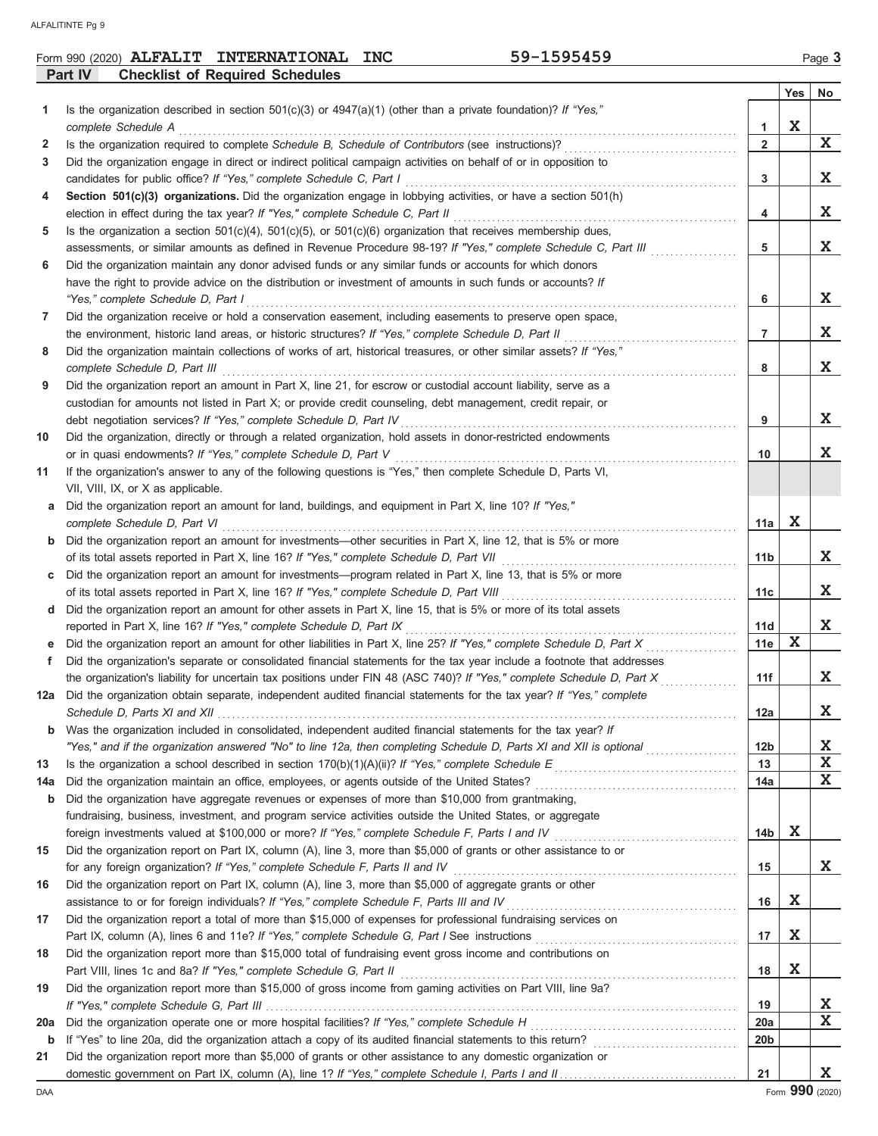|         | Form 990 (2020) <b>ALFALIT</b> | <b>INTERNATIONAL</b>                   | <b>INC</b> | 159545 <sup>c</sup><br>74 – | Page |
|---------|--------------------------------|----------------------------------------|------------|-----------------------------|------|
| Part IV |                                | <b>Checklist of Required Schedules</b> |            |                             |      |

|             |                                                                                                                                                                                                                                |                 | Yes         | No           |
|-------------|--------------------------------------------------------------------------------------------------------------------------------------------------------------------------------------------------------------------------------|-----------------|-------------|--------------|
| 1           | Is the organization described in section $501(c)(3)$ or $4947(a)(1)$ (other than a private foundation)? If "Yes,"                                                                                                              |                 |             |              |
|             | complete Schedule A example of the contract of the contract of the schedule of the complete Schedule A example of the schedule A example of the schedule A example of the schedule of the schedule of the schedule of the sche | 1               | $\mathbf X$ |              |
| 2           |                                                                                                                                                                                                                                | $\overline{2}$  |             | $\mathbf{x}$ |
| 3           | Did the organization engage in direct or indirect political campaign activities on behalf of or in opposition to                                                                                                               |                 |             |              |
|             |                                                                                                                                                                                                                                | 3               |             | X            |
| 4           | Section 501(c)(3) organizations. Did the organization engage in lobbying activities, or have a section 501(h)                                                                                                                  |                 |             |              |
|             |                                                                                                                                                                                                                                | 4               |             | X            |
| 5           | Is the organization a section $501(c)(4)$ , $501(c)(5)$ , or $501(c)(6)$ organization that receives membership dues,                                                                                                           |                 |             |              |
|             | assessments, or similar amounts as defined in Revenue Procedure 98-19? If "Yes," complete Schedule C, Part III                                                                                                                 | 5               |             | X            |
| 6           | Did the organization maintain any donor advised funds or any similar funds or accounts for which donors                                                                                                                        |                 |             |              |
|             | have the right to provide advice on the distribution or investment of amounts in such funds or accounts? If                                                                                                                    |                 |             |              |
|             | "Yes," complete Schedule D, Part I                                                                                                                                                                                             | 6               |             | X            |
| 7           | Did the organization receive or hold a conservation easement, including easements to preserve open space,                                                                                                                      |                 |             | X            |
| 8           | Did the organization maintain collections of works of art, historical treasures, or other similar assets? If "Yes,"                                                                                                            | $\overline{7}$  |             |              |
|             |                                                                                                                                                                                                                                | 8               |             | X            |
| 9           | Did the organization report an amount in Part X, line 21, for escrow or custodial account liability, serve as a                                                                                                                |                 |             |              |
|             | custodian for amounts not listed in Part X; or provide credit counseling, debt management, credit repair, or                                                                                                                   |                 |             |              |
|             |                                                                                                                                                                                                                                | 9               |             | X            |
| 10          | Did the organization, directly or through a related organization, hold assets in donor-restricted endowments                                                                                                                   |                 |             |              |
|             |                                                                                                                                                                                                                                | 10              |             | X            |
| 11          | If the organization's answer to any of the following questions is "Yes," then complete Schedule D, Parts VI,                                                                                                                   |                 |             |              |
|             | VII, VIII, IX, or X as applicable.                                                                                                                                                                                             |                 |             |              |
| a           | Did the organization report an amount for land, buildings, and equipment in Part X, line 10? If "Yes,"                                                                                                                         |                 |             |              |
|             |                                                                                                                                                                                                                                | 11a             | $\mathbf X$ |              |
| $\mathbf b$ | Did the organization report an amount for investments—other securities in Part X, line 12, that is 5% or more                                                                                                                  |                 |             |              |
|             | of its total assets reported in Part X, line 16? If "Yes," complete Schedule D, Part VII [[[[[[[[[[[[[[[[[[[[[                                                                                                                 | 11b             |             | X.           |
| C           | Did the organization report an amount for investments—program related in Part X, line 13, that is 5% or more                                                                                                                   |                 |             |              |
|             | of its total assets reported in Part X, line 16? If "Yes," complete Schedule D, Part VIII [[[[[[[[[[[[[[[[[[[[                                                                                                                 | 11c             |             | X            |
| d           | Did the organization report an amount for other assets in Part X, line 15, that is 5% or more of its total assets                                                                                                              |                 |             | X            |
|             | reported in Part X, line 16? If "Yes," complete Schedule D, Part IX                                                                                                                                                            | 11d<br>11e      | $\mathbf X$ |              |
| е<br>f      | Did the organization's separate or consolidated financial statements for the tax year include a footnote that addresses                                                                                                        |                 |             |              |
|             | the organization's liability for uncertain tax positions under FIN 48 (ASC 740)? If "Yes," complete Schedule D, Part X                                                                                                         | 11f             |             | X            |
| 12a         | Did the organization obtain separate, independent audited financial statements for the tax year? If "Yes," complete                                                                                                            |                 |             |              |
|             |                                                                                                                                                                                                                                | 12a             |             | X            |
| b           | Was the organization included in consolidated, independent audited financial statements for the tax year? If                                                                                                                   |                 |             |              |
|             |                                                                                                                                                                                                                                | 12 <sub>b</sub> |             | X            |
| 13          |                                                                                                                                                                                                                                | 13              |             | X            |
| 14a         |                                                                                                                                                                                                                                | 14a             |             | X            |
| b           | Did the organization have aggregate revenues or expenses of more than \$10,000 from grantmaking,                                                                                                                               |                 |             |              |
|             | fundraising, business, investment, and program service activities outside the United States, or aggregate                                                                                                                      |                 |             |              |
|             |                                                                                                                                                                                                                                | 14b             | X           |              |
| 15          | Did the organization report on Part IX, column (A), line 3, more than \$5,000 of grants or other assistance to or                                                                                                              |                 |             |              |
|             | for any foreign organization? If "Yes," complete Schedule F, Parts II and IV [100] (100] [100] [100] [100] [100] [100] [100] [100] [100] [100] [100] [100] [100] [100] [100] [100] [100] [100] [100] [100] [100] [100] [100] [ | 15              |             | X            |
| 16          | Did the organization report on Part IX, column (A), line 3, more than \$5,000 of aggregate grants or other                                                                                                                     |                 |             |              |
|             | assistance to or for foreign individuals? If "Yes," complete Schedule F, Parts III and IV [[[[[[[[[[[[[[[[[[[                                                                                                                  | 16              | X           |              |
| 17          | Did the organization report a total of more than \$15,000 of expenses for professional fundraising services on                                                                                                                 |                 | X           |              |
| 18          | Did the organization report more than \$15,000 total of fundraising event gross income and contributions on                                                                                                                    | 17              |             |              |
|             |                                                                                                                                                                                                                                | 18              | X           |              |
| 19          | Did the organization report more than \$15,000 of gross income from gaming activities on Part VIII, line 9a?                                                                                                                   |                 |             |              |
|             |                                                                                                                                                                                                                                | 19              |             | X            |
| 20a         |                                                                                                                                                                                                                                | 20a             |             | X            |
| b           |                                                                                                                                                                                                                                | 20 <sub>b</sub> |             |              |
| 21          | Did the organization report more than \$5,000 of grants or other assistance to any domestic organization or                                                                                                                    |                 |             |              |
|             |                                                                                                                                                                                                                                | 21              |             | X            |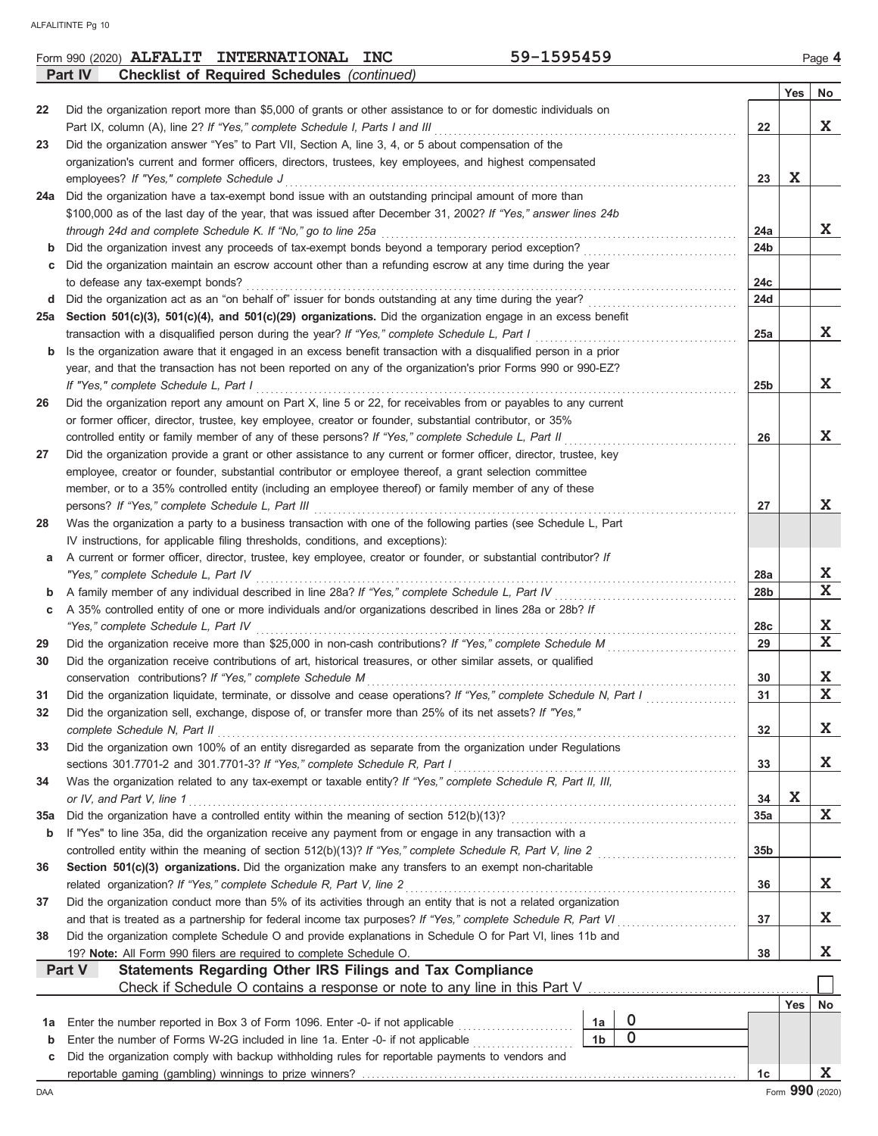|             | Part IV<br><b>Checklist of Required Schedules (continued)</b>                                                                                                                   |                 |     |                      |  |  |  |  |
|-------------|---------------------------------------------------------------------------------------------------------------------------------------------------------------------------------|-----------------|-----|----------------------|--|--|--|--|
|             |                                                                                                                                                                                 |                 | Yes | No                   |  |  |  |  |
| 22          | Did the organization report more than \$5,000 of grants or other assistance to or for domestic individuals on                                                                   |                 |     |                      |  |  |  |  |
|             | Part IX, column (A), line 2? If "Yes," complete Schedule I, Parts I and III                                                                                                     | 22              |     | X                    |  |  |  |  |
| 23          | Did the organization answer "Yes" to Part VII, Section A, line 3, 4, or 5 about compensation of the                                                                             |                 |     |                      |  |  |  |  |
|             | organization's current and former officers, directors, trustees, key employees, and highest compensated                                                                         |                 |     |                      |  |  |  |  |
|             | employees? If "Yes," complete Schedule J                                                                                                                                        | 23              | X   |                      |  |  |  |  |
|             | 24a Did the organization have a tax-exempt bond issue with an outstanding principal amount of more than                                                                         |                 |     |                      |  |  |  |  |
|             | \$100,000 as of the last day of the year, that was issued after December 31, 2002? If "Yes," answer lines 24b                                                                   |                 |     |                      |  |  |  |  |
|             | through 24d and complete Schedule K. If "No," go to line 25a                                                                                                                    | 24a             |     | X                    |  |  |  |  |
|             | Did the organization invest any proceeds of tax-exempt bonds beyond a temporary period exception?                                                                               | 24 <sub>b</sub> |     |                      |  |  |  |  |
|             | Did the organization maintain an escrow account other than a refunding escrow at any time during the year                                                                       |                 |     |                      |  |  |  |  |
|             | to defease any tax-exempt bonds?                                                                                                                                                | 24c             |     |                      |  |  |  |  |
| d           | Did the organization act as an "on behalf of" issuer for bonds outstanding at any time during the year?                                                                         | 24d             |     |                      |  |  |  |  |
|             | 25a Section 501(c)(3), 501(c)(4), and 501(c)(29) organizations. Did the organization engage in an excess benefit                                                                |                 |     |                      |  |  |  |  |
|             | transaction with a disqualified person during the year? If "Yes," complete Schedule L, Part I                                                                                   | 25a             |     | X                    |  |  |  |  |
| b           | Is the organization aware that it engaged in an excess benefit transaction with a disqualified person in a prior                                                                |                 |     |                      |  |  |  |  |
|             | year, and that the transaction has not been reported on any of the organization's prior Forms 990 or 990-EZ?                                                                    |                 |     |                      |  |  |  |  |
|             | If "Yes," complete Schedule L, Part I                                                                                                                                           | 25 <sub>b</sub> |     | X                    |  |  |  |  |
| 26          | Did the organization report any amount on Part X, line 5 or 22, for receivables from or payables to any current                                                                 |                 |     |                      |  |  |  |  |
|             | or former officer, director, trustee, key employee, creator or founder, substantial contributor, or 35%                                                                         |                 |     |                      |  |  |  |  |
|             | controlled entity or family member of any of these persons? If "Yes," complete Schedule L, Part II                                                                              | 26              |     | X                    |  |  |  |  |
| 27          | Did the organization provide a grant or other assistance to any current or former officer, director, trustee, key                                                               |                 |     |                      |  |  |  |  |
|             | employee, creator or founder, substantial contributor or employee thereof, a grant selection committee                                                                          |                 |     |                      |  |  |  |  |
|             | member, or to a 35% controlled entity (including an employee thereof) or family member of any of these                                                                          |                 |     |                      |  |  |  |  |
|             | persons? If "Yes," complete Schedule L, Part III                                                                                                                                | 27              |     | X                    |  |  |  |  |
| 28          | Was the organization a party to a business transaction with one of the following parties (see Schedule L, Part                                                                  |                 |     |                      |  |  |  |  |
|             | IV instructions, for applicable filing thresholds, conditions, and exceptions):                                                                                                 |                 |     |                      |  |  |  |  |
|             | A current or former officer, director, trustee, key employee, creator or founder, or substantial contributor? If                                                                |                 |     |                      |  |  |  |  |
| а           | "Yes," complete Schedule L, Part IV                                                                                                                                             | 28a             |     | X                    |  |  |  |  |
| b           | A family member of any individual described in line 28a? If "Yes," complete Schedule L, Part IV                                                                                 | 28 <sub>b</sub> |     | $\mathbf x$          |  |  |  |  |
|             | A 35% controlled entity of one or more individuals and/or organizations described in lines 28a or 28b? If                                                                       |                 |     |                      |  |  |  |  |
| с           | "Yes," complete Schedule L, Part IV                                                                                                                                             | 28c             |     | X                    |  |  |  |  |
|             | Did the organization receive more than \$25,000 in non-cash contributions? If "Yes," complete Schedule M                                                                        | 29              |     | $\mathbf x$          |  |  |  |  |
| 29          |                                                                                                                                                                                 |                 |     |                      |  |  |  |  |
| 30          | Did the organization receive contributions of art, historical treasures, or other similar assets, or qualified                                                                  | 30              |     | X                    |  |  |  |  |
|             | conservation contributions? If "Yes," complete Schedule M<br>Did the organization liquidate, terminate, or dissolve and cease operations? If "Yes," complete Schedule N, Part I | 31              |     | $\mathbf x$          |  |  |  |  |
| 31          | Did the organization sell, exchange, dispose of, or transfer more than 25% of its net assets? If "Yes,"                                                                         |                 |     |                      |  |  |  |  |
| 32          | complete Schedule N, Part II                                                                                                                                                    | 32              |     | X                    |  |  |  |  |
|             | Did the organization own 100% of an entity disregarded as separate from the organization under Regulations                                                                      |                 |     |                      |  |  |  |  |
| 33          |                                                                                                                                                                                 |                 |     | X                    |  |  |  |  |
|             | sections 301.7701-2 and 301.7701-3? If "Yes," complete Schedule R, Part I                                                                                                       | 33              |     |                      |  |  |  |  |
| 34          | Was the organization related to any tax-exempt or taxable entity? If "Yes," complete Schedule R, Part II, III,                                                                  |                 | X   |                      |  |  |  |  |
|             | or IV, and Part V, line 1                                                                                                                                                       | 34              |     | $\mathbf x$          |  |  |  |  |
| 35a         |                                                                                                                                                                                 | 35a             |     |                      |  |  |  |  |
| b           | If "Yes" to line 35a, did the organization receive any payment from or engage in any transaction with a                                                                         |                 |     |                      |  |  |  |  |
|             | controlled entity within the meaning of section 512(b)(13)? If "Yes," complete Schedule R, Part V, line 2                                                                       | 35 <sub>b</sub> |     |                      |  |  |  |  |
| 36          | Section 501(c)(3) organizations. Did the organization make any transfers to an exempt non-charitable                                                                            |                 |     | X                    |  |  |  |  |
|             | related organization? If "Yes," complete Schedule R, Part V, line 2                                                                                                             | 36              |     |                      |  |  |  |  |
| 37          | Did the organization conduct more than 5% of its activities through an entity that is not a related organization                                                                |                 |     |                      |  |  |  |  |
|             | and that is treated as a partnership for federal income tax purposes? If "Yes," complete Schedule R, Part VI                                                                    | 37              |     | X                    |  |  |  |  |
|             | Did the organization complete Schedule O and provide explanations in Schedule O for Part VI, lines 11b and<br>38                                                                |                 |     |                      |  |  |  |  |
|             | 19? Note: All Form 990 filers are required to complete Schedule O.                                                                                                              | 38              |     | X                    |  |  |  |  |
|             | Statements Regarding Other IRS Filings and Tax Compliance<br>Part V                                                                                                             |                 |     |                      |  |  |  |  |
|             |                                                                                                                                                                                 |                 |     |                      |  |  |  |  |
|             |                                                                                                                                                                                 |                 | Yes | No                   |  |  |  |  |
|             | $\boldsymbol{0}$<br>Enter the number reported in Box 3 of Form 1096. Enter -0- if not applicable<br>1a<br>1a<br>$\mathbf 0$                                                     |                 |     |                      |  |  |  |  |
| $\mathbf b$ | 1 <sub>b</sub><br>Enter the number of Forms W-2G included in line 1a. Enter -0- if not applicable                                                                               |                 |     |                      |  |  |  |  |
| c           | Did the organization comply with backup withholding rules for reportable payments to vendors and                                                                                |                 |     |                      |  |  |  |  |
|             |                                                                                                                                                                                 | 1c              |     | X<br>Form 990 (2020) |  |  |  |  |
| DAA         |                                                                                                                                                                                 |                 |     |                      |  |  |  |  |

**Form 990 (2020) ALFALIT INTERNATIONAL INC** 59-1595459 Page 4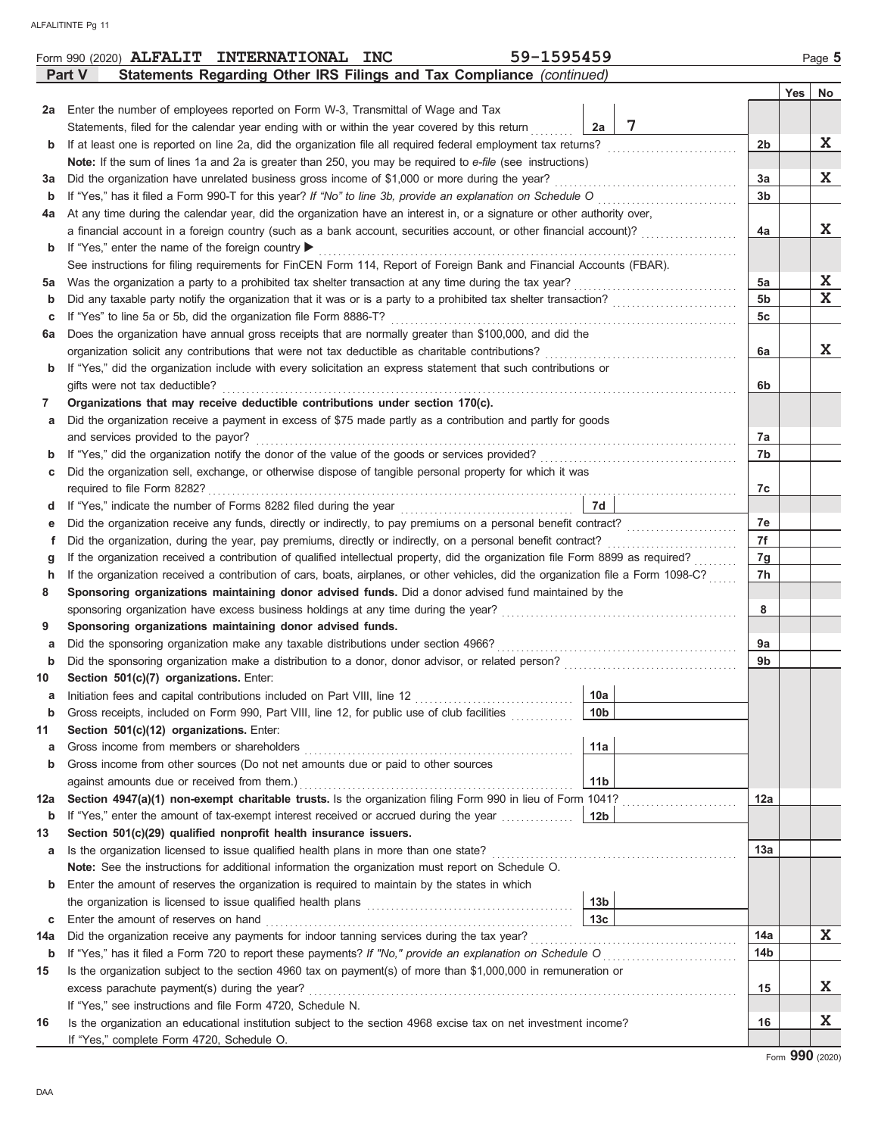|     | 59-1595459<br>Form 990 (2020) ALFALIT INTERNATIONAL INC                                                                                            |                                                                                                                                                                                                                                |                |     | Page 5       |  |  |  |  |  |
|-----|----------------------------------------------------------------------------------------------------------------------------------------------------|--------------------------------------------------------------------------------------------------------------------------------------------------------------------------------------------------------------------------------|----------------|-----|--------------|--|--|--|--|--|
|     | Statements Regarding Other IRS Filings and Tax Compliance (continued)<br>Part V                                                                    |                                                                                                                                                                                                                                |                |     |              |  |  |  |  |  |
|     |                                                                                                                                                    |                                                                                                                                                                                                                                |                | Yes | No           |  |  |  |  |  |
| 2a  | Enter the number of employees reported on Form W-3, Transmittal of Wage and Tax                                                                    |                                                                                                                                                                                                                                |                |     |              |  |  |  |  |  |
|     | 7<br>Statements, filed for the calendar year ending with or within the year covered by this return<br>2a                                           |                                                                                                                                                                                                                                |                |     |              |  |  |  |  |  |
| b   | If at least one is reported on line 2a, did the organization file all required federal employment tax returns?                                     |                                                                                                                                                                                                                                | 2b             |     | X            |  |  |  |  |  |
|     | Note: If the sum of lines 1a and 2a is greater than 250, you may be required to e-file (see instructions)                                          |                                                                                                                                                                                                                                |                |     |              |  |  |  |  |  |
| За  | Did the organization have unrelated business gross income of \$1,000 or more during the year?                                                      |                                                                                                                                                                                                                                |                |     |              |  |  |  |  |  |
| b   | If "Yes," has it filed a Form 990-T for this year? If "No" to line 3b, provide an explanation on Schedule O                                        |                                                                                                                                                                                                                                | 3 <sub>b</sub> |     |              |  |  |  |  |  |
| 4a  | At any time during the calendar year, did the organization have an interest in, or a signature or other authority over,                            |                                                                                                                                                                                                                                |                |     |              |  |  |  |  |  |
|     | a financial account in a foreign country (such as a bank account, securities account, or other financial account)?                                 |                                                                                                                                                                                                                                | 4a             |     | X            |  |  |  |  |  |
| b   | If "Yes," enter the name of the foreign country ▶                                                                                                  |                                                                                                                                                                                                                                |                |     |              |  |  |  |  |  |
|     | See instructions for filing requirements for FinCEN Form 114, Report of Foreign Bank and Financial Accounts (FBAR).                                |                                                                                                                                                                                                                                |                |     |              |  |  |  |  |  |
| 5a  | Was the organization a party to a prohibited tax shelter transaction at any time during the tax year?                                              |                                                                                                                                                                                                                                | 5a             |     | X<br>X       |  |  |  |  |  |
| b   | Did any taxable party notify the organization that it was or is a party to a prohibited tax shelter transaction?                                   |                                                                                                                                                                                                                                | 5 <sub>b</sub> |     |              |  |  |  |  |  |
| с   | If "Yes" to line 5a or 5b, did the organization file Form 8886-T?                                                                                  |                                                                                                                                                                                                                                | 5c             |     |              |  |  |  |  |  |
| 6а  | Does the organization have annual gross receipts that are normally greater than \$100,000, and did the                                             |                                                                                                                                                                                                                                |                |     | X.           |  |  |  |  |  |
|     | organization solicit any contributions that were not tax deductible as charitable contributions?                                                   |                                                                                                                                                                                                                                | 6a             |     |              |  |  |  |  |  |
| b   | If "Yes," did the organization include with every solicitation an express statement that such contributions or                                     |                                                                                                                                                                                                                                |                |     |              |  |  |  |  |  |
|     | gifts were not tax deductible?<br>Organizations that may receive deductible contributions under section 170(c).                                    |                                                                                                                                                                                                                                | 6b             |     |              |  |  |  |  |  |
| 7   |                                                                                                                                                    |                                                                                                                                                                                                                                |                |     |              |  |  |  |  |  |
| а   | Did the organization receive a payment in excess of \$75 made partly as a contribution and partly for goods<br>and services provided to the payor? |                                                                                                                                                                                                                                |                |     |              |  |  |  |  |  |
| b   | If "Yes," did the organization notify the donor of the value of the goods or services provided?                                                    |                                                                                                                                                                                                                                | 7а<br>7b       |     |              |  |  |  |  |  |
| с   | Did the organization sell, exchange, or otherwise dispose of tangible personal property for which it was                                           | and the complete state of the complete state of the complete state of the complete state of the complete state of the complete state of the complete state of the complete state of the complete state of the complete state o |                |     |              |  |  |  |  |  |
|     | required to file Form 8282?                                                                                                                        |                                                                                                                                                                                                                                | 7c             |     |              |  |  |  |  |  |
| d   |                                                                                                                                                    | 7d                                                                                                                                                                                                                             |                |     |              |  |  |  |  |  |
| е   | Did the organization receive any funds, directly or indirectly, to pay premiums on a personal benefit contract?                                    |                                                                                                                                                                                                                                | 7e             |     |              |  |  |  |  |  |
| f   | Did the organization, during the year, pay premiums, directly or indirectly, on a personal benefit contract?                                       |                                                                                                                                                                                                                                | 7f             |     |              |  |  |  |  |  |
| g   | If the organization received a contribution of qualified intellectual property, did the organization file Form 8899 as required?                   |                                                                                                                                                                                                                                | 7g             |     |              |  |  |  |  |  |
| h   | If the organization received a contribution of cars, boats, airplanes, or other vehicles, did the organization file a Form 1098-C?                 |                                                                                                                                                                                                                                | 7h             |     |              |  |  |  |  |  |
| 8   | Sponsoring organizations maintaining donor advised funds. Did a donor advised fund maintained by the                                               |                                                                                                                                                                                                                                |                |     |              |  |  |  |  |  |
|     | sponsoring organization have excess business holdings at any time during the year?                                                                 |                                                                                                                                                                                                                                | 8              |     |              |  |  |  |  |  |
| 9   | Sponsoring organizations maintaining donor advised funds.                                                                                          |                                                                                                                                                                                                                                |                |     |              |  |  |  |  |  |
| а   | Did the sponsoring organization make any taxable distributions under section 4966?                                                                 |                                                                                                                                                                                                                                | 9а             |     |              |  |  |  |  |  |
| b   | Did the sponsoring organization make a distribution to a donor, donor advisor, or related person?                                                  |                                                                                                                                                                                                                                | 9b             |     |              |  |  |  |  |  |
| 10  | Section 501(c)(7) organizations. Enter:                                                                                                            |                                                                                                                                                                                                                                |                |     |              |  |  |  |  |  |
| а   |                                                                                                                                                    | 10a                                                                                                                                                                                                                            |                |     |              |  |  |  |  |  |
| b   | Gross receipts, included on Form 990, Part VIII, line 12, for public use of club facilities                                                        | 10 <sub>b</sub>                                                                                                                                                                                                                |                |     |              |  |  |  |  |  |
| 11  | Section 501(c)(12) organizations. Enter:                                                                                                           |                                                                                                                                                                                                                                |                |     |              |  |  |  |  |  |
| a   | Gross income from members or shareholders                                                                                                          | 11a                                                                                                                                                                                                                            |                |     |              |  |  |  |  |  |
| b   | Gross income from other sources (Do not net amounts due or paid to other sources                                                                   |                                                                                                                                                                                                                                |                |     |              |  |  |  |  |  |
|     | against amounts due or received from them.)                                                                                                        | 11 <sub>b</sub>                                                                                                                                                                                                                |                |     |              |  |  |  |  |  |
| 12a | Section 4947(a)(1) non-exempt charitable trusts. Is the organization filing Form 990 in lieu of Form 1041?                                         |                                                                                                                                                                                                                                | 12a            |     |              |  |  |  |  |  |
| b   | If "Yes," enter the amount of tax-exempt interest received or accrued during the year                                                              | 12 <sub>b</sub>                                                                                                                                                                                                                |                |     |              |  |  |  |  |  |
| 13  | Section 501(c)(29) qualified nonprofit health insurance issuers.                                                                                   |                                                                                                                                                                                                                                |                |     |              |  |  |  |  |  |
| а   | Is the organization licensed to issue qualified health plans in more than one state?                                                               |                                                                                                                                                                                                                                | 13a            |     |              |  |  |  |  |  |
|     | Note: See the instructions for additional information the organization must report on Schedule O.                                                  |                                                                                                                                                                                                                                |                |     |              |  |  |  |  |  |
| b   | Enter the amount of reserves the organization is required to maintain by the states in which                                                       |                                                                                                                                                                                                                                |                |     |              |  |  |  |  |  |
|     |                                                                                                                                                    | 13 <sub>b</sub>                                                                                                                                                                                                                |                |     |              |  |  |  |  |  |
| С   |                                                                                                                                                    | 13 <sub>c</sub>                                                                                                                                                                                                                |                |     |              |  |  |  |  |  |
| 14a | Did the organization receive any payments for indoor tanning services during the tax year?                                                         |                                                                                                                                                                                                                                | 14a            |     | $\mathbf{x}$ |  |  |  |  |  |
| b   | If "Yes," has it filed a Form 720 to report these payments? If "No," provide an explanation on Schedule O                                          |                                                                                                                                                                                                                                | 14b            |     |              |  |  |  |  |  |
| 15  | Is the organization subject to the section 4960 tax on payment(s) of more than \$1,000,000 in remuneration or                                      |                                                                                                                                                                                                                                |                |     |              |  |  |  |  |  |
|     | excess parachute payment(s) during the year?                                                                                                       |                                                                                                                                                                                                                                | 15             |     | X            |  |  |  |  |  |
|     | If "Yes," see instructions and file Form 4720, Schedule N.                                                                                         |                                                                                                                                                                                                                                |                |     |              |  |  |  |  |  |
| 16  | Is the organization an educational institution subject to the section 4968 excise tax on net investment income?                                    |                                                                                                                                                                                                                                | 16             |     | X            |  |  |  |  |  |
|     | If "Yes," complete Form 4720, Schedule O.                                                                                                          |                                                                                                                                                                                                                                |                |     |              |  |  |  |  |  |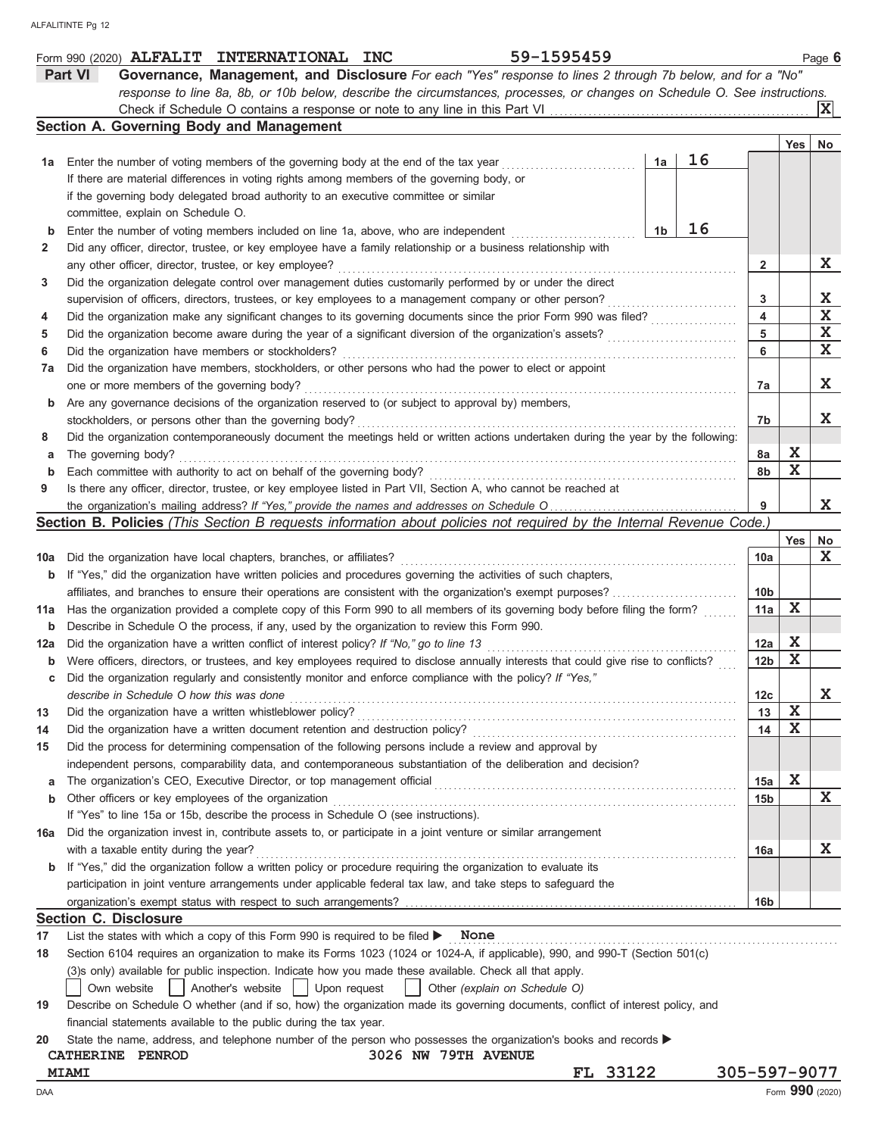|             | 59-1595459<br>Form 990 (2020) ALFALIT INTERNATIONAL INC                                                                             |                 |             | Page 6          |
|-------------|-------------------------------------------------------------------------------------------------------------------------------------|-----------------|-------------|-----------------|
|             | <b>Part VI</b><br>Governance, Management, and Disclosure For each "Yes" response to lines 2 through 7b below, and for a "No"        |                 |             |                 |
|             | response to line 8a, 8b, or 10b below, describe the circumstances, processes, or changes on Schedule O. See instructions.           |                 |             |                 |
|             |                                                                                                                                     |                 |             | ΙXΙ             |
|             | Section A. Governing Body and Management                                                                                            |                 |             |                 |
|             |                                                                                                                                     |                 | Yes         | No              |
| 1a          | 16<br>1a<br>Enter the number of voting members of the governing body at the end of the tax year                                     |                 |             |                 |
|             | If there are material differences in voting rights among members of the governing body, or                                          |                 |             |                 |
|             | if the governing body delegated broad authority to an executive committee or similar                                                |                 |             |                 |
|             | committee, explain on Schedule O.                                                                                                   |                 |             |                 |
|             | 16<br>1b                                                                                                                            |                 |             |                 |
| b           | Enter the number of voting members included on line 1a, above, who are independent                                                  |                 |             |                 |
| 2           | Did any officer, director, trustee, or key employee have a family relationship or a business relationship with                      |                 |             |                 |
|             | any other officer, director, trustee, or key employee?                                                                              | $\mathbf{2}$    |             | X               |
| 3           | Did the organization delegate control over management duties customarily performed by or under the direct                           |                 |             |                 |
|             | supervision of officers, directors, trustees, or key employees to a management company or other person?                             | 3               |             | X               |
| 4           | Did the organization make any significant changes to its governing documents since the prior Form 990 was filed?                    | 4               |             | $\mathbf X$     |
| 5           | Did the organization become aware during the year of a significant diversion of the organization's assets?                          | 5               |             | $\mathbf X$     |
| 6           | Did the organization have members or stockholders?                                                                                  | 6               |             | $\mathbf X$     |
| 7а          | Did the organization have members, stockholders, or other persons who had the power to elect or appoint                             |                 |             |                 |
|             | one or more members of the governing body?                                                                                          | 7a              |             | X               |
| b           | Are any governance decisions of the organization reserved to (or subject to approval by) members,                                   |                 |             |                 |
|             | stockholders, or persons other than the governing body?                                                                             | 7b              |             | X               |
| 8           | Did the organization contemporaneously document the meetings held or written actions undertaken during the year by the following:   |                 |             |                 |
| а           | The governing body?                                                                                                                 | 8а              | X           |                 |
| $\mathbf b$ | Each committee with authority to act on behalf of the governing body?                                                               | 8b              | $\mathbf X$ |                 |
| 9           | Is there any officer, director, trustee, or key employee listed in Part VII, Section A, who cannot be reached at                    |                 |             |                 |
|             |                                                                                                                                     |                 |             | X               |
|             | Section B. Policies (This Section B requests information about policies not required by the Internal Revenue Code.)                 |                 |             |                 |
|             |                                                                                                                                     |                 | Yes         | No              |
|             |                                                                                                                                     |                 |             | $\mathbf{x}$    |
| 10a         | Did the organization have local chapters, branches, or affiliates?                                                                  | 10a             |             |                 |
| b           | If "Yes," did the organization have written policies and procedures governing the activities of such chapters,                      |                 |             |                 |
|             | affiliates, and branches to ensure their operations are consistent with the organization's exempt purposes?                         | 10 <sub>b</sub> |             |                 |
| 11a         | Has the organization provided a complete copy of this Form 990 to all members of its governing body before filing the form?         | 11a             | X           |                 |
| b           | Describe in Schedule O the process, if any, used by the organization to review this Form 990.                                       |                 |             |                 |
| 12a         | Did the organization have a written conflict of interest policy? If "No," go to line 13                                             | 12a             | X           |                 |
| b           | Were officers, directors, or trustees, and key employees required to disclose annually interests that could give rise to conflicts? | 12 <sub>b</sub> | $\mathbf X$ |                 |
| с           | Did the organization regularly and consistently monitor and enforce compliance with the policy? If "Yes,"                           |                 |             |                 |
|             | describe in Schedule O how this was done                                                                                            | 12c             |             | ᅀ               |
| 13          | Did the organization have a written whistleblower policy?                                                                           | 13              | X           |                 |
| 14          | Did the organization have a written document retention and destruction policy?                                                      | 14              | X           |                 |
| 15          | Did the process for determining compensation of the following persons include a review and approval by                              |                 |             |                 |
|             | independent persons, comparability data, and contemporaneous substantiation of the deliberation and decision?                       |                 |             |                 |
| a           | The organization's CEO, Executive Director, or top management official                                                              | 15a             | $\mathbf x$ |                 |
| b           | Other officers or key employees of the organization                                                                                 | 15b             |             | X               |
|             | If "Yes" to line 15a or 15b, describe the process in Schedule O (see instructions).                                                 |                 |             |                 |
| 16a         | Did the organization invest in, contribute assets to, or participate in a joint venture or similar arrangement                      |                 |             |                 |
|             | with a taxable entity during the year?                                                                                              | 16a             |             | X               |
| b           | If "Yes," did the organization follow a written policy or procedure requiring the organization to evaluate its                      |                 |             |                 |
|             |                                                                                                                                     |                 |             |                 |
|             | participation in joint venture arrangements under applicable federal tax law, and take steps to safeguard the                       |                 |             |                 |
|             |                                                                                                                                     | 16 <sub>b</sub> |             |                 |
|             | <b>Section C. Disclosure</b>                                                                                                        |                 |             |                 |
| 17          | List the states with which a copy of this Form 990 is required to be filed $\blacktriangleright$ None                               |                 |             |                 |
| 18          | Section 6104 requires an organization to make its Forms 1023 (1024 or 1024-A, if applicable), 990, and 990-T (Section 501(c)        |                 |             |                 |
|             | (3)s only) available for public inspection. Indicate how you made these available. Check all that apply.                            |                 |             |                 |
|             | Another's website<br>Upon request<br>Own website<br>Other (explain on Schedule O)                                                   |                 |             |                 |
| 19          | Describe on Schedule O whether (and if so, how) the organization made its governing documents, conflict of interest policy, and     |                 |             |                 |
|             | financial statements available to the public during the tax year.                                                                   |                 |             |                 |
| 20          | State the name, address, and telephone number of the person who possesses the organization's books and records                      |                 |             |                 |
|             | 3026 NW 79TH AVENUE<br>CATHERINE PENROD                                                                                             |                 |             |                 |
|             | FL 33122<br><b>MIAMI</b>                                                                                                            | 305-597-9077    |             |                 |
| DAA         |                                                                                                                                     |                 |             | Form 990 (2020) |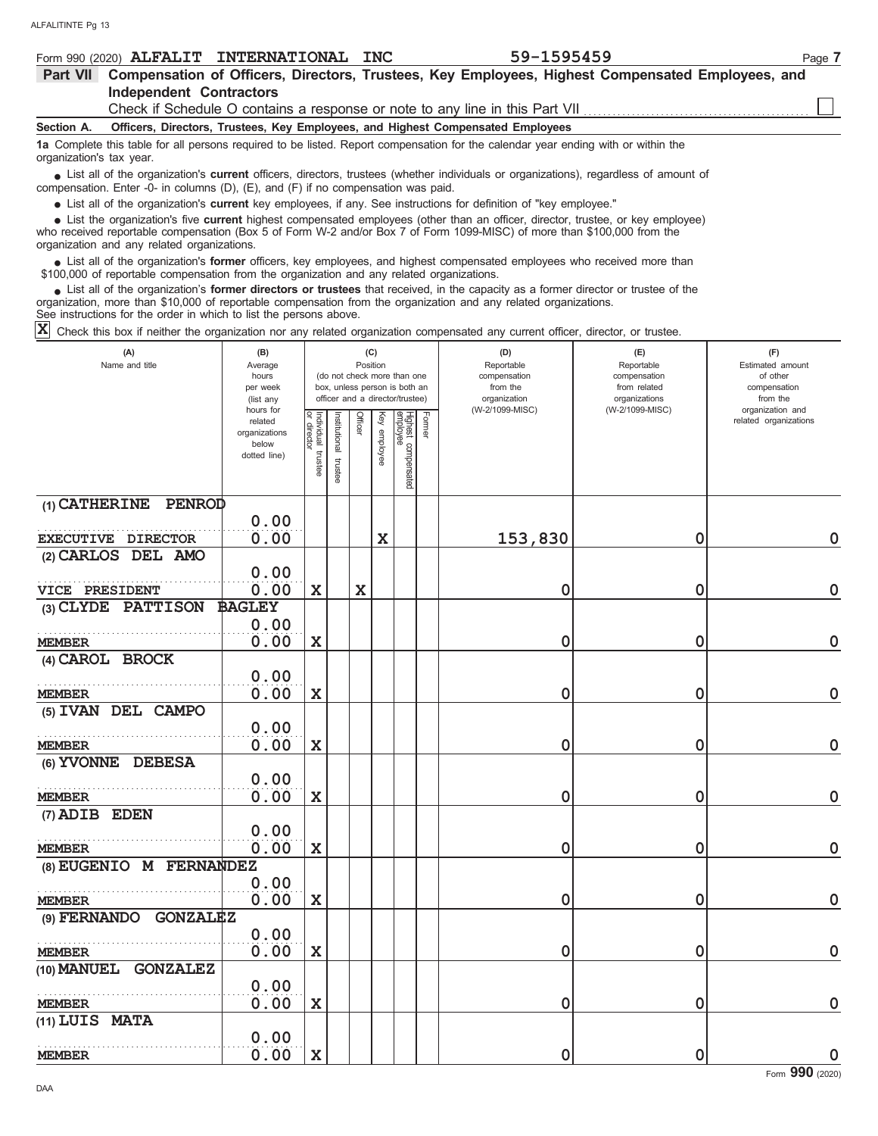| 59-1595459<br>Form 990 (2020) ALFALIT INTERNATIONAL INC<br>Page 7                                                                                                                                                                                                                                        |  |  |  |  |  |  |  |  |
|----------------------------------------------------------------------------------------------------------------------------------------------------------------------------------------------------------------------------------------------------------------------------------------------------------|--|--|--|--|--|--|--|--|
| Compensation of Officers, Directors, Trustees, Key Employees, Highest Compensated Employees, and<br><b>Part VII</b>                                                                                                                                                                                      |  |  |  |  |  |  |  |  |
| <b>Independent Contractors</b>                                                                                                                                                                                                                                                                           |  |  |  |  |  |  |  |  |
| Check if Schedule O contains a response or note to any line in this Part VII                                                                                                                                                                                                                             |  |  |  |  |  |  |  |  |
| Officers, Directors, Trustees, Key Employees, and Highest Compensated Employees<br>Section A.                                                                                                                                                                                                            |  |  |  |  |  |  |  |  |
| 1a Complete this table for all persons required to be listed. Report compensation for the calendar year ending with or within the<br>organization's tax year.                                                                                                                                            |  |  |  |  |  |  |  |  |
| List all of the organization's <b>current</b> officers, directors, trustees (whether individuals or organizations), regardless of amount of<br>compensation. Enter -0- in columns $(D)$ , $(E)$ , and $(F)$ if no compensation was paid.                                                                 |  |  |  |  |  |  |  |  |
| • List all of the organization's current key employees, if any. See instructions for definition of "key employee."                                                                                                                                                                                       |  |  |  |  |  |  |  |  |
| List the organization's five current highest compensated employees (other than an officer, director, trustee, or key employee)<br>who received reportable compensation (Box 5 of Form W-2 and/or Box 7 of Form 1099-MISC) of more than \$100,000 from the<br>organization and any related organizations. |  |  |  |  |  |  |  |  |
| • List all of the organization's former officers, key employees, and highest compensated employees who received more than<br>\$100,000 of reportable compensation from the organization and any related organizations.                                                                                   |  |  |  |  |  |  |  |  |

List all of the organization's **former directors or trustees** that received, in the capacity as a former director or trustee of the organization, more than \$10,000 of reportable compensation from the organization and any related organizations. **•**

See instructions for the order in which to list the persons above.

 $\overline{\textbf{X}}$  Check this box if neither the organization nor any related organization compensated any current officer, director, or trustee.

| (A)<br>(B)<br>Name and title<br>Average<br>hours<br>per week<br>(list any<br>hours for |                                                   |                       |                          | (C)<br>Position |              | (do not check more than one<br>box, unless person is both an<br>officer and a director/trustee) |        | (D)<br>Reportable<br>compensation<br>from the<br>organization<br>(W-2/1099-MISC) | (E)<br>Reportable<br>compensation<br>from related<br>organizations<br>(W-2/1099-MISC) | (F)<br>Estimated amount<br>of other<br>compensation<br>from the<br>organization and |
|----------------------------------------------------------------------------------------|---------------------------------------------------|-----------------------|--------------------------|-----------------|--------------|-------------------------------------------------------------------------------------------------|--------|----------------------------------------------------------------------------------|---------------------------------------------------------------------------------------|-------------------------------------------------------------------------------------|
|                                                                                        | related<br>organizations<br>below<br>dotted line) | Individual<br>trustee | Institutional<br>trustee | Officer         | Key employee | Highest compensated<br>employee                                                                 | Former |                                                                                  |                                                                                       | related organizations                                                               |
| (1) CATHERINE<br>PENROD                                                                |                                                   |                       |                          |                 |              |                                                                                                 |        |                                                                                  |                                                                                       |                                                                                     |
| EXECUTIVE DIRECTOR                                                                     | 0.00<br>0.00                                      |                       |                          |                 | $\mathbf x$  |                                                                                                 |        | 153,830                                                                          | $\mathbf 0$                                                                           | $\mathbf 0$                                                                         |
| (2) CARLOS DEL AMO                                                                     |                                                   |                       |                          |                 |              |                                                                                                 |        |                                                                                  |                                                                                       |                                                                                     |
|                                                                                        | 0.00                                              |                       |                          |                 |              |                                                                                                 |        |                                                                                  |                                                                                       |                                                                                     |
| VICE PRESIDENT                                                                         | 0.00                                              | $\mathbf x$           |                          | $\mathbf x$     |              |                                                                                                 |        | 0                                                                                | 0                                                                                     | $\mathbf 0$                                                                         |
| (3) CLYDE PATTISON                                                                     | <b>BAGLEY</b>                                     |                       |                          |                 |              |                                                                                                 |        |                                                                                  |                                                                                       |                                                                                     |
| <b>MEMBER</b>                                                                          | 0.00<br>0.00                                      | $\mathbf X$           |                          |                 |              |                                                                                                 |        | 0                                                                                | 0                                                                                     | 0                                                                                   |
| (4) CAROL BROCK                                                                        |                                                   |                       |                          |                 |              |                                                                                                 |        |                                                                                  |                                                                                       |                                                                                     |
|                                                                                        | 0.00                                              |                       |                          |                 |              |                                                                                                 |        |                                                                                  |                                                                                       |                                                                                     |
| <b>MEMBER</b>                                                                          | 0.00                                              | $\mathbf x$           |                          |                 |              |                                                                                                 |        | 0                                                                                | 0                                                                                     | $\mathbf 0$                                                                         |
| (5) IVAN DEL CAMPO                                                                     | 0.00                                              |                       |                          |                 |              |                                                                                                 |        |                                                                                  |                                                                                       |                                                                                     |
| <b>MEMBER</b>                                                                          | 0.00                                              | $\mathbf x$           |                          |                 |              |                                                                                                 |        | 0                                                                                | 0                                                                                     | $\mathbf 0$                                                                         |
| (6) YVONNE DEBESA                                                                      |                                                   |                       |                          |                 |              |                                                                                                 |        |                                                                                  |                                                                                       |                                                                                     |
| <b>MEMBER</b>                                                                          | 0.00<br>0.00                                      | $\mathbf x$           |                          |                 |              |                                                                                                 |        | 0                                                                                | 0                                                                                     | $\mathbf 0$                                                                         |
| (7) ADIB EDEN                                                                          |                                                   |                       |                          |                 |              |                                                                                                 |        |                                                                                  |                                                                                       |                                                                                     |
|                                                                                        | 0.00                                              |                       |                          |                 |              |                                                                                                 |        |                                                                                  |                                                                                       |                                                                                     |
| <b>MEMBER</b>                                                                          | 0.00                                              | $\mathbf x$           |                          |                 |              |                                                                                                 |        | 0                                                                                | 0                                                                                     | $\mathbf 0$                                                                         |
| (8) EUGENIO M FERNANDEZ                                                                |                                                   |                       |                          |                 |              |                                                                                                 |        |                                                                                  |                                                                                       |                                                                                     |
|                                                                                        | 0.00                                              |                       |                          |                 |              |                                                                                                 |        |                                                                                  |                                                                                       |                                                                                     |
| <b>MEMBER</b>                                                                          | 0.00                                              | $\mathbf x$           |                          |                 |              |                                                                                                 |        | 0                                                                                | 0                                                                                     | $\mathbf 0$                                                                         |
| <b>GONZALEZ</b><br>(9) FERNANDO                                                        | 0.00                                              |                       |                          |                 |              |                                                                                                 |        |                                                                                  |                                                                                       |                                                                                     |
| <b>MEMBER</b>                                                                          | 0.00                                              | X                     |                          |                 |              |                                                                                                 |        | 0                                                                                | 0                                                                                     | $\mathbf 0$                                                                         |
| <b>GONZALEZ</b><br>(10) <b>MANUEL</b>                                                  |                                                   |                       |                          |                 |              |                                                                                                 |        |                                                                                  |                                                                                       |                                                                                     |
|                                                                                        | 0.00                                              |                       |                          |                 |              |                                                                                                 |        |                                                                                  |                                                                                       |                                                                                     |
| <b>MEMBER</b>                                                                          | 0.00                                              | $\mathbf x$           |                          |                 |              |                                                                                                 |        | 0                                                                                | 0                                                                                     | $\Omega$                                                                            |
| (11) LUIS MATA                                                                         |                                                   |                       |                          |                 |              |                                                                                                 |        |                                                                                  |                                                                                       |                                                                                     |
|                                                                                        | 0.00                                              |                       |                          |                 |              |                                                                                                 |        |                                                                                  |                                                                                       |                                                                                     |
| <b>MEMBER</b>                                                                          | 0.00                                              | $\mathbf x$           |                          |                 |              |                                                                                                 |        | 0                                                                                | 0                                                                                     | $\mathbf 0$                                                                         |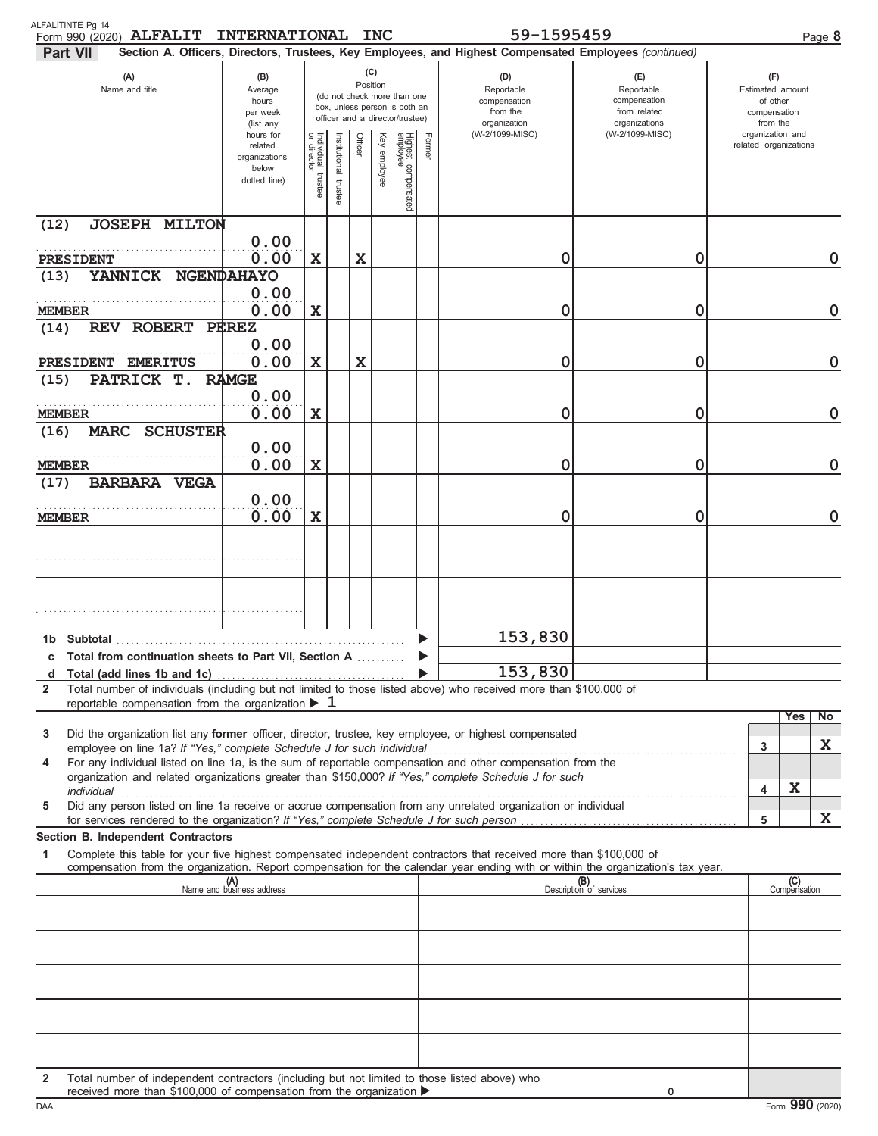| ALFALITINTE Pg 14<br>Form 990 (2020) ALFALIT INTERNATIONAL INC<br><b>Part VII</b>                                                                                                                                                                                                                                                                    |                                                                |                                        |                          |             |                 |                                                                                                 |        | 59-1595459<br>Section A. Officers, Directors, Trustees, Key Employees, and Highest Compensated Employees (continued) |                                                                    |                                                                 |                       | Page 8      |  |
|------------------------------------------------------------------------------------------------------------------------------------------------------------------------------------------------------------------------------------------------------------------------------------------------------------------------------------------------------|----------------------------------------------------------------|----------------------------------------|--------------------------|-------------|-----------------|-------------------------------------------------------------------------------------------------|--------|----------------------------------------------------------------------------------------------------------------------|--------------------------------------------------------------------|-----------------------------------------------------------------|-----------------------|-------------|--|
| (A)<br>Name and title                                                                                                                                                                                                                                                                                                                                | (B)<br>Average<br>hours<br>per week<br>(list any               |                                        |                          |             | (C)<br>Position | (do not check more than one<br>box, unless person is both an<br>officer and a director/trustee) |        | (D)<br>Reportable<br>compensation<br>from the<br>organization                                                        | (E)<br>Reportable<br>compensation<br>from related<br>organizations | (F)<br>Estimated amount<br>of other<br>compensation<br>from the |                       |             |  |
|                                                                                                                                                                                                                                                                                                                                                      | hours for<br>related<br>organizations<br>below<br>dotted line) | Individual 1<br>or director<br>trustee | Institutional<br>trustee | Officer     | Key<br>employee | Highest compensated<br>employee                                                                 | Former | (W-2/1099-MISC)                                                                                                      | (W-2/1099-MISC)                                                    | organization and                                                | related organizations |             |  |
| <b>JOSEPH MILTON</b><br>(12)                                                                                                                                                                                                                                                                                                                         |                                                                |                                        |                          |             |                 |                                                                                                 |        |                                                                                                                      |                                                                    |                                                                 |                       |             |  |
| PRESIDENT                                                                                                                                                                                                                                                                                                                                            | 0.00<br>0.00                                                   | $\mathbf X$                            |                          | X           |                 |                                                                                                 |        | 0                                                                                                                    | 0                                                                  |                                                                 |                       | 0           |  |
| YANNICK NGENDAHAYO<br>(13)<br><b>MEMBER</b>                                                                                                                                                                                                                                                                                                          | 0.00<br>0.00                                                   | $\mathbf X$                            |                          |             |                 |                                                                                                 |        | 0                                                                                                                    | 0                                                                  |                                                                 |                       | $\mathbf 0$ |  |
| REV ROBERT PEREZ<br>(14)                                                                                                                                                                                                                                                                                                                             | 0.00                                                           |                                        |                          |             |                 |                                                                                                 |        |                                                                                                                      |                                                                    |                                                                 |                       |             |  |
| PRESIDENT EMERITUS<br>PATRICK T.<br>(15)                                                                                                                                                                                                                                                                                                             | 0.00<br><b>RAMGE</b>                                           | $\mathbf X$                            |                          | $\mathbf X$ |                 |                                                                                                 |        | 0                                                                                                                    | 0                                                                  |                                                                 |                       | $\mathbf 0$ |  |
| MEMBER                                                                                                                                                                                                                                                                                                                                               | 0.00<br>0.00                                                   | X                                      |                          |             |                 |                                                                                                 |        | 0                                                                                                                    | 0                                                                  |                                                                 |                       | $\mathbf 0$ |  |
| MARC SCHUSTER<br>(16)                                                                                                                                                                                                                                                                                                                                | 0.00                                                           |                                        |                          |             |                 |                                                                                                 |        |                                                                                                                      |                                                                    |                                                                 |                       |             |  |
| MEMBER<br><b>BARBARA VEGA</b><br>(17)                                                                                                                                                                                                                                                                                                                | 0.00                                                           | X                                      |                          |             |                 |                                                                                                 |        | 0                                                                                                                    | 0                                                                  |                                                                 |                       | $\mathbf 0$ |  |
| MEMBER                                                                                                                                                                                                                                                                                                                                               | 0.00<br>0.00                                                   | $\mathbf x$                            |                          |             |                 |                                                                                                 |        | 0                                                                                                                    | 0                                                                  |                                                                 |                       | $\mathbf 0$ |  |
|                                                                                                                                                                                                                                                                                                                                                      |                                                                |                                        |                          |             |                 |                                                                                                 |        |                                                                                                                      |                                                                    |                                                                 |                       |             |  |
|                                                                                                                                                                                                                                                                                                                                                      |                                                                |                                        |                          |             |                 |                                                                                                 |        |                                                                                                                      |                                                                    |                                                                 |                       |             |  |
|                                                                                                                                                                                                                                                                                                                                                      |                                                                |                                        |                          |             |                 |                                                                                                 |        | 153,830                                                                                                              |                                                                    |                                                                 |                       |             |  |
| c Total from continuation sheets to Part VII. Section A                                                                                                                                                                                                                                                                                              |                                                                |                                        |                          |             |                 |                                                                                                 |        |                                                                                                                      |                                                                    |                                                                 |                       |             |  |
| d<br>Total number of individuals (including but not limited to those listed above) who received more than \$100,000 of<br>2                                                                                                                                                                                                                          |                                                                |                                        |                          |             |                 |                                                                                                 |        | 153,830                                                                                                              |                                                                    |                                                                 |                       |             |  |
| reportable compensation from the organization $\blacktriangleright$ 1                                                                                                                                                                                                                                                                                |                                                                |                                        |                          |             |                 |                                                                                                 |        |                                                                                                                      |                                                                    |                                                                 | Yes                   | No          |  |
| Did the organization list any <b>former</b> officer, director, trustee, key employee, or highest compensated<br>3<br>employee on line 1a? If "Yes," complete Schedule J for such individual                                                                                                                                                          |                                                                |                                        |                          |             |                 |                                                                                                 |        |                                                                                                                      |                                                                    | 3                                                               |                       | X           |  |
| For any individual listed on line 1a, is the sum of reportable compensation and other compensation from the<br>4<br>organization and related organizations greater than \$150,000? If "Yes," complete Schedule J for such                                                                                                                            |                                                                |                                        |                          |             |                 |                                                                                                 |        |                                                                                                                      |                                                                    | 4                                                               | X                     |             |  |
| individual communications are all the contract of the contract of the contract of the contract of the contract of the contract of the contract of the contract of the contract of the contract of the contract of the contract<br>Did any person listed on line 1a receive or accrue compensation from any unrelated organization or individual<br>5 |                                                                |                                        |                          |             |                 |                                                                                                 |        |                                                                                                                      |                                                                    | 5                                                               |                       | X           |  |
| Section B. Independent Contractors                                                                                                                                                                                                                                                                                                                   |                                                                |                                        |                          |             |                 |                                                                                                 |        |                                                                                                                      |                                                                    |                                                                 |                       |             |  |
| Complete this table for your five highest compensated independent contractors that received more than \$100,000 of<br>1<br>compensation from the organization. Report compensation for the calendar year ending with or within the organization's tax year.                                                                                          |                                                                |                                        |                          |             |                 |                                                                                                 |        |                                                                                                                      |                                                                    |                                                                 |                       |             |  |
|                                                                                                                                                                                                                                                                                                                                                      | (A)<br>Name and business address                               |                                        |                          |             |                 |                                                                                                 |        |                                                                                                                      | (B)<br>Description of services                                     |                                                                 | (C)<br>Compensation   |             |  |
|                                                                                                                                                                                                                                                                                                                                                      |                                                                |                                        |                          |             |                 |                                                                                                 |        |                                                                                                                      |                                                                    |                                                                 |                       |             |  |
|                                                                                                                                                                                                                                                                                                                                                      |                                                                |                                        |                          |             |                 |                                                                                                 |        |                                                                                                                      |                                                                    |                                                                 |                       |             |  |
|                                                                                                                                                                                                                                                                                                                                                      |                                                                |                                        |                          |             |                 |                                                                                                 |        |                                                                                                                      |                                                                    |                                                                 |                       |             |  |
|                                                                                                                                                                                                                                                                                                                                                      |                                                                |                                        |                          |             |                 |                                                                                                 |        |                                                                                                                      |                                                                    |                                                                 |                       |             |  |
| Total number of independent contractors (including but not limited to those listed above) who<br>2<br>received more than \$100,000 of compensation from the organization ▶                                                                                                                                                                           |                                                                |                                        |                          |             |                 |                                                                                                 |        |                                                                                                                      | $\mathbf 0$                                                        |                                                                 |                       |             |  |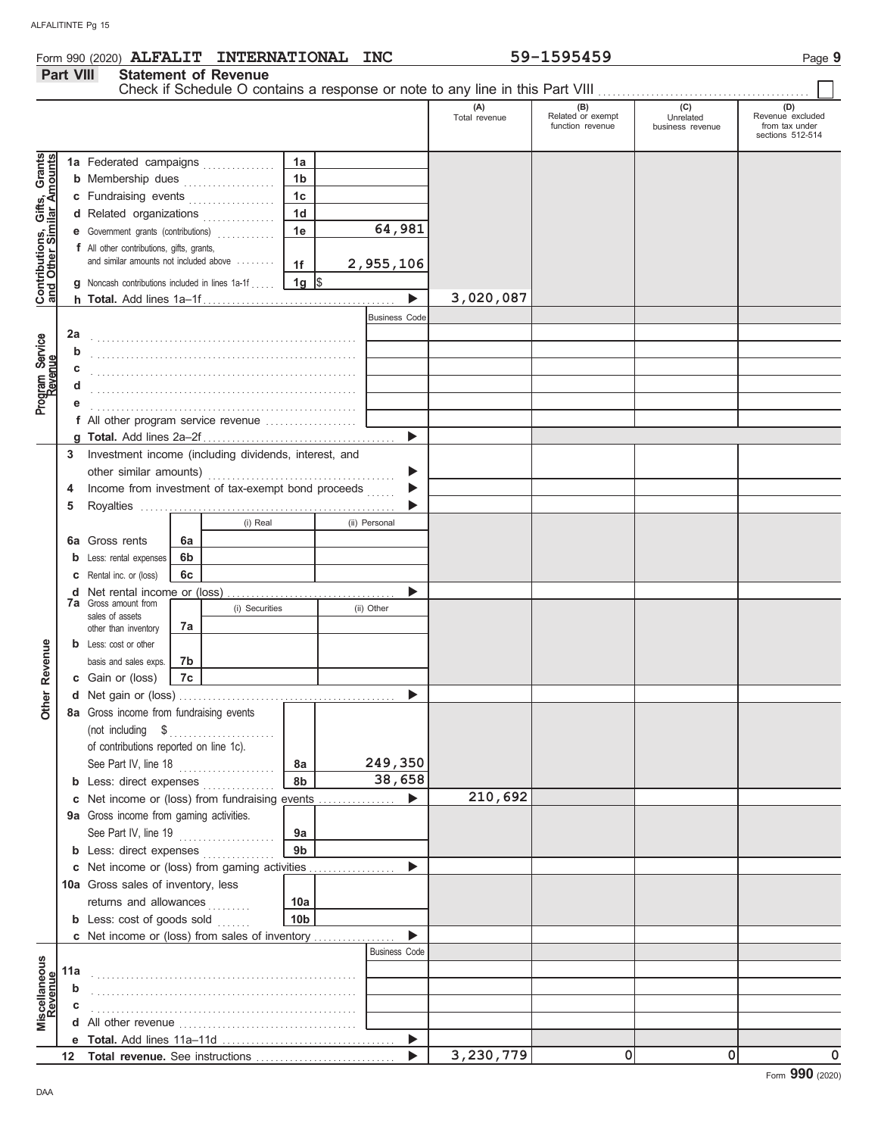| Form 990 (2020) <b>ALFALIT INTERNATIONAL</b> | <b>INC</b> | -1595459<br>$59 - 1$ | Page |
|----------------------------------------------|------------|----------------------|------|
|----------------------------------------------|------------|----------------------|------|

#### **Part VIII Statement of Revenue** Check if Schedule O contains a response or note to any line in this Part VIII **(A) (B) (C) (D)** Total revenue Related or exempt Unrelated Revenue excluded Function revenue controllers and the version of the version of the version of the version of the version of the<br>function revenue business revenue from tax under sections 512-514 Gifts, Grants<br>illar Amounts **Contributions, Gifts, Grants and Other Similar Amounts 1a** Federated campaigns **. . . . . . . . . . . . 1a 1b b** Membership dues **. . . . . . . . . . . . . . .** . . . **c** Fundraising events **. . . . . . . . . . . . . .** . . **1c 1d d** Related organizations ................ **64,981** Contributions,<br>and Other Sim **1e e** Government grants (contributions) . . . . . . . . . . . . **f** All other contributions, gifts, grants, and similar amounts not included above ........ **2,955,106 1f 1g g** Noncash contributions included in lines 1a-1f . . . . .  $\frac{1}{2}$ **3,020,087**  $\blacktriangleright$ **h Total.** Add lines 1a–1f . . . . . . . . . . . . . . . . . . . . . . . . . . . . . . . . . . . . . . . . Business Code **2a** Program Service<br>Revenue Program Service . . . . . . . . . . . . . . . . . . . . . . . . . . . . . . . . . . . . . . . . . . . . . . . . . . . . . . . **b** . . . . . . . . . . . . . . . . . . . . . . . . . . . . . . . . . . . . . . . . . . . . . . . . . . . . . . . **c** . . . . . . . . . . . . . . . . . . . . . . . . . . . . . . . . . . . . . . . . . . . . . . . . . . . . . . . **d** . . . . . . . . . . . . . . . . . . . . . . . . . . . . . . . . . . . . . . . . . . . . . . . . . . . . . . . **e** . . . . . . . . . . . . . . . . . . . . . . . . . . . . . . . . . . . . . . . . . . . . . . . . . . . . . . . **f** All other program service revenue . . . . . . . . . . . . . . . . . . . **g Total.** Add lines 2a–2f . . . . . . . . . . . . . . . . . . . . . . . . . . . . . . . . . . . . . . . . **3** Investment income (including dividends, interest, and other similar amounts) ь ь **4** Income from investment of tax-exempt bond proceeds ...... **5** Royalties . . . . . . . . . . . . . . . . . . . . . . . . . . . . . . . . . . . . . . . . . . . . . . . . . . . . .  $\blacktriangleright$ (i) Real (ii) Personal **6a 6a** Gross rents **6b b** Less: rental expenses **6c c** Rental inc. or (loss) ь **d** Net rental income or (loss) . . . . . . . . . . . . . . . . . . . . . . . . . . . . . . . . . . . **7a** Gross amount from (i) Securities (ii) Other sales of assets **7a** other than inventory Revenue **b** Less: cost or other **Other Revenue** basis and sales exps. **7b 7c c** Gain or (loss) Other I **d** Net gain or (loss) . . . . . . . . . . . . . . . . . . . . . . . . . . . . . . . . . . . . . . . . . . . . . **8a** Gross income from fundraising events (not including . . . . . . . . . . . . . . of contributions reported on line 1c). See Part IV, line 18 . . . . . . . . . . . . . . . . . . . . **249,350 8a 8b 38,658 b** Less: direct expenses . . . . . . . . . . . . . **210,692**  $\blacktriangleright$ **c** Net income or (loss) from fundraising events ............... 9a Gross income from gaming activities. See Part IV, line 19 . . . . . . . . . . . . . . . . . . . . **9a 9b b** Less: direct expenses ................ ь **c** Net income or (loss) from gaming activities ................. 10a Gross sales of inventory, less returns and allowances **10a 10b b** Less: cost of goods sold ....... ь **c** Net income or (loss) from sales of inventory ................ Business Code **Miscellaneous**<br>Revenue **Miscellaneous 11a** . . . . . . . . . . . . . . . . . . . . . . . . . . . . . . . . . . . . . . . . . . . . . . . . . . . . . . . **b** . . . . . . . . . . . . . . . . . . . . . . . . . . . . . . . . . . . . . . . . . . . . . . . . . . . . . . . **c** . . . . . . . . . . . . . . . . . . . . . . . . . . . . . . . . . . . . . . . . . . . . . . . . . . . . . . . **d** All other revenue . . . . . . . . . . . . . . . . . . . . . . . . . . . . . . . . . . . . . Total. Add lines 11a-11d ь **e 3**,230,779 0 0 0 0 **Total revenue.** See instructions  $\blacktriangleright$ **12**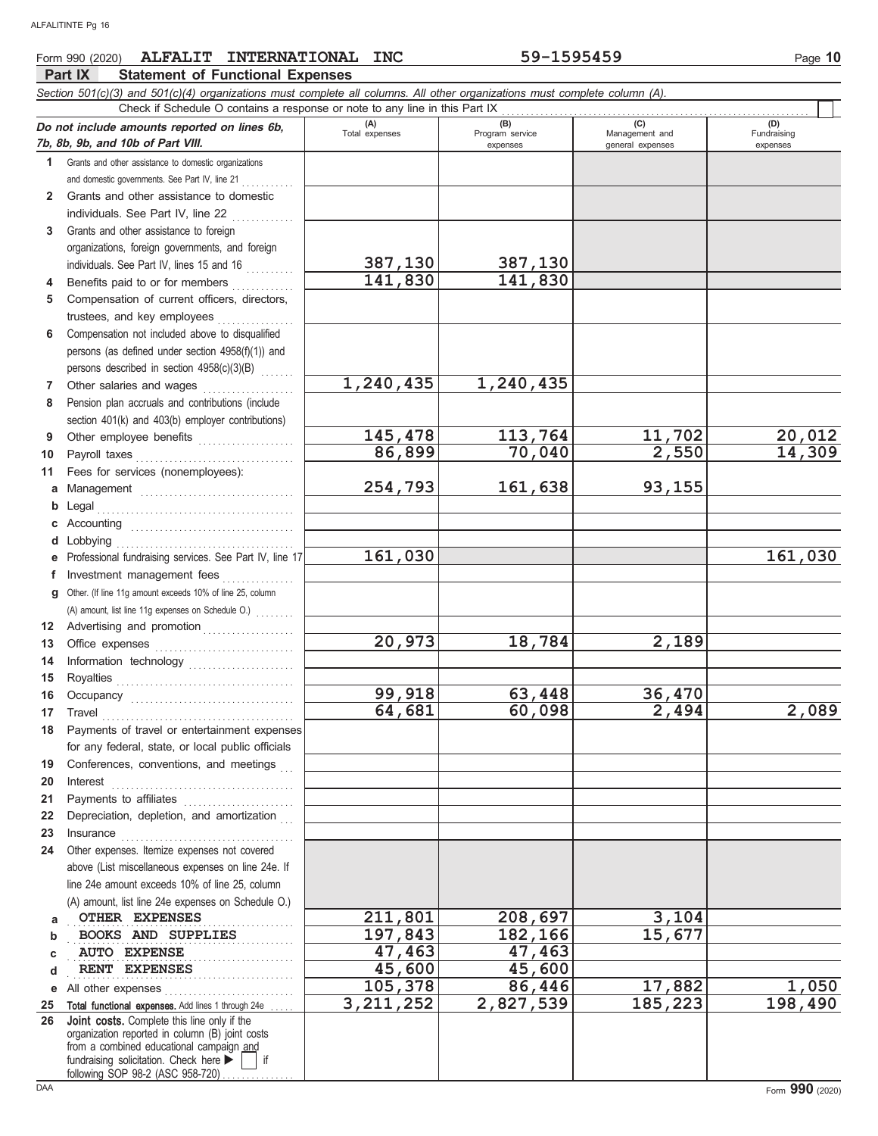#### **Part IX Statement of Functional Expenses Form 990 (2020) ALFALIT INTERNATIONAL INC** 59-1595459 Page 10 *Section 501(c)(3) and 501(c)(4) organizations must complete all columns. All other organizations must complete column (A).* **Do not include amounts reported on lines 6b, 7b, 8b, 9b, and 10b of Part VIII. 1 2** Grants and other assistance to domestic **3** Grants and other assistance to domestic organizations and domestic governments. See Part IV, line 21 . . . . . . . individuals. See Part IV, line  $22$  ............. Grants and other assistance to foreign organizations, foreign governments, and foreign individuals. See Part IV, lines 15 and 16 . . . . . . . . . **(A) (B) (C) (D)** Total expenses Program service Management and expenses and the contract of the contract of the contract of the contract of the contract of the contract of the contract of the contract of the contract of the contract of the contract of the contract of the contract of t Check if Schedule O contains a response or note to any line in this Part IX **387,130 387,130**

|    | individuals. See Part IV, line 22                                                                                                                                                                                                                                                                                                                                                                                                                                                                                           |             |           |         |         |
|----|-----------------------------------------------------------------------------------------------------------------------------------------------------------------------------------------------------------------------------------------------------------------------------------------------------------------------------------------------------------------------------------------------------------------------------------------------------------------------------------------------------------------------------|-------------|-----------|---------|---------|
| 3  | Grants and other assistance to foreign                                                                                                                                                                                                                                                                                                                                                                                                                                                                                      |             |           |         |         |
|    | organizations, foreign governments, and foreign                                                                                                                                                                                                                                                                                                                                                                                                                                                                             |             |           |         |         |
|    | individuals. See Part IV, lines 15 and 16                                                                                                                                                                                                                                                                                                                                                                                                                                                                                   | 387,130     | 387,130   |         |         |
| 4  | Benefits paid to or for members                                                                                                                                                                                                                                                                                                                                                                                                                                                                                             | 141,830     | 141,830   |         |         |
| 5  | Compensation of current officers, directors,                                                                                                                                                                                                                                                                                                                                                                                                                                                                                |             |           |         |         |
|    | trustees, and key employees                                                                                                                                                                                                                                                                                                                                                                                                                                                                                                 |             |           |         |         |
| 6  | Compensation not included above to disqualified                                                                                                                                                                                                                                                                                                                                                                                                                                                                             |             |           |         |         |
|    | persons (as defined under section 4958(f)(1)) and                                                                                                                                                                                                                                                                                                                                                                                                                                                                           |             |           |         |         |
|    | persons described in section 4958(c)(3)(B)                                                                                                                                                                                                                                                                                                                                                                                                                                                                                  |             |           |         |         |
| 7  | Other salaries and wages                                                                                                                                                                                                                                                                                                                                                                                                                                                                                                    | 1,240,435   | 1,240,435 |         |         |
| 8  | Pension plan accruals and contributions (include                                                                                                                                                                                                                                                                                                                                                                                                                                                                            |             |           |         |         |
|    | section 401(k) and 403(b) employer contributions)                                                                                                                                                                                                                                                                                                                                                                                                                                                                           |             |           |         |         |
| 9  | Other employee benefits                                                                                                                                                                                                                                                                                                                                                                                                                                                                                                     | 145,478     | 113,764   | 11,702  | 20,012  |
| 10 |                                                                                                                                                                                                                                                                                                                                                                                                                                                                                                                             | 86,899      | 70,040    | 2,550   | 14,309  |
| 11 | Fees for services (nonemployees):                                                                                                                                                                                                                                                                                                                                                                                                                                                                                           |             |           |         |         |
|    | a Management                                                                                                                                                                                                                                                                                                                                                                                                                                                                                                                | 254,793     | 161,638   | 93,155  |         |
|    |                                                                                                                                                                                                                                                                                                                                                                                                                                                                                                                             |             |           |         |         |
|    |                                                                                                                                                                                                                                                                                                                                                                                                                                                                                                                             |             |           |         |         |
|    |                                                                                                                                                                                                                                                                                                                                                                                                                                                                                                                             |             |           |         |         |
|    | e Professional fundraising services. See Part IV, line 17                                                                                                                                                                                                                                                                                                                                                                                                                                                                   | 161,030     |           |         | 161,030 |
|    | f Investment management fees                                                                                                                                                                                                                                                                                                                                                                                                                                                                                                |             |           |         |         |
|    | g Other. (If line 11g amount exceeds 10% of line 25, column                                                                                                                                                                                                                                                                                                                                                                                                                                                                 |             |           |         |         |
|    | (A) amount, list line 11g expenses on Schedule O.)                                                                                                                                                                                                                                                                                                                                                                                                                                                                          |             |           |         |         |
|    | 12 Advertising and promotion [1] [1] Advertising and promotion                                                                                                                                                                                                                                                                                                                                                                                                                                                              |             |           |         |         |
| 13 |                                                                                                                                                                                                                                                                                                                                                                                                                                                                                                                             | 20,973      | 18,784    | 2,189   |         |
| 14 | Information technology                                                                                                                                                                                                                                                                                                                                                                                                                                                                                                      |             |           |         |         |
| 15 |                                                                                                                                                                                                                                                                                                                                                                                                                                                                                                                             |             |           |         |         |
| 16 |                                                                                                                                                                                                                                                                                                                                                                                                                                                                                                                             | 99,918      | 63,448    | 36,470  |         |
| 17 | $\begin{minipage}[c]{0.9\linewidth} \begin{tabular}{l} \textbf{Travel} \end{tabular} \end{minipage} \end{minipage} \begin{minipage}[c]{0.9\linewidth} \begin{tabular}{l} \textbf{True} \end{tabular} \end{minipage} \end{minipage} \begin{minipage}[c]{0.9\linewidth} \begin{tabular}{l} \textbf{True} \end{tabular} \end{minipage} \end{minipage} \begin{minipage}[c]{0.9\linewidth} \begin{tabular}{l} \textbf{True} \end{tabular} \end{minipage} \end{minipage} \begin{minipage}[c]{0.9\linewidth} \begin{tabular}{l} \$ | 64,681      | 60,098    | 2,494   | 2,089   |
| 18 | Payments of travel or entertainment expenses                                                                                                                                                                                                                                                                                                                                                                                                                                                                                |             |           |         |         |
|    | for any federal, state, or local public officials                                                                                                                                                                                                                                                                                                                                                                                                                                                                           |             |           |         |         |
| 19 | Conferences, conventions, and meetings                                                                                                                                                                                                                                                                                                                                                                                                                                                                                      |             |           |         |         |
| 20 | $\blacksquare \textsf{Interest} \begin{picture}(20,5) \put(0,0){\dashbox{0.5}(20,0){\circle*{2}} \put(0,0){\dashbox{0.5}(20,0){\circle*{2}} \put(1,0){\dashbox{0.5}(20,0){\circle*{2}} \put(2,0){\dashbox{0.5}(20,0){\circle*{2}} \put(2,0){\dashbox{0.5}(20,0){\circle*{2}} \put(2,0){\dashbox{0.5}(20,0){\circle*{2}} \put(2,0){\dashbox{0.5}(20,0){\circle*{2}} \put(2,0){\dashbox{0.5}(20,$                                                                                                                             |             |           |         |         |
| 21 |                                                                                                                                                                                                                                                                                                                                                                                                                                                                                                                             |             |           |         |         |
| 22 | Depreciation, depletion, and amortization                                                                                                                                                                                                                                                                                                                                                                                                                                                                                   |             |           |         |         |
| 23 |                                                                                                                                                                                                                                                                                                                                                                                                                                                                                                                             |             |           |         |         |
| 24 | Other expenses. Itemize expenses not covered                                                                                                                                                                                                                                                                                                                                                                                                                                                                                |             |           |         |         |
|    | above (List miscellaneous expenses on line 24e. If                                                                                                                                                                                                                                                                                                                                                                                                                                                                          |             |           |         |         |
|    | line 24e amount exceeds 10% of line 25, column                                                                                                                                                                                                                                                                                                                                                                                                                                                                              |             |           |         |         |
|    | (A) amount, list line 24e expenses on Schedule O.)                                                                                                                                                                                                                                                                                                                                                                                                                                                                          |             |           |         |         |
| a  | OTHER EXPENSES                                                                                                                                                                                                                                                                                                                                                                                                                                                                                                              | 211,801     | 208,697   | 3,104   |         |
| b  | <b>BOOKS AND SUPPLIES</b>                                                                                                                                                                                                                                                                                                                                                                                                                                                                                                   | 197,843     | 182,166   | 15,677  |         |
| C  | <b>AUTO EXPENSE</b>                                                                                                                                                                                                                                                                                                                                                                                                                                                                                                         | 47,463      | 47,463    |         |         |
| d  | RENT EXPENSES                                                                                                                                                                                                                                                                                                                                                                                                                                                                                                               | 45,600      | 45,600    |         |         |
| е  | All other expenses                                                                                                                                                                                                                                                                                                                                                                                                                                                                                                          | 105,378     | 86,446    | 17,882  | 1,050   |
| 25 | Total functional expenses. Add lines 1 through 24e                                                                                                                                                                                                                                                                                                                                                                                                                                                                          | 3, 211, 252 | 2,827,539 | 185,223 | 198,490 |
| 26 | Joint costs. Complete this line only if the                                                                                                                                                                                                                                                                                                                                                                                                                                                                                 |             |           |         |         |
|    | organization reported in column (B) joint costs<br>from a combined educational campaign and                                                                                                                                                                                                                                                                                                                                                                                                                                 |             |           |         |         |
|    | fundraising solicitation. Check here<br>if                                                                                                                                                                                                                                                                                                                                                                                                                                                                                  |             |           |         |         |
|    | following SOP 98-2 (ASC 958-720)                                                                                                                                                                                                                                                                                                                                                                                                                                                                                            |             |           |         |         |

(D)<br>Fundraising expenses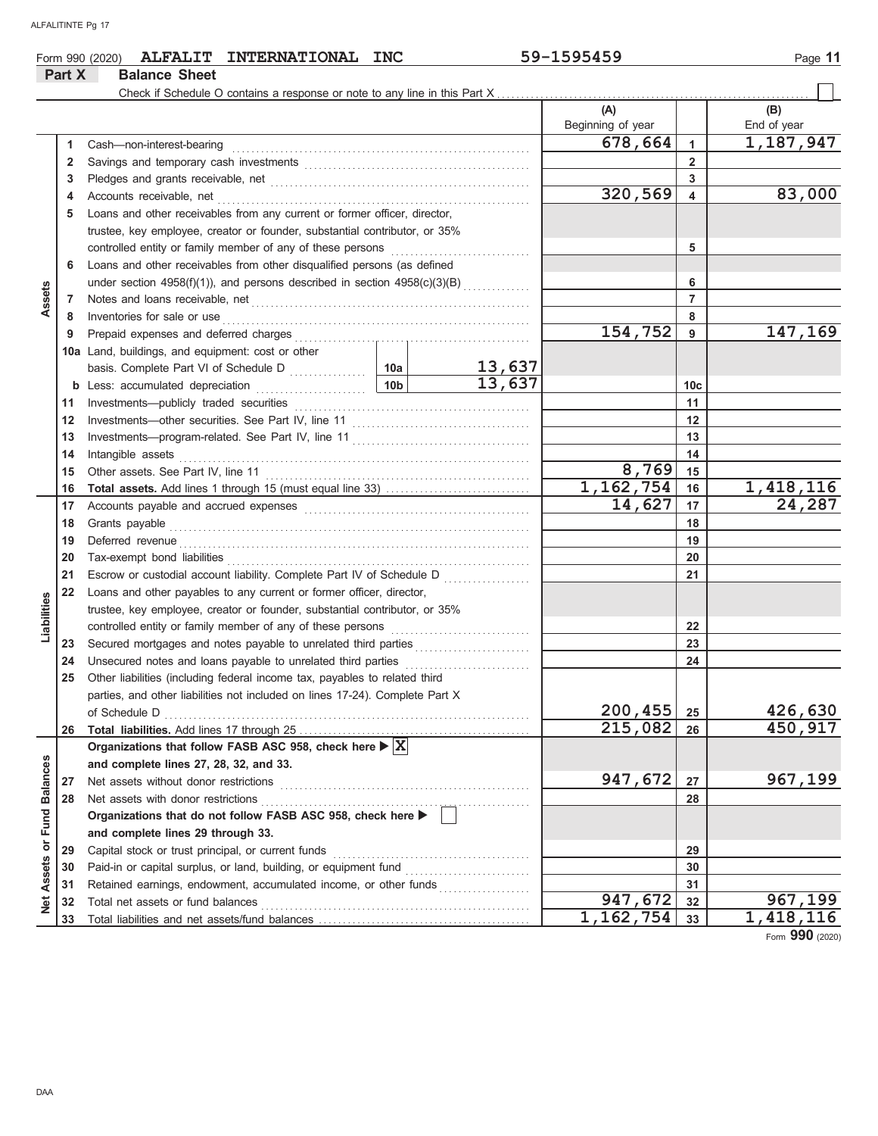|                             |        | ALFALIT INTERNATIONAL INC<br>Form 990 (2020)                                                                                                                                                                                   |        | 59-1595459                |                         | Page 11            |
|-----------------------------|--------|--------------------------------------------------------------------------------------------------------------------------------------------------------------------------------------------------------------------------------|--------|---------------------------|-------------------------|--------------------|
|                             | Part X | <b>Balance Sheet</b>                                                                                                                                                                                                           |        |                           |                         |                    |
|                             |        | Check if Schedule O contains a response or note to any line in this Part X                                                                                                                                                     |        |                           |                         |                    |
|                             |        |                                                                                                                                                                                                                                |        | (A)<br>Beginning of year  |                         | (B)<br>End of year |
|                             | 1      | Cash-non-interest-bearing                                                                                                                                                                                                      |        | 678,664                   | $\mathbf{1}$            | 1,187,947          |
|                             | 2      |                                                                                                                                                                                                                                |        |                           | $\overline{2}$          |                    |
|                             | 3      |                                                                                                                                                                                                                                |        |                           | 3                       |                    |
|                             | 4      |                                                                                                                                                                                                                                |        | 320,569                   | $\overline{\mathbf{4}}$ | 83,000             |
|                             | 5      | Loans and other receivables from any current or former officer, director,                                                                                                                                                      |        |                           |                         |                    |
|                             |        | trustee, key employee, creator or founder, substantial contributor, or 35%                                                                                                                                                     |        |                           |                         |                    |
|                             |        | controlled entity or family member of any of these persons                                                                                                                                                                     |        |                           | 5                       |                    |
|                             | 6      | Loans and other receivables from other disqualified persons (as defined                                                                                                                                                        |        |                           |                         |                    |
|                             |        | under section 4958(f)(1)), and persons described in section 4958(c)(3)(B)                                                                                                                                                      |        |                           | 6                       |                    |
| Assets                      | 7      |                                                                                                                                                                                                                                |        |                           | $\overline{7}$          |                    |
|                             | 8      | Inventories for sale or use                                                                                                                                                                                                    |        |                           | 8                       |                    |
|                             | 9      | Prepaid expenses and deferred charges                                                                                                                                                                                          |        | 154,752                   | $\overline{9}$          | 147,169            |
|                             |        | 10a Land, buildings, and equipment: cost or other                                                                                                                                                                              |        |                           |                         |                    |
|                             |        |                                                                                                                                                                                                                                | 13,637 |                           |                         |                    |
|                             |        | 10b<br><b>b</b> Less: accumulated depreciation                                                                                                                                                                                 | 13,637 |                           | 10 <sub>c</sub>         |                    |
|                             | 11     |                                                                                                                                                                                                                                |        |                           | 11                      |                    |
|                             | 12     |                                                                                                                                                                                                                                |        |                           | 12                      |                    |
|                             | 13     |                                                                                                                                                                                                                                |        |                           | 13                      |                    |
|                             | 14     | Intangible assets                                                                                                                                                                                                              |        |                           | 14                      |                    |
|                             | 15     |                                                                                                                                                                                                                                |        | 8,769                     | 15                      |                    |
|                             | 16     |                                                                                                                                                                                                                                |        | 1, 162, 754               | 16                      | 1,418,116          |
|                             | 17     |                                                                                                                                                                                                                                |        | 14,627                    | 17                      | 24,287             |
|                             | 18     | Grants payable                                                                                                                                                                                                                 |        |                           | 18                      |                    |
|                             | 19     | Deferred revenue communications and contain a series of the container and contain a series of the container and contain a series of the container and container and container and container and container and container and co |        |                           | 19                      |                    |
|                             | 20     |                                                                                                                                                                                                                                |        |                           | 20                      |                    |
|                             | 21     | Escrow or custodial account liability. Complete Part IV of Schedule D                                                                                                                                                          | .      |                           | 21                      |                    |
|                             | 22     | Loans and other payables to any current or former officer, director,                                                                                                                                                           |        |                           |                         |                    |
| Liabilities                 |        | trustee, key employee, creator or founder, substantial contributor, or 35%                                                                                                                                                     |        |                           |                         |                    |
|                             |        |                                                                                                                                                                                                                                |        |                           | 22                      |                    |
|                             | 23     |                                                                                                                                                                                                                                |        |                           | 23                      |                    |
|                             | 24     |                                                                                                                                                                                                                                |        |                           | 24                      |                    |
|                             | 25     | Other liabilities (including federal income tax, payables to related third                                                                                                                                                     |        |                           |                         |                    |
|                             |        | parties, and other liabilities not included on lines 17-24). Complete Part X                                                                                                                                                   |        |                           |                         |                    |
|                             |        | of Schedule D                                                                                                                                                                                                                  |        | 200,455                   | 25                      | 426,630            |
|                             | 26     |                                                                                                                                                                                                                                |        | 215,082                   | 26                      | 450,917            |
|                             |        | Organizations that follow FASB ASC 958, check here $\blacktriangleright \boxed{\text{X}}$                                                                                                                                      |        |                           |                         |                    |
|                             |        | and complete lines 27, 28, 32, and 33.                                                                                                                                                                                         |        |                           |                         |                    |
|                             | 27     | Net assets without donor restrictions                                                                                                                                                                                          |        | 947,672                   | 27                      | 967,199            |
|                             | 28     | Net assets with donor restrictions                                                                                                                                                                                             |        |                           | 28                      |                    |
|                             |        | Organizations that do not follow FASB ASC 958, check here ▶                                                                                                                                                                    |        |                           |                         |                    |
| Net Assets or Fund Balances |        | and complete lines 29 through 33.                                                                                                                                                                                              |        |                           |                         |                    |
|                             | 29     | Capital stock or trust principal, or current funds                                                                                                                                                                             |        |                           | 29                      |                    |
|                             | 30     |                                                                                                                                                                                                                                |        |                           | 30                      |                    |
|                             | 31     | Retained earnings, endowment, accumulated income, or other funds                                                                                                                                                               |        |                           | 31                      |                    |
|                             | 32     | Total net assets or fund balances                                                                                                                                                                                              |        | 947,672                   | 32                      | 967,199            |
|                             | 33     |                                                                                                                                                                                                                                |        | $\overline{1}$ , 162, 754 | 33                      | 1,418,116          |

Form **990** (2020)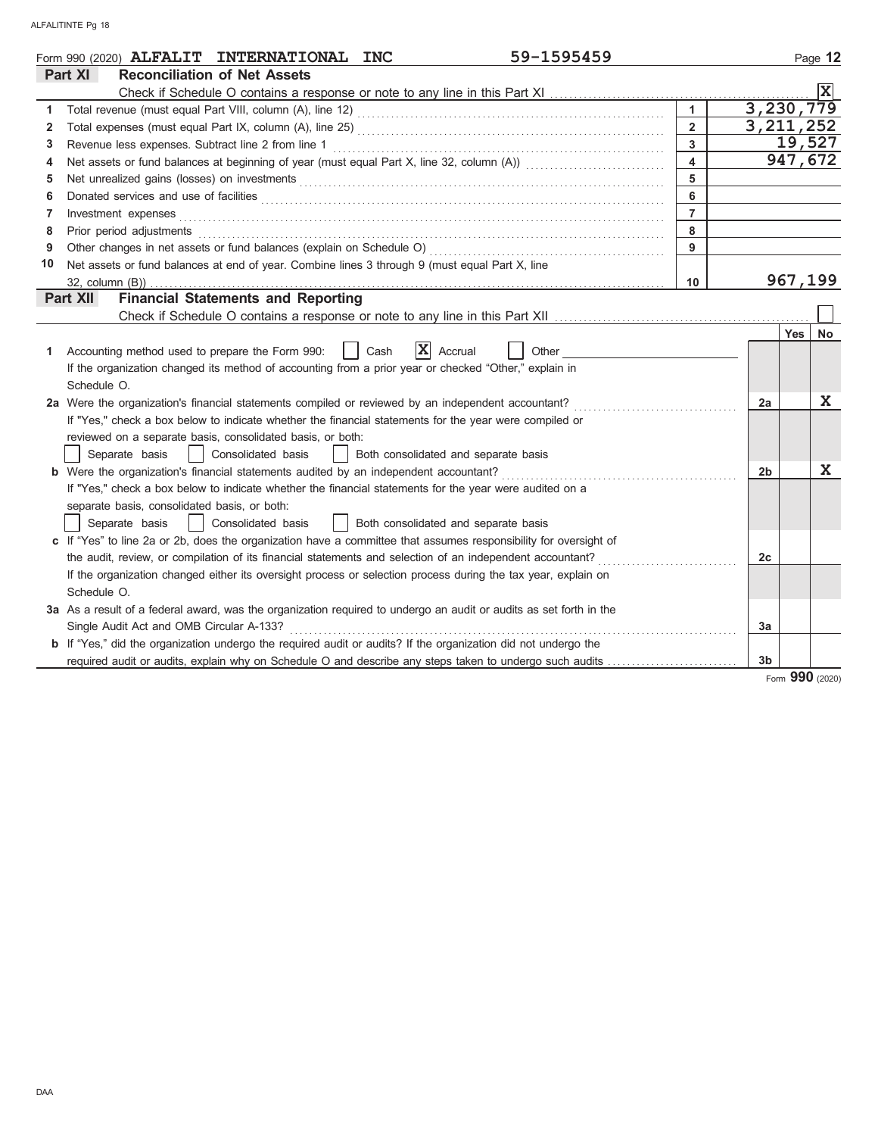|                | 59-1595459<br>Form 990 (2020) ALFALIT INTERNATIONAL INC                                                                                                                                                                                  |                |                | Page 12                 |
|----------------|------------------------------------------------------------------------------------------------------------------------------------------------------------------------------------------------------------------------------------------|----------------|----------------|-------------------------|
|                | Part XI<br><b>Reconciliation of Net Assets</b>                                                                                                                                                                                           |                |                |                         |
|                |                                                                                                                                                                                                                                          |                |                | X                       |
| 1              |                                                                                                                                                                                                                                          | $\mathbf{1}$   |                | 3,230,779               |
| $\overline{2}$ |                                                                                                                                                                                                                                          | $\overline{2}$ |                | 3, 211, 252             |
| 3              |                                                                                                                                                                                                                                          | $\overline{3}$ |                | 19,527                  |
| 4              |                                                                                                                                                                                                                                          | $\overline{4}$ |                | 947,672                 |
| 5              | Net unrealized gains (losses) on investments [11] Martin Martin Martin Martin Martin Martin Martin Martin Martin Martin Martin Martin Martin Martin Martin Martin Martin Martin Martin Martin Martin Martin Martin Martin Mart           | $\overline{5}$ |                |                         |
| 6              | Donated services and use of facilities <b>constructs</b> and a service of the service of the service of facilities <b>constructs</b> and the service of the service of the service of the service of the service of the service of the s | 6              |                |                         |
| 7              |                                                                                                                                                                                                                                          | $\overline{7}$ |                |                         |
| 8              | Prior period adjustments [11, 12] materials and adjustments and account of the contract of the contract of the                                                                                                                           | 8              |                |                         |
| 9              |                                                                                                                                                                                                                                          | 9              |                |                         |
| 10             | Net assets or fund balances at end of year. Combine lines 3 through 9 (must equal Part X, line                                                                                                                                           |                |                |                         |
|                |                                                                                                                                                                                                                                          | 10             |                | 967,199                 |
|                | <b>Financial Statements and Reporting</b><br>Part XII                                                                                                                                                                                    |                |                |                         |
|                |                                                                                                                                                                                                                                          |                |                |                         |
|                |                                                                                                                                                                                                                                          |                |                | <b>Yes</b><br><b>No</b> |
| 1              | $ \mathbf{X} $ Accrual<br>Accounting method used to prepare the Form 990:<br>Cash<br>Other                                                                                                                                               |                |                |                         |
|                | If the organization changed its method of accounting from a prior year or checked "Other," explain in                                                                                                                                    |                |                |                         |
|                | Schedule O.                                                                                                                                                                                                                              |                |                |                         |
|                | 2a Were the organization's financial statements compiled or reviewed by an independent accountant?                                                                                                                                       |                | 2a             | $\mathbf x$             |
|                | If "Yes," check a box below to indicate whether the financial statements for the year were compiled or                                                                                                                                   |                |                |                         |
|                | reviewed on a separate basis, consolidated basis, or both:                                                                                                                                                                               |                |                |                         |
|                | Separate basis<br>  Consolidated basis<br>  Both consolidated and separate basis                                                                                                                                                         |                |                |                         |
|                | <b>b</b> Were the organization's financial statements audited by an independent accountant?                                                                                                                                              |                | 2 <sub>b</sub> | $\mathbf X$             |
|                | If "Yes," check a box below to indicate whether the financial statements for the year were audited on a                                                                                                                                  |                |                |                         |
|                | separate basis, consolidated basis, or both:                                                                                                                                                                                             |                |                |                         |
|                | Separate basis<br>  Consolidated basis<br>  Both consolidated and separate basis                                                                                                                                                         |                |                |                         |
|                | c If "Yes" to line 2a or 2b, does the organization have a committee that assumes responsibility for oversight of                                                                                                                         |                |                |                         |
|                | the audit, review, or compilation of its financial statements and selection of an independent accountant?                                                                                                                                |                | 2c             |                         |
|                | If the organization changed either its oversight process or selection process during the tax year, explain on                                                                                                                            |                |                |                         |
|                | Schedule O.                                                                                                                                                                                                                              |                |                |                         |
|                | 3a As a result of a federal award, was the organization required to undergo an audit or audits as set forth in the                                                                                                                       |                |                |                         |
|                | Single Audit Act and OMB Circular A-133?                                                                                                                                                                                                 |                | 3a             |                         |
|                | <b>b</b> If "Yes," did the organization undergo the required audit or audits? If the organization did not undergo the                                                                                                                    |                |                |                         |
|                | required audit or audits, explain why on Schedule O and describe any steps taken to undergo such audits                                                                                                                                  |                | 3 <sub>b</sub> |                         |

Form **990** (2020)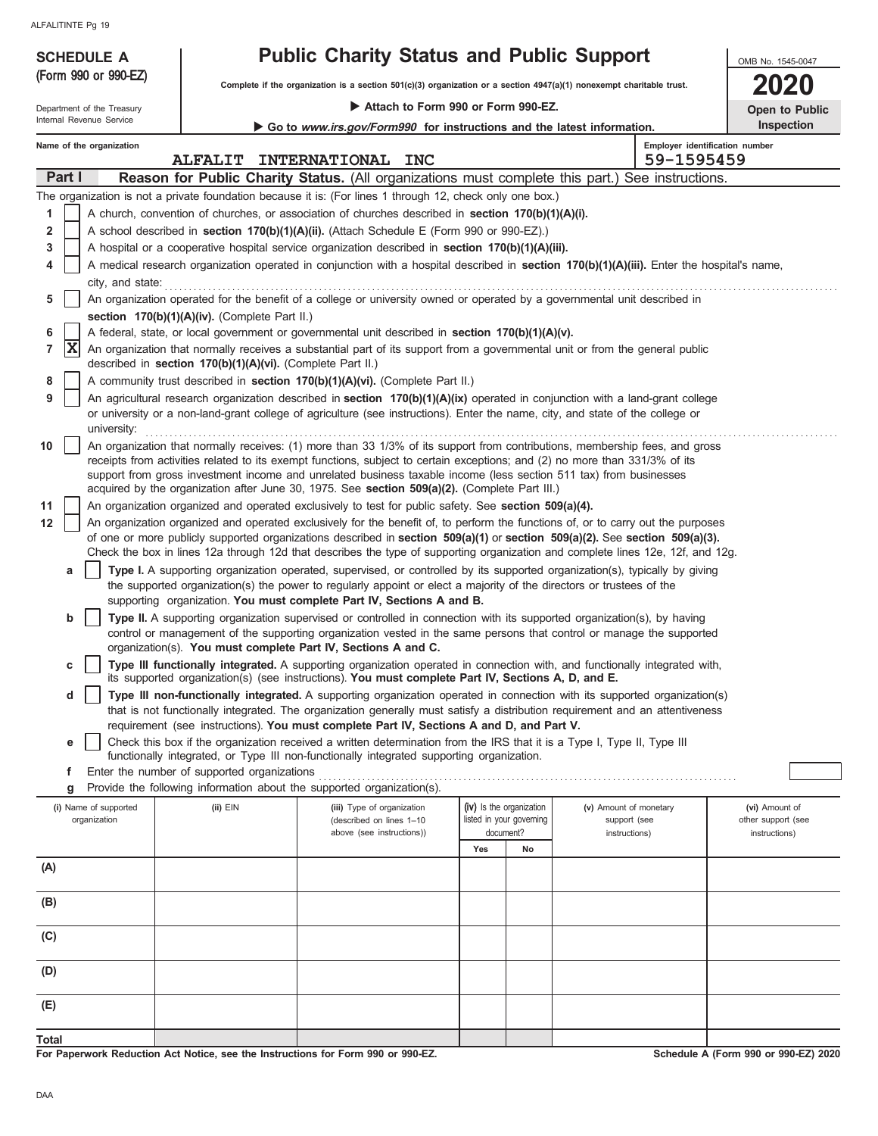(Form 990 or 990-EZ)

## **SCHEDULE A Public Charity Status and Public Support**

**Complete if the organization is a section 501(c)(3) organization or a section 4947(a)(1) nonexempt charitable trust.**

Internal Revenue Service Department of the Treasury  **Attach to Form 990 or Form 990-EZ.**

| 2020                  |  |
|-----------------------|--|
| <b>Open to Public</b> |  |

OMB No. 1545-0047

|        |   | Internal Revenue Service                      |                | Go to www.irs.gov/Form990 for instructions and the latest information.                                                                                                                                                                                          |     |                                       |                               |                                              | Inspection                          |
|--------|---|-----------------------------------------------|----------------|-----------------------------------------------------------------------------------------------------------------------------------------------------------------------------------------------------------------------------------------------------------------|-----|---------------------------------------|-------------------------------|----------------------------------------------|-------------------------------------|
|        |   | Name of the organization                      | <b>ALFALIT</b> | <b>INTERNATIONAL</b><br><b>INC</b>                                                                                                                                                                                                                              |     |                                       |                               | Employer identification number<br>59-1595459 |                                     |
| Part I |   |                                               |                | Reason for Public Charity Status. (All organizations must complete this part.) See instructions.                                                                                                                                                                |     |                                       |                               |                                              |                                     |
|        |   |                                               |                | The organization is not a private foundation because it is: (For lines 1 through 12, check only one box.)                                                                                                                                                       |     |                                       |                               |                                              |                                     |
| 1      |   |                                               |                | A church, convention of churches, or association of churches described in <b>section 170(b)(1)(A)(i).</b>                                                                                                                                                       |     |                                       |                               |                                              |                                     |
| 2      |   |                                               |                | A school described in section 170(b)(1)(A)(ii). (Attach Schedule E (Form 990 or 990-EZ).)                                                                                                                                                                       |     |                                       |                               |                                              |                                     |
| 3      |   |                                               |                | A hospital or a cooperative hospital service organization described in section 170(b)(1)(A)(iii).                                                                                                                                                               |     |                                       |                               |                                              |                                     |
| 4      |   |                                               |                | A medical research organization operated in conjunction with a hospital described in section 170(b)(1)(A)(iii). Enter the hospital's name,                                                                                                                      |     |                                       |                               |                                              |                                     |
|        |   | city, and state:                              |                |                                                                                                                                                                                                                                                                 |     |                                       |                               |                                              |                                     |
| 5      |   |                                               |                | An organization operated for the benefit of a college or university owned or operated by a governmental unit described in                                                                                                                                       |     |                                       |                               |                                              |                                     |
|        |   | section 170(b)(1)(A)(iv). (Complete Part II.) |                |                                                                                                                                                                                                                                                                 |     |                                       |                               |                                              |                                     |
| 6      |   |                                               |                | A federal, state, or local government or governmental unit described in section 170(b)(1)(A)(v).                                                                                                                                                                |     |                                       |                               |                                              |                                     |
| 7      | X |                                               |                | An organization that normally receives a substantial part of its support from a governmental unit or from the general public                                                                                                                                    |     |                                       |                               |                                              |                                     |
|        |   |                                               |                | described in section 170(b)(1)(A)(vi). (Complete Part II.)                                                                                                                                                                                                      |     |                                       |                               |                                              |                                     |
| 8      |   |                                               |                | A community trust described in section 170(b)(1)(A)(vi). (Complete Part II.)                                                                                                                                                                                    |     |                                       |                               |                                              |                                     |
| 9      |   |                                               |                | An agricultural research organization described in section $170(b)(1)(A)(ix)$ operated in conjunction with a land-grant college                                                                                                                                 |     |                                       |                               |                                              |                                     |
|        |   |                                               |                | or university or a non-land-grant college of agriculture (see instructions). Enter the name, city, and state of the college or                                                                                                                                  |     |                                       |                               |                                              |                                     |
|        |   | university:                                   |                |                                                                                                                                                                                                                                                                 |     |                                       |                               |                                              |                                     |
| 10     |   |                                               |                | An organization that normally receives: (1) more than 33 1/3% of its support from contributions, membership fees, and gross                                                                                                                                     |     |                                       |                               |                                              |                                     |
|        |   |                                               |                | receipts from activities related to its exempt functions, subject to certain exceptions; and (2) no more than 331/3% of its                                                                                                                                     |     |                                       |                               |                                              |                                     |
|        |   |                                               |                | support from gross investment income and unrelated business taxable income (less section 511 tax) from businesses                                                                                                                                               |     |                                       |                               |                                              |                                     |
|        |   |                                               |                | acquired by the organization after June 30, 1975. See section 509(a)(2). (Complete Part III.)                                                                                                                                                                   |     |                                       |                               |                                              |                                     |
| 11     |   |                                               |                | An organization organized and operated exclusively to test for public safety. See section 509(a)(4).                                                                                                                                                            |     |                                       |                               |                                              |                                     |
| 12     |   |                                               |                | An organization organized and operated exclusively for the benefit of, to perform the functions of, or to carry out the purposes<br>of one or more publicly supported organizations described in section 509(a)(1) or section 509(a)(2). See section 509(a)(3). |     |                                       |                               |                                              |                                     |
|        |   |                                               |                | Check the box in lines 12a through 12d that describes the type of supporting organization and complete lines 12e, 12f, and 12g.                                                                                                                                 |     |                                       |                               |                                              |                                     |
|        | а |                                               |                | Type I. A supporting organization operated, supervised, or controlled by its supported organization(s), typically by giving                                                                                                                                     |     |                                       |                               |                                              |                                     |
|        |   |                                               |                | the supported organization(s) the power to regularly appoint or elect a majority of the directors or trustees of the                                                                                                                                            |     |                                       |                               |                                              |                                     |
|        |   |                                               |                | supporting organization. You must complete Part IV, Sections A and B.                                                                                                                                                                                           |     |                                       |                               |                                              |                                     |
|        | b |                                               |                | Type II. A supporting organization supervised or controlled in connection with its supported organization(s), by having                                                                                                                                         |     |                                       |                               |                                              |                                     |
|        |   |                                               |                | control or management of the supporting organization vested in the same persons that control or manage the supported                                                                                                                                            |     |                                       |                               |                                              |                                     |
|        |   |                                               |                | organization(s). You must complete Part IV, Sections A and C.                                                                                                                                                                                                   |     |                                       |                               |                                              |                                     |
|        | С |                                               |                | Type III functionally integrated. A supporting organization operated in connection with, and functionally integrated with,                                                                                                                                      |     |                                       |                               |                                              |                                     |
|        |   |                                               |                | its supported organization(s) (see instructions). You must complete Part IV, Sections A, D, and E.<br>Type III non-functionally integrated. A supporting organization operated in connection with its supported organization(s)                                 |     |                                       |                               |                                              |                                     |
|        | d |                                               |                | that is not functionally integrated. The organization generally must satisfy a distribution requirement and an attentiveness                                                                                                                                    |     |                                       |                               |                                              |                                     |
|        |   |                                               |                | requirement (see instructions). You must complete Part IV, Sections A and D, and Part V.                                                                                                                                                                        |     |                                       |                               |                                              |                                     |
|        | е |                                               |                | Check this box if the organization received a written determination from the IRS that it is a Type I, Type II, Type III                                                                                                                                         |     |                                       |                               |                                              |                                     |
|        |   |                                               |                | functionally integrated, or Type III non-functionally integrated supporting organization.                                                                                                                                                                       |     |                                       |                               |                                              |                                     |
|        | f |                                               |                | Enter the number of supported organizations                                                                                                                                                                                                                     |     |                                       |                               |                                              |                                     |
|        | g |                                               |                | Provide the following information about the supported organization(s).                                                                                                                                                                                          |     |                                       |                               |                                              |                                     |
|        |   | (i) Name of supported                         | $(ii)$ $EIN$   | (iii) Type of organization                                                                                                                                                                                                                                      |     | (iv) Is the organization              | (v) Amount of monetary        |                                              | (vi) Amount of                      |
|        |   | organization                                  |                | (described on lines 1-10<br>above (see instructions))                                                                                                                                                                                                           |     | listed in your governing<br>document? | support (see<br>instructions) |                                              | other support (see<br>instructions) |
|        |   |                                               |                |                                                                                                                                                                                                                                                                 | Yes | No                                    |                               |                                              |                                     |
| (A)    |   |                                               |                |                                                                                                                                                                                                                                                                 |     |                                       |                               |                                              |                                     |
|        |   |                                               |                |                                                                                                                                                                                                                                                                 |     |                                       |                               |                                              |                                     |
| (B)    |   |                                               |                |                                                                                                                                                                                                                                                                 |     |                                       |                               |                                              |                                     |
|        |   |                                               |                |                                                                                                                                                                                                                                                                 |     |                                       |                               |                                              |                                     |
| (C)    |   |                                               |                |                                                                                                                                                                                                                                                                 |     |                                       |                               |                                              |                                     |
|        |   |                                               |                |                                                                                                                                                                                                                                                                 |     |                                       |                               |                                              |                                     |
| (D)    |   |                                               |                |                                                                                                                                                                                                                                                                 |     |                                       |                               |                                              |                                     |
|        |   |                                               |                |                                                                                                                                                                                                                                                                 |     |                                       |                               |                                              |                                     |
| (E)    |   |                                               |                |                                                                                                                                                                                                                                                                 |     |                                       |                               |                                              |                                     |
|        |   |                                               |                |                                                                                                                                                                                                                                                                 |     |                                       |                               |                                              |                                     |

**For Paperwork Reduction Act Notice, see the Instructions for Form 990 or 990-EZ.**

**Schedule A (Form 990 or 990-EZ) 2020**

**Total**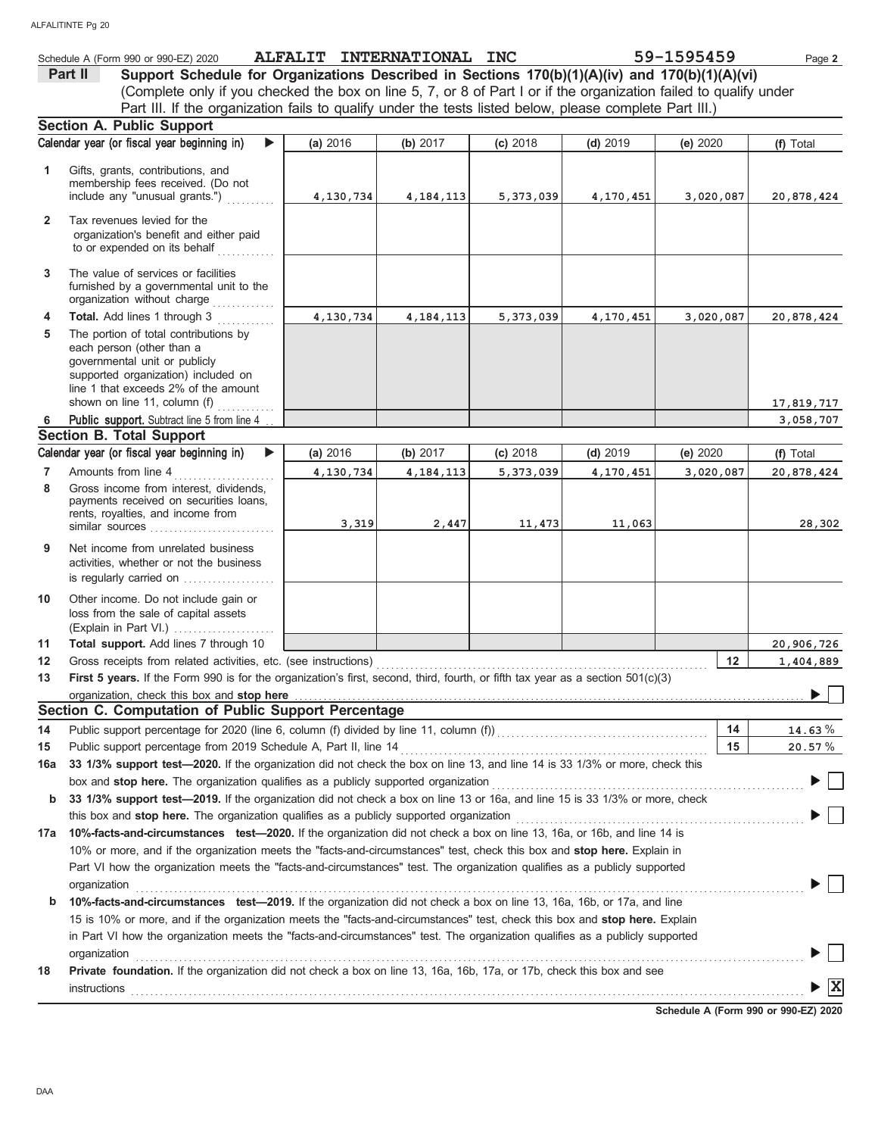|                | Schedule A (Form 990 or 990-EZ) 2020                                                                                                                                                                                           | ALFALIT INTERNATIONAL INC |             |            |            | 59-1595459 | Page 2                                      |
|----------------|--------------------------------------------------------------------------------------------------------------------------------------------------------------------------------------------------------------------------------|---------------------------|-------------|------------|------------|------------|---------------------------------------------|
|                | Support Schedule for Organizations Described in Sections 170(b)(1)(A)(iv) and 170(b)(1)(A)(vi)<br>Part II                                                                                                                      |                           |             |            |            |            |                                             |
|                | (Complete only if you checked the box on line 5, 7, or 8 of Part I or if the organization failed to qualify under                                                                                                              |                           |             |            |            |            |                                             |
|                | Part III. If the organization fails to qualify under the tests listed below, please complete Part III.)                                                                                                                        |                           |             |            |            |            |                                             |
|                | Section A. Public Support                                                                                                                                                                                                      |                           |             |            |            |            |                                             |
|                | Calendar year (or fiscal year beginning in)<br>▶                                                                                                                                                                               | (a) 2016                  | (b) 2017    | $(c)$ 2018 | $(d)$ 2019 | (e) 2020   | (f) Total                                   |
| 1              | Gifts, grants, contributions, and                                                                                                                                                                                              |                           |             |            |            |            |                                             |
|                | membership fees received. (Do not                                                                                                                                                                                              |                           |             |            |            |            |                                             |
|                | include any "unusual grants.")                                                                                                                                                                                                 | 4,130,734                 | 4, 184, 113 | 5,373,039  | 4,170,451  | 3,020,087  | 20,878,424                                  |
| $\overline{2}$ | Tax revenues levied for the                                                                                                                                                                                                    |                           |             |            |            |            |                                             |
|                | organization's benefit and either paid                                                                                                                                                                                         |                           |             |            |            |            |                                             |
|                | to or expended on its behalf                                                                                                                                                                                                   |                           |             |            |            |            |                                             |
| 3              | The value of services or facilities                                                                                                                                                                                            |                           |             |            |            |            |                                             |
|                | furnished by a governmental unit to the                                                                                                                                                                                        |                           |             |            |            |            |                                             |
|                | organization without charge                                                                                                                                                                                                    |                           |             |            |            |            |                                             |
| 4              | Total. Add lines 1 through 3                                                                                                                                                                                                   | 4,130,734                 | 4, 184, 113 | 5,373,039  | 4,170,451  | 3,020,087  | 20,878,424                                  |
| 5              | The portion of total contributions by                                                                                                                                                                                          |                           |             |            |            |            |                                             |
|                | each person (other than a                                                                                                                                                                                                      |                           |             |            |            |            |                                             |
|                | governmental unit or publicly<br>supported organization) included on                                                                                                                                                           |                           |             |            |            |            |                                             |
|                | line 1 that exceeds 2% of the amount                                                                                                                                                                                           |                           |             |            |            |            |                                             |
|                | shown on line 11, column (f)                                                                                                                                                                                                   |                           |             |            |            |            | 17,819,717                                  |
| 6              | <b>Public support.</b> Subtract line 5 from line 4                                                                                                                                                                             |                           |             |            |            |            | 3,058,707                                   |
|                | <b>Section B. Total Support</b>                                                                                                                                                                                                |                           |             |            |            |            |                                             |
|                | Calendar year (or fiscal year beginning in)<br>▶                                                                                                                                                                               | (a) 2016                  | (b) 2017    | (c) 2018   | $(d)$ 2019 | (e) 2020   | (f) Total                                   |
| $\overline{7}$ | Amounts from line 4                                                                                                                                                                                                            | 4,130,734                 | 4, 184, 113 | 5,373,039  | 4,170,451  | 3,020,087  | 20,878,424                                  |
| 8              | Gross income from interest, dividends,                                                                                                                                                                                         |                           |             |            |            |            |                                             |
|                | payments received on securities loans,<br>rents, royalties, and income from                                                                                                                                                    |                           |             |            |            |            |                                             |
|                | similar sources                                                                                                                                                                                                                | 3,319                     | 2,447       | 11,473     | 11,063     |            | 28,302                                      |
| 9              | Net income from unrelated business                                                                                                                                                                                             |                           |             |            |            |            |                                             |
|                | activities, whether or not the business                                                                                                                                                                                        |                           |             |            |            |            |                                             |
|                | is regularly carried on                                                                                                                                                                                                        |                           |             |            |            |            |                                             |
| 10             | Other income. Do not include gain or                                                                                                                                                                                           |                           |             |            |            |            |                                             |
|                | loss from the sale of capital assets                                                                                                                                                                                           |                           |             |            |            |            |                                             |
|                |                                                                                                                                                                                                                                |                           |             |            |            |            |                                             |
| 11             | Total support. Add lines 7 through 10                                                                                                                                                                                          |                           |             |            |            |            | 20,906,726                                  |
| 12             | Gross receipts from related activities, etc. (see instructions)                                                                                                                                                                |                           |             |            |            | 12         | 1,404,889                                   |
| 13             | First 5 years. If the Form 990 is for the organization's first, second, third, fourth, or fifth tax year as a section 501(c)(3)                                                                                                |                           |             |            |            |            |                                             |
|                | organization, check this box and stop here manufactured and contact the control of the state of the contact the control of the contact the contact of the contact the contact the contact of the contact of the contact of the |                           |             |            |            |            |                                             |
|                | Section C. Computation of Public Support Percentage                                                                                                                                                                            |                           |             |            |            |            |                                             |
| 14             |                                                                                                                                                                                                                                |                           |             |            |            | 14         | 14.63%                                      |
| 15             |                                                                                                                                                                                                                                |                           |             |            |            | 15         | 20.57%                                      |
| 16a            | 33 1/3% support test-2020. If the organization did not check the box on line 13, and line 14 is 33 1/3% or more, check this                                                                                                    |                           |             |            |            |            |                                             |
|                | box and stop here. The organization qualifies as a publicly supported organization                                                                                                                                             |                           |             |            |            |            |                                             |
| b              | 33 1/3% support test-2019. If the organization did not check a box on line 13 or 16a, and line 15 is 33 1/3% or more, check                                                                                                    |                           |             |            |            |            |                                             |
|                |                                                                                                                                                                                                                                |                           |             |            |            |            |                                             |
| 17а            | 10%-facts-and-circumstances test-2020. If the organization did not check a box on line 13, 16a, or 16b, and line 14 is                                                                                                         |                           |             |            |            |            |                                             |
|                | 10% or more, and if the organization meets the "facts-and-circumstances" test, check this box and stop here. Explain in                                                                                                        |                           |             |            |            |            |                                             |
|                | Part VI how the organization meets the "facts-and-circumstances" test. The organization qualifies as a publicly supported                                                                                                      |                           |             |            |            |            |                                             |
|                | organization                                                                                                                                                                                                                   |                           |             |            |            |            |                                             |
| b              | 10%-facts-and-circumstances test-2019. If the organization did not check a box on line 13, 16a, 16b, or 17a, and line                                                                                                          |                           |             |            |            |            |                                             |
|                | 15 is 10% or more, and if the organization meets the "facts-and-circumstances" test, check this box and stop here. Explain                                                                                                     |                           |             |            |            |            |                                             |
|                | in Part VI how the organization meets the "facts-and-circumstances" test. The organization qualifies as a publicly supported                                                                                                   |                           |             |            |            |            |                                             |
|                | organization www.commutation.commutation.com/www.commutation.com/www.commutation.com/www.commutation.com/www.com                                                                                                               |                           |             |            |            |            |                                             |
| 18             | Private foundation. If the organization did not check a box on line 13, 16a, 16b, 17a, or 17b, check this box and see                                                                                                          |                           |             |            |            |            |                                             |
|                |                                                                                                                                                                                                                                |                           |             |            |            |            | $\blacktriangleright \overline{\mathbf{X}}$ |

**Schedule A (Form 990 or 990-EZ) 2020**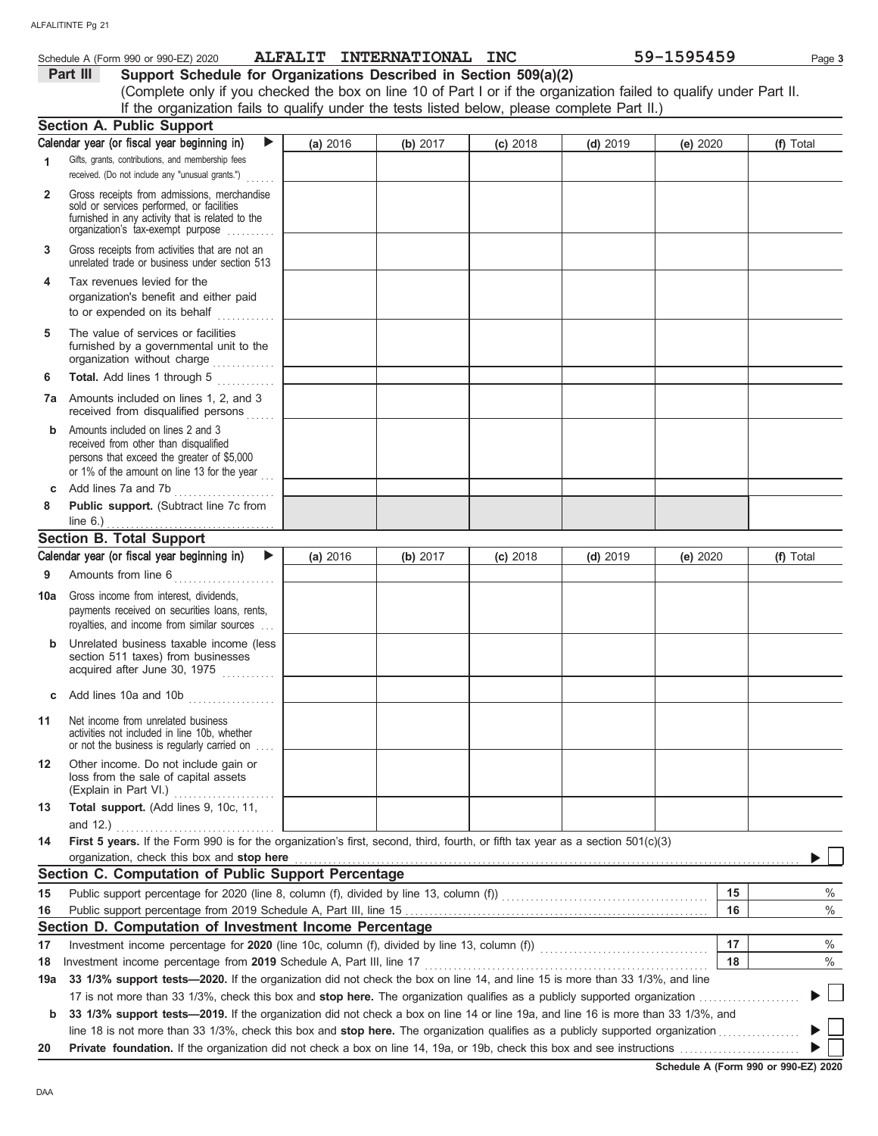|              | Schedule A (Form 990 or 990-EZ) 2020                                                                                                                                                               | ALFALIT INTERNATIONAL INC |          |            |            | 59-1595459 | Page 3    |
|--------------|----------------------------------------------------------------------------------------------------------------------------------------------------------------------------------------------------|---------------------------|----------|------------|------------|------------|-----------|
|              | Part III<br>Support Schedule for Organizations Described in Section 509(a)(2)                                                                                                                      |                           |          |            |            |            |           |
|              | (Complete only if you checked the box on line 10 of Part I or if the organization failed to qualify under Part II.                                                                                 |                           |          |            |            |            |           |
|              | If the organization fails to qualify under the tests listed below, please complete Part II.)                                                                                                       |                           |          |            |            |            |           |
|              | <b>Section A. Public Support</b>                                                                                                                                                                   |                           |          |            |            |            |           |
|              | Calendar year (or fiscal year beginning in)<br>$\blacktriangleright$                                                                                                                               | (a) 2016                  | (b) 2017 | $(c)$ 2018 | $(d)$ 2019 | (e) 2020   | (f) Total |
| 1            | Gifts, grants, contributions, and membership fees<br>received. (Do not include any "unusual grants.")                                                                                              |                           |          |            |            |            |           |
| $\mathbf{2}$ | Gross receipts from admissions, merchandise<br>sold or services performed, or facilities<br>furnished in any activity that is related to the<br>organization's tax-exempt purpose                  |                           |          |            |            |            |           |
| 3            | Gross receipts from activities that are not an<br>unrelated trade or business under section 513                                                                                                    |                           |          |            |            |            |           |
| 4            | Tax revenues levied for the<br>organization's benefit and either paid<br>to or expended on its behalf<br>.                                                                                         |                           |          |            |            |            |           |
| 5            | The value of services or facilities<br>furnished by a governmental unit to the<br>organization without charge                                                                                      |                           |          |            |            |            |           |
| 6            | Total. Add lines 1 through 5                                                                                                                                                                       |                           |          |            |            |            |           |
| 7а           | Amounts included on lines 1, 2, and 3<br>received from disqualified persons                                                                                                                        |                           |          |            |            |            |           |
| b            | Amounts included on lines 2 and 3<br>received from other than disqualified<br>persons that exceed the greater of \$5,000<br>or 1% of the amount on line 13 for the year                            |                           |          |            |            |            |           |
| с            | Add lines 7a and 7b                                                                                                                                                                                |                           |          |            |            |            |           |
| 8            | Public support. (Subtract line 7c from<br>line $6.$ )                                                                                                                                              |                           |          |            |            |            |           |
|              | <b>Section B. Total Support</b>                                                                                                                                                                    |                           |          |            |            |            |           |
|              | Calendar year (or fiscal year beginning in)<br>$\blacktriangleright$                                                                                                                               | (a) 2016                  | (b) 2017 | $(c)$ 2018 | $(d)$ 2019 | (e) 2020   | (f) Total |
| 9            | Amounts from line 6                                                                                                                                                                                |                           |          |            |            |            |           |
| 10a          | Gross income from interest, dividends,<br>payments received on securities loans, rents,<br>royalties, and income from similar sources                                                              |                           |          |            |            |            |           |
|              | Unrelated business taxable income (less<br>section 511 taxes) from businesses<br>acquired after June 30, 1975                                                                                      |                           |          |            |            |            |           |
| с            | Add lines 10a and 10b                                                                                                                                                                              |                           |          |            |            |            |           |
| 11           | Net income from unrelated business<br>activities not included in line 10b, whether<br>or not the business is regularly carried on                                                                  |                           |          |            |            |            |           |
| 12           | Other income. Do not include gain or<br>loss from the sale of capital assets                                                                                                                       |                           |          |            |            |            |           |
| 13           | Total support. (Add lines 9, 10c, 11,                                                                                                                                                              |                           |          |            |            |            |           |
| 14           | and 12.) $\ldots$<br>First 5 years. If the Form 990 is for the organization's first, second, third, fourth, or fifth tax year as a section 501(c)(3)<br>organization, check this box and stop here |                           |          |            |            |            |           |
|              | Section C. Computation of Public Support Percentage                                                                                                                                                |                           |          |            |            |            |           |
| 15           |                                                                                                                                                                                                    |                           |          |            |            | 15         | %         |
| 16           |                                                                                                                                                                                                    |                           |          |            |            | 16         | $\%$      |
|              | Section D. Computation of Investment Income Percentage                                                                                                                                             |                           |          |            |            |            |           |
| 17           |                                                                                                                                                                                                    |                           |          |            |            | 17         | %         |
| 18           |                                                                                                                                                                                                    |                           |          |            |            | 18         | %         |
| 19a          | 33 1/3% support tests—2020. If the organization did not check the box on line 14, and line 15 is more than 33 1/3%, and line                                                                       |                           |          |            |            |            |           |
|              |                                                                                                                                                                                                    |                           |          |            |            |            |           |
| b            | 33 1/3% support tests-2019. If the organization did not check a box on line 14 or line 19a, and line 16 is more than 33 1/3%, and                                                                  |                           |          |            |            |            |           |
|              |                                                                                                                                                                                                    |                           |          |            |            |            |           |

|  |  |  | 20 Private foundation. If the organization did not check a box on line 14, 19a, or 19b, check this box and see instructions |  |
|--|--|--|-----------------------------------------------------------------------------------------------------------------------------|--|

 $\blacktriangleright \Box$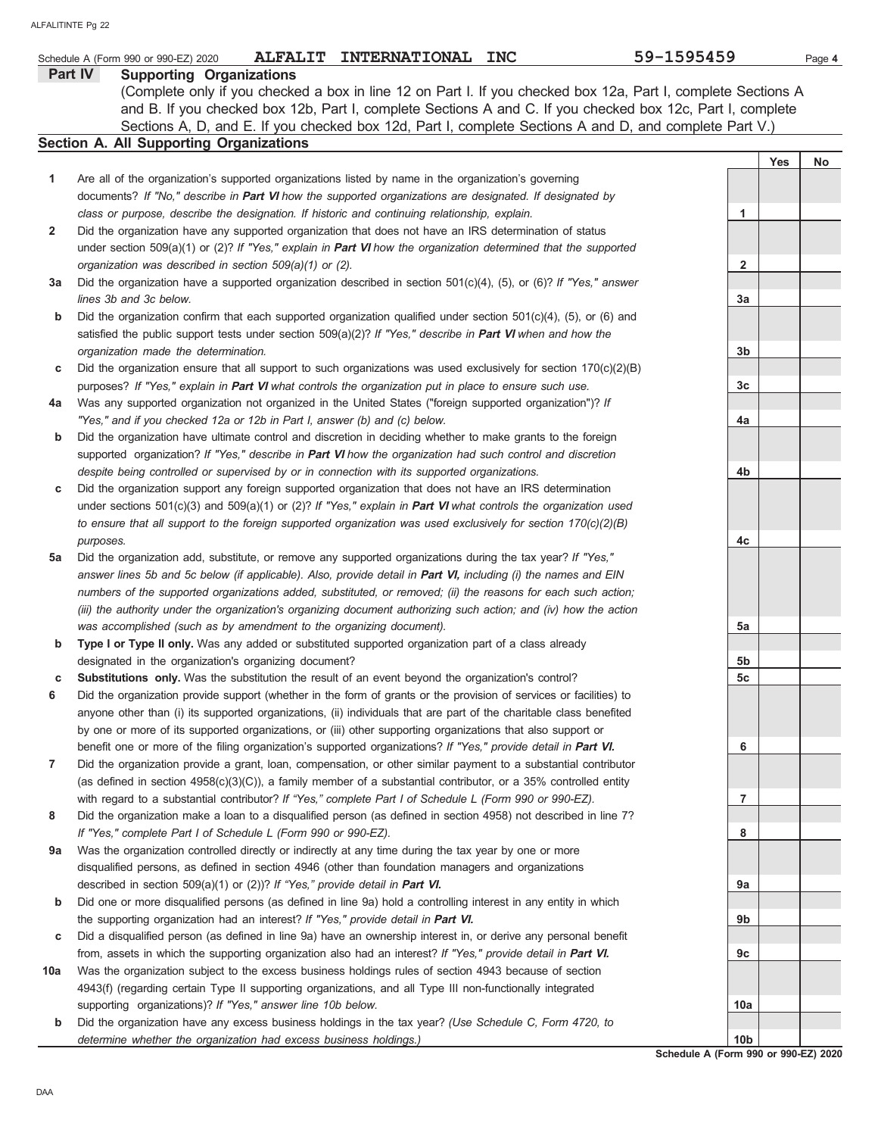|     | ALFALIT INTERNATIONAL INC<br>Schedule A (Form 990 or 990-EZ) 2020                                                      | 59-1595459                                         |            | Page 4 |
|-----|------------------------------------------------------------------------------------------------------------------------|----------------------------------------------------|------------|--------|
|     | Part IV<br><b>Supporting Organizations</b>                                                                             |                                                    |            |        |
|     | (Complete only if you checked a box in line 12 on Part I. If you checked box 12a, Part I, complete Sections A          |                                                    |            |        |
|     | and B. If you checked box 12b, Part I, complete Sections A and C. If you checked box 12c, Part I, complete             |                                                    |            |        |
|     | Sections A, D, and E. If you checked box 12d, Part I, complete Sections A and D, and complete Part V.)                 |                                                    |            |        |
|     | Section A. All Supporting Organizations                                                                                |                                                    |            |        |
|     |                                                                                                                        |                                                    | <b>Yes</b> | No     |
| 1   | Are all of the organization's supported organizations listed by name in the organization's governing                   |                                                    |            |        |
|     | documents? If "No," describe in Part VI how the supported organizations are designated. If designated by               |                                                    |            |        |
|     | class or purpose, describe the designation. If historic and continuing relationship, explain.                          | 1                                                  |            |        |
| 2   | Did the organization have any supported organization that does not have an IRS determination of status                 |                                                    |            |        |
|     | under section 509(a)(1) or (2)? If "Yes," explain in <b>Part VI</b> how the organization determined that the supported |                                                    |            |        |
|     | organization was described in section 509(a)(1) or (2).                                                                | $\mathbf{2}$                                       |            |        |
| За  | Did the organization have a supported organization described in section $501(c)(4)$ , (5), or (6)? If "Yes," answer    |                                                    |            |        |
|     | lines 3b and 3c below.                                                                                                 | За                                                 |            |        |
| b   | Did the organization confirm that each supported organization qualified under section $501(c)(4)$ , (5), or (6) and    |                                                    |            |        |
|     | satisfied the public support tests under section $509(a)(2)?$ If "Yes," describe in <b>Part VI</b> when and how the    |                                                    |            |        |
|     | organization made the determination.                                                                                   | 3b                                                 |            |        |
| c   | Did the organization ensure that all support to such organizations was used exclusively for section $170(c)(2)(B)$     |                                                    |            |        |
|     | purposes? If "Yes," explain in Part VI what controls the organization put in place to ensure such use.                 | 3c                                                 |            |        |
| 4a  | Was any supported organization not organized in the United States ("foreign supported organization")? If               |                                                    |            |        |
|     | "Yes," and if you checked 12a or 12b in Part I, answer (b) and (c) below.                                              | 4a                                                 |            |        |
| b   | Did the organization have ultimate control and discretion in deciding whether to make grants to the foreign            |                                                    |            |        |
|     | supported organization? If "Yes," describe in Part VI how the organization had such control and discretion             |                                                    |            |        |
|     | despite being controlled or supervised by or in connection with its supported organizations.                           | 4b                                                 |            |        |
| c   | Did the organization support any foreign supported organization that does not have an IRS determination                |                                                    |            |        |
|     | under sections 501(c)(3) and 509(a)(1) or (2)? If "Yes," explain in <b>Part VI</b> what controls the organization used |                                                    |            |        |
|     | to ensure that all support to the foreign supported organization was used exclusively for section $170(c)(2)(B)$       |                                                    |            |        |
|     | purposes.                                                                                                              | 4c                                                 |            |        |
| 5a  | Did the organization add, substitute, or remove any supported organizations during the tax year? If "Yes,"             |                                                    |            |        |
|     | answer lines 5b and 5c below (if applicable). Also, provide detail in Part VI, including (i) the names and EIN         |                                                    |            |        |
|     | numbers of the supported organizations added, substituted, or removed; (ii) the reasons for each such action;          |                                                    |            |        |
|     | (iii) the authority under the organization's organizing document authorizing such action; and (iv) how the action      |                                                    |            |        |
|     | was accomplished (such as by amendment to the organizing document).                                                    | 5a                                                 |            |        |
| b   | Type I or Type II only. Was any added or substituted supported organization part of a class already                    |                                                    |            |        |
|     | designated in the organization's organizing document?                                                                  | 5b                                                 |            |        |
| С   | Substitutions only. Was the substitution the result of an event beyond the organization's control?                     | 5c                                                 |            |        |
| 6   | Did the organization provide support (whether in the form of grants or the provision of services or facilities) to     |                                                    |            |        |
|     | anyone other than (i) its supported organizations, (ii) individuals that are part of the charitable class benefited    |                                                    |            |        |
|     | by one or more of its supported organizations, or (iii) other supporting organizations that also support or            |                                                    |            |        |
|     | benefit one or more of the filing organization's supported organizations? If "Yes," provide detail in Part VI.         | 6                                                  |            |        |
| 7   | Did the organization provide a grant, loan, compensation, or other similar payment to a substantial contributor        |                                                    |            |        |
|     | (as defined in section $4958(c)(3)(C)$ ), a family member of a substantial contributor, or a 35% controlled entity     |                                                    |            |        |
|     | with regard to a substantial contributor? If "Yes," complete Part I of Schedule L (Form 990 or 990-EZ).                | 7                                                  |            |        |
| 8   | Did the organization make a loan to a disqualified person (as defined in section 4958) not described in line 7?        |                                                    |            |        |
|     | If "Yes," complete Part I of Schedule L (Form 990 or 990-EZ).                                                          | 8                                                  |            |        |
| 9a  | Was the organization controlled directly or indirectly at any time during the tax year by one or more                  |                                                    |            |        |
|     | disqualified persons, as defined in section 4946 (other than foundation managers and organizations                     |                                                    |            |        |
|     | described in section 509(a)(1) or (2))? If "Yes," provide detail in Part VI.                                           | 9а                                                 |            |        |
| b   | Did one or more disqualified persons (as defined in line 9a) hold a controlling interest in any entity in which        |                                                    |            |        |
|     | the supporting organization had an interest? If "Yes," provide detail in Part VI.                                      | 9b                                                 |            |        |
| c   | Did a disqualified person (as defined in line 9a) have an ownership interest in, or derive any personal benefit        |                                                    |            |        |
|     | from, assets in which the supporting organization also had an interest? If "Yes," provide detail in Part VI.           | 9c                                                 |            |        |
| 10a | Was the organization subject to the excess business holdings rules of section 4943 because of section                  |                                                    |            |        |
|     | 4943(f) (regarding certain Type II supporting organizations, and all Type III non-functionally integrated              |                                                    |            |        |
|     | supporting organizations)? If "Yes," answer line 10b below.                                                            | 10a                                                |            |        |
| b   | Did the organization have any excess business holdings in the tax year? (Use Schedule C, Form 4720, to                 |                                                    |            |        |
|     | determine whether the organization had excess business holdings.)                                                      | 10 <sub>b</sub><br>Pohodule A (Form 000 or 000 EZ) |            |        |

**Schedule A (Form 990 or 990-EZ) 2020**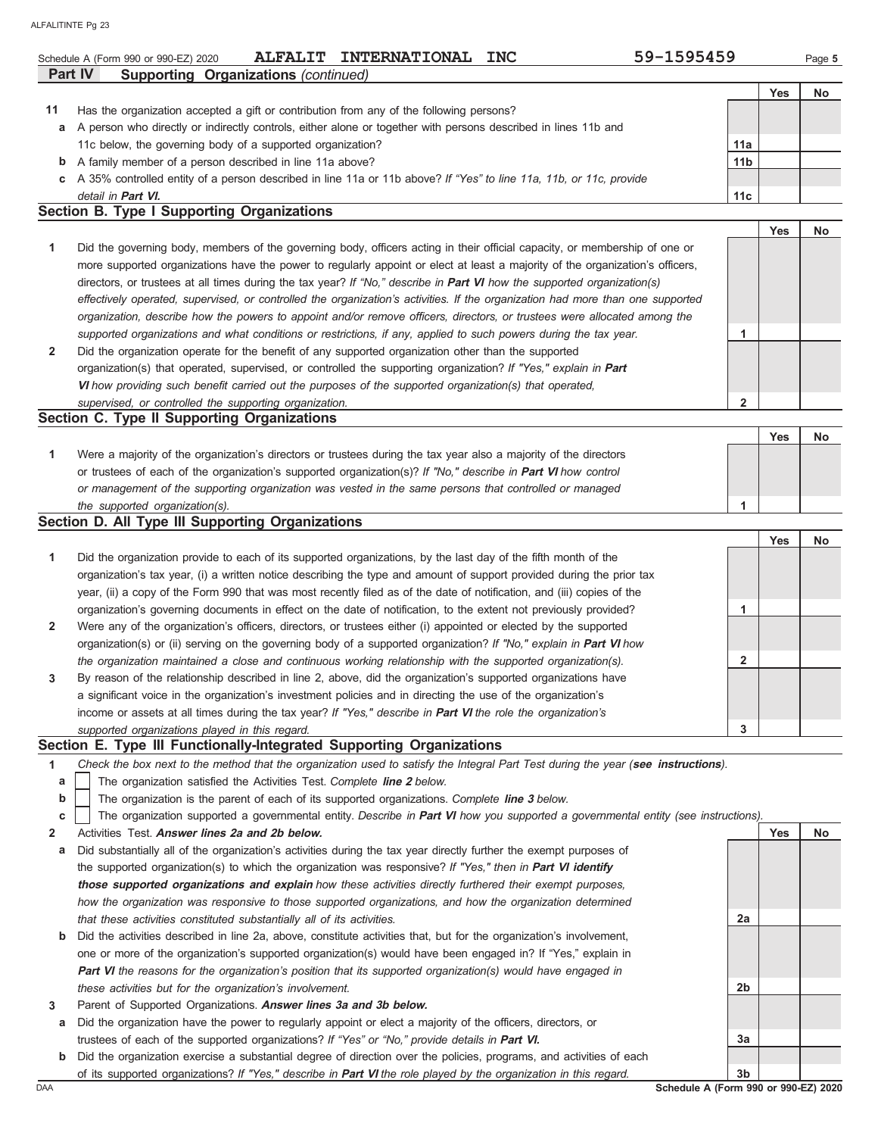|    | Schedule A (Form 990 or 990-EZ) 2020<br>Part IV<br><b>Supporting Organizations (continued)</b>                                 |                 |            | Page 5    |
|----|--------------------------------------------------------------------------------------------------------------------------------|-----------------|------------|-----------|
|    |                                                                                                                                |                 | <b>Yes</b> | <b>No</b> |
| 11 | Has the organization accepted a gift or contribution from any of the following persons?                                        |                 |            |           |
| а  | A person who directly or indirectly controls, either alone or together with persons described in lines 11b and                 |                 |            |           |
|    | 11c below, the governing body of a supported organization?                                                                     | 11a             |            |           |
| b  | A family member of a person described in line 11a above?                                                                       | 11 <sub>b</sub> |            |           |
|    | c A 35% controlled entity of a person described in line 11a or 11b above? If "Yes" to line 11a, 11b, or 11c, provide           |                 |            |           |
|    | detail in Part VI.                                                                                                             | 11 <sub>c</sub> |            |           |
|    | <b>Section B. Type I Supporting Organizations</b>                                                                              |                 |            |           |
|    |                                                                                                                                |                 | <b>Yes</b> | No        |
| 1  | Did the governing body, members of the governing body, officers acting in their official capacity, or membership of one or     |                 |            |           |
|    | more supported organizations have the power to regularly appoint or elect at least a majority of the organization's officers,  |                 |            |           |
|    | directors, or trustees at all times during the tax year? If "No," describe in <b>Part VI</b> how the supported organization(s) |                 |            |           |
|    | effectively operated, supervised, or controlled the organization's activities. If the organization had more than one supported |                 |            |           |
|    | organization, describe how the powers to appoint and/or remove officers, directors, or trustees were allocated among the       |                 |            |           |
|    | supported organizations and what conditions or restrictions, if any, applied to such powers during the tax year.               | 1               |            |           |
| 2  | Did the organization operate for the benefit of any supported organization other than the supported                            |                 |            |           |
|    | organization(s) that operated, supervised, or controlled the supporting organization? If "Yes," explain in Part                |                 |            |           |
|    | VI how providing such benefit carried out the purposes of the supported organization(s) that operated,                         |                 |            |           |
|    | supervised, or controlled the supporting organization.                                                                         | $\overline{2}$  |            |           |
|    | Section C. Type II Supporting Organizations                                                                                    |                 |            |           |
|    |                                                                                                                                |                 | <b>Yes</b> | <b>No</b> |
| 1  | Were a majority of the organization's directors or trustees during the tax year also a majority of the directors               |                 |            |           |
|    | or trustees of each of the organization's supported organization(s)? If "No," describe in <b>Part VI</b> how control           |                 |            |           |
|    | or management of the supporting organization was vested in the same persons that controlled or managed                         |                 |            |           |
|    | the supported organization(s).                                                                                                 | 1               |            |           |
|    | Section D. All Type III Supporting Organizations                                                                               |                 |            |           |
|    |                                                                                                                                |                 | <b>Yes</b> | <b>No</b> |

| 1<br>Did the organization provide to each of its supported organizations, by the last day of the fifth month of the<br>organization's tax year, (i) a written notice describing the type and amount of support provided during the prior tax<br>year, (ii) a copy of the Form 990 that was most recently filed as of the date of notification, and (iii) copies of the |  |
|------------------------------------------------------------------------------------------------------------------------------------------------------------------------------------------------------------------------------------------------------------------------------------------------------------------------------------------------------------------------|--|
|                                                                                                                                                                                                                                                                                                                                                                        |  |
|                                                                                                                                                                                                                                                                                                                                                                        |  |
|                                                                                                                                                                                                                                                                                                                                                                        |  |
| organization's governing documents in effect on the date of notification, to the extent not previously provided?                                                                                                                                                                                                                                                       |  |
| Were any of the organization's officers, directors, or trustees either (i) appointed or elected by the supported<br>$\overline{2}$                                                                                                                                                                                                                                     |  |
| organization(s) or (ii) serving on the governing body of a supported organization? If "No," explain in <b>Part VI</b> how                                                                                                                                                                                                                                              |  |
| the organization maintained a close and continuous working relationship with the supported organization(s).<br>ົ                                                                                                                                                                                                                                                       |  |
| By reason of the relationship described in line 2, above, did the organization's supported organizations have<br>$\mathbf{3}$                                                                                                                                                                                                                                          |  |
| a significant voice in the organization's investment policies and in directing the use of the organization's                                                                                                                                                                                                                                                           |  |
| income or assets at all times during the tax year? If "Yes," describe in Part VI the role the organization's                                                                                                                                                                                                                                                           |  |
| 3<br>supported organizations played in this regard.                                                                                                                                                                                                                                                                                                                    |  |

### **Section E. Type III Functionally-Integrated Supporting Organizations**

|  |  |  |  |  | Check the box next to the method that the organization used to satisfy the Integral Part Test during the year (see instructions). |  |
|--|--|--|--|--|-----------------------------------------------------------------------------------------------------------------------------------|--|
|--|--|--|--|--|-----------------------------------------------------------------------------------------------------------------------------------|--|

- The organization satisfied the Activities Test. *Complete* **line 2** *below.* **a**
- The organization is the parent of each of its supported organizations. *Complete* **line 3** *below.* **b**

|  |  |  |  |  | c The organization supported a governmental entity. Describe in Part VI how you supported a governmental entity (see instructions) |  |  |
|--|--|--|--|--|------------------------------------------------------------------------------------------------------------------------------------|--|--|
|--|--|--|--|--|------------------------------------------------------------------------------------------------------------------------------------|--|--|

- **2** Activities Test. **Answer lines 2a and 2b below.**
- **a** Did substantially all of the organization's activities during the tax year directly further the exempt purposes of the supported organization(s) to which the organization was responsive? *If "Yes," then in* **Part VI identify those supported organizations and explain** *how these activities directly furthered their exempt purposes, how the organization was responsive to those supported organizations, and how the organization determined that these activities constituted substantially all of its activities.*
- **b** Did the activities described in line 2a, above, constitute activities that, but for the organization's involvement, one or more of the organization's supported organization(s) would have been engaged in? If "Yes," explain in **Part VI** *the reasons for the organization's position that its supported organization(s) would have engaged in these activities but for the organization's involvement.*
- **3** Parent of Supported Organizations. **Answer lines 3a and 3b below.**
- **a** Did the organization have the power to regularly appoint or elect a majority of the officers, directors, or trustees of each of the supported organizations? *If "Yes" or "No," provide details in* **Part VI.**
- **b** Did the organization exercise a substantial degree of direction over the policies, programs, and activities of each of its supported organizations? *If "Yes," describe in* **Part VI** *the role played by the organization in this regard.*

**2a 2b 3a 3b**

**Yes No**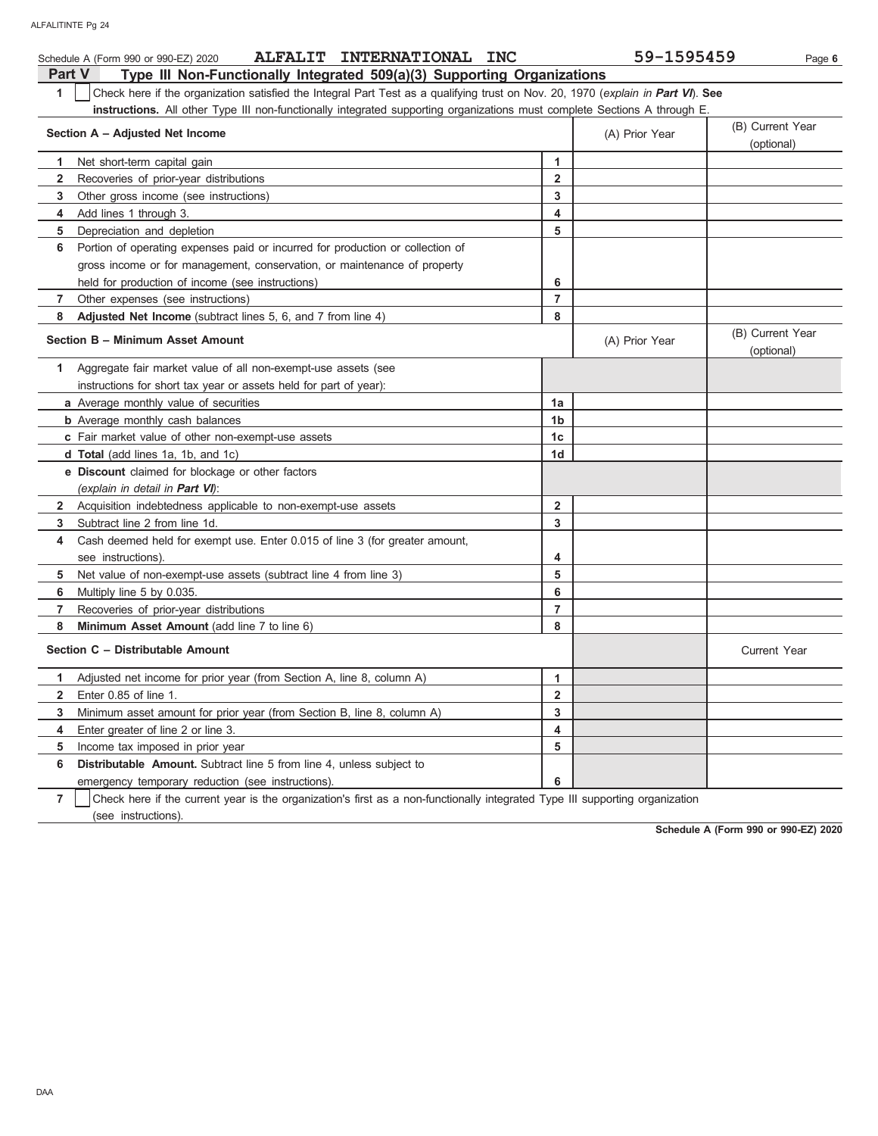|                | ALFALIT INTERNATIONAL INC<br>Schedule A (Form 990 or 990-EZ) 2020                                                                |                         | 59-1595459     | Page 6                         |
|----------------|----------------------------------------------------------------------------------------------------------------------------------|-------------------------|----------------|--------------------------------|
| <b>Part V</b>  | Type III Non-Functionally Integrated 509(a)(3) Supporting Organizations                                                          |                         |                |                                |
| 1              | Check here if the organization satisfied the Integral Part Test as a qualifying trust on Nov. 20, 1970 (explain in Part VI). See |                         |                |                                |
|                | instructions. All other Type III non-functionally integrated supporting organizations must complete Sections A through E.        |                         |                |                                |
|                | Section A - Adjusted Net Income                                                                                                  |                         | (A) Prior Year | (B) Current Year<br>(optional) |
| 1.             | Net short-term capital gain                                                                                                      | 1                       |                |                                |
| $\mathbf{2}$   | Recoveries of prior-year distributions                                                                                           | $\overline{2}$          |                |                                |
| 3              | Other gross income (see instructions)                                                                                            | 3                       |                |                                |
| 4              | Add lines 1 through 3.                                                                                                           | 4                       |                |                                |
| 5              | Depreciation and depletion                                                                                                       | 5                       |                |                                |
| 6              | Portion of operating expenses paid or incurred for production or collection of                                                   |                         |                |                                |
|                | gross income or for management, conservation, or maintenance of property                                                         |                         |                |                                |
|                | held for production of income (see instructions)                                                                                 | 6                       |                |                                |
| $\overline{7}$ | Other expenses (see instructions)                                                                                                | $\overline{7}$          |                |                                |
| 8              | Adjusted Net Income (subtract lines 5, 6, and 7 from line 4)                                                                     | 8                       |                |                                |
|                | Section B - Minimum Asset Amount                                                                                                 |                         | (A) Prior Year | (B) Current Year<br>(optional) |
| $\mathbf{1}$   | Aggregate fair market value of all non-exempt-use assets (see                                                                    |                         |                |                                |
|                | instructions for short tax year or assets held for part of year):                                                                |                         |                |                                |
|                | a Average monthly value of securities                                                                                            | 1a                      |                |                                |
|                | <b>b</b> Average monthly cash balances                                                                                           | 1 <sub>b</sub>          |                |                                |
|                | c Fair market value of other non-exempt-use assets                                                                               | 1c                      |                |                                |
|                | <b>d Total</b> (add lines 1a, 1b, and 1c)                                                                                        | 1 <sub>d</sub>          |                |                                |
|                | e Discount claimed for blockage or other factors                                                                                 |                         |                |                                |
|                | (explain in detail in <b>Part VI</b> ):                                                                                          |                         |                |                                |
|                | 2 Acquisition indebtedness applicable to non-exempt-use assets                                                                   | $\overline{2}$          |                |                                |
| 3              | Subtract line 2 from line 1d.                                                                                                    | 3                       |                |                                |
| 4              | Cash deemed held for exempt use. Enter 0.015 of line 3 (for greater amount,                                                      |                         |                |                                |
|                | see instructions).                                                                                                               | 4                       |                |                                |
| 5              | Net value of non-exempt-use assets (subtract line 4 from line 3)                                                                 | 5                       |                |                                |
| 6              | Multiply line 5 by 0.035.                                                                                                        | 6                       |                |                                |
| $\overline{7}$ | Recoveries of prior-year distributions                                                                                           | $\overline{7}$          |                |                                |
| 8              | Minimum Asset Amount (add line 7 to line 6)                                                                                      | 8                       |                |                                |
|                | Section C - Distributable Amount                                                                                                 |                         |                | <b>Current Year</b>            |
| 1.             | Adjusted net income for prior year (from Section A, line 8, column A)                                                            | 1                       |                |                                |
| $\mathbf{2}$   | Enter 0.85 of line 1.                                                                                                            | $\overline{\mathbf{2}}$ |                |                                |
| 3              | Minimum asset amount for prior year (from Section B, line 8, column A)                                                           | 3                       |                |                                |
| 4              | Enter greater of line 2 or line 3.                                                                                               | 4                       |                |                                |
| 5              | Income tax imposed in prior year                                                                                                 | 5                       |                |                                |
| 6              | Distributable Amount. Subtract line 5 from line 4, unless subject to                                                             |                         |                |                                |
|                | emergency temporary reduction (see instructions).                                                                                | 6                       |                |                                |
| $\overline{7}$ | Check here if the current year is the organization's first as a non-functionally integrated Type III supporting organization     |                         |                |                                |

(see instructions).

**Schedule A (Form 990 or 990-EZ) 2020**

DAA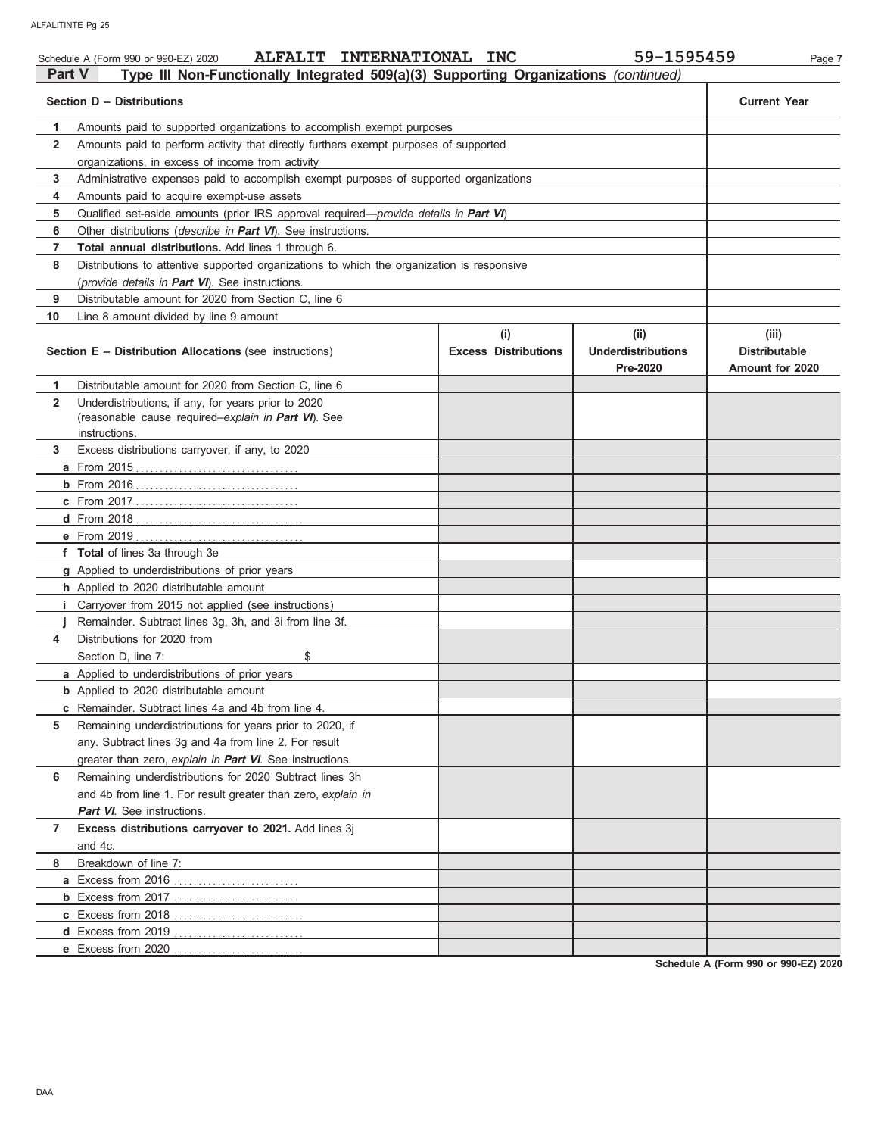|                | ALFALIT INTERNATIONAL INC<br>Schedule A (Form 990 or 990-EZ) 2020                             |                             | 59-1595459                            | Page 7                                  |
|----------------|-----------------------------------------------------------------------------------------------|-----------------------------|---------------------------------------|-----------------------------------------|
| Part V         | Type III Non-Functionally Integrated 509(a)(3) Supporting Organizations (continued)           |                             |                                       |                                         |
|                | Section D - Distributions                                                                     |                             |                                       | <b>Current Year</b>                     |
| 1              | Amounts paid to supported organizations to accomplish exempt purposes                         |                             |                                       |                                         |
| $\mathbf{2}$   | Amounts paid to perform activity that directly furthers exempt purposes of supported          |                             |                                       |                                         |
|                | organizations, in excess of income from activity                                              |                             |                                       |                                         |
| 3              | Administrative expenses paid to accomplish exempt purposes of supported organizations         |                             |                                       |                                         |
| 4              | Amounts paid to acquire exempt-use assets                                                     |                             |                                       |                                         |
| 5              | Qualified set-aside amounts (prior IRS approval required— <i>provide details in Part VI</i> ) |                             |                                       |                                         |
| 6              | Other distributions ( <i>describe in <b>Part VI</b></i> ). See instructions.                  |                             |                                       |                                         |
| 7              | <b>Total annual distributions.</b> Add lines 1 through 6.                                     |                             |                                       |                                         |
| 8              | Distributions to attentive supported organizations to which the organization is responsive    |                             |                                       |                                         |
|                | (provide details in Part VI). See instructions.                                               |                             |                                       |                                         |
| 9              | Distributable amount for 2020 from Section C, line 6                                          |                             |                                       |                                         |
| 10             | Line 8 amount divided by line 9 amount                                                        |                             |                                       |                                         |
|                |                                                                                               | (i)                         | (ii)                                  | (iii)                                   |
|                | Section E - Distribution Allocations (see instructions)                                       | <b>Excess Distributions</b> | <b>Underdistributions</b><br>Pre-2020 | <b>Distributable</b><br>Amount for 2020 |
| 1              | Distributable amount for 2020 from Section C, line 6                                          |                             |                                       |                                         |
| $\overline{2}$ | Underdistributions, if any, for years prior to 2020                                           |                             |                                       |                                         |
|                | (reasonable cause required-explain in Part VI). See                                           |                             |                                       |                                         |
|                | instructions.                                                                                 |                             |                                       |                                         |
| 3              | Excess distributions carryover, if any, to 2020                                               |                             |                                       |                                         |
|                |                                                                                               |                             |                                       |                                         |
|                |                                                                                               |                             |                                       |                                         |
|                |                                                                                               |                             |                                       |                                         |
|                |                                                                                               |                             |                                       |                                         |
|                |                                                                                               |                             |                                       |                                         |
|                | f Total of lines 3a through 3e                                                                |                             |                                       |                                         |
|                | g Applied to underdistributions of prior years                                                |                             |                                       |                                         |
|                | h Applied to 2020 distributable amount                                                        |                             |                                       |                                         |
| i.             | Carryover from 2015 not applied (see instructions)                                            |                             |                                       |                                         |
|                | Remainder. Subtract lines 3g, 3h, and 3i from line 3f.                                        |                             |                                       |                                         |
| 4              | Distributions for 2020 from                                                                   |                             |                                       |                                         |
|                | \$<br>Section D, line 7:                                                                      |                             |                                       |                                         |
|                | a Applied to underdistributions of prior years                                                |                             |                                       |                                         |
|                | <b>b</b> Applied to 2020 distributable amount                                                 |                             |                                       |                                         |
|                | <b>c</b> Remainder. Subtract lines 4a and 4b from line 4.                                     |                             |                                       |                                         |
| 5              | Remaining underdistributions for years prior to 2020, if                                      |                             |                                       |                                         |
|                |                                                                                               |                             |                                       |                                         |
|                | any. Subtract lines 3g and 4a from line 2. For result                                         |                             |                                       |                                         |
|                | greater than zero, explain in Part VI. See instructions.                                      |                             |                                       |                                         |
| 6              | Remaining underdistributions for 2020 Subtract lines 3h                                       |                             |                                       |                                         |
|                | and 4b from line 1. For result greater than zero, explain in                                  |                             |                                       |                                         |
|                | <b>Part VI</b> . See instructions.                                                            |                             |                                       |                                         |
| 7              | Excess distributions carryover to 2021. Add lines 3j                                          |                             |                                       |                                         |
|                | and 4c.                                                                                       |                             |                                       |                                         |
| 8              | Breakdown of line 7:                                                                          |                             |                                       |                                         |
|                |                                                                                               |                             |                                       |                                         |
|                | <b>b</b> Excess from 2017                                                                     |                             |                                       |                                         |
|                |                                                                                               |                             |                                       |                                         |
|                |                                                                                               |                             |                                       |                                         |
|                | e Excess from 2020                                                                            |                             |                                       |                                         |

**Schedule A (Form 990 or 990-EZ) 2020**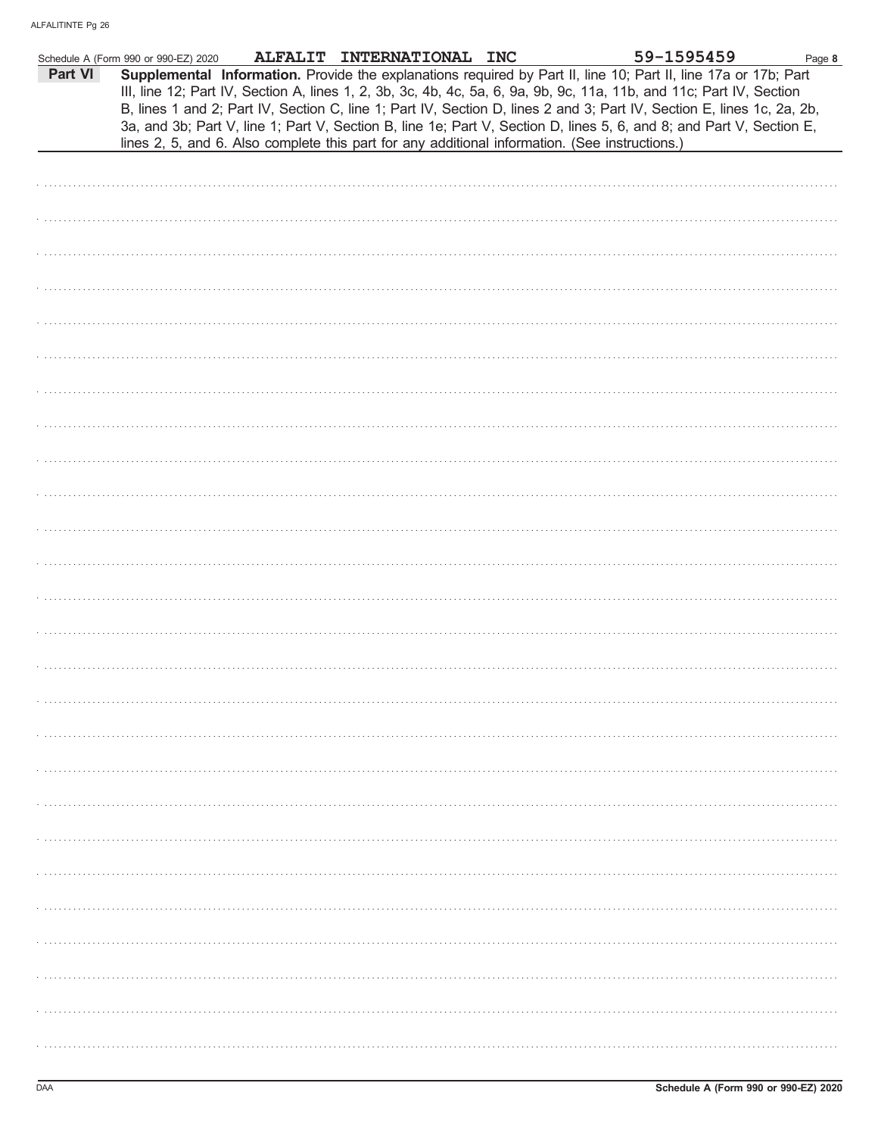|         | Schedule A (Form 990 or 990-EZ) 2020 | ALFALIT INTERNATIONAL INC |                                                                                                | 59-1595459                                                                                                                                                                                                                                                                                                                                                                                                                                                                                | Page 8 |
|---------|--------------------------------------|---------------------------|------------------------------------------------------------------------------------------------|-------------------------------------------------------------------------------------------------------------------------------------------------------------------------------------------------------------------------------------------------------------------------------------------------------------------------------------------------------------------------------------------------------------------------------------------------------------------------------------------|--------|
| Part VI |                                      |                           | lines 2, 5, and 6. Also complete this part for any additional information. (See instructions.) | Supplemental Information. Provide the explanations required by Part II, line 10; Part II, line 17a or 17b; Part<br>III, line 12; Part IV, Section A, lines 1, 2, 3b, 3c, 4b, 4c, 5a, 6, 9a, 9b, 9c, 11a, 11b, and 11c; Part IV, Section<br>B, lines 1 and 2; Part IV, Section C, line 1; Part IV, Section D, lines 2 and 3; Part IV, Section E, lines 1c, 2a, 2b,<br>3a, and 3b; Part V, line 1; Part V, Section B, line 1e; Part V, Section D, lines 5, 6, and 8; and Part V, Section E, |        |
|         |                                      |                           |                                                                                                |                                                                                                                                                                                                                                                                                                                                                                                                                                                                                           |        |
|         |                                      |                           |                                                                                                |                                                                                                                                                                                                                                                                                                                                                                                                                                                                                           |        |
|         |                                      |                           |                                                                                                |                                                                                                                                                                                                                                                                                                                                                                                                                                                                                           |        |
|         |                                      |                           |                                                                                                |                                                                                                                                                                                                                                                                                                                                                                                                                                                                                           |        |
|         |                                      |                           |                                                                                                |                                                                                                                                                                                                                                                                                                                                                                                                                                                                                           |        |
|         |                                      |                           |                                                                                                |                                                                                                                                                                                                                                                                                                                                                                                                                                                                                           |        |
|         |                                      |                           |                                                                                                |                                                                                                                                                                                                                                                                                                                                                                                                                                                                                           |        |
|         |                                      |                           |                                                                                                |                                                                                                                                                                                                                                                                                                                                                                                                                                                                                           |        |
|         |                                      |                           |                                                                                                |                                                                                                                                                                                                                                                                                                                                                                                                                                                                                           |        |
|         |                                      |                           |                                                                                                |                                                                                                                                                                                                                                                                                                                                                                                                                                                                                           |        |
|         |                                      |                           |                                                                                                |                                                                                                                                                                                                                                                                                                                                                                                                                                                                                           |        |
|         |                                      |                           |                                                                                                |                                                                                                                                                                                                                                                                                                                                                                                                                                                                                           |        |
|         |                                      |                           |                                                                                                |                                                                                                                                                                                                                                                                                                                                                                                                                                                                                           |        |
|         |                                      |                           |                                                                                                |                                                                                                                                                                                                                                                                                                                                                                                                                                                                                           |        |
|         |                                      |                           |                                                                                                |                                                                                                                                                                                                                                                                                                                                                                                                                                                                                           |        |
|         |                                      |                           |                                                                                                |                                                                                                                                                                                                                                                                                                                                                                                                                                                                                           |        |
|         |                                      |                           |                                                                                                |                                                                                                                                                                                                                                                                                                                                                                                                                                                                                           |        |
|         |                                      |                           |                                                                                                |                                                                                                                                                                                                                                                                                                                                                                                                                                                                                           |        |
|         |                                      |                           |                                                                                                |                                                                                                                                                                                                                                                                                                                                                                                                                                                                                           |        |
|         |                                      |                           |                                                                                                |                                                                                                                                                                                                                                                                                                                                                                                                                                                                                           |        |
|         |                                      |                           |                                                                                                |                                                                                                                                                                                                                                                                                                                                                                                                                                                                                           |        |
|         |                                      |                           |                                                                                                |                                                                                                                                                                                                                                                                                                                                                                                                                                                                                           |        |
|         |                                      |                           |                                                                                                |                                                                                                                                                                                                                                                                                                                                                                                                                                                                                           |        |
|         |                                      |                           |                                                                                                |                                                                                                                                                                                                                                                                                                                                                                                                                                                                                           |        |
|         |                                      |                           |                                                                                                |                                                                                                                                                                                                                                                                                                                                                                                                                                                                                           |        |
|         |                                      |                           |                                                                                                |                                                                                                                                                                                                                                                                                                                                                                                                                                                                                           |        |
|         |                                      |                           |                                                                                                |                                                                                                                                                                                                                                                                                                                                                                                                                                                                                           |        |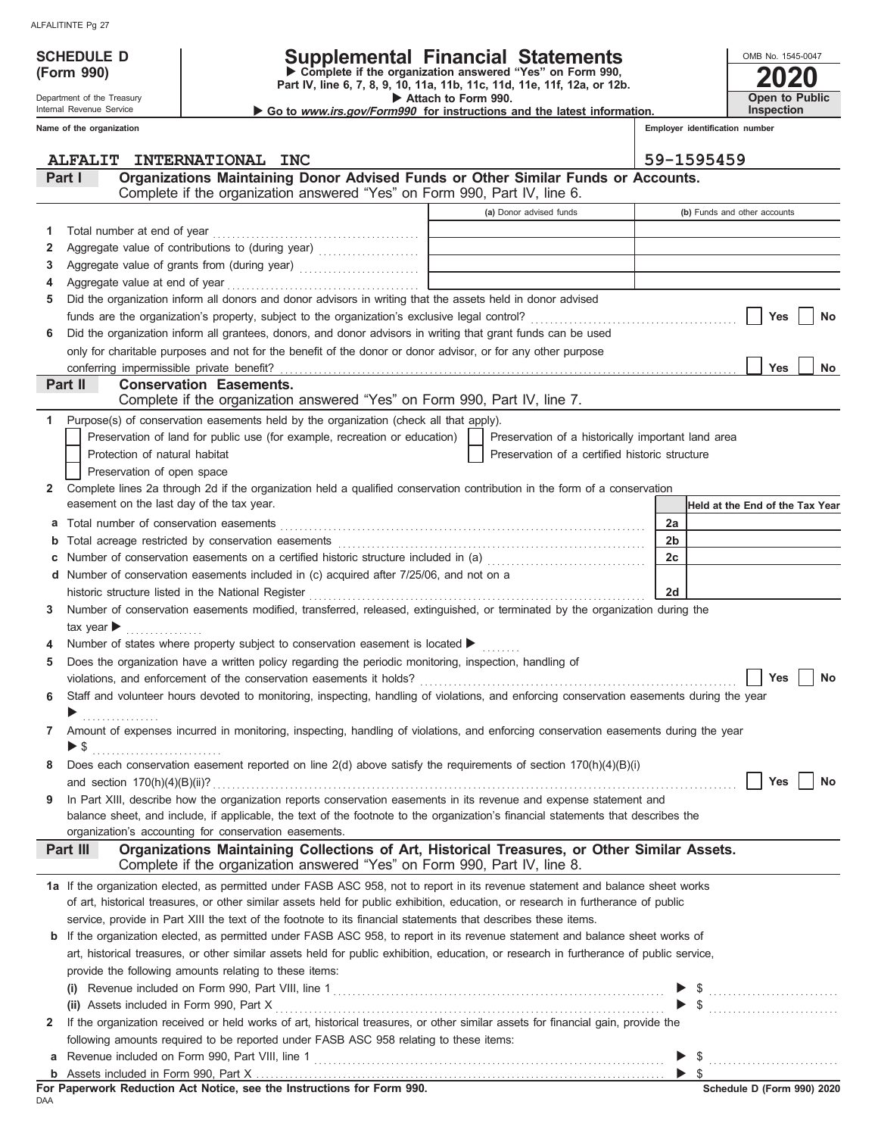**(Form 990)**

Department of the Treasury

## **SCHEDULE D Supplemental Financial Statements**

**Part IV, line 6, 7, 8, 9, 10, 11a, 11b, 11c, 11d, 11e, 11f, 12a, or 12b. Complete if the organization answered "Yes" on Form 990,**

 **Attach to Form 990.**  ▶ Go to *www.irs.gov/Form990* for instructions and the latest information. **Open to Public Inspection**

**2020**

OMB No. 1545-0047

|              | Internal Revenue Service                  | Go to www.irs.gov/Form990 for instructions and the latest information.                                                                                                      |                                              |                                                    |                                | <b>Inspection</b>                                                                                                                                                                                                                                                                                                                                                                                                                                                                                                                                                   |
|--------------|-------------------------------------------|-----------------------------------------------------------------------------------------------------------------------------------------------------------------------------|----------------------------------------------|----------------------------------------------------|--------------------------------|---------------------------------------------------------------------------------------------------------------------------------------------------------------------------------------------------------------------------------------------------------------------------------------------------------------------------------------------------------------------------------------------------------------------------------------------------------------------------------------------------------------------------------------------------------------------|
|              | Name of the organization                  |                                                                                                                                                                             |                                              |                                                    | Emplover identification number |                                                                                                                                                                                                                                                                                                                                                                                                                                                                                                                                                                     |
|              |                                           | ALFALIT INTERNATIONAL INC                                                                                                                                                   |                                              |                                                    | 59-1595459                     |                                                                                                                                                                                                                                                                                                                                                                                                                                                                                                                                                                     |
|              | Part I                                    | Organizations Maintaining Donor Advised Funds or Other Similar Funds or Accounts.                                                                                           |                                              |                                                    |                                |                                                                                                                                                                                                                                                                                                                                                                                                                                                                                                                                                                     |
|              |                                           | Complete if the organization answered "Yes" on Form 990, Part IV, line 6.                                                                                                   |                                              |                                                    |                                |                                                                                                                                                                                                                                                                                                                                                                                                                                                                                                                                                                     |
|              |                                           |                                                                                                                                                                             |                                              | (a) Donor advised funds                            |                                | (b) Funds and other accounts                                                                                                                                                                                                                                                                                                                                                                                                                                                                                                                                        |
| 1            | Total number at end of year               |                                                                                                                                                                             | the control of the control of the control of |                                                    |                                |                                                                                                                                                                                                                                                                                                                                                                                                                                                                                                                                                                     |
| 2            |                                           |                                                                                                                                                                             |                                              |                                                    |                                |                                                                                                                                                                                                                                                                                                                                                                                                                                                                                                                                                                     |
| 3            |                                           | Aggregate value of grants from (during year) Mathematical Mathematical Contract of the Contract of Aggregate value of grants from (during year)                             |                                              |                                                    |                                |                                                                                                                                                                                                                                                                                                                                                                                                                                                                                                                                                                     |
| 4            |                                           |                                                                                                                                                                             |                                              |                                                    |                                |                                                                                                                                                                                                                                                                                                                                                                                                                                                                                                                                                                     |
| 5            |                                           | Did the organization inform all donors and donor advisors in writing that the assets held in donor advised                                                                  |                                              |                                                    |                                |                                                                                                                                                                                                                                                                                                                                                                                                                                                                                                                                                                     |
|              |                                           |                                                                                                                                                                             |                                              |                                                    |                                | <b>Yes</b><br>No                                                                                                                                                                                                                                                                                                                                                                                                                                                                                                                                                    |
| 6            |                                           | Did the organization inform all grantees, donors, and donor advisors in writing that grant funds can be used                                                                |                                              |                                                    |                                |                                                                                                                                                                                                                                                                                                                                                                                                                                                                                                                                                                     |
|              |                                           | only for charitable purposes and not for the benefit of the donor or donor advisor, or for any other purpose                                                                |                                              |                                                    |                                |                                                                                                                                                                                                                                                                                                                                                                                                                                                                                                                                                                     |
|              |                                           |                                                                                                                                                                             |                                              |                                                    |                                | <b>Yes</b><br><b>No</b>                                                                                                                                                                                                                                                                                                                                                                                                                                                                                                                                             |
|              | Part II                                   | <b>Conservation Easements.</b><br>Complete if the organization answered "Yes" on Form 990, Part IV, line 7.                                                                 |                                              |                                                    |                                |                                                                                                                                                                                                                                                                                                                                                                                                                                                                                                                                                                     |
| 1            |                                           | Purpose(s) of conservation easements held by the organization (check all that apply).                                                                                       |                                              |                                                    |                                |                                                                                                                                                                                                                                                                                                                                                                                                                                                                                                                                                                     |
|              |                                           | Preservation of land for public use (for example, recreation or education)                                                                                                  |                                              | Preservation of a historically important land area |                                |                                                                                                                                                                                                                                                                                                                                                                                                                                                                                                                                                                     |
|              | Protection of natural habitat             |                                                                                                                                                                             |                                              | Preservation of a certified historic structure     |                                |                                                                                                                                                                                                                                                                                                                                                                                                                                                                                                                                                                     |
|              | Preservation of open space                |                                                                                                                                                                             |                                              |                                                    |                                |                                                                                                                                                                                                                                                                                                                                                                                                                                                                                                                                                                     |
| $\mathbf{2}$ |                                           | Complete lines 2a through 2d if the organization held a qualified conservation contribution in the form of a conservation                                                   |                                              |                                                    |                                |                                                                                                                                                                                                                                                                                                                                                                                                                                                                                                                                                                     |
|              | easement on the last day of the tax year. |                                                                                                                                                                             |                                              |                                                    |                                | Held at the End of the Tax Year                                                                                                                                                                                                                                                                                                                                                                                                                                                                                                                                     |
| а            |                                           |                                                                                                                                                                             |                                              |                                                    | 2a                             |                                                                                                                                                                                                                                                                                                                                                                                                                                                                                                                                                                     |
| b            |                                           |                                                                                                                                                                             |                                              |                                                    | 2 <sub>b</sub>                 |                                                                                                                                                                                                                                                                                                                                                                                                                                                                                                                                                                     |
|              |                                           | Number of conservation easements on a certified historic structure included in (a) [[11] Number of conservation easements on a certified historic structure included in (a) |                                              |                                                    | 2c                             |                                                                                                                                                                                                                                                                                                                                                                                                                                                                                                                                                                     |
|              |                                           | d Number of conservation easements included in (c) acquired after 7/25/06, and not on a                                                                                     |                                              |                                                    |                                |                                                                                                                                                                                                                                                                                                                                                                                                                                                                                                                                                                     |
|              |                                           | historic structure listed in the National Register                                                                                                                          |                                              |                                                    | 2d                             |                                                                                                                                                                                                                                                                                                                                                                                                                                                                                                                                                                     |
| 3            | $\mathsf{tax}$ year $\blacktriangleright$ | Number of conservation easements modified, transferred, released, extinguished, or terminated by the organization during the                                                |                                              |                                                    |                                |                                                                                                                                                                                                                                                                                                                                                                                                                                                                                                                                                                     |
|              |                                           | Number of states where property subject to conservation easement is located ▶                                                                                               |                                              |                                                    |                                |                                                                                                                                                                                                                                                                                                                                                                                                                                                                                                                                                                     |
| 5            |                                           | Does the organization have a written policy regarding the periodic monitoring, inspection, handling of                                                                      |                                              |                                                    |                                |                                                                                                                                                                                                                                                                                                                                                                                                                                                                                                                                                                     |
|              |                                           |                                                                                                                                                                             |                                              |                                                    |                                | <b>Yes</b><br><b>No</b>                                                                                                                                                                                                                                                                                                                                                                                                                                                                                                                                             |
| 6            |                                           | Staff and volunteer hours devoted to monitoring, inspecting, handling of violations, and enforcing conservation easements during the year                                   |                                              |                                                    |                                |                                                                                                                                                                                                                                                                                                                                                                                                                                                                                                                                                                     |
|              |                                           |                                                                                                                                                                             |                                              |                                                    |                                |                                                                                                                                                                                                                                                                                                                                                                                                                                                                                                                                                                     |
|              |                                           | Amount of expenses incurred in monitoring, inspecting, handling of violations, and enforcing conservation easements during the year                                         |                                              |                                                    |                                |                                                                                                                                                                                                                                                                                                                                                                                                                                                                                                                                                                     |
|              |                                           |                                                                                                                                                                             |                                              |                                                    |                                |                                                                                                                                                                                                                                                                                                                                                                                                                                                                                                                                                                     |
| 8            |                                           | Does each conservation easement reported on line $2(d)$ above satisfy the requirements of section $170(h)(4)(B)(i)$                                                         |                                              |                                                    |                                |                                                                                                                                                                                                                                                                                                                                                                                                                                                                                                                                                                     |
|              |                                           |                                                                                                                                                                             |                                              |                                                    |                                | Yes<br>No                                                                                                                                                                                                                                                                                                                                                                                                                                                                                                                                                           |
| 9            |                                           | In Part XIII, describe how the organization reports conservation easements in its revenue and expense statement and                                                         |                                              |                                                    |                                |                                                                                                                                                                                                                                                                                                                                                                                                                                                                                                                                                                     |
|              |                                           | balance sheet, and include, if applicable, the text of the footnote to the organization's financial statements that describes the                                           |                                              |                                                    |                                |                                                                                                                                                                                                                                                                                                                                                                                                                                                                                                                                                                     |
|              |                                           | organization's accounting for conservation easements.                                                                                                                       |                                              |                                                    |                                |                                                                                                                                                                                                                                                                                                                                                                                                                                                                                                                                                                     |
|              | Part III                                  | Organizations Maintaining Collections of Art, Historical Treasures, or Other Similar Assets.<br>Complete if the organization answered "Yes" on Form 990, Part IV, line 8.   |                                              |                                                    |                                |                                                                                                                                                                                                                                                                                                                                                                                                                                                                                                                                                                     |
|              |                                           | 1a If the organization elected, as permitted under FASB ASC 958, not to report in its revenue statement and balance sheet works                                             |                                              |                                                    |                                |                                                                                                                                                                                                                                                                                                                                                                                                                                                                                                                                                                     |
|              |                                           | of art, historical treasures, or other similar assets held for public exhibition, education, or research in furtherance of public                                           |                                              |                                                    |                                |                                                                                                                                                                                                                                                                                                                                                                                                                                                                                                                                                                     |
|              |                                           | service, provide in Part XIII the text of the footnote to its financial statements that describes these items.                                                              |                                              |                                                    |                                |                                                                                                                                                                                                                                                                                                                                                                                                                                                                                                                                                                     |
| b            |                                           | If the organization elected, as permitted under FASB ASC 958, to report in its revenue statement and balance sheet works of                                                 |                                              |                                                    |                                |                                                                                                                                                                                                                                                                                                                                                                                                                                                                                                                                                                     |
|              |                                           | art, historical treasures, or other similar assets held for public exhibition, education, or research in furtherance of public service,                                     |                                              |                                                    |                                |                                                                                                                                                                                                                                                                                                                                                                                                                                                                                                                                                                     |
|              |                                           | provide the following amounts relating to these items:                                                                                                                      |                                              |                                                    |                                |                                                                                                                                                                                                                                                                                                                                                                                                                                                                                                                                                                     |
|              | (i)                                       |                                                                                                                                                                             |                                              |                                                    |                                | $\begin{array}{c} \mathsf{\$} \text{ } \dots \text{ } \dots \text{ } \dots \text{ } \dots \text{ } \dots \text{ } \dots \text{ } \dots \text{ } \dots \text{ } \dots \text{ } \dots \text{ } \dots \text{ } \dots \text{ } \dots \text{ } \dots \text{ } \dots \text{ } \dots \text{ } \dots \text{ } \dots \text{ } \dots \text{ } \dots \text{ } \dots \text{ } \dots \text{ } \dots \text{ } \dots \text{ } \dots \text{ } \dots \text{ } \dots \text{ } \dots \text{ } \dots \text{ } \dots \text{ } \dots \text{ } \dots \text{ } \dots \text{ } \dots \text{$ |
|              |                                           |                                                                                                                                                                             |                                              |                                                    |                                |                                                                                                                                                                                                                                                                                                                                                                                                                                                                                                                                                                     |
| 2            |                                           | If the organization received or held works of art, historical treasures, or other similar assets for financial gain, provide the                                            |                                              |                                                    |                                |                                                                                                                                                                                                                                                                                                                                                                                                                                                                                                                                                                     |
|              |                                           | following amounts required to be reported under FASB ASC 958 relating to these items:                                                                                       |                                              |                                                    |                                |                                                                                                                                                                                                                                                                                                                                                                                                                                                                                                                                                                     |
| а            |                                           |                                                                                                                                                                             |                                              |                                                    |                                |                                                                                                                                                                                                                                                                                                                                                                                                                                                                                                                                                                     |
|              |                                           |                                                                                                                                                                             |                                              |                                                    |                                |                                                                                                                                                                                                                                                                                                                                                                                                                                                                                                                                                                     |

|     |  |  |  | For Paperwork Reduction Act Notice, see the Instructions for Form 990. |  |  |
|-----|--|--|--|------------------------------------------------------------------------|--|--|
| DAA |  |  |  |                                                                        |  |  |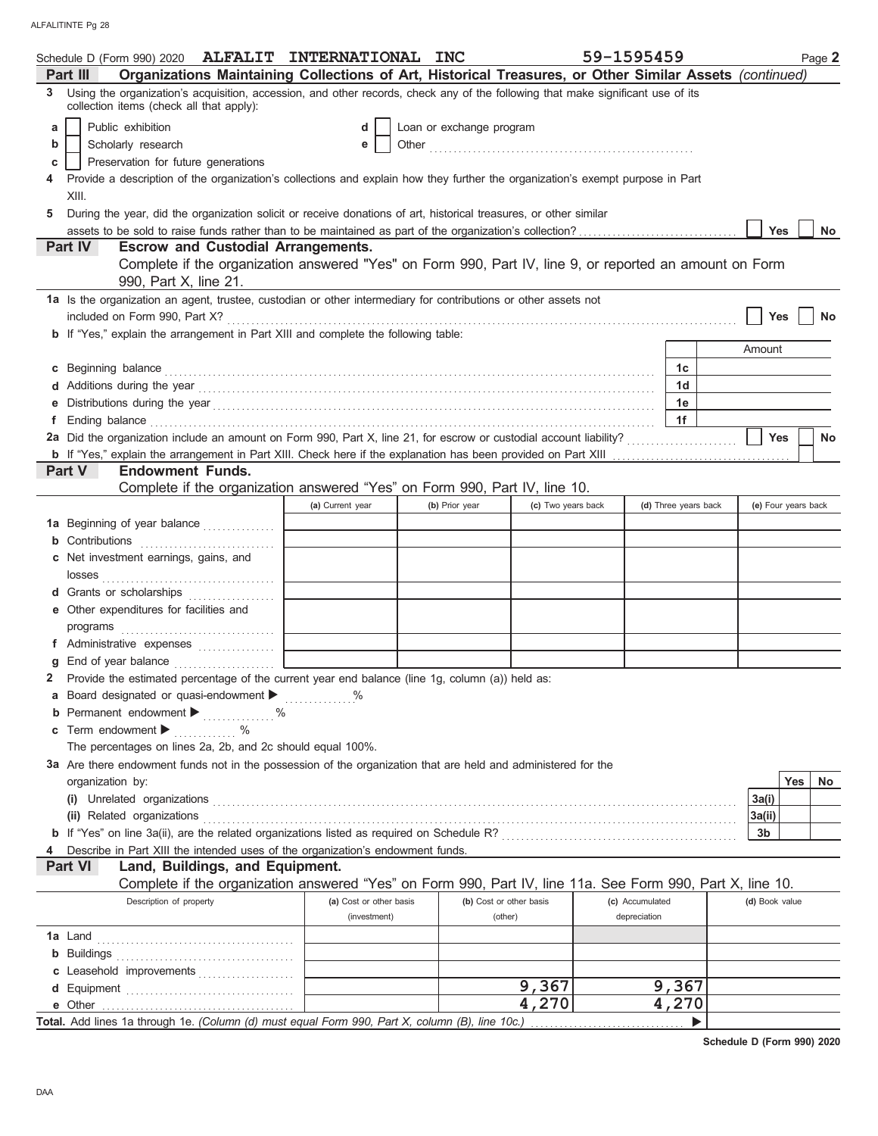|   | Schedule D (Form 990) 2020 ALFALIT INTERNATIONAL INC                                                                                                                        |                         |                          |                         | 59-1595459      |                      |                     |            | Page 2    |
|---|-----------------------------------------------------------------------------------------------------------------------------------------------------------------------------|-------------------------|--------------------------|-------------------------|-----------------|----------------------|---------------------|------------|-----------|
|   | Organizations Maintaining Collections of Art, Historical Treasures, or Other Similar Assets (continued)<br>Part III                                                         |                         |                          |                         |                 |                      |                     |            |           |
| 3 | Using the organization's acquisition, accession, and other records, check any of the following that make significant use of its<br>collection items (check all that apply): |                         |                          |                         |                 |                      |                     |            |           |
| a | Public exhibition                                                                                                                                                           | d                       | Loan or exchange program |                         |                 |                      |                     |            |           |
| b | Scholarly research                                                                                                                                                          | е                       |                          |                         |                 |                      |                     |            |           |
| С | Preservation for future generations                                                                                                                                         |                         |                          |                         |                 |                      |                     |            |           |
|   | Provide a description of the organization's collections and explain how they further the organization's exempt purpose in Part                                              |                         |                          |                         |                 |                      |                     |            |           |
|   | XIII.                                                                                                                                                                       |                         |                          |                         |                 |                      |                     |            |           |
| 5 | During the year, did the organization solicit or receive donations of art, historical treasures, or other similar                                                           |                         |                          |                         |                 |                      |                     |            |           |
|   |                                                                                                                                                                             |                         |                          |                         |                 |                      | <b>Yes</b>          |            | No        |
|   | Part IV<br><b>Escrow and Custodial Arrangements.</b>                                                                                                                        |                         |                          |                         |                 |                      |                     |            |           |
|   | Complete if the organization answered "Yes" on Form 990, Part IV, line 9, or reported an amount on Form<br>990, Part X, line 21.                                            |                         |                          |                         |                 |                      |                     |            |           |
|   | 1a Is the organization an agent, trustee, custodian or other intermediary for contributions or other assets not                                                             |                         |                          |                         |                 |                      |                     |            |           |
|   | included on Form 990, Part X?                                                                                                                                               |                         |                          |                         |                 |                      | <b>Yes</b>          |            | No        |
|   | b If "Yes," explain the arrangement in Part XIII and complete the following table:                                                                                          |                         |                          |                         |                 |                      |                     |            |           |
|   |                                                                                                                                                                             |                         |                          |                         |                 |                      | Amount              |            |           |
| С |                                                                                                                                                                             |                         |                          |                         |                 | 1c                   |                     |            |           |
|   |                                                                                                                                                                             |                         |                          |                         |                 | 1d                   |                     |            |           |
| е |                                                                                                                                                                             |                         |                          |                         |                 | 1e                   |                     |            |           |
| f |                                                                                                                                                                             |                         |                          |                         |                 | 1f                   |                     |            |           |
|   |                                                                                                                                                                             |                         |                          |                         |                 |                      | <b>Yes</b>          |            | <b>No</b> |
|   |                                                                                                                                                                             |                         |                          |                         |                 |                      |                     |            |           |
|   | <b>Endowment Funds.</b><br>Part V                                                                                                                                           |                         |                          |                         |                 |                      |                     |            |           |
|   | Complete if the organization answered "Yes" on Form 990, Part IV, line 10.                                                                                                  |                         |                          |                         |                 |                      |                     |            |           |
|   |                                                                                                                                                                             | (a) Current year        | (b) Prior year           | (c) Two years back      |                 | (d) Three years back | (e) Four years back |            |           |
|   | 1a Beginning of year balance                                                                                                                                                |                         |                          |                         |                 |                      |                     |            |           |
|   | <b>b</b> Contributions <b>contributions</b>                                                                                                                                 |                         |                          |                         |                 |                      |                     |            |           |
|   | c Net investment earnings, gains, and                                                                                                                                       |                         |                          |                         |                 |                      |                     |            |           |
|   |                                                                                                                                                                             |                         |                          |                         |                 |                      |                     |            |           |
|   | d Grants or scholarships                                                                                                                                                    |                         |                          |                         |                 |                      |                     |            |           |
|   | e Other expenditures for facilities and                                                                                                                                     |                         |                          |                         |                 |                      |                     |            |           |
|   |                                                                                                                                                                             |                         |                          |                         |                 |                      |                     |            |           |
|   | f Administrative expenses                                                                                                                                                   |                         |                          |                         |                 |                      |                     |            |           |
| a |                                                                                                                                                                             |                         |                          |                         |                 |                      |                     |            |           |
|   | 2 Provide the estimated percentage of the current year end balance (line 1g, column (a)) held as:                                                                           |                         |                          |                         |                 |                      |                     |            |           |
|   | a Board designated or quasi-endowment<br>Permanent endowment >  %                                                                                                           | $\%$                    |                          |                         |                 |                      |                     |            |           |
| b | Term endowment ▶                                                                                                                                                            |                         |                          |                         |                 |                      |                     |            |           |
| c | .<br>The percentages on lines 2a, 2b, and 2c should equal 100%.                                                                                                             |                         |                          |                         |                 |                      |                     |            |           |
|   | 3a Are there endowment funds not in the possession of the organization that are held and administered for the                                                               |                         |                          |                         |                 |                      |                     |            |           |
|   | organization by:                                                                                                                                                            |                         |                          |                         |                 |                      |                     | <b>Yes</b> | No        |
|   |                                                                                                                                                                             |                         |                          |                         |                 |                      | 3a(i)               |            |           |
|   |                                                                                                                                                                             |                         |                          |                         |                 |                      | 3a(ii)              |            |           |
|   | (ii) Related organizations <b>contained a set of the container and a set of the container and a set of the container</b>                                                    |                         |                          |                         |                 |                      | 3b                  |            |           |
|   | Describe in Part XIII the intended uses of the organization's endowment funds.                                                                                              |                         |                          |                         |                 |                      |                     |            |           |
|   | Land, Buildings, and Equipment.<br><b>Part VI</b>                                                                                                                           |                         |                          |                         |                 |                      |                     |            |           |
|   | Complete if the organization answered "Yes" on Form 990, Part IV, line 11a. See Form 990, Part X, line 10.                                                                  |                         |                          |                         |                 |                      |                     |            |           |
|   | Description of property                                                                                                                                                     | (a) Cost or other basis |                          | (b) Cost or other basis | (c) Accumulated |                      | (d) Book value      |            |           |
|   |                                                                                                                                                                             | (investment)            |                          | (other)                 | depreciation    |                      |                     |            |           |
|   |                                                                                                                                                                             |                         |                          |                         |                 |                      |                     |            |           |
|   |                                                                                                                                                                             |                         |                          |                         |                 |                      |                     |            |           |
|   | c Leasehold improvements                                                                                                                                                    |                         |                          |                         |                 |                      |                     |            |           |
|   |                                                                                                                                                                             |                         |                          | 9,367                   |                 | 9,367                |                     |            |           |
|   |                                                                                                                                                                             |                         |                          | 4,270                   |                 | 4,270                |                     |            |           |
|   | Total. Add lines 1a through 1e. (Column (d) must equal Form 990, Part X, column (B), line 10c.)                                                                             |                         |                          |                         |                 |                      |                     |            |           |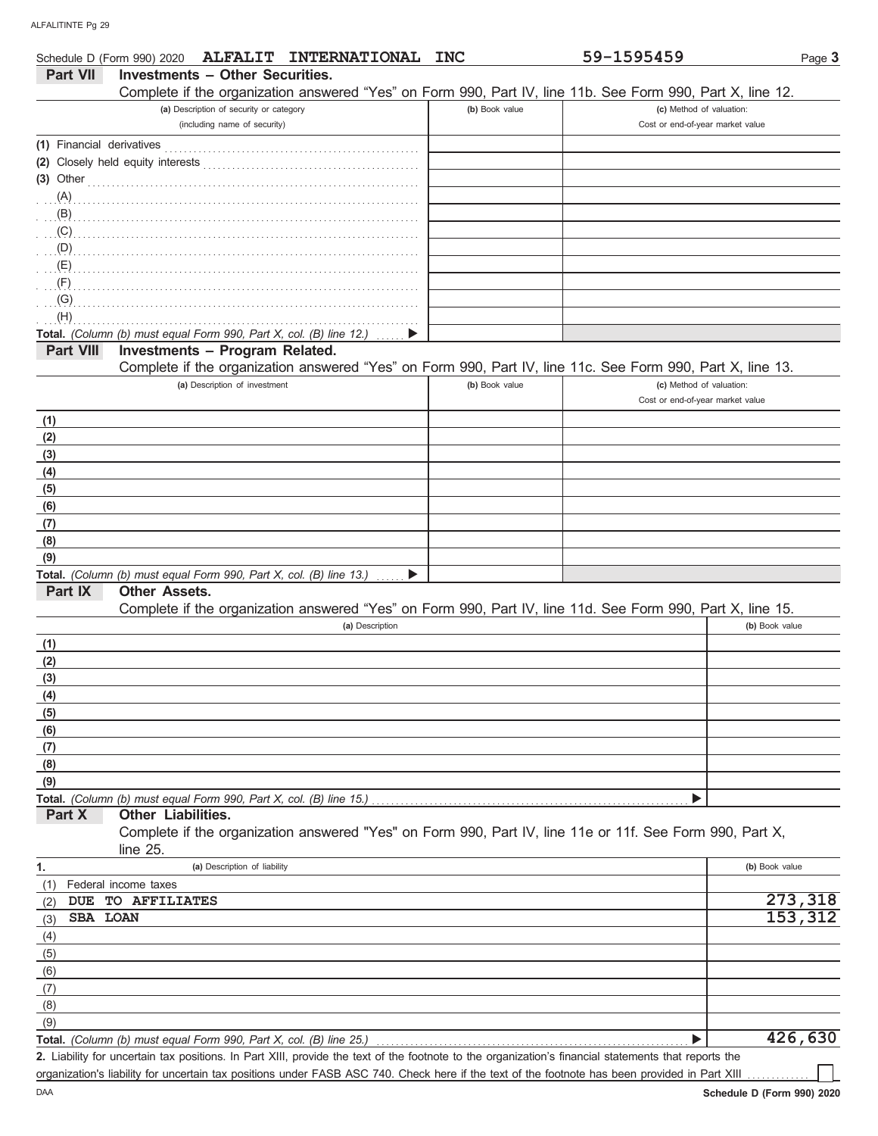| 59-1595459<br><b>Investments - Other Securities.</b><br><b>Part VII</b><br>Complete if the organization answered "Yes" on Form 990, Part IV, line 11b. See Form 990, Part X, line 12.<br>(a) Description of security or category<br>(b) Book value<br>(c) Method of valuation:<br>(including name of security)<br>Cost or end-of-year market value<br>(3) Other $\ldots$ $\ldots$ $\ldots$ $\ldots$ $\ldots$ $\ldots$<br>(A)<br>(B)<br>(C)<br>(D)<br>(E)<br>(F)<br>(G)<br>(H)<br>Total. (Column (b) must equal Form 990, Part X, col. (B) line 12.)<br>Investments - Program Related.<br><b>Part VIII</b><br>Complete if the organization answered "Yes" on Form 990, Part IV, line 11c. See Form 990, Part X, line 13.<br>(a) Description of investment<br>(b) Book value<br>(c) Method of valuation:<br>Cost or end-of-year market value<br>(1)<br>(2)<br>(3)<br>(4)<br>(5)<br>(6)<br>(7)<br>(8)<br>(9)<br>Total. (Column (b) must equal Form 990, Part X, col. (B) line 13.)<br>Part IX<br><b>Other Assets.</b><br>Complete if the organization answered "Yes" on Form 990, Part IV, line 11d. See Form 990, Part X, line 15. | Page 3                 |
|----------------------------------------------------------------------------------------------------------------------------------------------------------------------------------------------------------------------------------------------------------------------------------------------------------------------------------------------------------------------------------------------------------------------------------------------------------------------------------------------------------------------------------------------------------------------------------------------------------------------------------------------------------------------------------------------------------------------------------------------------------------------------------------------------------------------------------------------------------------------------------------------------------------------------------------------------------------------------------------------------------------------------------------------------------------------------------------------------------------------------------|------------------------|
|                                                                                                                                                                                                                                                                                                                                                                                                                                                                                                                                                                                                                                                                                                                                                                                                                                                                                                                                                                                                                                                                                                                                  |                        |
|                                                                                                                                                                                                                                                                                                                                                                                                                                                                                                                                                                                                                                                                                                                                                                                                                                                                                                                                                                                                                                                                                                                                  |                        |
|                                                                                                                                                                                                                                                                                                                                                                                                                                                                                                                                                                                                                                                                                                                                                                                                                                                                                                                                                                                                                                                                                                                                  |                        |
|                                                                                                                                                                                                                                                                                                                                                                                                                                                                                                                                                                                                                                                                                                                                                                                                                                                                                                                                                                                                                                                                                                                                  |                        |
|                                                                                                                                                                                                                                                                                                                                                                                                                                                                                                                                                                                                                                                                                                                                                                                                                                                                                                                                                                                                                                                                                                                                  |                        |
|                                                                                                                                                                                                                                                                                                                                                                                                                                                                                                                                                                                                                                                                                                                                                                                                                                                                                                                                                                                                                                                                                                                                  |                        |
|                                                                                                                                                                                                                                                                                                                                                                                                                                                                                                                                                                                                                                                                                                                                                                                                                                                                                                                                                                                                                                                                                                                                  |                        |
|                                                                                                                                                                                                                                                                                                                                                                                                                                                                                                                                                                                                                                                                                                                                                                                                                                                                                                                                                                                                                                                                                                                                  |                        |
|                                                                                                                                                                                                                                                                                                                                                                                                                                                                                                                                                                                                                                                                                                                                                                                                                                                                                                                                                                                                                                                                                                                                  |                        |
|                                                                                                                                                                                                                                                                                                                                                                                                                                                                                                                                                                                                                                                                                                                                                                                                                                                                                                                                                                                                                                                                                                                                  |                        |
|                                                                                                                                                                                                                                                                                                                                                                                                                                                                                                                                                                                                                                                                                                                                                                                                                                                                                                                                                                                                                                                                                                                                  |                        |
|                                                                                                                                                                                                                                                                                                                                                                                                                                                                                                                                                                                                                                                                                                                                                                                                                                                                                                                                                                                                                                                                                                                                  |                        |
|                                                                                                                                                                                                                                                                                                                                                                                                                                                                                                                                                                                                                                                                                                                                                                                                                                                                                                                                                                                                                                                                                                                                  |                        |
|                                                                                                                                                                                                                                                                                                                                                                                                                                                                                                                                                                                                                                                                                                                                                                                                                                                                                                                                                                                                                                                                                                                                  |                        |
|                                                                                                                                                                                                                                                                                                                                                                                                                                                                                                                                                                                                                                                                                                                                                                                                                                                                                                                                                                                                                                                                                                                                  |                        |
|                                                                                                                                                                                                                                                                                                                                                                                                                                                                                                                                                                                                                                                                                                                                                                                                                                                                                                                                                                                                                                                                                                                                  |                        |
|                                                                                                                                                                                                                                                                                                                                                                                                                                                                                                                                                                                                                                                                                                                                                                                                                                                                                                                                                                                                                                                                                                                                  |                        |
|                                                                                                                                                                                                                                                                                                                                                                                                                                                                                                                                                                                                                                                                                                                                                                                                                                                                                                                                                                                                                                                                                                                                  |                        |
|                                                                                                                                                                                                                                                                                                                                                                                                                                                                                                                                                                                                                                                                                                                                                                                                                                                                                                                                                                                                                                                                                                                                  |                        |
|                                                                                                                                                                                                                                                                                                                                                                                                                                                                                                                                                                                                                                                                                                                                                                                                                                                                                                                                                                                                                                                                                                                                  |                        |
|                                                                                                                                                                                                                                                                                                                                                                                                                                                                                                                                                                                                                                                                                                                                                                                                                                                                                                                                                                                                                                                                                                                                  |                        |
|                                                                                                                                                                                                                                                                                                                                                                                                                                                                                                                                                                                                                                                                                                                                                                                                                                                                                                                                                                                                                                                                                                                                  |                        |
|                                                                                                                                                                                                                                                                                                                                                                                                                                                                                                                                                                                                                                                                                                                                                                                                                                                                                                                                                                                                                                                                                                                                  |                        |
|                                                                                                                                                                                                                                                                                                                                                                                                                                                                                                                                                                                                                                                                                                                                                                                                                                                                                                                                                                                                                                                                                                                                  |                        |
|                                                                                                                                                                                                                                                                                                                                                                                                                                                                                                                                                                                                                                                                                                                                                                                                                                                                                                                                                                                                                                                                                                                                  |                        |
|                                                                                                                                                                                                                                                                                                                                                                                                                                                                                                                                                                                                                                                                                                                                                                                                                                                                                                                                                                                                                                                                                                                                  |                        |
|                                                                                                                                                                                                                                                                                                                                                                                                                                                                                                                                                                                                                                                                                                                                                                                                                                                                                                                                                                                                                                                                                                                                  |                        |
|                                                                                                                                                                                                                                                                                                                                                                                                                                                                                                                                                                                                                                                                                                                                                                                                                                                                                                                                                                                                                                                                                                                                  |                        |
|                                                                                                                                                                                                                                                                                                                                                                                                                                                                                                                                                                                                                                                                                                                                                                                                                                                                                                                                                                                                                                                                                                                                  |                        |
|                                                                                                                                                                                                                                                                                                                                                                                                                                                                                                                                                                                                                                                                                                                                                                                                                                                                                                                                                                                                                                                                                                                                  |                        |
|                                                                                                                                                                                                                                                                                                                                                                                                                                                                                                                                                                                                                                                                                                                                                                                                                                                                                                                                                                                                                                                                                                                                  |                        |
|                                                                                                                                                                                                                                                                                                                                                                                                                                                                                                                                                                                                                                                                                                                                                                                                                                                                                                                                                                                                                                                                                                                                  |                        |
| (a) Description<br>(b) Book value                                                                                                                                                                                                                                                                                                                                                                                                                                                                                                                                                                                                                                                                                                                                                                                                                                                                                                                                                                                                                                                                                                |                        |
| (1)                                                                                                                                                                                                                                                                                                                                                                                                                                                                                                                                                                                                                                                                                                                                                                                                                                                                                                                                                                                                                                                                                                                              |                        |
| (2)                                                                                                                                                                                                                                                                                                                                                                                                                                                                                                                                                                                                                                                                                                                                                                                                                                                                                                                                                                                                                                                                                                                              |                        |
| (3)                                                                                                                                                                                                                                                                                                                                                                                                                                                                                                                                                                                                                                                                                                                                                                                                                                                                                                                                                                                                                                                                                                                              |                        |
| (4)                                                                                                                                                                                                                                                                                                                                                                                                                                                                                                                                                                                                                                                                                                                                                                                                                                                                                                                                                                                                                                                                                                                              |                        |
| (5)                                                                                                                                                                                                                                                                                                                                                                                                                                                                                                                                                                                                                                                                                                                                                                                                                                                                                                                                                                                                                                                                                                                              |                        |
| (6)                                                                                                                                                                                                                                                                                                                                                                                                                                                                                                                                                                                                                                                                                                                                                                                                                                                                                                                                                                                                                                                                                                                              |                        |
| (7)                                                                                                                                                                                                                                                                                                                                                                                                                                                                                                                                                                                                                                                                                                                                                                                                                                                                                                                                                                                                                                                                                                                              |                        |
| (8)                                                                                                                                                                                                                                                                                                                                                                                                                                                                                                                                                                                                                                                                                                                                                                                                                                                                                                                                                                                                                                                                                                                              |                        |
| (9)<br>Total. (Column (b) must equal Form 990, Part X, col. (B) line 15.)                                                                                                                                                                                                                                                                                                                                                                                                                                                                                                                                                                                                                                                                                                                                                                                                                                                                                                                                                                                                                                                        |                        |
| <b>Other Liabilities.</b><br>Part X                                                                                                                                                                                                                                                                                                                                                                                                                                                                                                                                                                                                                                                                                                                                                                                                                                                                                                                                                                                                                                                                                              |                        |
| Complete if the organization answered "Yes" on Form 990, Part IV, line 11e or 11f. See Form 990, Part X,                                                                                                                                                                                                                                                                                                                                                                                                                                                                                                                                                                                                                                                                                                                                                                                                                                                                                                                                                                                                                         |                        |
| line 25.                                                                                                                                                                                                                                                                                                                                                                                                                                                                                                                                                                                                                                                                                                                                                                                                                                                                                                                                                                                                                                                                                                                         |                        |
| (a) Description of liability<br>(b) Book value<br>1.                                                                                                                                                                                                                                                                                                                                                                                                                                                                                                                                                                                                                                                                                                                                                                                                                                                                                                                                                                                                                                                                             |                        |
| (1)<br>Federal income taxes                                                                                                                                                                                                                                                                                                                                                                                                                                                                                                                                                                                                                                                                                                                                                                                                                                                                                                                                                                                                                                                                                                      |                        |
| TO AFFILIATES<br><b>DUE</b><br>(2)                                                                                                                                                                                                                                                                                                                                                                                                                                                                                                                                                                                                                                                                                                                                                                                                                                                                                                                                                                                                                                                                                               | 273,318                |
| SBA LOAN<br>(3)                                                                                                                                                                                                                                                                                                                                                                                                                                                                                                                                                                                                                                                                                                                                                                                                                                                                                                                                                                                                                                                                                                                  | 153,312                |
| (4)                                                                                                                                                                                                                                                                                                                                                                                                                                                                                                                                                                                                                                                                                                                                                                                                                                                                                                                                                                                                                                                                                                                              |                        |
| (5)                                                                                                                                                                                                                                                                                                                                                                                                                                                                                                                                                                                                                                                                                                                                                                                                                                                                                                                                                                                                                                                                                                                              |                        |
| (6)                                                                                                                                                                                                                                                                                                                                                                                                                                                                                                                                                                                                                                                                                                                                                                                                                                                                                                                                                                                                                                                                                                                              |                        |
| (7)                                                                                                                                                                                                                                                                                                                                                                                                                                                                                                                                                                                                                                                                                                                                                                                                                                                                                                                                                                                                                                                                                                                              |                        |
| (8)                                                                                                                                                                                                                                                                                                                                                                                                                                                                                                                                                                                                                                                                                                                                                                                                                                                                                                                                                                                                                                                                                                                              |                        |
| (9)                                                                                                                                                                                                                                                                                                                                                                                                                                                                                                                                                                                                                                                                                                                                                                                                                                                                                                                                                                                                                                                                                                                              |                        |
| Total. (Column (b) must equal Form 990, Part X, col. (B) line 25.)                                                                                                                                                                                                                                                                                                                                                                                                                                                                                                                                                                                                                                                                                                                                                                                                                                                                                                                                                                                                                                                               | $\overline{426}$ , 630 |

Liability for uncertain tax positions. In Part XIII, provide the text of the footnote to the organization's financial statements that reports the **2.** organization's liability for uncertain tax positions under FASB ASC 740. Check here if the text of the footnote has been provided in Part XIII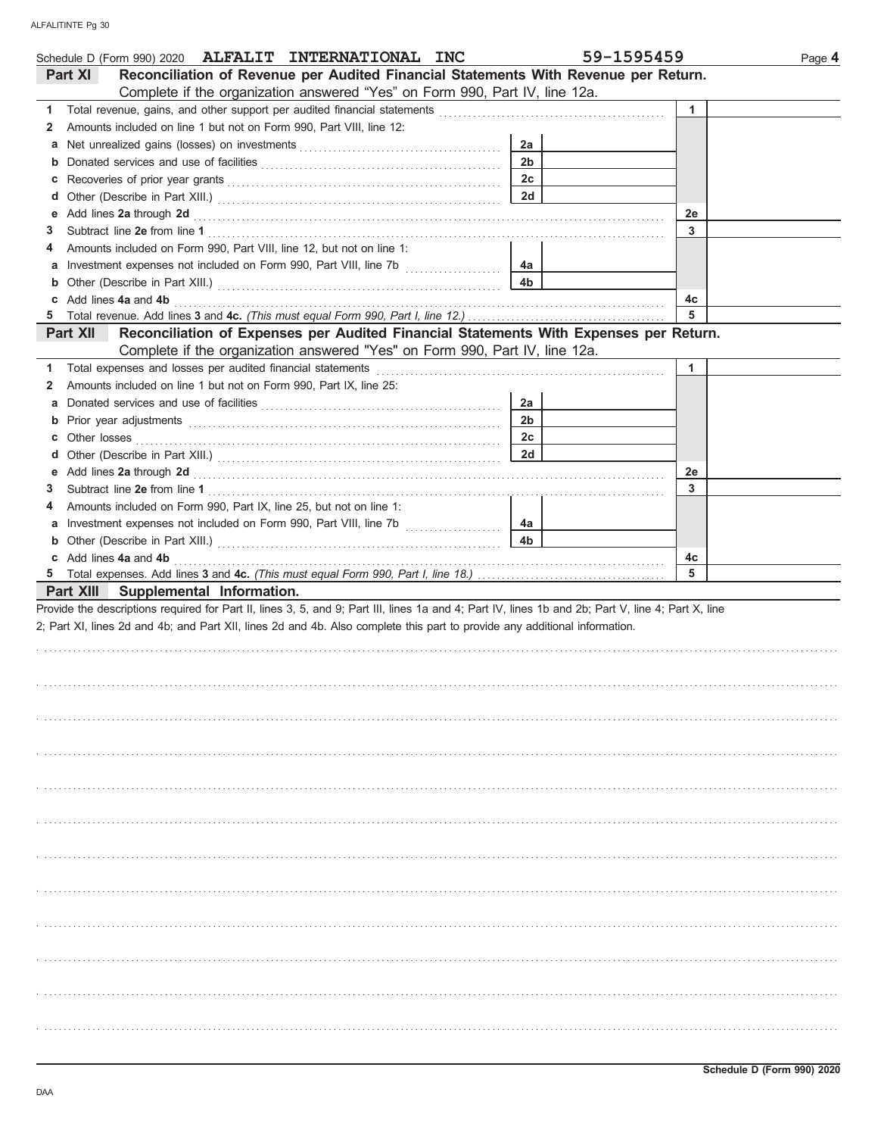| Schedule D (Form 990) 2020 ALFALIT INTERNATIONAL INC                                                                                                                                                                                    | 59-1595459     |              | Page 4 |
|-----------------------------------------------------------------------------------------------------------------------------------------------------------------------------------------------------------------------------------------|----------------|--------------|--------|
| Reconciliation of Revenue per Audited Financial Statements With Revenue per Return.<br>Part XI<br>Complete if the organization answered "Yes" on Form 990, Part IV, line 12a.                                                           |                |              |        |
| 1                                                                                                                                                                                                                                       |                | $\mathbf{1}$ |        |
| 2                                                                                                                                                                                                                                       |                |              |        |
| Amounts included on line 1 but not on Form 990, Part VIII, line 12:                                                                                                                                                                     |                |              |        |
|                                                                                                                                                                                                                                         | 2a             |              |        |
| b                                                                                                                                                                                                                                       | 2 <sub>b</sub> |              |        |
| С                                                                                                                                                                                                                                       | 2 <sub>c</sub> |              |        |
| d                                                                                                                                                                                                                                       | 2d             |              |        |
| Add lines 2a through 2d [11] All and the contract of the contract of the contract of the contract of the contract of the contract of the contract of the contract of the contract of the contract of the contract of the contr<br>е     |                | 2e           |        |
| 3                                                                                                                                                                                                                                       |                | 3            |        |
| Amounts included on Form 990, Part VIII, line 12, but not on line 1:<br>4                                                                                                                                                               |                |              |        |
| a Investment expenses not included on Form 990, Part VIII, line 7b                                                                                                                                                                      | 4a             |              |        |
|                                                                                                                                                                                                                                         | 4 <sub>b</sub> |              |        |
| c Add lines 4a and 4b                                                                                                                                                                                                                   |                | 4c           |        |
|                                                                                                                                                                                                                                         |                | 5            |        |
| Reconciliation of Expenses per Audited Financial Statements With Expenses per Return.<br><b>Part XII</b><br>Complete if the organization answered "Yes" on Form 990, Part IV, line 12a.                                                 |                |              |        |
| 1                                                                                                                                                                                                                                       |                | 1            |        |
| Amounts included on line 1 but not on Form 990, Part IX, line 25:<br>2                                                                                                                                                                  |                |              |        |
|                                                                                                                                                                                                                                         | 2a             |              |        |
| b                                                                                                                                                                                                                                       | 2 <sub>b</sub> |              |        |
| Other losses <b>contracts on the contract of the contract of the contract of the contract of the contract of the contract of the contract of the contract of the contract of the contract of the contract of the contract of t</b><br>c | 2c             |              |        |
| d                                                                                                                                                                                                                                       | 2d             |              |        |
|                                                                                                                                                                                                                                         |                | 2e           |        |
| 3                                                                                                                                                                                                                                       |                | 3            |        |
| Amounts included on Form 990, Part IX, line 25, but not on line 1:<br>4                                                                                                                                                                 |                |              |        |
|                                                                                                                                                                                                                                         | 4a             |              |        |
|                                                                                                                                                                                                                                         | 4 <sub>b</sub> |              |        |
| c Add lines 4a and 4b                                                                                                                                                                                                                   |                | 4c           |        |
|                                                                                                                                                                                                                                         |                | 5            |        |
| Part XIII Supplemental Information.                                                                                                                                                                                                     |                |              |        |
| Provide the descriptions required for Part II, lines 3, 5, and 9; Part III, lines 1a and 4; Part IV, lines 1b and 2b; Part V, line 4; Part X, line                                                                                      |                |              |        |
| 2; Part XI, lines 2d and 4b; and Part XII, lines 2d and 4b. Also complete this part to provide any additional information.                                                                                                              |                |              |        |
|                                                                                                                                                                                                                                         |                |              |        |
|                                                                                                                                                                                                                                         |                |              |        |
|                                                                                                                                                                                                                                         |                |              |        |
|                                                                                                                                                                                                                                         |                |              |        |
|                                                                                                                                                                                                                                         |                |              |        |
|                                                                                                                                                                                                                                         |                |              |        |
|                                                                                                                                                                                                                                         |                |              |        |
|                                                                                                                                                                                                                                         |                |              |        |
|                                                                                                                                                                                                                                         |                |              |        |
|                                                                                                                                                                                                                                         |                |              |        |
|                                                                                                                                                                                                                                         |                |              |        |
|                                                                                                                                                                                                                                         |                |              |        |
|                                                                                                                                                                                                                                         |                |              |        |
|                                                                                                                                                                                                                                         |                |              |        |
|                                                                                                                                                                                                                                         |                |              |        |
|                                                                                                                                                                                                                                         |                |              |        |
|                                                                                                                                                                                                                                         |                |              |        |
|                                                                                                                                                                                                                                         |                |              |        |
|                                                                                                                                                                                                                                         |                |              |        |
|                                                                                                                                                                                                                                         |                |              |        |
|                                                                                                                                                                                                                                         |                |              |        |
|                                                                                                                                                                                                                                         |                |              |        |
|                                                                                                                                                                                                                                         |                |              |        |
|                                                                                                                                                                                                                                         |                |              |        |
|                                                                                                                                                                                                                                         |                |              |        |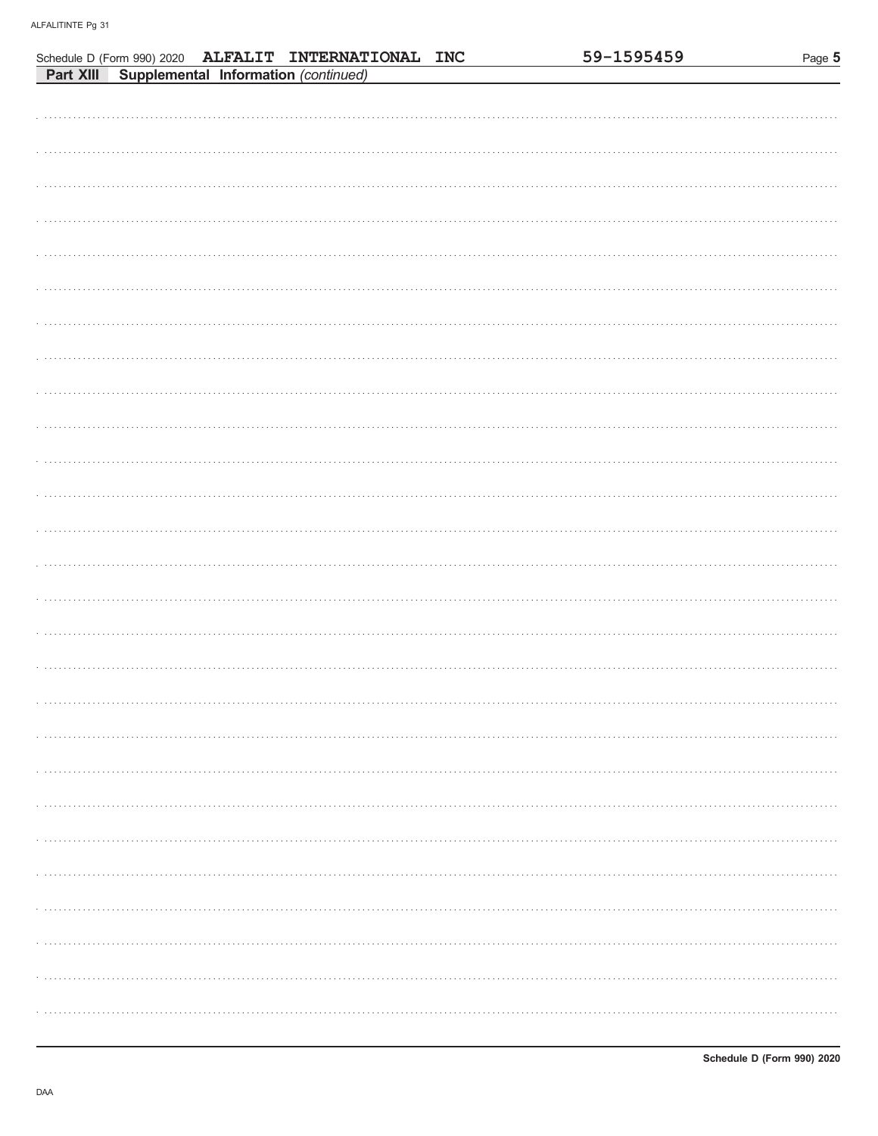|  |                                                                                                        | 59-1595459 | Page 5 |
|--|--------------------------------------------------------------------------------------------------------|------------|--------|
|  | Schedule D (Form 990) 2020 ALFALIT INTERNATIONAL INC<br>Part XIII Supplemental Information (continued) |            |        |
|  |                                                                                                        |            |        |
|  |                                                                                                        |            |        |
|  |                                                                                                        |            |        |
|  |                                                                                                        |            |        |
|  |                                                                                                        |            |        |
|  |                                                                                                        |            |        |
|  |                                                                                                        |            |        |
|  |                                                                                                        |            |        |
|  |                                                                                                        |            |        |
|  |                                                                                                        |            |        |
|  |                                                                                                        |            |        |
|  |                                                                                                        |            |        |
|  |                                                                                                        |            |        |
|  |                                                                                                        |            |        |
|  |                                                                                                        |            |        |
|  |                                                                                                        |            |        |
|  |                                                                                                        |            |        |
|  |                                                                                                        |            |        |
|  |                                                                                                        |            |        |
|  |                                                                                                        |            |        |
|  |                                                                                                        |            |        |
|  |                                                                                                        |            |        |
|  |                                                                                                        |            |        |
|  |                                                                                                        |            |        |
|  |                                                                                                        |            |        |
|  |                                                                                                        |            |        |
|  |                                                                                                        |            |        |
|  |                                                                                                        |            |        |
|  |                                                                                                        |            |        |
|  |                                                                                                        |            |        |
|  |                                                                                                        |            |        |
|  |                                                                                                        |            |        |
|  |                                                                                                        |            |        |
|  |                                                                                                        |            |        |
|  |                                                                                                        |            |        |
|  |                                                                                                        |            |        |
|  |                                                                                                        |            |        |
|  |                                                                                                        |            |        |
|  |                                                                                                        |            |        |
|  |                                                                                                        |            |        |
|  |                                                                                                        |            |        |
|  |                                                                                                        |            |        |
|  |                                                                                                        |            |        |
|  |                                                                                                        |            |        |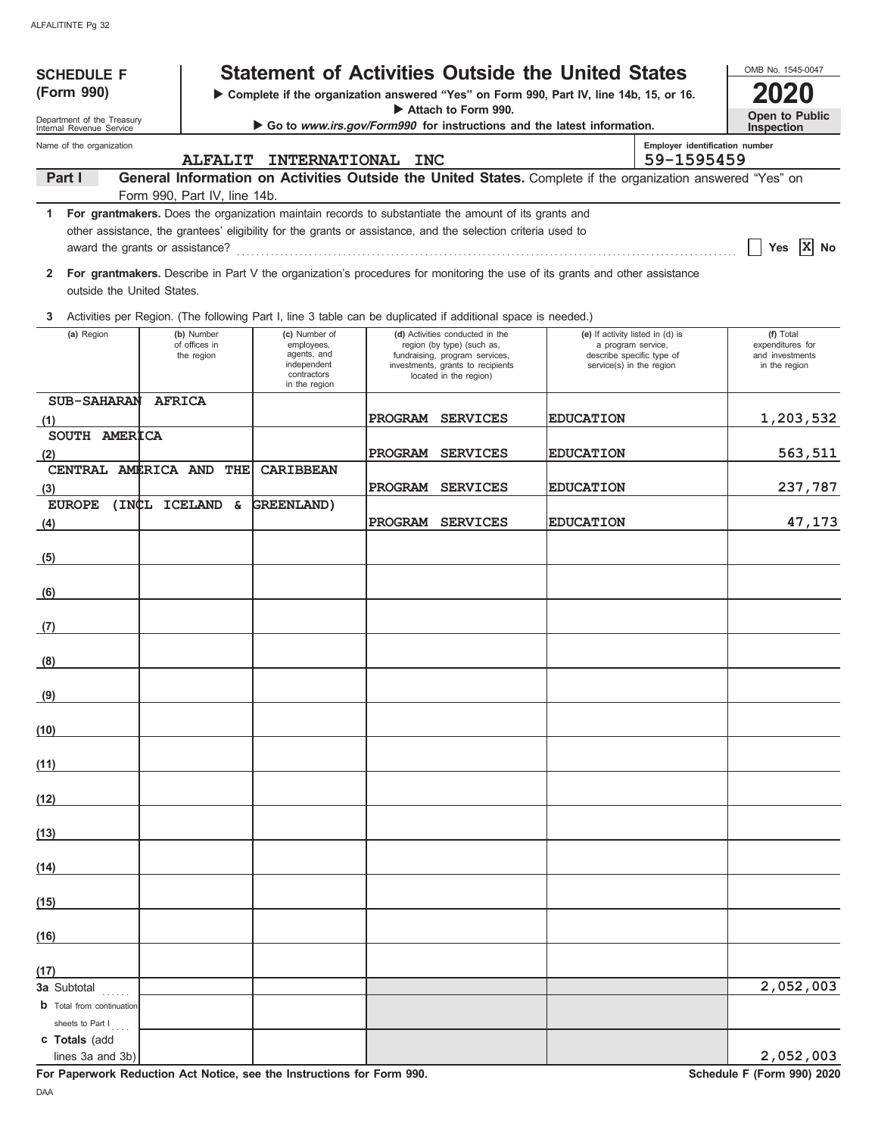| <b>SCHEDULE F</b>                                      |               |                                           |                                                                                                                                                                                                                      |            |                                                                                                                                                                | <b>Statement of Activities Outside the United States</b>                                                                    |                                              | OMB No. 1545-0047                                                 |
|--------------------------------------------------------|---------------|-------------------------------------------|----------------------------------------------------------------------------------------------------------------------------------------------------------------------------------------------------------------------|------------|----------------------------------------------------------------------------------------------------------------------------------------------------------------|-----------------------------------------------------------------------------------------------------------------------------|----------------------------------------------|-------------------------------------------------------------------|
| (Form 990)                                             |               |                                           |                                                                                                                                                                                                                      |            |                                                                                                                                                                | Complete if the organization answered "Yes" on Form 990, Part IV, line 14b, 15, or 16.                                      |                                              |                                                                   |
| Department of the Treasury<br>Internal Revenue Service |               |                                           |                                                                                                                                                                                                                      |            | Attach to Form 990.                                                                                                                                            | Go to www.irs.gov/Form990 for instructions and the latest information.                                                      |                                              | Open to Public<br>Inspection                                      |
| Name of the organization                               |               | <b>ALFALIT</b>                            | <b>INTERNATIONAL</b>                                                                                                                                                                                                 | <b>INC</b> |                                                                                                                                                                |                                                                                                                             | Employer identification number<br>59-1595459 |                                                                   |
| Part I                                                 |               |                                           |                                                                                                                                                                                                                      |            |                                                                                                                                                                | General Information on Activities Outside the United States. Complete if the organization answered "Yes" on                 |                                              |                                                                   |
| 1                                                      |               | Form 990, Part IV, line 14b.              | For grantmakers. Does the organization maintain records to substantiate the amount of its grants and<br>other assistance, the grantees' eligibility for the grants or assistance, and the selection criteria used to |            |                                                                                                                                                                |                                                                                                                             |                                              | $ X $ No<br>Yes                                                   |
| $\mathbf{2}$<br>outside the United States.             |               |                                           |                                                                                                                                                                                                                      |            |                                                                                                                                                                | For grantmakers. Describe in Part V the organization's procedures for monitoring the use of its grants and other assistance |                                              |                                                                   |
| 3                                                      |               |                                           | Activities per Region. (The following Part I, line 3 table can be duplicated if additional space is needed.)                                                                                                         |            |                                                                                                                                                                |                                                                                                                             |                                              |                                                                   |
| (a) Region                                             |               | (b) Number<br>of offices in<br>the region | (c) Number of<br>employees,<br>agents, and<br>independent<br>contractors<br>in the region                                                                                                                            |            | (d) Activities conducted in the<br>region (by type) (such as,<br>fundraising, program services,<br>investments, grants to recipients<br>located in the region) | (e) If activity listed in (d) is<br>a program service,<br>describe specific type of<br>service(s) in the region             |                                              | (f) Total<br>expenditures for<br>and investments<br>in the region |
| <b>SUB-SAHARAN</b><br>(1)                              | <b>AFRICA</b> |                                           |                                                                                                                                                                                                                      | PROGRAM    | <b>SERVICES</b>                                                                                                                                                | <b>EDUCATION</b>                                                                                                            |                                              | 1,203,532                                                         |
| SOUTH AMERICA<br>(2)                                   |               |                                           |                                                                                                                                                                                                                      |            | PROGRAM SERVICES                                                                                                                                               | <b>EDUCATION</b>                                                                                                            |                                              | 563,511                                                           |
| CENTRAL AMERICA AND THE<br>(3)                         |               |                                           | <b>CARIBBEAN</b>                                                                                                                                                                                                     |            | PROGRAM SERVICES                                                                                                                                               | <b>EDUCATION</b>                                                                                                            |                                              | 237,787                                                           |
| EUROPE (INCL ICELAND &                                 |               |                                           | GREENLAND)                                                                                                                                                                                                           |            |                                                                                                                                                                |                                                                                                                             |                                              |                                                                   |
| (4)                                                    |               |                                           |                                                                                                                                                                                                                      |            | PROGRAM SERVICES                                                                                                                                               | <b>EDUCATION</b>                                                                                                            |                                              | 47,173                                                            |
| (5)                                                    |               |                                           |                                                                                                                                                                                                                      |            |                                                                                                                                                                |                                                                                                                             |                                              |                                                                   |
| (6)                                                    |               |                                           |                                                                                                                                                                                                                      |            |                                                                                                                                                                |                                                                                                                             |                                              |                                                                   |
| (7)                                                    |               |                                           |                                                                                                                                                                                                                      |            |                                                                                                                                                                |                                                                                                                             |                                              |                                                                   |
| (8)                                                    |               |                                           |                                                                                                                                                                                                                      |            |                                                                                                                                                                |                                                                                                                             |                                              |                                                                   |
| (9)                                                    |               |                                           |                                                                                                                                                                                                                      |            |                                                                                                                                                                |                                                                                                                             |                                              |                                                                   |
| (10)                                                   |               |                                           |                                                                                                                                                                                                                      |            |                                                                                                                                                                |                                                                                                                             |                                              |                                                                   |
| (11)                                                   |               |                                           |                                                                                                                                                                                                                      |            |                                                                                                                                                                |                                                                                                                             |                                              |                                                                   |
| (12)                                                   |               |                                           |                                                                                                                                                                                                                      |            |                                                                                                                                                                |                                                                                                                             |                                              |                                                                   |
| (13)                                                   |               |                                           |                                                                                                                                                                                                                      |            |                                                                                                                                                                |                                                                                                                             |                                              |                                                                   |
| (14)                                                   |               |                                           |                                                                                                                                                                                                                      |            |                                                                                                                                                                |                                                                                                                             |                                              |                                                                   |
| (15)                                                   |               |                                           |                                                                                                                                                                                                                      |            |                                                                                                                                                                |                                                                                                                             |                                              |                                                                   |
| (16)                                                   |               |                                           |                                                                                                                                                                                                                      |            |                                                                                                                                                                |                                                                                                                             |                                              |                                                                   |
| (17)                                                   |               |                                           |                                                                                                                                                                                                                      |            |                                                                                                                                                                |                                                                                                                             |                                              |                                                                   |
| 3a Subtotal                                            |               |                                           |                                                                                                                                                                                                                      |            |                                                                                                                                                                |                                                                                                                             |                                              | 2,052,003                                                         |
| <b>b</b> Total from continuation<br>sheets to Part I   |               |                                           |                                                                                                                                                                                                                      |            |                                                                                                                                                                |                                                                                                                             |                                              |                                                                   |
| c Totals (add<br>lines 3a and 3b)                      |               |                                           |                                                                                                                                                                                                                      |            |                                                                                                                                                                |                                                                                                                             |                                              | 2,052,003                                                         |

**For Paperwork Reduction Act Notice, see the Instructions for Form 990.** Schedule F (Form 990) 2020 DAA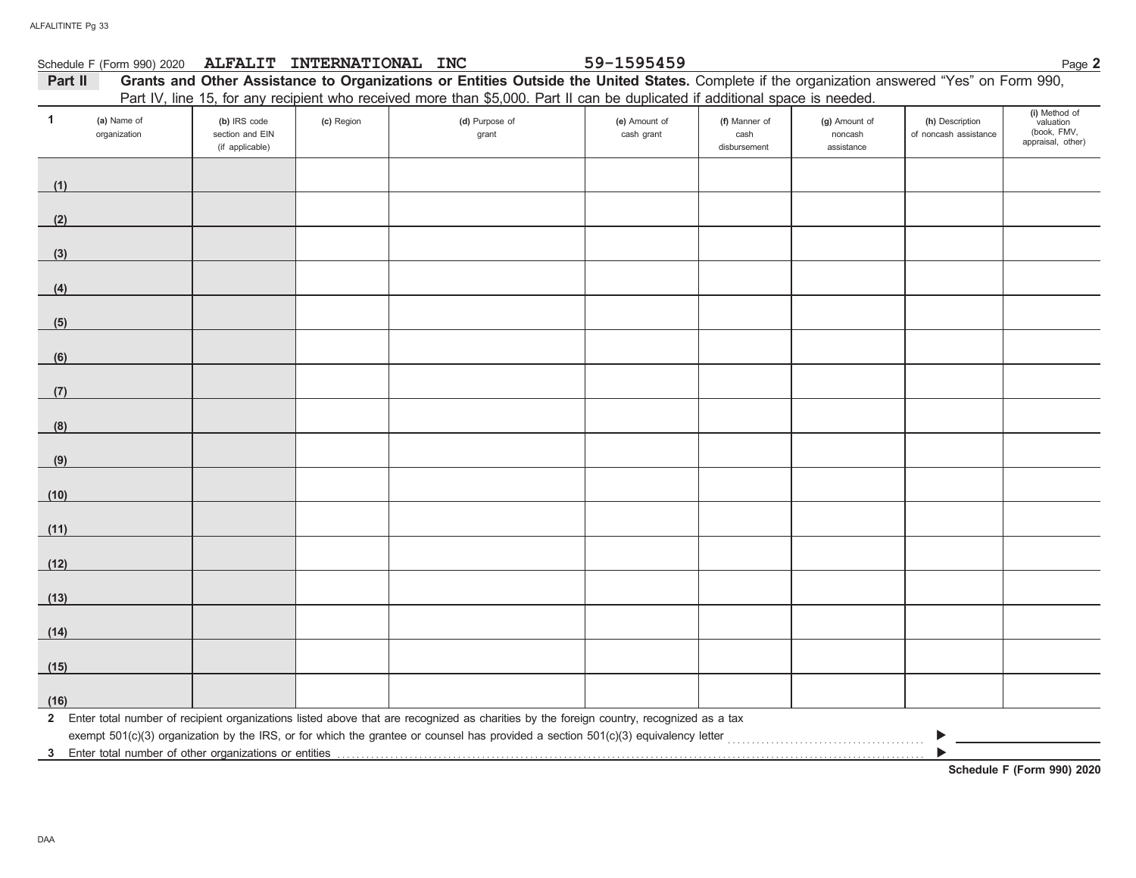|         | Schedule F (Form 990) 2020  | <b>ALFALIT</b>                                     | <b>INTERNATIONAL</b> | <b>INC</b>                                                                                                                                   | 59-1595459                  |                                       |                                        |                                          | Page 2                                                         |
|---------|-----------------------------|----------------------------------------------------|----------------------|----------------------------------------------------------------------------------------------------------------------------------------------|-----------------------------|---------------------------------------|----------------------------------------|------------------------------------------|----------------------------------------------------------------|
| Part II |                             |                                                    |                      | Grants and Other Assistance to Organizations or Entities Outside the United States. Complete if the organization answered "Yes" on Form 990, |                             |                                       |                                        |                                          |                                                                |
|         |                             |                                                    |                      | Part IV, line 15, for any recipient who received more than \$5,000. Part II can be duplicated if additional space is needed.                 |                             |                                       |                                        |                                          |                                                                |
|         | (a) Name of<br>organization | (b) IRS code<br>section and EIN<br>(if applicable) | (c) Region           | (d) Purpose of<br>grant                                                                                                                      | (e) Amount of<br>cash grant | (f) Manner of<br>cash<br>disbursement | (g) Amount of<br>noncash<br>assistance | (h) Description<br>of noncash assistance | (i) Method of<br>valuation<br>(book, FMV,<br>appraisal, other) |

| (1)  |  |                                                                                                                                           |  |   |  |
|------|--|-------------------------------------------------------------------------------------------------------------------------------------------|--|---|--|
| (2)  |  |                                                                                                                                           |  |   |  |
|      |  |                                                                                                                                           |  |   |  |
| (3)  |  |                                                                                                                                           |  |   |  |
| (4)  |  |                                                                                                                                           |  |   |  |
| (5)  |  |                                                                                                                                           |  |   |  |
| (6)  |  |                                                                                                                                           |  |   |  |
| (7)  |  |                                                                                                                                           |  |   |  |
| (8)  |  |                                                                                                                                           |  |   |  |
| (9)  |  |                                                                                                                                           |  |   |  |
| (10) |  |                                                                                                                                           |  |   |  |
| (11) |  |                                                                                                                                           |  |   |  |
| (12) |  |                                                                                                                                           |  |   |  |
| (13) |  |                                                                                                                                           |  |   |  |
| (14) |  |                                                                                                                                           |  |   |  |
| (15) |  |                                                                                                                                           |  |   |  |
| (16) |  |                                                                                                                                           |  |   |  |
|      |  | 2 Enter total number of recipient organizations listed above that are recognized as charities by the foreign country, recognized as a tax |  |   |  |
|      |  | exempt 501(c)(3) organization by the IRS, or for which the grantee or counsel has provided a section 501(c)(3) equivalency letter         |  | ▶ |  |

3 Enter total number of other organizations or entities with the content to conserve the content of the conserver of other organizations or entities with the conserver the conserver of the conserver of the conserver of the

**Schedule F (Form 990) 2020**

▶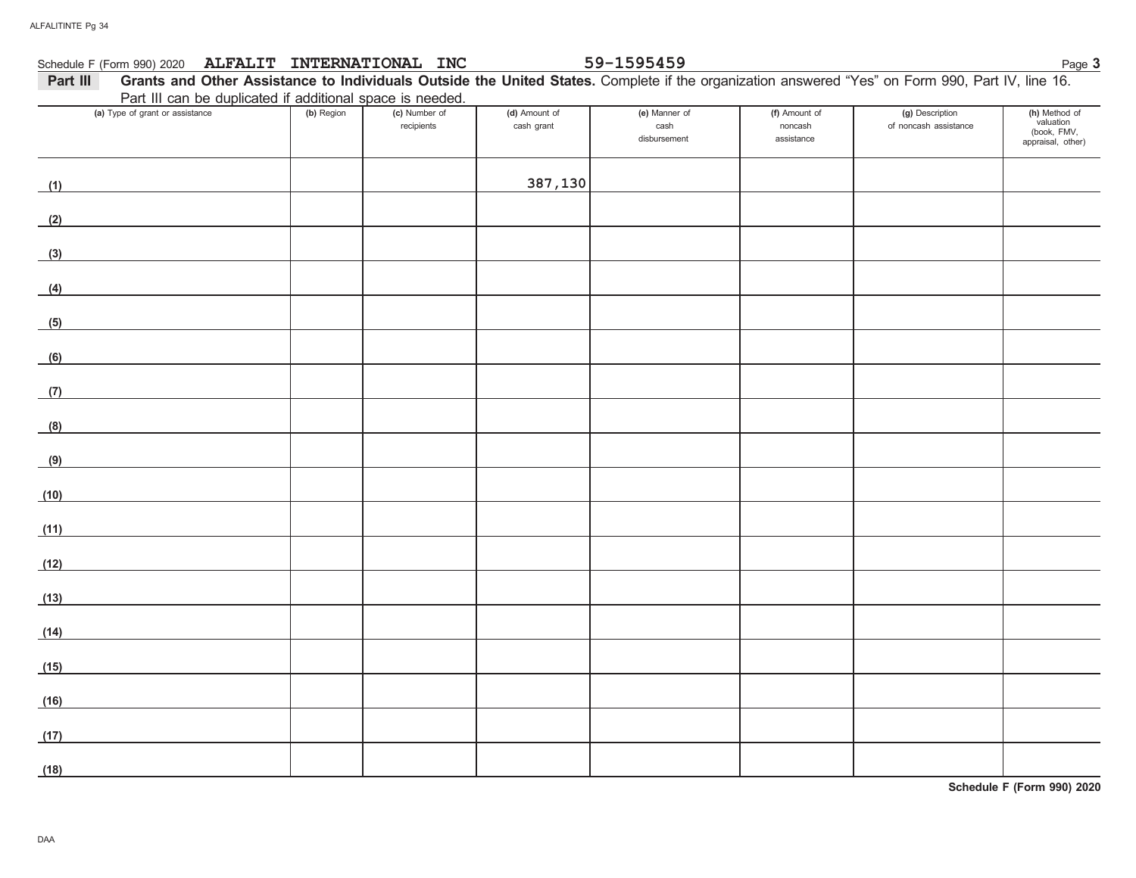#### Schedule F (Form 990) 2020 Page **3 ALFALIT INTERNATIONAL INC 59-1595459**

### 59-1595459

| Part III                                                  | Grants and Other Assistance to Individuals Outside the United States. Complete if the organization answered "Yes" on Form 990, Part IV, line 16. |            |               |               |               |               |                 |               |  |  |
|-----------------------------------------------------------|--------------------------------------------------------------------------------------------------------------------------------------------------|------------|---------------|---------------|---------------|---------------|-----------------|---------------|--|--|
| Part III can be duplicated if additional space is needed. |                                                                                                                                                  |            |               |               |               |               |                 |               |  |  |
|                                                           | (a) Type of grant or assistance                                                                                                                  | (b) Region | (c) Number of | (d) Amount of | (e) Manner of | (f) Amount of | (g) Description | (h) Method of |  |  |

| (a) Type of grant or assistance | <b>(b)</b> Region | (c) Number of<br>recipients | (d) Amount of<br>cash grant | (e) Manner of<br>cash<br>disbursement | (f) Amount of<br>noncash<br>assistance | (g) Description<br>of noncash assistance | (h) Method of<br>valuation<br>(book, FMV,<br>appraisal, other) |
|---------------------------------|-------------------|-----------------------------|-----------------------------|---------------------------------------|----------------------------------------|------------------------------------------|----------------------------------------------------------------|
| (1)                             |                   |                             | 387,130                     |                                       |                                        |                                          |                                                                |
| (2)                             |                   |                             |                             |                                       |                                        |                                          |                                                                |
| (3)                             |                   |                             |                             |                                       |                                        |                                          |                                                                |
| (4)                             |                   |                             |                             |                                       |                                        |                                          |                                                                |
| (5)                             |                   |                             |                             |                                       |                                        |                                          |                                                                |
| (6)                             |                   |                             |                             |                                       |                                        |                                          |                                                                |
| (7)                             |                   |                             |                             |                                       |                                        |                                          |                                                                |
| (8)                             |                   |                             |                             |                                       |                                        |                                          |                                                                |
| (9)                             |                   |                             |                             |                                       |                                        |                                          |                                                                |
| (10)                            |                   |                             |                             |                                       |                                        |                                          |                                                                |
| (11)                            |                   |                             |                             |                                       |                                        |                                          |                                                                |
| (12)                            |                   |                             |                             |                                       |                                        |                                          |                                                                |
| (13)                            |                   |                             |                             |                                       |                                        |                                          |                                                                |
| (14)                            |                   |                             |                             |                                       |                                        |                                          |                                                                |
| (15)                            |                   |                             |                             |                                       |                                        |                                          |                                                                |
| (16)                            |                   |                             |                             |                                       |                                        |                                          |                                                                |
| (17)                            |                   |                             |                             |                                       |                                        |                                          |                                                                |
| (18)                            |                   |                             |                             |                                       |                                        |                                          |                                                                |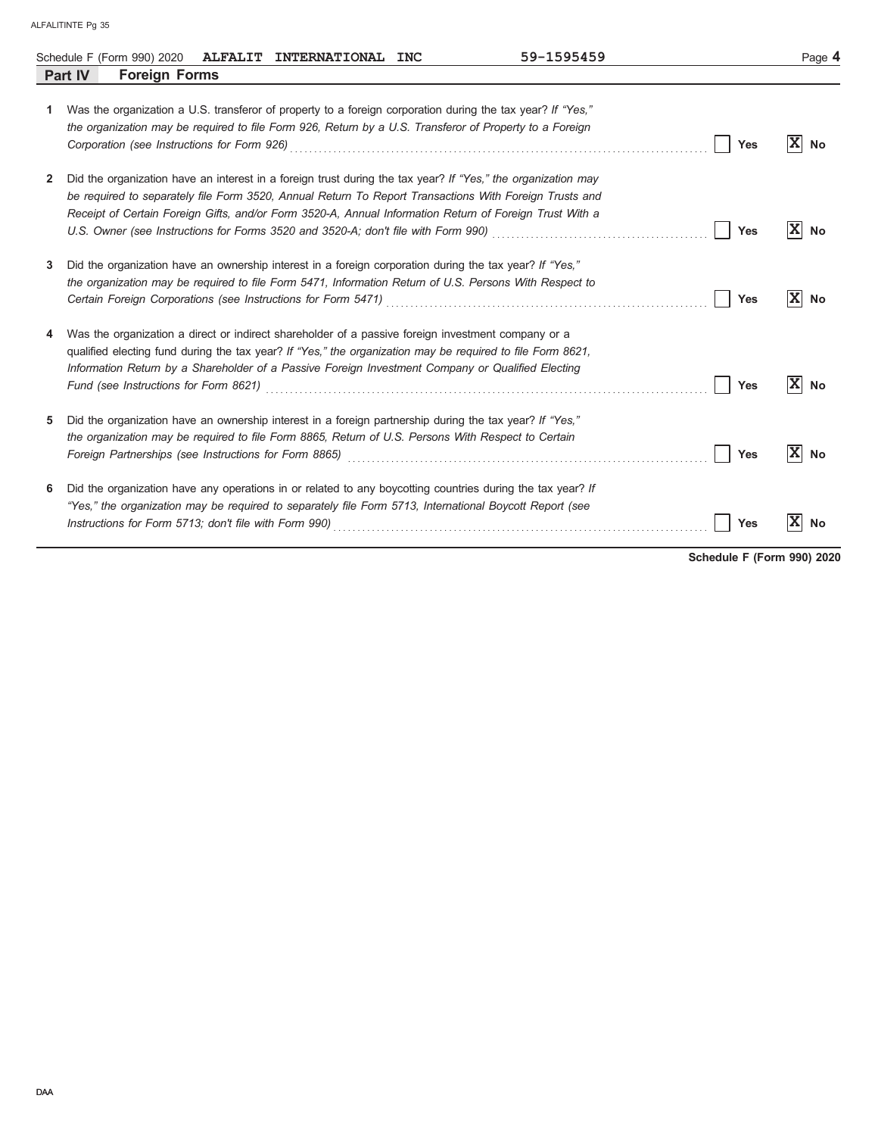|    | 59-1595459<br>Schedule F (Form 990) 2020 ALFALIT INTERNATIONAL INC                                                                                                                                                                                                                                                                 |            | Page 4               |
|----|------------------------------------------------------------------------------------------------------------------------------------------------------------------------------------------------------------------------------------------------------------------------------------------------------------------------------------|------------|----------------------|
|    | <b>Foreign Forms</b><br>Part IV                                                                                                                                                                                                                                                                                                    |            |                      |
| 1. | Was the organization a U.S. transferor of property to a foreign corporation during the tax year? If "Yes,"<br>the organization may be required to file Form 926, Return by a U.S. Transferor of Property to a Foreign                                                                                                              | <b>Yes</b> | $ \mathbf{x} $<br>No |
| 2  | Did the organization have an interest in a foreign trust during the tax year? If "Yes," the organization may<br>be required to separately file Form 3520, Annual Return To Report Transactions With Foreign Trusts and<br>Receipt of Certain Foreign Gifts, and/or Form 3520-A, Annual Information Return of Foreign Trust With a  | Yes        | $ X $ No             |
| 3  | Did the organization have an ownership interest in a foreign corporation during the tax year? If "Yes."<br>the organization may be required to file Form 5471, Information Return of U.S. Persons With Respect to<br>Certain Foreign Corporations (see Instructions for Form 5471) [2010] [2010] [2010] [2010] [2010] [2010] [2010 | Yes        | $ X $ No             |
| 4  | Was the organization a direct or indirect shareholder of a passive foreign investment company or a<br>qualified electing fund during the tax year? If "Yes," the organization may be required to file Form 8621,<br>Information Return by a Shareholder of a Passive Foreign Investment Company or Qualified Electing              | Yes        | $ X $ No             |
| 5  | Did the organization have an ownership interest in a foreign partnership during the tax year? If "Yes,"<br>the organization may be required to file Form 8865, Return of U.S. Persons With Respect to Certain                                                                                                                      | <b>Yes</b> | xl<br>No             |
| 6  | Did the organization have any operations in or related to any boycotting countries during the tax year? If<br>"Yes," the organization may be required to separately file Form 5713, International Boycott Report (see                                                                                                              | <b>Yes</b> | $\mathbf{x}$<br>No   |

**Schedule F (Form 990) 2020**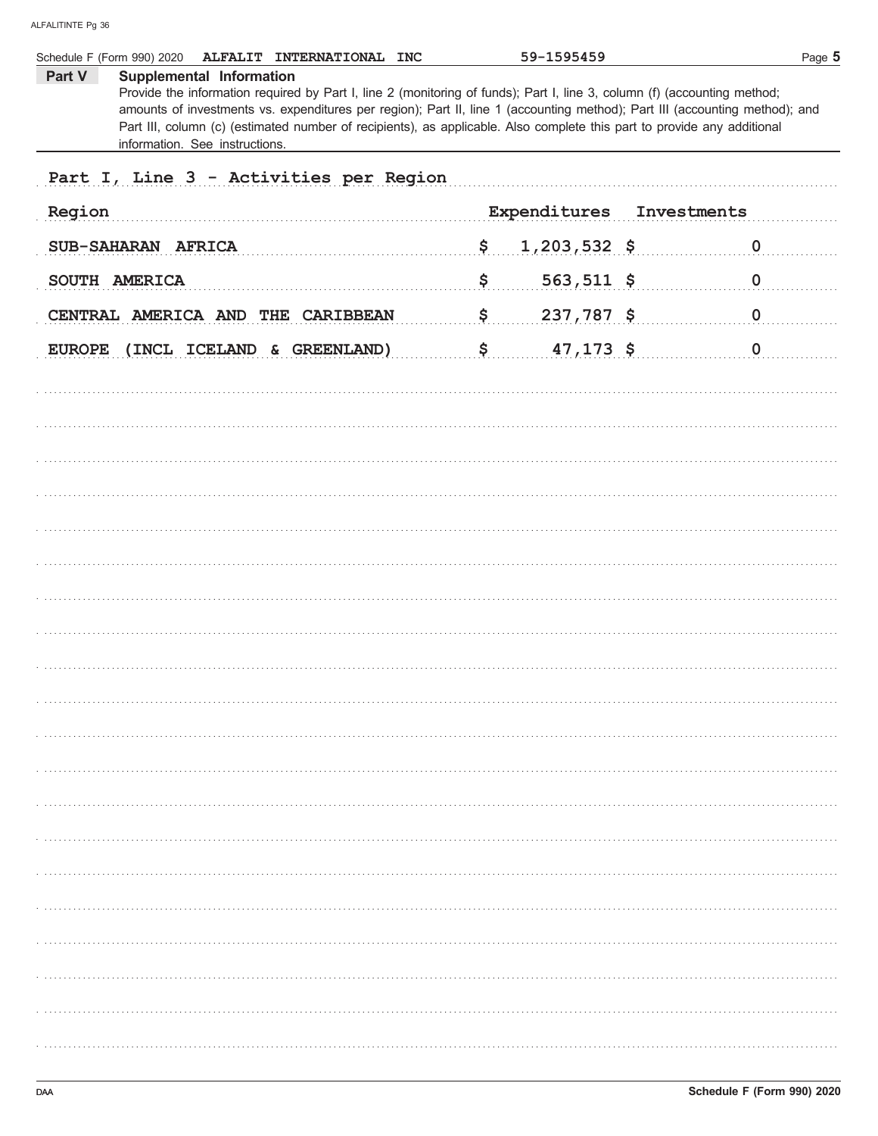|        | Schedule F (Form 990) 2020<br>ALFALIT INTERNATIONAL INC                                                                                                                                                                                                                                                                                                                                                                                          | 59-1595459           |             | Page 5      |
|--------|--------------------------------------------------------------------------------------------------------------------------------------------------------------------------------------------------------------------------------------------------------------------------------------------------------------------------------------------------------------------------------------------------------------------------------------------------|----------------------|-------------|-------------|
| Part V | Supplemental Information<br>Provide the information required by Part I, line 2 (monitoring of funds); Part I, line 3, column (f) (accounting method;<br>amounts of investments vs. expenditures per region); Part II, line 1 (accounting method); Part III (accounting method); and<br>Part III, column (c) (estimated number of recipients), as applicable. Also complete this part to provide any additional<br>information. See instructions. |                      |             |             |
|        | Part I, Line 3 - Activities per Region                                                                                                                                                                                                                                                                                                                                                                                                           |                      |             |             |
| Region |                                                                                                                                                                                                                                                                                                                                                                                                                                                  | Expenditures         | Investments |             |
|        | SUB-SAHARAN AFRICA                                                                                                                                                                                                                                                                                                                                                                                                                               | \$<br>$1,203,532$ \$ |             | $\mathbf 0$ |
|        | SOUTH AMERICA                                                                                                                                                                                                                                                                                                                                                                                                                                    | \$<br>$563,511$ \$   |             | $\mathbf 0$ |
|        | CENTRAL AMERICA AND THE CARIBBEAN                                                                                                                                                                                                                                                                                                                                                                                                                | \$<br>237,787 \$     |             | $\mathbf 0$ |
|        | EUROPE (INCL ICELAND & GREENLAND)                                                                                                                                                                                                                                                                                                                                                                                                                | \$<br>$47,173$ \$    |             | $\mathbf 0$ |
|        |                                                                                                                                                                                                                                                                                                                                                                                                                                                  |                      |             |             |
|        |                                                                                                                                                                                                                                                                                                                                                                                                                                                  |                      |             |             |
|        |                                                                                                                                                                                                                                                                                                                                                                                                                                                  |                      |             |             |
|        |                                                                                                                                                                                                                                                                                                                                                                                                                                                  |                      |             |             |
|        |                                                                                                                                                                                                                                                                                                                                                                                                                                                  |                      |             |             |
|        |                                                                                                                                                                                                                                                                                                                                                                                                                                                  |                      |             |             |
|        |                                                                                                                                                                                                                                                                                                                                                                                                                                                  |                      |             |             |
|        |                                                                                                                                                                                                                                                                                                                                                                                                                                                  |                      |             |             |
|        |                                                                                                                                                                                                                                                                                                                                                                                                                                                  |                      |             |             |
|        |                                                                                                                                                                                                                                                                                                                                                                                                                                                  |                      |             |             |
|        |                                                                                                                                                                                                                                                                                                                                                                                                                                                  |                      |             |             |
|        |                                                                                                                                                                                                                                                                                                                                                                                                                                                  |                      |             |             |
|        |                                                                                                                                                                                                                                                                                                                                                                                                                                                  |                      |             |             |
|        |                                                                                                                                                                                                                                                                                                                                                                                                                                                  |                      |             |             |
|        |                                                                                                                                                                                                                                                                                                                                                                                                                                                  |                      |             |             |
|        |                                                                                                                                                                                                                                                                                                                                                                                                                                                  |                      |             |             |
|        |                                                                                                                                                                                                                                                                                                                                                                                                                                                  |                      |             |             |
|        |                                                                                                                                                                                                                                                                                                                                                                                                                                                  |                      |             |             |
|        |                                                                                                                                                                                                                                                                                                                                                                                                                                                  |                      |             |             |
|        |                                                                                                                                                                                                                                                                                                                                                                                                                                                  |                      |             |             |
|        |                                                                                                                                                                                                                                                                                                                                                                                                                                                  |                      |             |             |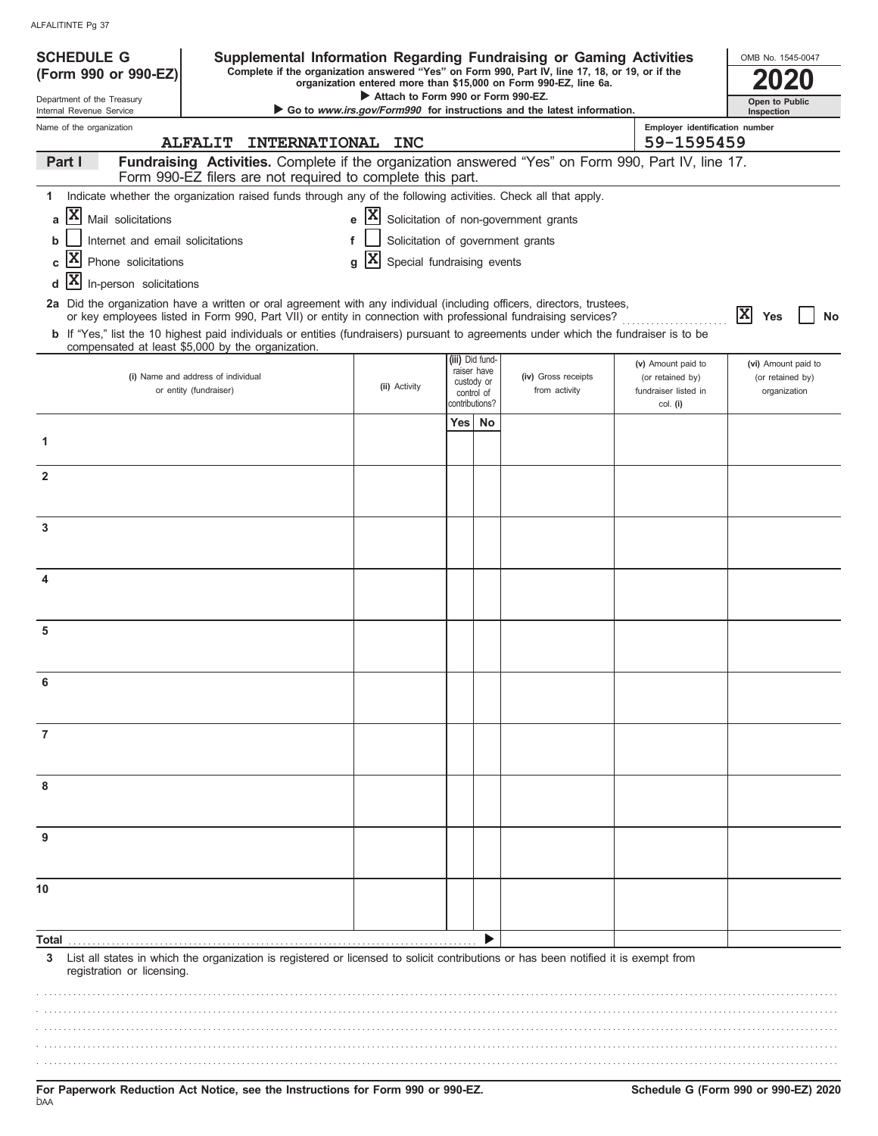| ALFALITINTE Pg 37 |  |
|-------------------|--|
|                   |  |

| <b>SCHEDULE G</b>                                            | Supplemental Information Regarding Fundraising or Gaming Activities                                                                                                                                                                      |                                                                 |                 |             |                                                                        |          |                                              | OMB No. 1545-0047                |
|--------------------------------------------------------------|------------------------------------------------------------------------------------------------------------------------------------------------------------------------------------------------------------------------------------------|-----------------------------------------------------------------|-----------------|-------------|------------------------------------------------------------------------|----------|----------------------------------------------|----------------------------------|
| (Form 990 or 990-EZ)                                         | Complete if the organization answered "Yes" on Form 990, Part IV, line 17, 18, or 19, or if the                                                                                                                                          |                                                                 |                 |             | organization entered more than \$15,000 on Form 990-EZ, line 6a.       |          |                                              |                                  |
| Department of the Treasury<br>Internal Revenue Service       |                                                                                                                                                                                                                                          | Attach to Form 990 or Form 990-EZ.                              |                 |             | Go to www.irs.gov/Form990 for instructions and the latest information. |          |                                              | Open to Public                   |
| Name of the organization                                     | <b>ALFALIT</b>                                                                                                                                                                                                                           |                                                                 |                 |             |                                                                        |          | Employer identification number<br>59-1595459 | Inspection                       |
| Part I                                                       | INTERNATIONAL INC<br>Fundraising Activities. Complete if the organization answered "Yes" on Form 990, Part IV, line 17.                                                                                                                  |                                                                 |                 |             |                                                                        |          |                                              |                                  |
|                                                              | Form 990-EZ filers are not required to complete this part.                                                                                                                                                                               |                                                                 |                 |             |                                                                        |          |                                              |                                  |
| 1                                                            | Indicate whether the organization raised funds through any of the following activities. Check all that apply.                                                                                                                            |                                                                 |                 |             |                                                                        |          |                                              |                                  |
| $ \mathbf{x} $<br>Mail solicitations<br>a                    |                                                                                                                                                                                                                                          | $\mathbf{e}$ $\mathbf{X}$ Solicitation of non-government grants |                 |             |                                                                        |          |                                              |                                  |
| Internet and email solicitations<br>b                        | f                                                                                                                                                                                                                                        |                                                                 |                 |             | Solicitation of government grants                                      |          |                                              |                                  |
| X<br>Phone solicitations<br>C                                |                                                                                                                                                                                                                                          | X<br>Special fundraising events<br>q                            |                 |             |                                                                        |          |                                              |                                  |
| X<br>In-person solicitations<br>d                            |                                                                                                                                                                                                                                          |                                                                 |                 |             |                                                                        |          |                                              |                                  |
|                                                              | 2a Did the organization have a written or oral agreement with any individual (including officers, directors, trustees,<br>or key employees listed in Form 990, Part VII) or entity in connection with professional fundraising services? |                                                                 |                 |             |                                                                        |          |                                              | <b>x</b><br>Yes<br><b>No</b>     |
|                                                              | b If "Yes," list the 10 highest paid individuals or entities (fundraisers) pursuant to agreements under which the fundraiser is to be<br>compensated at least \$5,000 by the organization.                                               |                                                                 |                 |             |                                                                        |          |                                              |                                  |
|                                                              |                                                                                                                                                                                                                                          |                                                                 | (iii) Did fund- | raiser have |                                                                        |          | (v) Amount paid to                           | (vi) Amount paid to              |
| (i) Name and address of individual<br>or entity (fundraiser) |                                                                                                                                                                                                                                          | (ii) Activity                                                   | custody or      | control of  | (iv) Gross receipts<br>from activity                                   |          | (or retained by)<br>fundraiser listed in     | (or retained by)<br>organization |
|                                                              |                                                                                                                                                                                                                                          | contributions?                                                  |                 |             |                                                                        | col. (i) |                                              |                                  |
|                                                              |                                                                                                                                                                                                                                          |                                                                 | Yes l           | No          |                                                                        |          |                                              |                                  |
| 1                                                            |                                                                                                                                                                                                                                          |                                                                 |                 |             |                                                                        |          |                                              |                                  |
| $\overline{2}$                                               |                                                                                                                                                                                                                                          |                                                                 |                 |             |                                                                        |          |                                              |                                  |
|                                                              |                                                                                                                                                                                                                                          |                                                                 |                 |             |                                                                        |          |                                              |                                  |
| 3                                                            |                                                                                                                                                                                                                                          |                                                                 |                 |             |                                                                        |          |                                              |                                  |
|                                                              |                                                                                                                                                                                                                                          |                                                                 |                 |             |                                                                        |          |                                              |                                  |
| 4                                                            |                                                                                                                                                                                                                                          |                                                                 |                 |             |                                                                        |          |                                              |                                  |
|                                                              |                                                                                                                                                                                                                                          |                                                                 |                 |             |                                                                        |          |                                              |                                  |
| 5                                                            |                                                                                                                                                                                                                                          |                                                                 |                 |             |                                                                        |          |                                              |                                  |
|                                                              |                                                                                                                                                                                                                                          |                                                                 |                 |             |                                                                        |          |                                              |                                  |
|                                                              |                                                                                                                                                                                                                                          |                                                                 |                 |             |                                                                        |          |                                              |                                  |
|                                                              |                                                                                                                                                                                                                                          |                                                                 |                 |             |                                                                        |          |                                              |                                  |
| 7                                                            |                                                                                                                                                                                                                                          |                                                                 |                 |             |                                                                        |          |                                              |                                  |
|                                                              |                                                                                                                                                                                                                                          |                                                                 |                 |             |                                                                        |          |                                              |                                  |
| 8                                                            |                                                                                                                                                                                                                                          |                                                                 |                 |             |                                                                        |          |                                              |                                  |
|                                                              |                                                                                                                                                                                                                                          |                                                                 |                 |             |                                                                        |          |                                              |                                  |
| 9                                                            |                                                                                                                                                                                                                                          |                                                                 |                 |             |                                                                        |          |                                              |                                  |
|                                                              |                                                                                                                                                                                                                                          |                                                                 |                 |             |                                                                        |          |                                              |                                  |
| 10                                                           |                                                                                                                                                                                                                                          |                                                                 |                 |             |                                                                        |          |                                              |                                  |
|                                                              |                                                                                                                                                                                                                                          |                                                                 |                 |             |                                                                        |          |                                              |                                  |
| Total                                                        |                                                                                                                                                                                                                                          |                                                                 |                 |             |                                                                        |          |                                              |                                  |
| 3<br>registration or licensing.                              | List all states in which the organization is registered or licensed to solicit contributions or has been notified it is exempt from                                                                                                      |                                                                 |                 |             |                                                                        |          |                                              |                                  |
|                                                              |                                                                                                                                                                                                                                          |                                                                 |                 |             |                                                                        |          |                                              |                                  |
|                                                              |                                                                                                                                                                                                                                          |                                                                 |                 |             |                                                                        |          |                                              |                                  |
|                                                              |                                                                                                                                                                                                                                          |                                                                 |                 |             |                                                                        |          |                                              |                                  |
|                                                              |                                                                                                                                                                                                                                          |                                                                 |                 |             |                                                                        |          |                                              |                                  |
|                                                              |                                                                                                                                                                                                                                          |                                                                 |                 |             |                                                                        |          |                                              |                                  |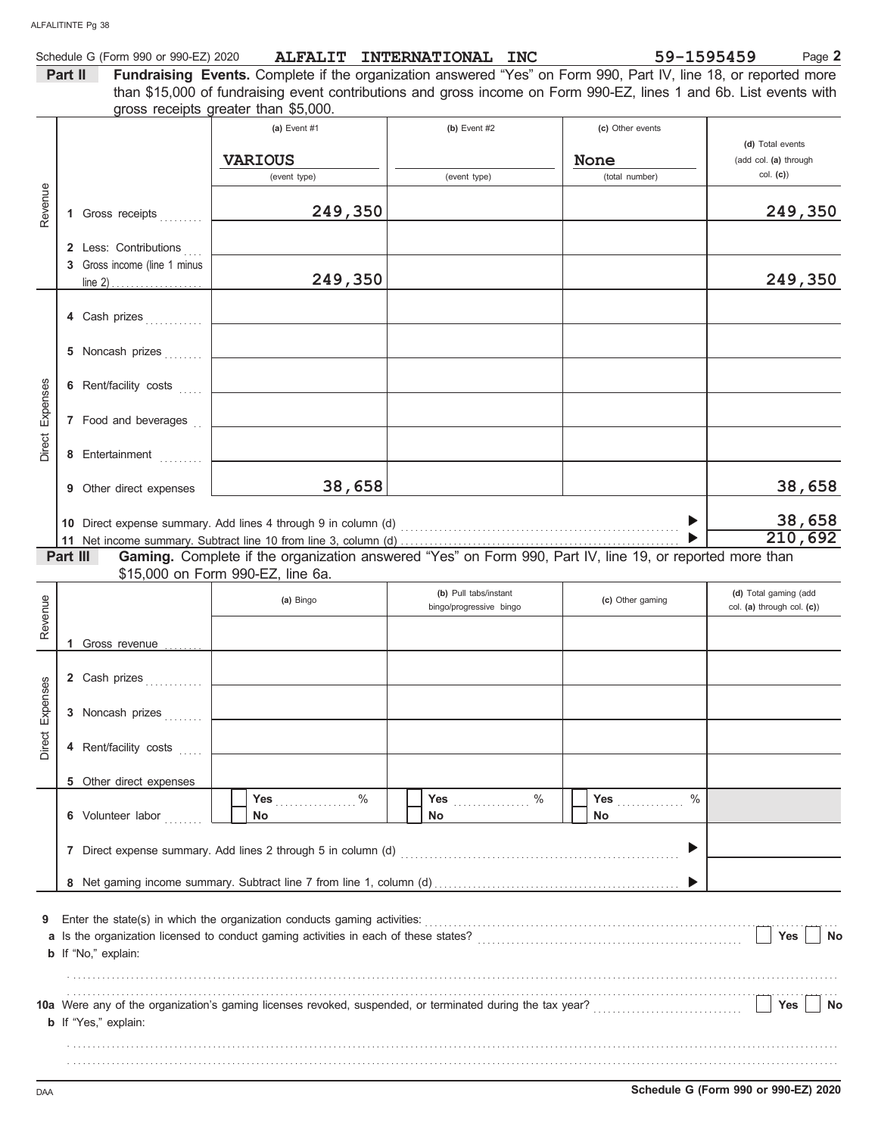|               | Schedule G (Form 990 or 990-EZ) 2020 |                                                                                                                                                            | ALFALIT INTERNATIONAL INC | 59-1595459                  | Page 2                                    |
|---------------|--------------------------------------|------------------------------------------------------------------------------------------------------------------------------------------------------------|---------------------------|-----------------------------|-------------------------------------------|
|               | Part II                              | Fundraising Events. Complete if the organization answered "Yes" on Form 990, Part IV, line 18, or reported more                                            |                           |                             |                                           |
|               |                                      | than \$15,000 of fundraising event contributions and gross income on Form 990-EZ, lines 1 and 6b. List events with<br>gross receipts greater than \$5,000. |                           |                             |                                           |
|               |                                      | (a) Event $#1$                                                                                                                                             | (b) Event $#2$            | (c) Other events            |                                           |
|               |                                      | <b>VARIOUS</b>                                                                                                                                             |                           | None                        | (d) Total events<br>(add col. (a) through |
|               |                                      | (event type)                                                                                                                                               | (event type)              | (total number)              | col. (c)                                  |
| Revenue       | 1 Gross receipts                     | 249,350                                                                                                                                                    |                           |                             | 249,350                                   |
|               | 2 Less: Contributions                |                                                                                                                                                            |                           |                             |                                           |
|               | 3 Gross income (line 1 minus         | 249,350                                                                                                                                                    |                           |                             | 249,350                                   |
|               |                                      |                                                                                                                                                            |                           |                             |                                           |
|               |                                      | <u> 1980 - Jan Barristo, martin al II-lea (b. 1980)</u>                                                                                                    |                           |                             |                                           |
|               | 5 Noncash prizes                     | the control of the control of the control of the control of                                                                                                |                           |                             |                                           |
| Expenses      | 6 Rent/facility costs                | the control of the control of the control of the control of                                                                                                |                           |                             |                                           |
|               | 7 Food and beverages [16]            | <u> 1980 - Johann Barbara, martxa alemaniar a</u>                                                                                                          |                           |                             |                                           |
| Direct        | 8 Entertainment                      | the control of the control of the control of the control of the                                                                                            |                           |                             |                                           |
|               | 9 Other direct expenses              | 38,658                                                                                                                                                     |                           |                             | 38,658                                    |
|               |                                      | 10 Direct expense summary. Add lines 4 through 9 in column (d)                                                                                             |                           |                             | 38,658                                    |
|               |                                      |                                                                                                                                                            |                           |                             | 210,692                                   |
|               | Part III                             | Gaming. Complete if the organization answered "Yes" on Form 990, Part IV, line 19, or reported more than                                                   |                           |                             |                                           |
|               |                                      | \$15,000 on Form 990-EZ, line 6a.                                                                                                                          | (b) Pull tabs/instant     |                             | (d) Total gaming (add                     |
| Revenue       |                                      | (a) Bingo                                                                                                                                                  | bingo/progressive bingo   | (c) Other gaming            | col. (a) through col. (c))                |
|               |                                      |                                                                                                                                                            |                           |                             |                                           |
|               | 1 Gross revenue                      |                                                                                                                                                            |                           |                             |                                           |
| es            |                                      |                                                                                                                                                            |                           |                             |                                           |
|               | 3 Noncash prizes                     |                                                                                                                                                            |                           |                             |                                           |
| Direct Expens | 4 Rent/facility costs                |                                                                                                                                                            |                           |                             |                                           |
|               | 5 Other direct expenses              |                                                                                                                                                            |                           |                             |                                           |
|               |                                      | Yes $%$                                                                                                                                                    |                           | $\frac{0}{0}$<br><b>Yes</b> |                                           |
|               | 6 Volunteer labor                    | No                                                                                                                                                         | No.                       | No                          |                                           |
|               |                                      |                                                                                                                                                            |                           |                             |                                           |
|               |                                      |                                                                                                                                                            |                           |                             |                                           |
| 9             |                                      |                                                                                                                                                            |                           |                             |                                           |
|               |                                      |                                                                                                                                                            |                           |                             | Yes<br>No                                 |
|               | <b>b</b> If "No," explain:           |                                                                                                                                                            |                           |                             |                                           |
|               |                                      |                                                                                                                                                            |                           |                             |                                           |
|               | <b>b</b> If "Yes," explain:          |                                                                                                                                                            |                           |                             | Yes<br>No                                 |
|               |                                      |                                                                                                                                                            |                           |                             |                                           |
|               |                                      |                                                                                                                                                            |                           |                             |                                           |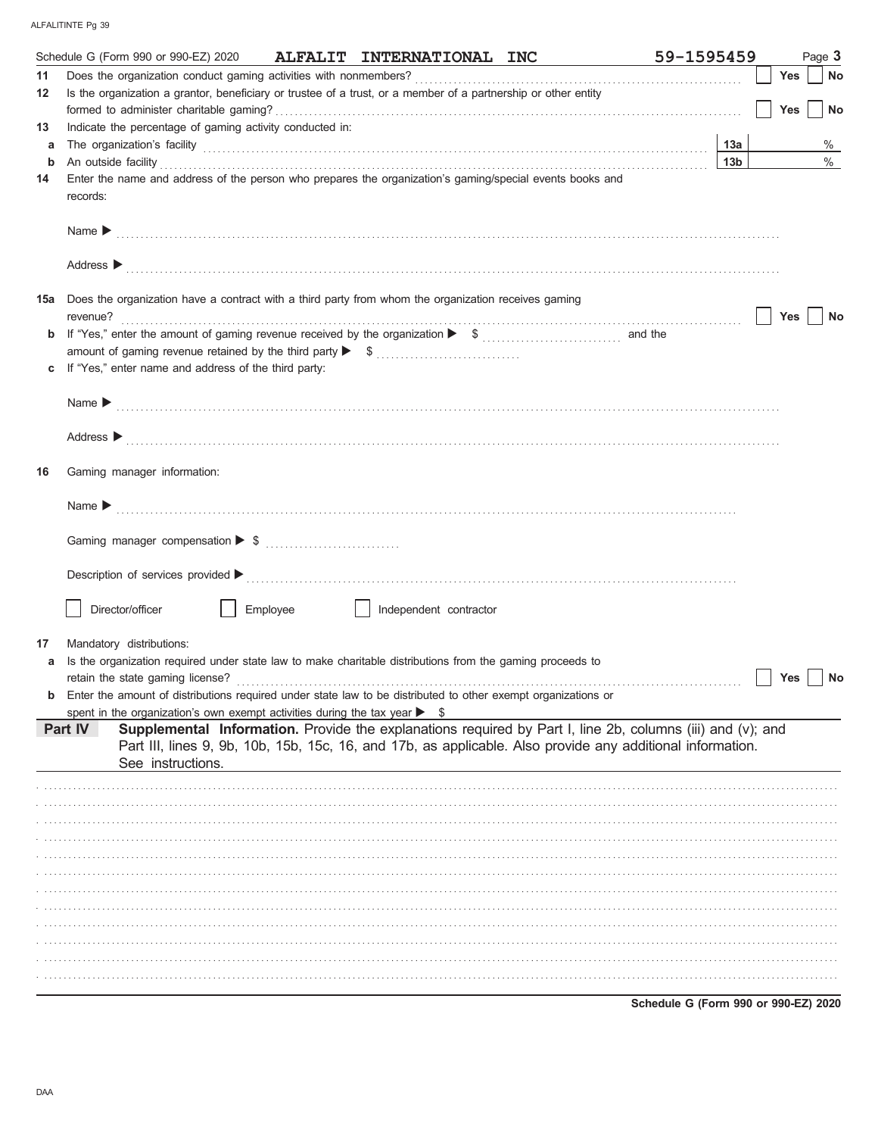|     | Schedule G (Form 990 or 990-EZ) 2020                                                                                                                                                                                                                                                                                                             |          | ALFALIT INTERNATIONAL INC | 59-1595459                                                                                                                                                                                                                                                                                                  |            | Page 3 |
|-----|--------------------------------------------------------------------------------------------------------------------------------------------------------------------------------------------------------------------------------------------------------------------------------------------------------------------------------------------------|----------|---------------------------|-------------------------------------------------------------------------------------------------------------------------------------------------------------------------------------------------------------------------------------------------------------------------------------------------------------|------------|--------|
| 11  |                                                                                                                                                                                                                                                                                                                                                  |          |                           |                                                                                                                                                                                                                                                                                                             | <b>Yes</b> | No     |
| 12  | Is the organization a grantor, beneficiary or trustee of a trust, or a member of a partnership or other entity                                                                                                                                                                                                                                   |          |                           |                                                                                                                                                                                                                                                                                                             |            |        |
|     |                                                                                                                                                                                                                                                                                                                                                  |          |                           |                                                                                                                                                                                                                                                                                                             | <b>Yes</b> | No     |
| 13  | Indicate the percentage of gaming activity conducted in:                                                                                                                                                                                                                                                                                         |          |                           |                                                                                                                                                                                                                                                                                                             |            |        |
| a   | The organization's facility contains and contained a state of the organization's facility contains and contains a state of the organization's facility contains and contains a state of the original state of the original sta                                                                                                                   |          |                           | 13a                                                                                                                                                                                                                                                                                                         |            | %      |
| b   | An outside facility <b>contract and the contract of a contract and the contract of a contract of a contract of a contract of a contract of a contract of a contract of a contract of a contract of a contract of a contract of a</b><br>Enter the name and address of the person who prepares the organization's gaming/special events books and |          |                           | 13 <sub>b</sub>                                                                                                                                                                                                                                                                                             |            | $\%$   |
| 14  | records:                                                                                                                                                                                                                                                                                                                                         |          |                           |                                                                                                                                                                                                                                                                                                             |            |        |
|     |                                                                                                                                                                                                                                                                                                                                                  |          |                           |                                                                                                                                                                                                                                                                                                             |            |        |
|     |                                                                                                                                                                                                                                                                                                                                                  |          |                           |                                                                                                                                                                                                                                                                                                             |            |        |
| 15a | Does the organization have a contract with a third party from whom the organization receives gaming                                                                                                                                                                                                                                              |          |                           | revenue?<br><sub>contract</sub> contract contract contract contract contract contract contract contract contract contract contract contract contract contract contract contract contract contract contract contract contract contract con                                                                   | Yes        | No     |
| b   |                                                                                                                                                                                                                                                                                                                                                  |          |                           |                                                                                                                                                                                                                                                                                                             |            |        |
|     |                                                                                                                                                                                                                                                                                                                                                  |          |                           |                                                                                                                                                                                                                                                                                                             |            |        |
| c   | If "Yes," enter name and address of the third party:                                                                                                                                                                                                                                                                                             |          |                           |                                                                                                                                                                                                                                                                                                             |            |        |
|     |                                                                                                                                                                                                                                                                                                                                                  |          |                           | Name $\blacktriangleright$ [1] $\ldots$ [1] $\ldots$ [1] $\ldots$ [1] $\ldots$ [1] $\ldots$ [1] $\ldots$ [1] $\ldots$ [1] $\ldots$ [1] $\ldots$ [1] $\ldots$ [1] $\ldots$ [1] $\ldots$ [1] $\ldots$ [1] $\ldots$ [1] $\ldots$ [1] $\ldots$ [1] $\ldots$ [1] $\ldots$ [1] $\ldots$ [1] $\ldots$ [1] $\ldots$ |            |        |
|     |                                                                                                                                                                                                                                                                                                                                                  |          |                           |                                                                                                                                                                                                                                                                                                             |            |        |
|     |                                                                                                                                                                                                                                                                                                                                                  |          |                           | Address > the contract of the contract of the contract of the contract of the contract of the contract of the contract of the contract of the contract of the contract of the contract of the contract of the contract of the                                                                               |            |        |
| 16  | Gaming manager information:                                                                                                                                                                                                                                                                                                                      |          |                           |                                                                                                                                                                                                                                                                                                             |            |        |
|     |                                                                                                                                                                                                                                                                                                                                                  |          |                           |                                                                                                                                                                                                                                                                                                             |            |        |
|     |                                                                                                                                                                                                                                                                                                                                                  |          |                           |                                                                                                                                                                                                                                                                                                             |            |        |
|     |                                                                                                                                                                                                                                                                                                                                                  |          |                           |                                                                                                                                                                                                                                                                                                             |            |        |
|     | Director/officer                                                                                                                                                                                                                                                                                                                                 | Employee | Independent contractor    |                                                                                                                                                                                                                                                                                                             |            |        |
| 17  | Mandatory distributions:                                                                                                                                                                                                                                                                                                                         |          |                           |                                                                                                                                                                                                                                                                                                             |            |        |
|     | Is the organization required under state law to make charitable distributions from the gaming proceeds to                                                                                                                                                                                                                                        |          |                           |                                                                                                                                                                                                                                                                                                             |            |        |
|     | retain the state gaming license?                                                                                                                                                                                                                                                                                                                 |          |                           |                                                                                                                                                                                                                                                                                                             | Yes        | No     |
|     | Enter the amount of distributions required under state law to be distributed to other exempt organizations or                                                                                                                                                                                                                                    |          |                           |                                                                                                                                                                                                                                                                                                             |            |        |
|     | spent in the organization's own exempt activities during the tax year $\triangleright$ \$                                                                                                                                                                                                                                                        |          |                           |                                                                                                                                                                                                                                                                                                             |            |        |
|     | Part IV<br>See instructions.                                                                                                                                                                                                                                                                                                                     |          |                           | Supplemental Information. Provide the explanations required by Part I, line 2b, columns (iii) and (v); and<br>Part III, lines 9, 9b, 10b, 15b, 15c, 16, and 17b, as applicable. Also provide any additional information.                                                                                    |            |        |
|     |                                                                                                                                                                                                                                                                                                                                                  |          |                           |                                                                                                                                                                                                                                                                                                             |            |        |
|     |                                                                                                                                                                                                                                                                                                                                                  |          |                           |                                                                                                                                                                                                                                                                                                             |            |        |
|     |                                                                                                                                                                                                                                                                                                                                                  |          |                           |                                                                                                                                                                                                                                                                                                             |            |        |
|     |                                                                                                                                                                                                                                                                                                                                                  |          |                           |                                                                                                                                                                                                                                                                                                             |            |        |
|     |                                                                                                                                                                                                                                                                                                                                                  |          |                           |                                                                                                                                                                                                                                                                                                             |            |        |
|     |                                                                                                                                                                                                                                                                                                                                                  |          |                           |                                                                                                                                                                                                                                                                                                             |            |        |
|     |                                                                                                                                                                                                                                                                                                                                                  |          |                           |                                                                                                                                                                                                                                                                                                             |            |        |
|     |                                                                                                                                                                                                                                                                                                                                                  |          |                           |                                                                                                                                                                                                                                                                                                             |            |        |
|     |                                                                                                                                                                                                                                                                                                                                                  |          |                           |                                                                                                                                                                                                                                                                                                             |            |        |
|     |                                                                                                                                                                                                                                                                                                                                                  |          |                           |                                                                                                                                                                                                                                                                                                             |            |        |
|     |                                                                                                                                                                                                                                                                                                                                                  |          |                           |                                                                                                                                                                                                                                                                                                             |            |        |
|     |                                                                                                                                                                                                                                                                                                                                                  |          |                           |                                                                                                                                                                                                                                                                                                             |            |        |

Schedule G (Form 990 or 990-EZ) 2020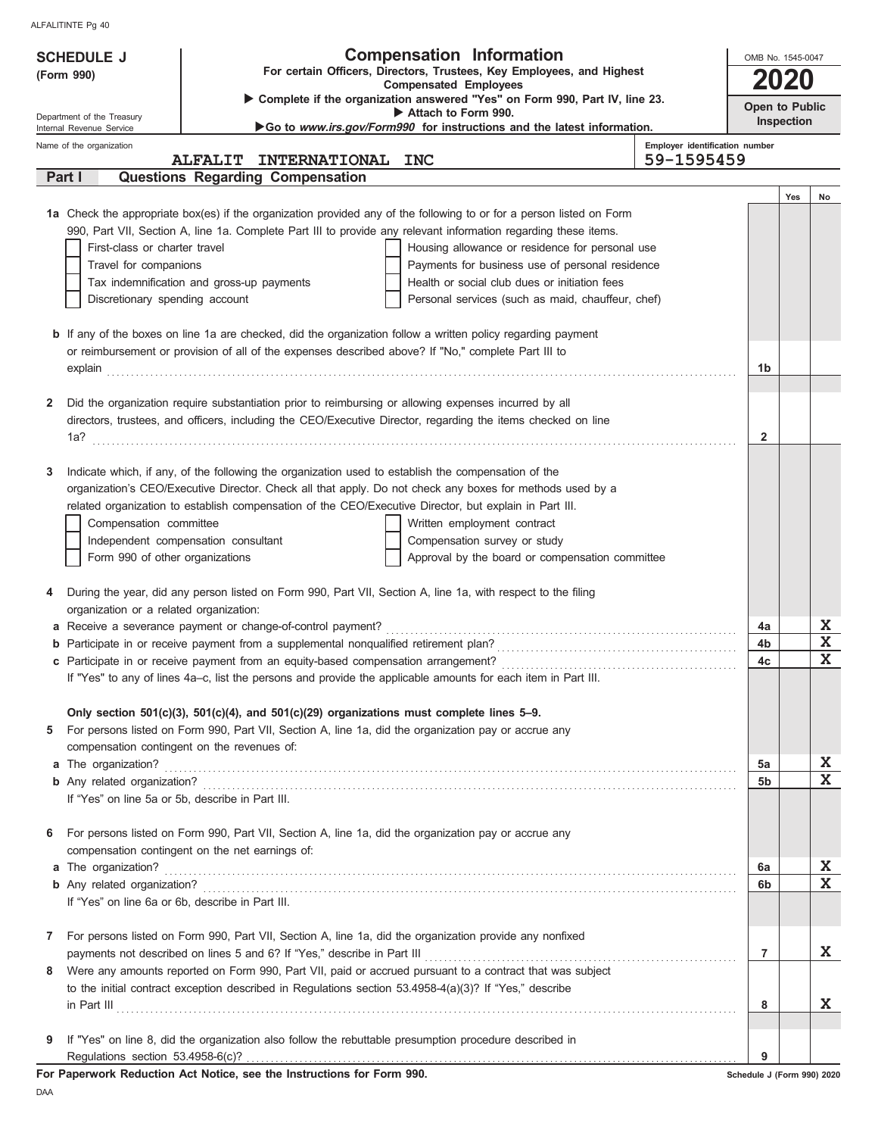| For certain Officers, Directors, Trustees, Key Employees, and Highest<br>2020<br><b>Compensated Employees</b><br>Complete if the organization answered "Yes" on Form 990, Part IV, line 23.<br>Open to Public<br>Attach to Form 990.<br>Department of the Treasury<br>Inspection<br>Go to www.irs.gov/Form990 for instructions and the latest information.<br>Internal Revenue Service<br>Employer identification number<br>Name of the organization<br>59-1595459<br><b>ALFALIT</b><br>INTERNATIONAL INC<br><b>Questions Regarding Compensation</b><br>Part I<br>Yes<br>No<br>1a Check the appropriate box(es) if the organization provided any of the following to or for a person listed on Form<br>990, Part VII, Section A, line 1a. Complete Part III to provide any relevant information regarding these items.<br>First-class or charter travel<br>Housing allowance or residence for personal use<br>Travel for companions<br>Payments for business use of personal residence<br>Health or social club dues or initiation fees<br>Tax indemnification and gross-up payments<br>Discretionary spending account<br>Personal services (such as maid, chauffeur, chef)<br><b>b</b> If any of the boxes on line 1a are checked, did the organization follow a written policy regarding payment<br>or reimbursement or provision of all of the expenses described above? If "No," complete Part III to<br>1b<br>Did the organization require substantiation prior to reimbursing or allowing expenses incurred by all<br>$\mathbf{2}$<br>directors, trustees, and officers, including the CEO/Executive Director, regarding the items checked on line<br>$\mathbf{2}$<br>Indicate which, if any, of the following the organization used to establish the compensation of the<br>3<br>organization's CEO/Executive Director. Check all that apply. Do not check any boxes for methods used by a<br>related organization to establish compensation of the CEO/Executive Director, but explain in Part III.<br>Compensation committee<br>Written employment contract<br>Independent compensation consultant<br>Compensation survey or study<br>Approval by the board or compensation committee<br>Form 990 of other organizations<br>During the year, did any person listed on Form 990, Part VII, Section A, line 1a, with respect to the filing<br>4<br>organization or a related organization:<br>X<br>4a<br>$\mathbf x$<br>4b<br>$\mathbf x$<br>4c<br>If "Yes" to any of lines 4a-c, list the persons and provide the applicable amounts for each item in Part III.<br>Only section $501(c)(3)$ , $501(c)(4)$ , and $501(c)(29)$ organizations must complete lines 5-9.<br>For persons listed on Form 990, Part VII, Section A, line 1a, did the organization pay or accrue any<br>5<br>compensation contingent on the revenues of:<br>X<br>5a<br>$\mathbf x$<br>5b<br>If "Yes" on line 5a or 5b, describe in Part III.<br>For persons listed on Form 990, Part VII, Section A, line 1a, did the organization pay or accrue any<br>6<br>compensation contingent on the net earnings of:<br>X<br>6а<br>$\mathbf x$<br>6b<br>If "Yes" on line 6a or 6b, describe in Part III.<br>For persons listed on Form 990, Part VII, Section A, line 1a, did the organization provide any nonfixed<br>7<br>X<br>$\overline{7}$<br>Were any amounts reported on Form 990, Part VII, paid or accrued pursuant to a contract that was subject<br>8<br>to the initial contract exception described in Regulations section $53.4958-4(a)(3)$ ? If "Yes," describe<br>X<br>8<br>If "Yes" on line 8, did the organization also follow the rebuttable presumption procedure described in<br>9<br>9<br>For Paperwork Reduction Act Notice, see the Instructions for Form 990.<br>Schedule J (Form 990) 2020 | <b>SCHEDULE J</b> |  | <b>Compensation Information</b> | OMB No. 1545-0047 |  |  |  |  |
|--------------------------------------------------------------------------------------------------------------------------------------------------------------------------------------------------------------------------------------------------------------------------------------------------------------------------------------------------------------------------------------------------------------------------------------------------------------------------------------------------------------------------------------------------------------------------------------------------------------------------------------------------------------------------------------------------------------------------------------------------------------------------------------------------------------------------------------------------------------------------------------------------------------------------------------------------------------------------------------------------------------------------------------------------------------------------------------------------------------------------------------------------------------------------------------------------------------------------------------------------------------------------------------------------------------------------------------------------------------------------------------------------------------------------------------------------------------------------------------------------------------------------------------------------------------------------------------------------------------------------------------------------------------------------------------------------------------------------------------------------------------------------------------------------------------------------------------------------------------------------------------------------------------------------------------------------------------------------------------------------------------------------------------------------------------------------------------------------------------------------------------------------------------------------------------------------------------------------------------------------------------------------------------------------------------------------------------------------------------------------------------------------------------------------------------------------------------------------------------------------------------------------------------------------------------------------------------------------------------------------------------------------------------------------------------------------------------------------------------------------------------------------------------------------------------------------------------------------------------------------------------------------------------------------------------------------------------------------------------------------------------------------------------------------------------------------------------------------------------------------------------------------------------------------------------------------------------------------------------------------------------------------------------------------------------------------------------------------------------------------------------------------------------------------------------------------------------------------------------------------------------------------------------------------------------------------------------------------------------------------------------------------------------------------------------------------------------------------------------------------------------------------------------------|-------------------|--|---------------------------------|-------------------|--|--|--|--|
|                                                                                                                                                                                                                                                                                                                                                                                                                                                                                                                                                                                                                                                                                                                                                                                                                                                                                                                                                                                                                                                                                                                                                                                                                                                                                                                                                                                                                                                                                                                                                                                                                                                                                                                                                                                                                                                                                                                                                                                                                                                                                                                                                                                                                                                                                                                                                                                                                                                                                                                                                                                                                                                                                                                                                                                                                                                                                                                                                                                                                                                                                                                                                                                                                                                                                                                                                                                                                                                                                                                                                                                                                                                                                                                                                                                            | (Form 990)        |  |                                 |                   |  |  |  |  |
|                                                                                                                                                                                                                                                                                                                                                                                                                                                                                                                                                                                                                                                                                                                                                                                                                                                                                                                                                                                                                                                                                                                                                                                                                                                                                                                                                                                                                                                                                                                                                                                                                                                                                                                                                                                                                                                                                                                                                                                                                                                                                                                                                                                                                                                                                                                                                                                                                                                                                                                                                                                                                                                                                                                                                                                                                                                                                                                                                                                                                                                                                                                                                                                                                                                                                                                                                                                                                                                                                                                                                                                                                                                                                                                                                                                            |                   |  |                                 |                   |  |  |  |  |
|                                                                                                                                                                                                                                                                                                                                                                                                                                                                                                                                                                                                                                                                                                                                                                                                                                                                                                                                                                                                                                                                                                                                                                                                                                                                                                                                                                                                                                                                                                                                                                                                                                                                                                                                                                                                                                                                                                                                                                                                                                                                                                                                                                                                                                                                                                                                                                                                                                                                                                                                                                                                                                                                                                                                                                                                                                                                                                                                                                                                                                                                                                                                                                                                                                                                                                                                                                                                                                                                                                                                                                                                                                                                                                                                                                                            |                   |  |                                 |                   |  |  |  |  |
|                                                                                                                                                                                                                                                                                                                                                                                                                                                                                                                                                                                                                                                                                                                                                                                                                                                                                                                                                                                                                                                                                                                                                                                                                                                                                                                                                                                                                                                                                                                                                                                                                                                                                                                                                                                                                                                                                                                                                                                                                                                                                                                                                                                                                                                                                                                                                                                                                                                                                                                                                                                                                                                                                                                                                                                                                                                                                                                                                                                                                                                                                                                                                                                                                                                                                                                                                                                                                                                                                                                                                                                                                                                                                                                                                                                            |                   |  |                                 |                   |  |  |  |  |
|                                                                                                                                                                                                                                                                                                                                                                                                                                                                                                                                                                                                                                                                                                                                                                                                                                                                                                                                                                                                                                                                                                                                                                                                                                                                                                                                                                                                                                                                                                                                                                                                                                                                                                                                                                                                                                                                                                                                                                                                                                                                                                                                                                                                                                                                                                                                                                                                                                                                                                                                                                                                                                                                                                                                                                                                                                                                                                                                                                                                                                                                                                                                                                                                                                                                                                                                                                                                                                                                                                                                                                                                                                                                                                                                                                                            |                   |  |                                 |                   |  |  |  |  |
|                                                                                                                                                                                                                                                                                                                                                                                                                                                                                                                                                                                                                                                                                                                                                                                                                                                                                                                                                                                                                                                                                                                                                                                                                                                                                                                                                                                                                                                                                                                                                                                                                                                                                                                                                                                                                                                                                                                                                                                                                                                                                                                                                                                                                                                                                                                                                                                                                                                                                                                                                                                                                                                                                                                                                                                                                                                                                                                                                                                                                                                                                                                                                                                                                                                                                                                                                                                                                                                                                                                                                                                                                                                                                                                                                                                            |                   |  |                                 |                   |  |  |  |  |
|                                                                                                                                                                                                                                                                                                                                                                                                                                                                                                                                                                                                                                                                                                                                                                                                                                                                                                                                                                                                                                                                                                                                                                                                                                                                                                                                                                                                                                                                                                                                                                                                                                                                                                                                                                                                                                                                                                                                                                                                                                                                                                                                                                                                                                                                                                                                                                                                                                                                                                                                                                                                                                                                                                                                                                                                                                                                                                                                                                                                                                                                                                                                                                                                                                                                                                                                                                                                                                                                                                                                                                                                                                                                                                                                                                                            |                   |  |                                 |                   |  |  |  |  |
|                                                                                                                                                                                                                                                                                                                                                                                                                                                                                                                                                                                                                                                                                                                                                                                                                                                                                                                                                                                                                                                                                                                                                                                                                                                                                                                                                                                                                                                                                                                                                                                                                                                                                                                                                                                                                                                                                                                                                                                                                                                                                                                                                                                                                                                                                                                                                                                                                                                                                                                                                                                                                                                                                                                                                                                                                                                                                                                                                                                                                                                                                                                                                                                                                                                                                                                                                                                                                                                                                                                                                                                                                                                                                                                                                                                            |                   |  |                                 |                   |  |  |  |  |
|                                                                                                                                                                                                                                                                                                                                                                                                                                                                                                                                                                                                                                                                                                                                                                                                                                                                                                                                                                                                                                                                                                                                                                                                                                                                                                                                                                                                                                                                                                                                                                                                                                                                                                                                                                                                                                                                                                                                                                                                                                                                                                                                                                                                                                                                                                                                                                                                                                                                                                                                                                                                                                                                                                                                                                                                                                                                                                                                                                                                                                                                                                                                                                                                                                                                                                                                                                                                                                                                                                                                                                                                                                                                                                                                                                                            |                   |  |                                 |                   |  |  |  |  |
|                                                                                                                                                                                                                                                                                                                                                                                                                                                                                                                                                                                                                                                                                                                                                                                                                                                                                                                                                                                                                                                                                                                                                                                                                                                                                                                                                                                                                                                                                                                                                                                                                                                                                                                                                                                                                                                                                                                                                                                                                                                                                                                                                                                                                                                                                                                                                                                                                                                                                                                                                                                                                                                                                                                                                                                                                                                                                                                                                                                                                                                                                                                                                                                                                                                                                                                                                                                                                                                                                                                                                                                                                                                                                                                                                                                            |                   |  |                                 |                   |  |  |  |  |
|                                                                                                                                                                                                                                                                                                                                                                                                                                                                                                                                                                                                                                                                                                                                                                                                                                                                                                                                                                                                                                                                                                                                                                                                                                                                                                                                                                                                                                                                                                                                                                                                                                                                                                                                                                                                                                                                                                                                                                                                                                                                                                                                                                                                                                                                                                                                                                                                                                                                                                                                                                                                                                                                                                                                                                                                                                                                                                                                                                                                                                                                                                                                                                                                                                                                                                                                                                                                                                                                                                                                                                                                                                                                                                                                                                                            |                   |  |                                 |                   |  |  |  |  |
|                                                                                                                                                                                                                                                                                                                                                                                                                                                                                                                                                                                                                                                                                                                                                                                                                                                                                                                                                                                                                                                                                                                                                                                                                                                                                                                                                                                                                                                                                                                                                                                                                                                                                                                                                                                                                                                                                                                                                                                                                                                                                                                                                                                                                                                                                                                                                                                                                                                                                                                                                                                                                                                                                                                                                                                                                                                                                                                                                                                                                                                                                                                                                                                                                                                                                                                                                                                                                                                                                                                                                                                                                                                                                                                                                                                            |                   |  |                                 |                   |  |  |  |  |
|                                                                                                                                                                                                                                                                                                                                                                                                                                                                                                                                                                                                                                                                                                                                                                                                                                                                                                                                                                                                                                                                                                                                                                                                                                                                                                                                                                                                                                                                                                                                                                                                                                                                                                                                                                                                                                                                                                                                                                                                                                                                                                                                                                                                                                                                                                                                                                                                                                                                                                                                                                                                                                                                                                                                                                                                                                                                                                                                                                                                                                                                                                                                                                                                                                                                                                                                                                                                                                                                                                                                                                                                                                                                                                                                                                                            |                   |  |                                 |                   |  |  |  |  |
|                                                                                                                                                                                                                                                                                                                                                                                                                                                                                                                                                                                                                                                                                                                                                                                                                                                                                                                                                                                                                                                                                                                                                                                                                                                                                                                                                                                                                                                                                                                                                                                                                                                                                                                                                                                                                                                                                                                                                                                                                                                                                                                                                                                                                                                                                                                                                                                                                                                                                                                                                                                                                                                                                                                                                                                                                                                                                                                                                                                                                                                                                                                                                                                                                                                                                                                                                                                                                                                                                                                                                                                                                                                                                                                                                                                            |                   |  |                                 |                   |  |  |  |  |
|                                                                                                                                                                                                                                                                                                                                                                                                                                                                                                                                                                                                                                                                                                                                                                                                                                                                                                                                                                                                                                                                                                                                                                                                                                                                                                                                                                                                                                                                                                                                                                                                                                                                                                                                                                                                                                                                                                                                                                                                                                                                                                                                                                                                                                                                                                                                                                                                                                                                                                                                                                                                                                                                                                                                                                                                                                                                                                                                                                                                                                                                                                                                                                                                                                                                                                                                                                                                                                                                                                                                                                                                                                                                                                                                                                                            |                   |  |                                 |                   |  |  |  |  |
|                                                                                                                                                                                                                                                                                                                                                                                                                                                                                                                                                                                                                                                                                                                                                                                                                                                                                                                                                                                                                                                                                                                                                                                                                                                                                                                                                                                                                                                                                                                                                                                                                                                                                                                                                                                                                                                                                                                                                                                                                                                                                                                                                                                                                                                                                                                                                                                                                                                                                                                                                                                                                                                                                                                                                                                                                                                                                                                                                                                                                                                                                                                                                                                                                                                                                                                                                                                                                                                                                                                                                                                                                                                                                                                                                                                            |                   |  |                                 |                   |  |  |  |  |
|                                                                                                                                                                                                                                                                                                                                                                                                                                                                                                                                                                                                                                                                                                                                                                                                                                                                                                                                                                                                                                                                                                                                                                                                                                                                                                                                                                                                                                                                                                                                                                                                                                                                                                                                                                                                                                                                                                                                                                                                                                                                                                                                                                                                                                                                                                                                                                                                                                                                                                                                                                                                                                                                                                                                                                                                                                                                                                                                                                                                                                                                                                                                                                                                                                                                                                                                                                                                                                                                                                                                                                                                                                                                                                                                                                                            |                   |  |                                 |                   |  |  |  |  |
|                                                                                                                                                                                                                                                                                                                                                                                                                                                                                                                                                                                                                                                                                                                                                                                                                                                                                                                                                                                                                                                                                                                                                                                                                                                                                                                                                                                                                                                                                                                                                                                                                                                                                                                                                                                                                                                                                                                                                                                                                                                                                                                                                                                                                                                                                                                                                                                                                                                                                                                                                                                                                                                                                                                                                                                                                                                                                                                                                                                                                                                                                                                                                                                                                                                                                                                                                                                                                                                                                                                                                                                                                                                                                                                                                                                            |                   |  |                                 |                   |  |  |  |  |
|                                                                                                                                                                                                                                                                                                                                                                                                                                                                                                                                                                                                                                                                                                                                                                                                                                                                                                                                                                                                                                                                                                                                                                                                                                                                                                                                                                                                                                                                                                                                                                                                                                                                                                                                                                                                                                                                                                                                                                                                                                                                                                                                                                                                                                                                                                                                                                                                                                                                                                                                                                                                                                                                                                                                                                                                                                                                                                                                                                                                                                                                                                                                                                                                                                                                                                                                                                                                                                                                                                                                                                                                                                                                                                                                                                                            |                   |  |                                 |                   |  |  |  |  |
|                                                                                                                                                                                                                                                                                                                                                                                                                                                                                                                                                                                                                                                                                                                                                                                                                                                                                                                                                                                                                                                                                                                                                                                                                                                                                                                                                                                                                                                                                                                                                                                                                                                                                                                                                                                                                                                                                                                                                                                                                                                                                                                                                                                                                                                                                                                                                                                                                                                                                                                                                                                                                                                                                                                                                                                                                                                                                                                                                                                                                                                                                                                                                                                                                                                                                                                                                                                                                                                                                                                                                                                                                                                                                                                                                                                            |                   |  |                                 |                   |  |  |  |  |
|                                                                                                                                                                                                                                                                                                                                                                                                                                                                                                                                                                                                                                                                                                                                                                                                                                                                                                                                                                                                                                                                                                                                                                                                                                                                                                                                                                                                                                                                                                                                                                                                                                                                                                                                                                                                                                                                                                                                                                                                                                                                                                                                                                                                                                                                                                                                                                                                                                                                                                                                                                                                                                                                                                                                                                                                                                                                                                                                                                                                                                                                                                                                                                                                                                                                                                                                                                                                                                                                                                                                                                                                                                                                                                                                                                                            |                   |  |                                 |                   |  |  |  |  |
|                                                                                                                                                                                                                                                                                                                                                                                                                                                                                                                                                                                                                                                                                                                                                                                                                                                                                                                                                                                                                                                                                                                                                                                                                                                                                                                                                                                                                                                                                                                                                                                                                                                                                                                                                                                                                                                                                                                                                                                                                                                                                                                                                                                                                                                                                                                                                                                                                                                                                                                                                                                                                                                                                                                                                                                                                                                                                                                                                                                                                                                                                                                                                                                                                                                                                                                                                                                                                                                                                                                                                                                                                                                                                                                                                                                            |                   |  |                                 |                   |  |  |  |  |
|                                                                                                                                                                                                                                                                                                                                                                                                                                                                                                                                                                                                                                                                                                                                                                                                                                                                                                                                                                                                                                                                                                                                                                                                                                                                                                                                                                                                                                                                                                                                                                                                                                                                                                                                                                                                                                                                                                                                                                                                                                                                                                                                                                                                                                                                                                                                                                                                                                                                                                                                                                                                                                                                                                                                                                                                                                                                                                                                                                                                                                                                                                                                                                                                                                                                                                                                                                                                                                                                                                                                                                                                                                                                                                                                                                                            |                   |  |                                 |                   |  |  |  |  |
|                                                                                                                                                                                                                                                                                                                                                                                                                                                                                                                                                                                                                                                                                                                                                                                                                                                                                                                                                                                                                                                                                                                                                                                                                                                                                                                                                                                                                                                                                                                                                                                                                                                                                                                                                                                                                                                                                                                                                                                                                                                                                                                                                                                                                                                                                                                                                                                                                                                                                                                                                                                                                                                                                                                                                                                                                                                                                                                                                                                                                                                                                                                                                                                                                                                                                                                                                                                                                                                                                                                                                                                                                                                                                                                                                                                            |                   |  |                                 |                   |  |  |  |  |
|                                                                                                                                                                                                                                                                                                                                                                                                                                                                                                                                                                                                                                                                                                                                                                                                                                                                                                                                                                                                                                                                                                                                                                                                                                                                                                                                                                                                                                                                                                                                                                                                                                                                                                                                                                                                                                                                                                                                                                                                                                                                                                                                                                                                                                                                                                                                                                                                                                                                                                                                                                                                                                                                                                                                                                                                                                                                                                                                                                                                                                                                                                                                                                                                                                                                                                                                                                                                                                                                                                                                                                                                                                                                                                                                                                                            |                   |  |                                 |                   |  |  |  |  |
|                                                                                                                                                                                                                                                                                                                                                                                                                                                                                                                                                                                                                                                                                                                                                                                                                                                                                                                                                                                                                                                                                                                                                                                                                                                                                                                                                                                                                                                                                                                                                                                                                                                                                                                                                                                                                                                                                                                                                                                                                                                                                                                                                                                                                                                                                                                                                                                                                                                                                                                                                                                                                                                                                                                                                                                                                                                                                                                                                                                                                                                                                                                                                                                                                                                                                                                                                                                                                                                                                                                                                                                                                                                                                                                                                                                            |                   |  |                                 |                   |  |  |  |  |
|                                                                                                                                                                                                                                                                                                                                                                                                                                                                                                                                                                                                                                                                                                                                                                                                                                                                                                                                                                                                                                                                                                                                                                                                                                                                                                                                                                                                                                                                                                                                                                                                                                                                                                                                                                                                                                                                                                                                                                                                                                                                                                                                                                                                                                                                                                                                                                                                                                                                                                                                                                                                                                                                                                                                                                                                                                                                                                                                                                                                                                                                                                                                                                                                                                                                                                                                                                                                                                                                                                                                                                                                                                                                                                                                                                                            |                   |  |                                 |                   |  |  |  |  |
|                                                                                                                                                                                                                                                                                                                                                                                                                                                                                                                                                                                                                                                                                                                                                                                                                                                                                                                                                                                                                                                                                                                                                                                                                                                                                                                                                                                                                                                                                                                                                                                                                                                                                                                                                                                                                                                                                                                                                                                                                                                                                                                                                                                                                                                                                                                                                                                                                                                                                                                                                                                                                                                                                                                                                                                                                                                                                                                                                                                                                                                                                                                                                                                                                                                                                                                                                                                                                                                                                                                                                                                                                                                                                                                                                                                            |                   |  |                                 |                   |  |  |  |  |
|                                                                                                                                                                                                                                                                                                                                                                                                                                                                                                                                                                                                                                                                                                                                                                                                                                                                                                                                                                                                                                                                                                                                                                                                                                                                                                                                                                                                                                                                                                                                                                                                                                                                                                                                                                                                                                                                                                                                                                                                                                                                                                                                                                                                                                                                                                                                                                                                                                                                                                                                                                                                                                                                                                                                                                                                                                                                                                                                                                                                                                                                                                                                                                                                                                                                                                                                                                                                                                                                                                                                                                                                                                                                                                                                                                                            |                   |  |                                 |                   |  |  |  |  |
|                                                                                                                                                                                                                                                                                                                                                                                                                                                                                                                                                                                                                                                                                                                                                                                                                                                                                                                                                                                                                                                                                                                                                                                                                                                                                                                                                                                                                                                                                                                                                                                                                                                                                                                                                                                                                                                                                                                                                                                                                                                                                                                                                                                                                                                                                                                                                                                                                                                                                                                                                                                                                                                                                                                                                                                                                                                                                                                                                                                                                                                                                                                                                                                                                                                                                                                                                                                                                                                                                                                                                                                                                                                                                                                                                                                            |                   |  |                                 |                   |  |  |  |  |
|                                                                                                                                                                                                                                                                                                                                                                                                                                                                                                                                                                                                                                                                                                                                                                                                                                                                                                                                                                                                                                                                                                                                                                                                                                                                                                                                                                                                                                                                                                                                                                                                                                                                                                                                                                                                                                                                                                                                                                                                                                                                                                                                                                                                                                                                                                                                                                                                                                                                                                                                                                                                                                                                                                                                                                                                                                                                                                                                                                                                                                                                                                                                                                                                                                                                                                                                                                                                                                                                                                                                                                                                                                                                                                                                                                                            |                   |  |                                 |                   |  |  |  |  |
|                                                                                                                                                                                                                                                                                                                                                                                                                                                                                                                                                                                                                                                                                                                                                                                                                                                                                                                                                                                                                                                                                                                                                                                                                                                                                                                                                                                                                                                                                                                                                                                                                                                                                                                                                                                                                                                                                                                                                                                                                                                                                                                                                                                                                                                                                                                                                                                                                                                                                                                                                                                                                                                                                                                                                                                                                                                                                                                                                                                                                                                                                                                                                                                                                                                                                                                                                                                                                                                                                                                                                                                                                                                                                                                                                                                            |                   |  |                                 |                   |  |  |  |  |
|                                                                                                                                                                                                                                                                                                                                                                                                                                                                                                                                                                                                                                                                                                                                                                                                                                                                                                                                                                                                                                                                                                                                                                                                                                                                                                                                                                                                                                                                                                                                                                                                                                                                                                                                                                                                                                                                                                                                                                                                                                                                                                                                                                                                                                                                                                                                                                                                                                                                                                                                                                                                                                                                                                                                                                                                                                                                                                                                                                                                                                                                                                                                                                                                                                                                                                                                                                                                                                                                                                                                                                                                                                                                                                                                                                                            |                   |  |                                 |                   |  |  |  |  |
|                                                                                                                                                                                                                                                                                                                                                                                                                                                                                                                                                                                                                                                                                                                                                                                                                                                                                                                                                                                                                                                                                                                                                                                                                                                                                                                                                                                                                                                                                                                                                                                                                                                                                                                                                                                                                                                                                                                                                                                                                                                                                                                                                                                                                                                                                                                                                                                                                                                                                                                                                                                                                                                                                                                                                                                                                                                                                                                                                                                                                                                                                                                                                                                                                                                                                                                                                                                                                                                                                                                                                                                                                                                                                                                                                                                            |                   |  |                                 |                   |  |  |  |  |
|                                                                                                                                                                                                                                                                                                                                                                                                                                                                                                                                                                                                                                                                                                                                                                                                                                                                                                                                                                                                                                                                                                                                                                                                                                                                                                                                                                                                                                                                                                                                                                                                                                                                                                                                                                                                                                                                                                                                                                                                                                                                                                                                                                                                                                                                                                                                                                                                                                                                                                                                                                                                                                                                                                                                                                                                                                                                                                                                                                                                                                                                                                                                                                                                                                                                                                                                                                                                                                                                                                                                                                                                                                                                                                                                                                                            |                   |  |                                 |                   |  |  |  |  |
|                                                                                                                                                                                                                                                                                                                                                                                                                                                                                                                                                                                                                                                                                                                                                                                                                                                                                                                                                                                                                                                                                                                                                                                                                                                                                                                                                                                                                                                                                                                                                                                                                                                                                                                                                                                                                                                                                                                                                                                                                                                                                                                                                                                                                                                                                                                                                                                                                                                                                                                                                                                                                                                                                                                                                                                                                                                                                                                                                                                                                                                                                                                                                                                                                                                                                                                                                                                                                                                                                                                                                                                                                                                                                                                                                                                            |                   |  |                                 |                   |  |  |  |  |
|                                                                                                                                                                                                                                                                                                                                                                                                                                                                                                                                                                                                                                                                                                                                                                                                                                                                                                                                                                                                                                                                                                                                                                                                                                                                                                                                                                                                                                                                                                                                                                                                                                                                                                                                                                                                                                                                                                                                                                                                                                                                                                                                                                                                                                                                                                                                                                                                                                                                                                                                                                                                                                                                                                                                                                                                                                                                                                                                                                                                                                                                                                                                                                                                                                                                                                                                                                                                                                                                                                                                                                                                                                                                                                                                                                                            |                   |  |                                 |                   |  |  |  |  |
|                                                                                                                                                                                                                                                                                                                                                                                                                                                                                                                                                                                                                                                                                                                                                                                                                                                                                                                                                                                                                                                                                                                                                                                                                                                                                                                                                                                                                                                                                                                                                                                                                                                                                                                                                                                                                                                                                                                                                                                                                                                                                                                                                                                                                                                                                                                                                                                                                                                                                                                                                                                                                                                                                                                                                                                                                                                                                                                                                                                                                                                                                                                                                                                                                                                                                                                                                                                                                                                                                                                                                                                                                                                                                                                                                                                            |                   |  |                                 |                   |  |  |  |  |
|                                                                                                                                                                                                                                                                                                                                                                                                                                                                                                                                                                                                                                                                                                                                                                                                                                                                                                                                                                                                                                                                                                                                                                                                                                                                                                                                                                                                                                                                                                                                                                                                                                                                                                                                                                                                                                                                                                                                                                                                                                                                                                                                                                                                                                                                                                                                                                                                                                                                                                                                                                                                                                                                                                                                                                                                                                                                                                                                                                                                                                                                                                                                                                                                                                                                                                                                                                                                                                                                                                                                                                                                                                                                                                                                                                                            |                   |  |                                 |                   |  |  |  |  |
|                                                                                                                                                                                                                                                                                                                                                                                                                                                                                                                                                                                                                                                                                                                                                                                                                                                                                                                                                                                                                                                                                                                                                                                                                                                                                                                                                                                                                                                                                                                                                                                                                                                                                                                                                                                                                                                                                                                                                                                                                                                                                                                                                                                                                                                                                                                                                                                                                                                                                                                                                                                                                                                                                                                                                                                                                                                                                                                                                                                                                                                                                                                                                                                                                                                                                                                                                                                                                                                                                                                                                                                                                                                                                                                                                                                            |                   |  |                                 |                   |  |  |  |  |
|                                                                                                                                                                                                                                                                                                                                                                                                                                                                                                                                                                                                                                                                                                                                                                                                                                                                                                                                                                                                                                                                                                                                                                                                                                                                                                                                                                                                                                                                                                                                                                                                                                                                                                                                                                                                                                                                                                                                                                                                                                                                                                                                                                                                                                                                                                                                                                                                                                                                                                                                                                                                                                                                                                                                                                                                                                                                                                                                                                                                                                                                                                                                                                                                                                                                                                                                                                                                                                                                                                                                                                                                                                                                                                                                                                                            |                   |  |                                 |                   |  |  |  |  |
|                                                                                                                                                                                                                                                                                                                                                                                                                                                                                                                                                                                                                                                                                                                                                                                                                                                                                                                                                                                                                                                                                                                                                                                                                                                                                                                                                                                                                                                                                                                                                                                                                                                                                                                                                                                                                                                                                                                                                                                                                                                                                                                                                                                                                                                                                                                                                                                                                                                                                                                                                                                                                                                                                                                                                                                                                                                                                                                                                                                                                                                                                                                                                                                                                                                                                                                                                                                                                                                                                                                                                                                                                                                                                                                                                                                            |                   |  |                                 |                   |  |  |  |  |
|                                                                                                                                                                                                                                                                                                                                                                                                                                                                                                                                                                                                                                                                                                                                                                                                                                                                                                                                                                                                                                                                                                                                                                                                                                                                                                                                                                                                                                                                                                                                                                                                                                                                                                                                                                                                                                                                                                                                                                                                                                                                                                                                                                                                                                                                                                                                                                                                                                                                                                                                                                                                                                                                                                                                                                                                                                                                                                                                                                                                                                                                                                                                                                                                                                                                                                                                                                                                                                                                                                                                                                                                                                                                                                                                                                                            |                   |  |                                 |                   |  |  |  |  |
|                                                                                                                                                                                                                                                                                                                                                                                                                                                                                                                                                                                                                                                                                                                                                                                                                                                                                                                                                                                                                                                                                                                                                                                                                                                                                                                                                                                                                                                                                                                                                                                                                                                                                                                                                                                                                                                                                                                                                                                                                                                                                                                                                                                                                                                                                                                                                                                                                                                                                                                                                                                                                                                                                                                                                                                                                                                                                                                                                                                                                                                                                                                                                                                                                                                                                                                                                                                                                                                                                                                                                                                                                                                                                                                                                                                            |                   |  |                                 |                   |  |  |  |  |
|                                                                                                                                                                                                                                                                                                                                                                                                                                                                                                                                                                                                                                                                                                                                                                                                                                                                                                                                                                                                                                                                                                                                                                                                                                                                                                                                                                                                                                                                                                                                                                                                                                                                                                                                                                                                                                                                                                                                                                                                                                                                                                                                                                                                                                                                                                                                                                                                                                                                                                                                                                                                                                                                                                                                                                                                                                                                                                                                                                                                                                                                                                                                                                                                                                                                                                                                                                                                                                                                                                                                                                                                                                                                                                                                                                                            |                   |  |                                 |                   |  |  |  |  |
|                                                                                                                                                                                                                                                                                                                                                                                                                                                                                                                                                                                                                                                                                                                                                                                                                                                                                                                                                                                                                                                                                                                                                                                                                                                                                                                                                                                                                                                                                                                                                                                                                                                                                                                                                                                                                                                                                                                                                                                                                                                                                                                                                                                                                                                                                                                                                                                                                                                                                                                                                                                                                                                                                                                                                                                                                                                                                                                                                                                                                                                                                                                                                                                                                                                                                                                                                                                                                                                                                                                                                                                                                                                                                                                                                                                            |                   |  |                                 |                   |  |  |  |  |
|                                                                                                                                                                                                                                                                                                                                                                                                                                                                                                                                                                                                                                                                                                                                                                                                                                                                                                                                                                                                                                                                                                                                                                                                                                                                                                                                                                                                                                                                                                                                                                                                                                                                                                                                                                                                                                                                                                                                                                                                                                                                                                                                                                                                                                                                                                                                                                                                                                                                                                                                                                                                                                                                                                                                                                                                                                                                                                                                                                                                                                                                                                                                                                                                                                                                                                                                                                                                                                                                                                                                                                                                                                                                                                                                                                                            |                   |  |                                 |                   |  |  |  |  |
|                                                                                                                                                                                                                                                                                                                                                                                                                                                                                                                                                                                                                                                                                                                                                                                                                                                                                                                                                                                                                                                                                                                                                                                                                                                                                                                                                                                                                                                                                                                                                                                                                                                                                                                                                                                                                                                                                                                                                                                                                                                                                                                                                                                                                                                                                                                                                                                                                                                                                                                                                                                                                                                                                                                                                                                                                                                                                                                                                                                                                                                                                                                                                                                                                                                                                                                                                                                                                                                                                                                                                                                                                                                                                                                                                                                            |                   |  |                                 |                   |  |  |  |  |
|                                                                                                                                                                                                                                                                                                                                                                                                                                                                                                                                                                                                                                                                                                                                                                                                                                                                                                                                                                                                                                                                                                                                                                                                                                                                                                                                                                                                                                                                                                                                                                                                                                                                                                                                                                                                                                                                                                                                                                                                                                                                                                                                                                                                                                                                                                                                                                                                                                                                                                                                                                                                                                                                                                                                                                                                                                                                                                                                                                                                                                                                                                                                                                                                                                                                                                                                                                                                                                                                                                                                                                                                                                                                                                                                                                                            |                   |  |                                 |                   |  |  |  |  |
|                                                                                                                                                                                                                                                                                                                                                                                                                                                                                                                                                                                                                                                                                                                                                                                                                                                                                                                                                                                                                                                                                                                                                                                                                                                                                                                                                                                                                                                                                                                                                                                                                                                                                                                                                                                                                                                                                                                                                                                                                                                                                                                                                                                                                                                                                                                                                                                                                                                                                                                                                                                                                                                                                                                                                                                                                                                                                                                                                                                                                                                                                                                                                                                                                                                                                                                                                                                                                                                                                                                                                                                                                                                                                                                                                                                            |                   |  |                                 |                   |  |  |  |  |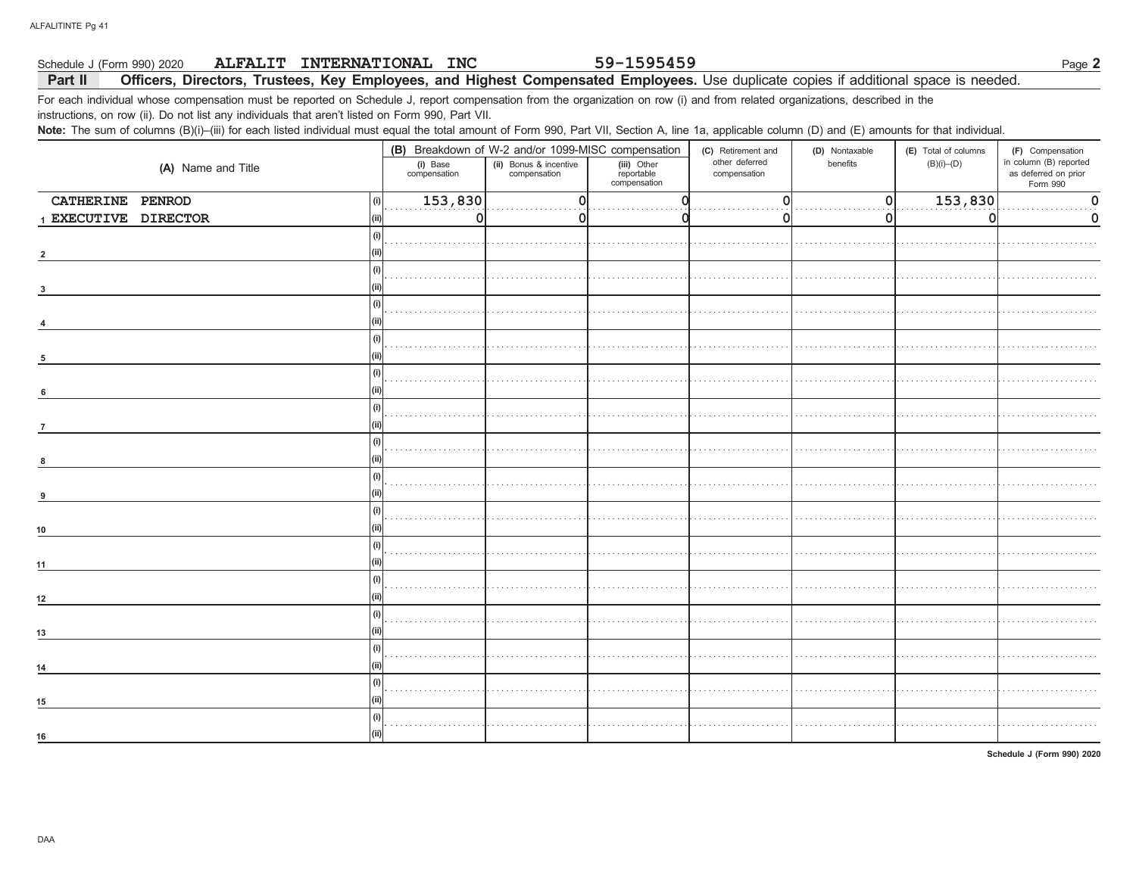#### 59-1595459 Schedule J (Form 990) 2020 ALFALIT INTERNATIONAL INC Part II Officers, Directors, Trustees, Key Employees, and Highest Compensated Employees. Use duplicate copies if additional space is needed.

For each individual whose compensation must be reported on Schedule J, report compensation from the organization on row (i) and from related organizations, described in the instructions, on row (ii). Do not list any individuals that aren't listed on Form 990, Part VII.

Note: The sum of columns (B)(i)-(iii) for each listed individual must equal the total amount of Form 990, Part VII, Section A, line 1a, applicable column (D) and (E) amounts for that individual.

|                      |                          | (B) Breakdown of W-2 and/or 1099-MISC compensation                                  |  | (C) Retirement and             | (D) Nontaxable | (E) Total of columns | (F) Compensation                                           |  |
|----------------------|--------------------------|-------------------------------------------------------------------------------------|--|--------------------------------|----------------|----------------------|------------------------------------------------------------|--|
| (A) Name and Title   | (i) Base<br>compensation | (ii) Bonus & incentive<br>compensation<br>(iii) Other<br>reportable<br>compensation |  | other deferred<br>compensation | benefits       | $(B)(i)$ – $(D)$     | in column (B) reported<br>as deferred on prior<br>Form 990 |  |
| CATHERINE PENROD     | 153,830<br>(i)           | $\Omega$                                                                            |  | $\overline{0}$                 | 0              | 153,830              | $\mathbf 0$                                                |  |
| 1 EXECUTIVE DIRECTOR | $\Omega$<br>(ii)         | 0                                                                                   |  | 0                              | 0              | 0                    | 0                                                          |  |
|                      | (i)                      |                                                                                     |  |                                |                |                      |                                                            |  |
|                      |                          |                                                                                     |  |                                |                |                      |                                                            |  |
|                      | (i)                      |                                                                                     |  |                                |                |                      |                                                            |  |
|                      | (i)                      |                                                                                     |  |                                |                |                      |                                                            |  |
|                      |                          |                                                                                     |  |                                |                |                      |                                                            |  |
| 5                    | (i)                      |                                                                                     |  |                                |                |                      |                                                            |  |
|                      | (i)                      |                                                                                     |  |                                |                |                      |                                                            |  |
| 6                    | (i)                      |                                                                                     |  |                                |                |                      |                                                            |  |
|                      |                          |                                                                                     |  |                                |                |                      |                                                            |  |
|                      | (i)                      |                                                                                     |  |                                |                |                      |                                                            |  |
|                      | (i)<br>(ii)              |                                                                                     |  |                                |                |                      |                                                            |  |
| q                    | (i)                      |                                                                                     |  |                                |                |                      |                                                            |  |
| 10                   |                          |                                                                                     |  |                                |                |                      |                                                            |  |
| 11                   | (i)                      |                                                                                     |  |                                |                |                      |                                                            |  |
| 12                   | (i)                      |                                                                                     |  |                                |                |                      |                                                            |  |
|                      | (i)                      |                                                                                     |  |                                |                |                      |                                                            |  |
| 13                   |                          |                                                                                     |  |                                |                |                      |                                                            |  |
| 14                   | (i)                      |                                                                                     |  |                                |                |                      |                                                            |  |
| 15                   | (i)                      |                                                                                     |  |                                |                |                      |                                                            |  |
| 16                   | (i)<br>(ii)              |                                                                                     |  |                                |                |                      |                                                            |  |
|                      |                          |                                                                                     |  |                                |                |                      |                                                            |  |

Schedule J (Form 990) 2020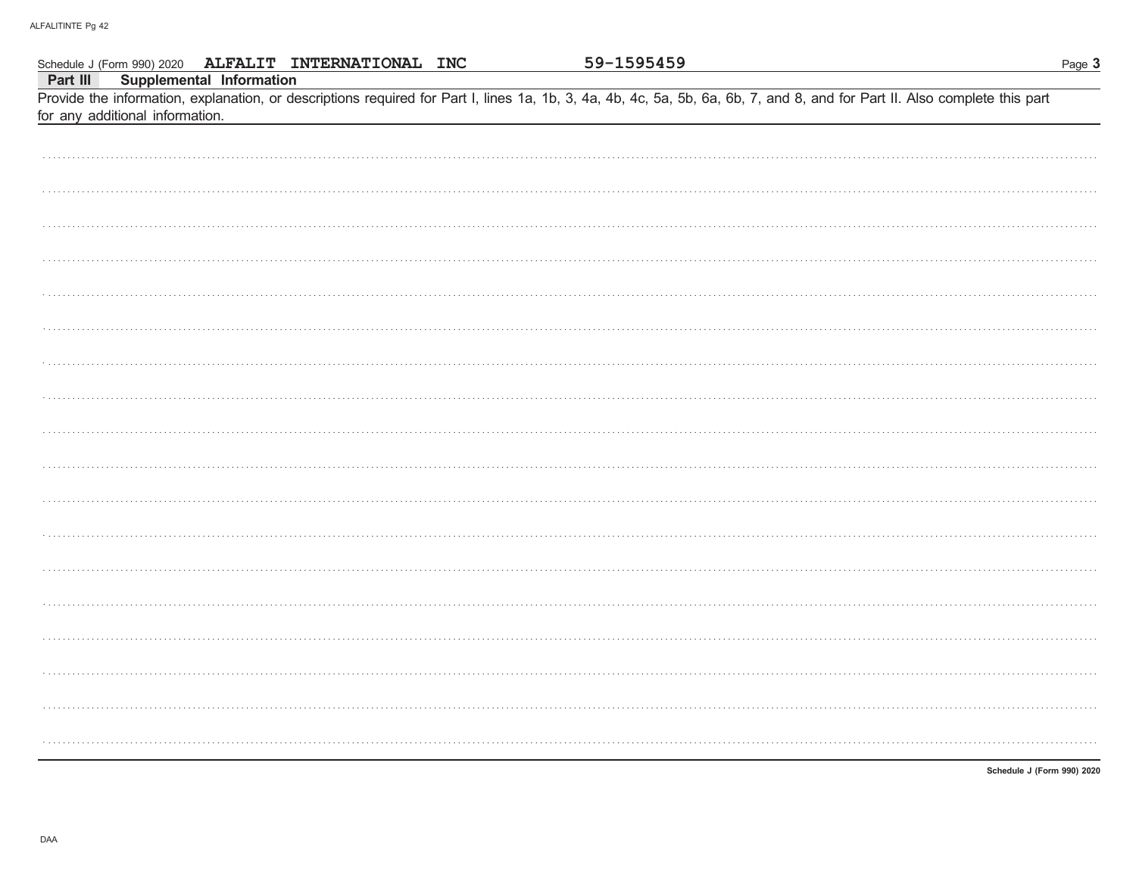|          | Schedule J (Form 990) 2020 ALFALIT INTERNATIONAL INC        | 59-1595459                                                                                                                                                                 | Page 3                     |
|----------|-------------------------------------------------------------|----------------------------------------------------------------------------------------------------------------------------------------------------------------------------|----------------------------|
| Part III | Supplemental Information<br>for any additional information. | Provide the information, explanation, or descriptions required for Part I, lines 1a, 1b, 3, 4a, 4b, 4c, 5a, 5b, 6a, 6b, 7, and 8, and for Part II. Also complete this part |                            |
|          |                                                             |                                                                                                                                                                            |                            |
|          |                                                             |                                                                                                                                                                            |                            |
|          |                                                             |                                                                                                                                                                            |                            |
|          |                                                             |                                                                                                                                                                            |                            |
|          |                                                             |                                                                                                                                                                            |                            |
|          |                                                             |                                                                                                                                                                            |                            |
|          |                                                             |                                                                                                                                                                            |                            |
|          |                                                             |                                                                                                                                                                            |                            |
|          |                                                             |                                                                                                                                                                            |                            |
|          |                                                             |                                                                                                                                                                            |                            |
|          |                                                             |                                                                                                                                                                            |                            |
|          |                                                             |                                                                                                                                                                            |                            |
|          |                                                             |                                                                                                                                                                            |                            |
|          |                                                             |                                                                                                                                                                            |                            |
|          |                                                             |                                                                                                                                                                            |                            |
|          |                                                             |                                                                                                                                                                            |                            |
|          |                                                             |                                                                                                                                                                            |                            |
|          |                                                             |                                                                                                                                                                            |                            |
|          |                                                             |                                                                                                                                                                            |                            |
|          |                                                             |                                                                                                                                                                            | Schedule J (Form 990) 2020 |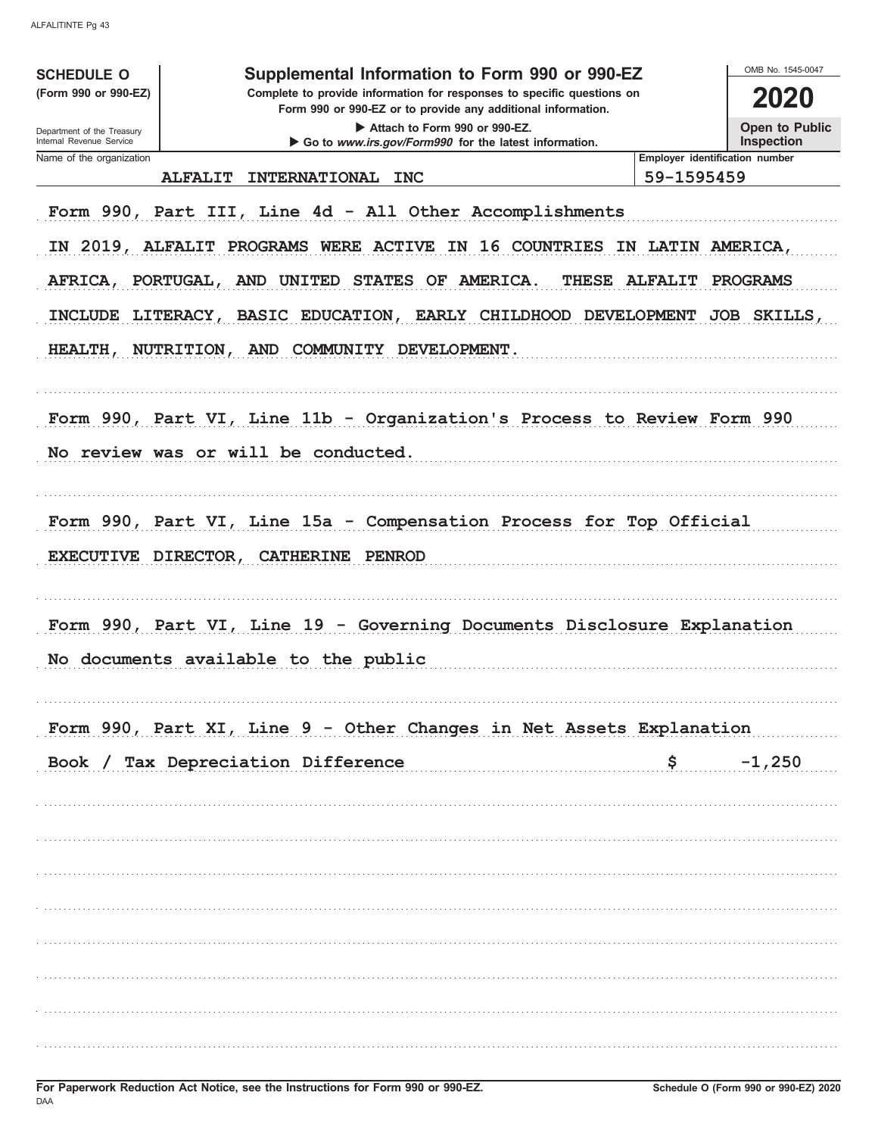| <b>SCHEDULE O</b>                                                             | Supplemental Information to Form 990 or 990-EZ                                                                                         |                                            | OMB No. 1545-0047 |  |  |  |  |  |  |  |  |  |  |
|-------------------------------------------------------------------------------|----------------------------------------------------------------------------------------------------------------------------------------|--------------------------------------------|-------------------|--|--|--|--|--|--|--|--|--|--|
| (Form 990 or 990-EZ)                                                          | Complete to provide information for responses to specific questions on<br>Form 990 or 990-EZ or to provide any additional information. |                                            | 2020              |  |  |  |  |  |  |  |  |  |  |
| Department of the Treasury<br>Internal Revenue Service                        | Attach to Form 990 or 990-EZ.<br>Go to www.irs.gov/Form990 for the latest information.                                                 |                                            |                   |  |  |  |  |  |  |  |  |  |  |
| Name of the organization                                                      |                                                                                                                                        | Employer identification number             | <b>Inspection</b> |  |  |  |  |  |  |  |  |  |  |
|                                                                               | <b>ALFALIT</b><br><b>INTERNATIONAL</b><br><b>INC</b>                                                                                   | 59-1595459                                 |                   |  |  |  |  |  |  |  |  |  |  |
| Form 990, Part III, Line 4d - All Other Accomplishments                       |                                                                                                                                        |                                            |                   |  |  |  |  |  |  |  |  |  |  |
| IN 2019, ALFALIT PROGRAMS WERE ACTIVE<br>IN 16 COUNTRIES<br>IN LATIN AMERICA. |                                                                                                                                        |                                            |                   |  |  |  |  |  |  |  |  |  |  |
|                                                                               | OF AMERICA.<br>AFRICA, PORTUGAL, AND UNITED<br><b>STATES</b><br>THESE                                                                  | <b>ALFALIT</b>                             | <b>PROGRAMS</b>   |  |  |  |  |  |  |  |  |  |  |
| <b>INCLUDE</b>                                                                | EARLY CHILDHOOD DEVELOPMENT<br>LITERACY, BASIC EDUCATION,                                                                              |                                            | JOB SKILLS,       |  |  |  |  |  |  |  |  |  |  |
| <b>HEALTH,</b>                                                                | NUTRITION, AND COMMUNITY DEVELOPMENT.                                                                                                  |                                            |                   |  |  |  |  |  |  |  |  |  |  |
|                                                                               | Form 990, Part VI, Line 11b - Organization's Process to Review Form 990                                                                |                                            |                   |  |  |  |  |  |  |  |  |  |  |
|                                                                               |                                                                                                                                        |                                            |                   |  |  |  |  |  |  |  |  |  |  |
|                                                                               | No review was or will be conducted.                                                                                                    |                                            |                   |  |  |  |  |  |  |  |  |  |  |
|                                                                               |                                                                                                                                        |                                            |                   |  |  |  |  |  |  |  |  |  |  |
|                                                                               | Form 990, Part VI, Line 15a - Compensation Process for Top Official                                                                    |                                            |                   |  |  |  |  |  |  |  |  |  |  |
| EXECUTIVE DIRECTOR,                                                           | <b>CATHERINE</b><br>PENROD                                                                                                             |                                            |                   |  |  |  |  |  |  |  |  |  |  |
|                                                                               |                                                                                                                                        |                                            |                   |  |  |  |  |  |  |  |  |  |  |
|                                                                               | Form 990, Part VI, Line 19 - Governing Documents Disclosure Explanation                                                                |                                            |                   |  |  |  |  |  |  |  |  |  |  |
|                                                                               | No documents available to the public                                                                                                   |                                            |                   |  |  |  |  |  |  |  |  |  |  |
|                                                                               |                                                                                                                                        |                                            |                   |  |  |  |  |  |  |  |  |  |  |
|                                                                               | Form 990, Part XI, Line 9 - Other Changes in Net Assets Explanation                                                                    |                                            |                   |  |  |  |  |  |  |  |  |  |  |
|                                                                               | Book / Tax Depreciation Difference                                                                                                     | $\mathsf{S}$ , and the set of $\mathsf{S}$ | $-1,250$          |  |  |  |  |  |  |  |  |  |  |
|                                                                               |                                                                                                                                        |                                            |                   |  |  |  |  |  |  |  |  |  |  |
|                                                                               |                                                                                                                                        |                                            |                   |  |  |  |  |  |  |  |  |  |  |
|                                                                               |                                                                                                                                        |                                            |                   |  |  |  |  |  |  |  |  |  |  |
|                                                                               |                                                                                                                                        |                                            |                   |  |  |  |  |  |  |  |  |  |  |
|                                                                               |                                                                                                                                        |                                            |                   |  |  |  |  |  |  |  |  |  |  |
|                                                                               |                                                                                                                                        |                                            |                   |  |  |  |  |  |  |  |  |  |  |
|                                                                               |                                                                                                                                        |                                            |                   |  |  |  |  |  |  |  |  |  |  |
|                                                                               |                                                                                                                                        |                                            |                   |  |  |  |  |  |  |  |  |  |  |
|                                                                               |                                                                                                                                        |                                            |                   |  |  |  |  |  |  |  |  |  |  |
|                                                                               |                                                                                                                                        |                                            |                   |  |  |  |  |  |  |  |  |  |  |
|                                                                               |                                                                                                                                        |                                            |                   |  |  |  |  |  |  |  |  |  |  |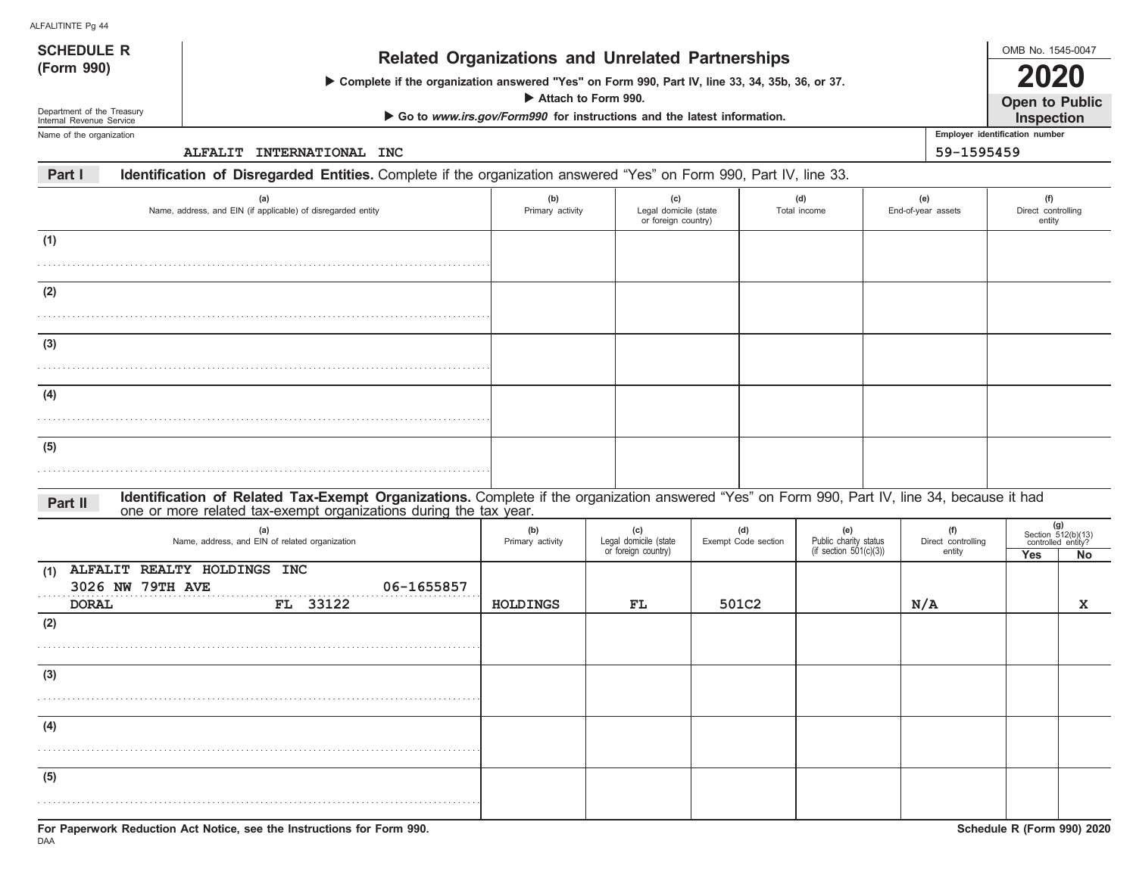| ALFALITINTE Pg 44                                      |                                                                                                                                                                                                                    |                                                                        |                                              |                                                     |  |                     |                                                 |  |                              |                                            |                                                 |  |
|--------------------------------------------------------|--------------------------------------------------------------------------------------------------------------------------------------------------------------------------------------------------------------------|------------------------------------------------------------------------|----------------------------------------------|-----------------------------------------------------|--|---------------------|-------------------------------------------------|--|------------------------------|--------------------------------------------|-------------------------------------------------|--|
| <b>SCHEDULE R</b>                                      | <b>Related Organizations and Unrelated Partnerships</b>                                                                                                                                                            |                                                                        |                                              |                                                     |  |                     |                                                 |  |                              | OMB No. 1545-0047                          |                                                 |  |
| (Form 990)                                             | > Complete if the organization answered "Yes" on Form 990, Part IV, line 33, 34, 35b, 36, or 37.<br>Attach to Form 990.                                                                                            |                                                                        |                                              |                                                     |  |                     |                                                 |  |                              |                                            |                                                 |  |
| Department of the Treasury<br>Internal Revenue Service |                                                                                                                                                                                                                    | Go to www.irs.gov/Form990 for instructions and the latest information. |                                              |                                                     |  |                     |                                                 |  |                              | <b>Open to Public</b><br><b>Inspection</b> |                                                 |  |
| Name of the organization                               |                                                                                                                                                                                                                    |                                                                        |                                              |                                                     |  |                     |                                                 |  |                              | Employer identification number             |                                                 |  |
|                                                        | ALFALIT INTERNATIONAL INC                                                                                                                                                                                          |                                                                        |                                              |                                                     |  |                     |                                                 |  | 59-1595459                   |                                            |                                                 |  |
| Part I                                                 | Identification of Disregarded Entities. Complete if the organization answered "Yes" on Form 990, Part IV, line 33.                                                                                                 |                                                                        |                                              |                                                     |  |                     |                                                 |  |                              |                                            |                                                 |  |
|                                                        | (a)<br>Name, address, and EIN (if applicable) of disregarded entity                                                                                                                                                | (b)<br>Primary activity                                                |                                              | (c)<br>Legal domicile (state<br>or foreign country) |  |                     | (d)<br>Total income                             |  | (e)<br>End-of-year assets    | (f)<br>Direct controlling<br>entity        |                                                 |  |
| (1)                                                    |                                                                                                                                                                                                                    |                                                                        |                                              |                                                     |  |                     |                                                 |  |                              |                                            |                                                 |  |
|                                                        |                                                                                                                                                                                                                    |                                                                        |                                              |                                                     |  |                     |                                                 |  |                              |                                            |                                                 |  |
| (2)                                                    |                                                                                                                                                                                                                    |                                                                        |                                              |                                                     |  |                     |                                                 |  |                              |                                            |                                                 |  |
|                                                        |                                                                                                                                                                                                                    |                                                                        |                                              |                                                     |  |                     |                                                 |  |                              |                                            |                                                 |  |
| (3)                                                    |                                                                                                                                                                                                                    |                                                                        |                                              |                                                     |  |                     |                                                 |  |                              |                                            |                                                 |  |
|                                                        |                                                                                                                                                                                                                    |                                                                        |                                              |                                                     |  |                     |                                                 |  |                              |                                            |                                                 |  |
| (4)                                                    |                                                                                                                                                                                                                    |                                                                        |                                              |                                                     |  |                     |                                                 |  |                              |                                            |                                                 |  |
|                                                        |                                                                                                                                                                                                                    |                                                                        |                                              |                                                     |  |                     |                                                 |  |                              |                                            |                                                 |  |
| (5)                                                    |                                                                                                                                                                                                                    |                                                                        |                                              |                                                     |  |                     |                                                 |  |                              |                                            |                                                 |  |
|                                                        |                                                                                                                                                                                                                    |                                                                        |                                              |                                                     |  |                     |                                                 |  |                              |                                            |                                                 |  |
| Part II                                                | Identification of Related Tax-Exempt Organizations. Complete if the organization answered "Yes" on Form 990, Part IV, line 34, because it had<br>one or more related tax-exempt organizations during the tax year. |                                                                        |                                              |                                                     |  |                     |                                                 |  |                              |                                            |                                                 |  |
|                                                        | (a)                                                                                                                                                                                                                | (b)                                                                    | (c)                                          |                                                     |  | (d)                 | (e)                                             |  | (f)                          |                                            | (g)<br>Section 512(b)(13)<br>controlled entity? |  |
|                                                        | Name, address, and EIN of related organization                                                                                                                                                                     | Primary activity                                                       | Legal domicile (state<br>or foreign country) |                                                     |  | Exempt Code section | Public charity status<br>(if section 501(c)(3)) |  | Direct controlling<br>entity | Yes                                        | No                                              |  |
| (1)<br>3026 NW 79TH AVE<br><b>DORAL</b>                | ALFALIT REALTY HOLDINGS INC<br>06-1655857<br>FL 33122                                                                                                                                                              | <b>HOLDINGS</b>                                                        | FL                                           |                                                     |  | 501C2               |                                                 |  | N/A                          |                                            | x                                               |  |
| (2)                                                    |                                                                                                                                                                                                                    |                                                                        |                                              |                                                     |  |                     |                                                 |  |                              |                                            |                                                 |  |
|                                                        |                                                                                                                                                                                                                    |                                                                        |                                              |                                                     |  |                     |                                                 |  |                              |                                            |                                                 |  |
| (3)                                                    |                                                                                                                                                                                                                    |                                                                        |                                              |                                                     |  |                     |                                                 |  |                              |                                            |                                                 |  |
|                                                        |                                                                                                                                                                                                                    |                                                                        |                                              |                                                     |  |                     |                                                 |  |                              |                                            |                                                 |  |
| (4)                                                    |                                                                                                                                                                                                                    |                                                                        |                                              |                                                     |  |                     |                                                 |  |                              |                                            |                                                 |  |
|                                                        |                                                                                                                                                                                                                    |                                                                        |                                              |                                                     |  |                     |                                                 |  |                              |                                            |                                                 |  |
| (5)                                                    |                                                                                                                                                                                                                    |                                                                        |                                              |                                                     |  |                     |                                                 |  |                              |                                            |                                                 |  |
|                                                        |                                                                                                                                                                                                                    |                                                                        |                                              |                                                     |  |                     |                                                 |  |                              |                                            |                                                 |  |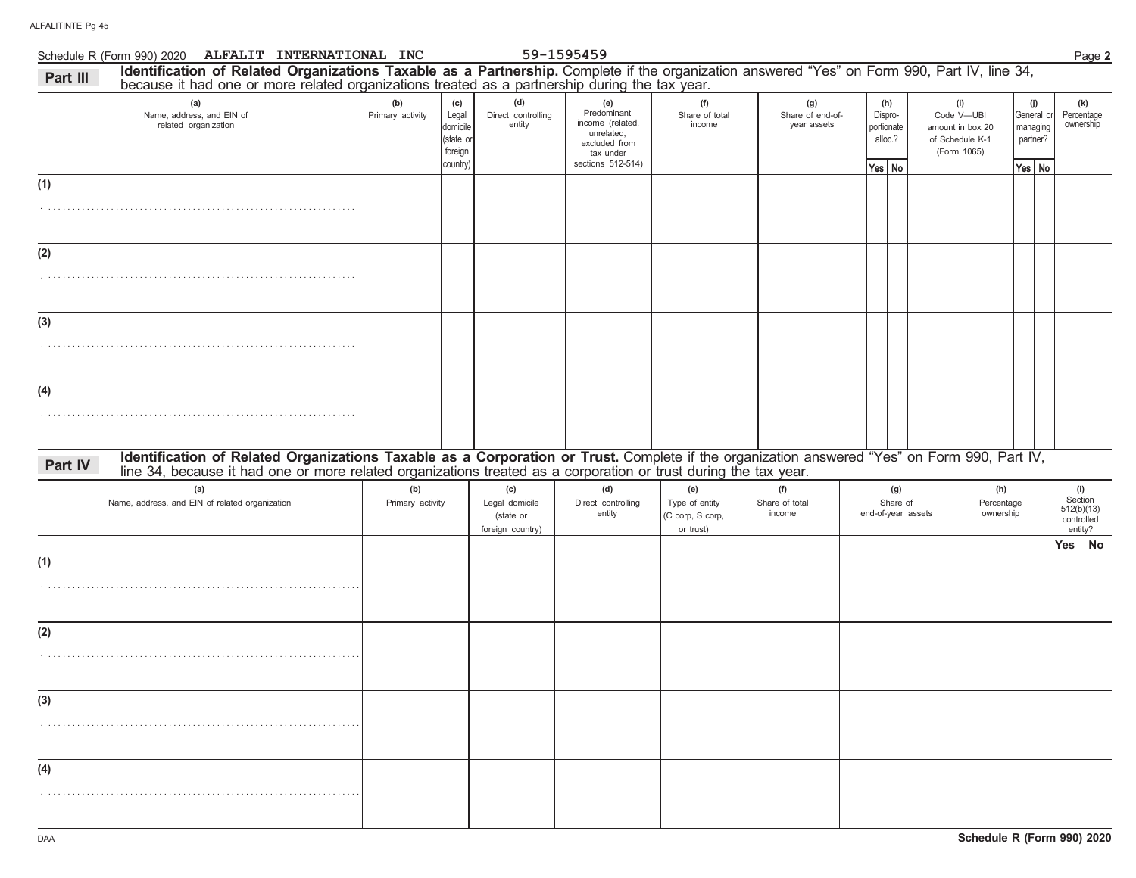|          | Schedule R (Form 990) 2020 ALFALIT INTERNATIONAL INC                                                                                                                                                                                                             |                         |                                                              |                                                        | 59-1595459                                                                                              |                                                        |                                        |                                                     |                                       |                                                                         |                                                       | Page 2                                                |
|----------|------------------------------------------------------------------------------------------------------------------------------------------------------------------------------------------------------------------------------------------------------------------|-------------------------|--------------------------------------------------------------|--------------------------------------------------------|---------------------------------------------------------------------------------------------------------|--------------------------------------------------------|----------------------------------------|-----------------------------------------------------|---------------------------------------|-------------------------------------------------------------------------|-------------------------------------------------------|-------------------------------------------------------|
| Part III | Identification of Related Organizations Taxable as a Partnership. Complete if the organization answered "Yes" on Form 990, Part IV, line 34, because it had one or more related organizations treated as a partnership during                                    |                         |                                                              |                                                        |                                                                                                         |                                                        |                                        |                                                     |                                       |                                                                         |                                                       |                                                       |
|          | (a)<br>Name, address, and EIN of<br>related organization                                                                                                                                                                                                         | (b)<br>Primary activity | (c)<br>Legal<br>domicile<br>(state or<br>foreign<br>country) | (d)<br>Direct controlling<br>entity                    | (e)<br>Predominant<br>income (related,<br>unrelated,<br>excluded from<br>tax under<br>sections 512-514) | (f)<br>Share of total<br>income                        | (g)<br>Share of end-of-<br>year assets | (h)<br>Dispro-<br>portionate<br>alloc.?<br>Yes   No |                                       | (i)<br>Code V-UBI<br>amount in box 20<br>of Schedule K-1<br>(Form 1065) | (j)<br>General or<br>managing<br>partner?<br>Yes   No | (k)<br>Percentage<br>ownership                        |
| (1)      |                                                                                                                                                                                                                                                                  |                         |                                                              |                                                        |                                                                                                         |                                                        |                                        |                                                     |                                       |                                                                         |                                                       |                                                       |
| (2)      |                                                                                                                                                                                                                                                                  |                         |                                                              |                                                        |                                                                                                         |                                                        |                                        |                                                     |                                       |                                                                         |                                                       |                                                       |
| (3)      |                                                                                                                                                                                                                                                                  |                         |                                                              |                                                        |                                                                                                         |                                                        |                                        |                                                     |                                       |                                                                         |                                                       |                                                       |
| (4)      |                                                                                                                                                                                                                                                                  |                         |                                                              |                                                        |                                                                                                         |                                                        |                                        |                                                     |                                       |                                                                         |                                                       |                                                       |
| Part IV  | Identification of Related Organizations Taxable as a Corporation or Trust. Complete if the organization answered "Yes" on Form 990, Part IV,<br>line 34, because it had one or more related organizations treated as a corporation or trust during the tax year. |                         |                                                              |                                                        |                                                                                                         |                                                        |                                        |                                                     |                                       |                                                                         |                                                       |                                                       |
|          | (a)<br>Name, address, and EIN of related organization                                                                                                                                                                                                            | (b)<br>Primary activity |                                                              | (c)<br>Legal domicile<br>(state or<br>foreign country) | (d)<br>Direct controlling<br>entity                                                                     | (e)<br>Type of entity<br>(C corp, S corp,<br>or trust) | (f)<br>Share of total<br>income        |                                                     | (g)<br>Share of<br>end-of-year assets | (h)<br>Percentage<br>ownership                                          |                                                       | (i)<br>Section<br>512(b)(13)<br>controlled<br>entity? |
| (1)      |                                                                                                                                                                                                                                                                  |                         |                                                              |                                                        |                                                                                                         |                                                        |                                        |                                                     |                                       |                                                                         |                                                       | Yes   No                                              |
| (2)      |                                                                                                                                                                                                                                                                  |                         |                                                              |                                                        |                                                                                                         |                                                        |                                        |                                                     |                                       |                                                                         |                                                       |                                                       |
| (3)      |                                                                                                                                                                                                                                                                  |                         |                                                              |                                                        |                                                                                                         |                                                        |                                        |                                                     |                                       |                                                                         |                                                       |                                                       |
| (4)      |                                                                                                                                                                                                                                                                  |                         |                                                              |                                                        |                                                                                                         |                                                        |                                        |                                                     |                                       |                                                                         |                                                       |                                                       |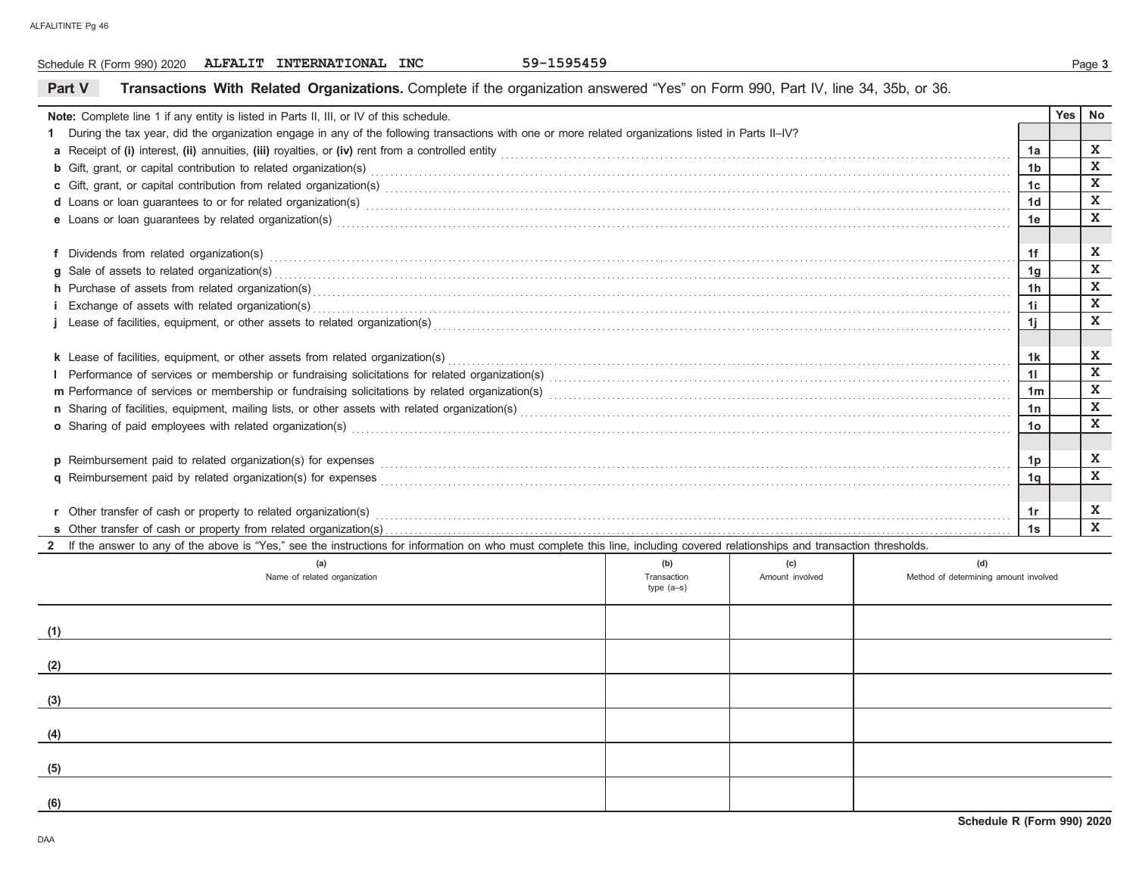#### **Part V Transactions With Related Organizations.** Complete if the organization answered "Yes" on Form 990, Part IV, line 34, 35b, or 36. Schedule R (Form 990) 2020 Page **3 ALFALIT INTERNATIONAL INC 59-1595459Note:** Complete line 1 if any entity is listed in Parts II, III, or IV of this schedule. **1** During the tax year, did the organization engage in any of the following transactions with one or more related organizations listed in Parts II–IV? **a** Receipt of **(i)** interest, **(ii)** annuities, **(iii)** royalties, or **(iv)** rent from a controlled entity . . . . . . . . . . . . . . . . . . . . . . . . . . . . . . . . . . . . . . . . . . . . . . . . . . . . . . . . . . . . . . . . . . . . . . . . . . . . . . . . . . . . . . . . . . . . . . . . . . . . . . . . . .**b** Gift, grant, or capital contribution to related organization(s)  $\bm{c}$  Gift, grant, or capital contribution from related organization(s) with an intermediation of the control of the contribution from related organization(s) with an intermediation of the control of the control of the **d** Loans or loan guarantees to or for related organization(s) . . . . . . . . . . . . . . . . . . . . . . . . . . . . . . . . . . . . . . . . . . . . . . . . . . . . . . . . . . . . . . . . . . . . . . . . . . . . . . . . . . . . . . . . . . . . . . . . . . . . . . . . . . . . . . . . . . . . . . . . . . . . . . . . . . . . . .**e** Loans or loan guarantees by related organization(s) . . . . . . . . . . . . . . . . . . . . . . . . . . . . . . . . . . . . . . . . . . . . . . . . . . . . . . . . . . . . . . . . . . . . . . . . . . . . . . . . . . . . . . . . . . . . . . . . . . . . . . . . . . . . . . . . . . . . . . . . . . . . . . . . . . . . . . . . . . . .**f** Dividends from related organization(s) . . . . . . . . . . . . . . . . . . . . . . . . . . . . . . . . . . . . . . . . . . . . . . . . . . . . . . . . . . . . . . . . . . . . . . . . . . . . . . . . . . . . . . . . . . . . . . . . . . . . . . . . . . . . . . . . . . . . . . . . . . . . . . . . . . . . . . . . . . . . . . . . . . . . . . . . . . .**g h** Purchase of assets from related organization(s) . . . . . . . . . . . . . . . . . . . . . . . . . . . . . . . . . . . . . . . . . . . . . . . . . . . . . . . . . . . . . . . . . . . . . . . . . . . . . . . . . . . . . . . . . . . . . . . . . . . . . . . . . . . . . . . . . . . . . . . . . . . . . . . . . . . . . . . . . . . . . . . . .**i** Exchange of assets with related organization(s) . . . . . . . . . . . . . . . . . . . . . . . . . . . . . . . . . . . . . . . . . . . . . . . . . . . . . . . . . . . . . . . . . . . . . . . . . . . . . . . . . . . . . . . . . . . . . . . . . . . . . . . . . . . . . . . . . . . . . . . . . . . . . . . . . . . . . . . . . . . . . . . . .**j** Lease of facilities, equipment, or other assets to related organization(s) . . . . . . . . . . . . . . . . . . . . . . . . . . . . . . . . . . . . . . . . . . . . . . . . . . . . . . . . . . . . . . . . . . . . . . . . . . . . . . . . . . . . . . . . . . . . . . . . . . . . . . . . . . . . . . . . . . . . . . . .**k** Lease of facilities, equipment, or other assets from related organization(s) . . . . . . . . . . . . . . . . . . . . . . . . . . . . . . . . . . . . . . . . . . . . . . . . . . . . . . . . . . . . . . . . . . . . . . . . . . . . . . . . . . . . . . . . . . . . . . . . . . . . . . . . . . . . . . . . . . . . . Performance of services or membership or fundraising solicitations for related organization(s) . . . . . . . . . . . . . . . . . . . . . . . . . . . . . . . . . . . . . . . . . . . . . . . . . . . . . . . . . . . . . . . . . . . . . . . . . . . . . . . . . . . . . . . . . . . . . . . .**m** Performance of services or membership or fundraising solicitations by related organization(s) . . . . . . . . . . . . . . . . . . . . . . . . . . . . . . . . . . . . . . . . . . . . . . . . . . . . . . . . . . . . . . . . . . . . . . . . . . . . . . . . . . . . . . . . . . . . . . . .**n** Sharing of facilities, equipment, mailing lists, or other assets with related organization(s) . . . . . . . . . . . . . . . . . . . . . . . . . . . . . . . . . . . . . . . . . . . . . . . . . . . . . . . . . . . . . . . . . . . . . . . . . . . . . . . . . . . . . . . . . . . . . . . . . . . . . .**o** Sharing of paid employees with related organization(s) . . . . . . . . . . . . . . . . . . . . . . . . . . . . . . . . . . . . . . . . . . . . . . . . . . . . . . . . . . . . . . . . . . . . . . . . . . . . . . . . . . . . . . . . . . . . . . . . . . . . . . . . . . . . . . . . . . . . . . . . . . . . . . . . . . . . . . . . .**p** Reimbursement paid to related organization(s) for expenses **q** Reimbursement paid by related organization(s) for expenses **s** Other transfer of cash or property from related organization(s) . . . . . . . . . . . . . . . . . . . . . . . . . . . . . . . . . . . . . . . . . . . . . . . . . . . . . . . . . . . . . . . . . . . . . . . . . . . . . . . . . . . . . . . . . . . . . . . . . . . . . . . . . . . . . . . . . . . . . . . . . . . . . . . . . . . . . . . . . . . . . . . . . . . . . . . . . . . . . . . . . . . . . . . . . . . . . . . . . . . . . . . . . . . . . . . . . . . . . . . . . . . . . . . . . . . . . . . . . . . . . . . . . . . . . . . . . . . . . . . . . . . . . . . . . . . . . . . . . . . . . . .Sale of assets to related organization(s) . . . . . . . . . . . . . . . . . . . . . . . . . . . . . . . . . . . . . . . . . . . . . . . . . . . . . . . . . . . . . . . . . . . . . . . . . . . . . . . . . . . . . . . . . . . . . . . . . . . . . . . . . . . . . . . . . . . . . . . . . . . . . . . . . . . . . . . . . . . . . . . . . . . . . . . . . . . . . . . . . . . . . . . . . . . . . . . . . . . . . . . . . . . . . . . . . . . . . . . . . . . . . . . . . . . . . . . . . . . . . . . . . . . . . . . . . . . . . . . . . . . . . . . . . . . . . . . . . . . . . . . . . . . . . . . . . . . . . . . . . . . .Other transfer of cash or property to related organization(s) **r1a1b1c1d1e1f1g 1h1i1j 1k1l1m1n1o1p 1q 1sYes No1r** 1r **XXXXXXXXXXXXXXXXXXX**

**2**If the answer to any of the above is "Yes," see the instructions for information on who must complete this line, including covered relationships and transaction thresholds.

| (a)<br>Name of related organization | (b)<br>Transaction<br>type (a-s) | (c)<br>Amount involved | (d)<br>Method of determining amount involved |
|-------------------------------------|----------------------------------|------------------------|----------------------------------------------|
| (1)                                 |                                  |                        |                                              |
| (2)                                 |                                  |                        |                                              |
| (3)                                 |                                  |                        |                                              |
| (4)                                 |                                  |                        |                                              |
| (5)                                 |                                  |                        |                                              |
| (6)                                 |                                  |                        |                                              |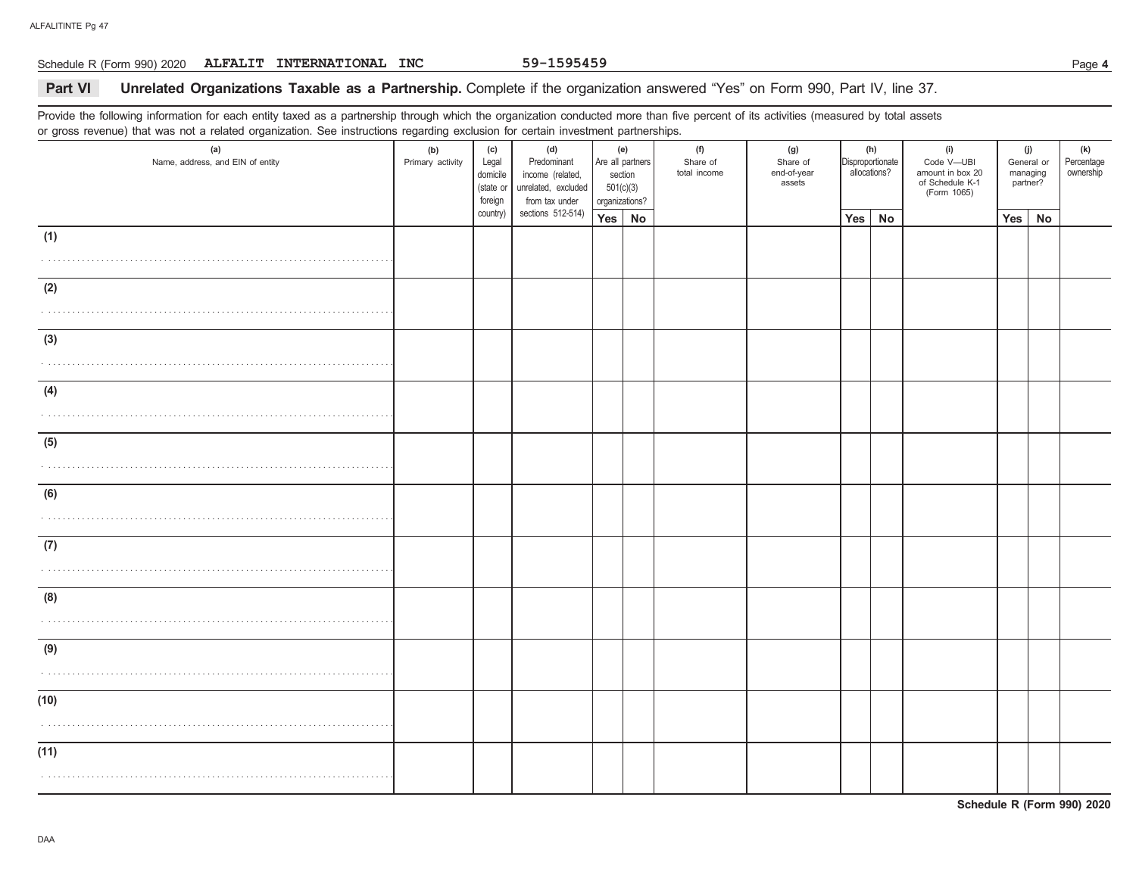#### Schedule R (Form 990) 2020 Page **4 ALFALIT INTERNATIONAL INC 59-1595459**

#### 59-1595459

## **Part VI Unrelated Organizations Taxable as a Partnership.** Complete if the organization answered "Yes" on Form 990, Part IV, line 37.

Provide the following information for each entity taxed as a partnership through which the organization conducted more than five percent of its activities (measured by total assets or gross revenue) that was not a related organization. See instructions regarding exclusion for certain investment partnerships.

| (a)<br>Name, address, and EIN of entity | ັ<br>(b)<br>Primary activity | (c)<br>Legal<br>domicile<br>(state or<br>foreign | (d)<br>Predominant<br>income (related,<br>unrelated, excluded<br>from tax under | (e)<br>section<br>501(c)(3)<br>organizations? | Are all partners | (f)<br>Share of<br>total income | (g)<br>Share of<br>end-of-year<br>assets | Disproportionate | (h)<br>allocations? | (i)<br>Code V-UBI<br>amount in box 20<br>of Schedule K-1<br>(Form 1065) |     | (j)<br>General or<br>managing<br>partner? | (k)<br>Percentage<br>ownership |
|-----------------------------------------|------------------------------|--------------------------------------------------|---------------------------------------------------------------------------------|-----------------------------------------------|------------------|---------------------------------|------------------------------------------|------------------|---------------------|-------------------------------------------------------------------------|-----|-------------------------------------------|--------------------------------|
|                                         |                              | country)                                         | sections 512-514)                                                               | Yes   No                                      |                  |                                 |                                          | Yes              | No                  |                                                                         | Yes | No                                        |                                |
| (1)                                     |                              |                                                  |                                                                                 |                                               |                  |                                 |                                          |                  |                     |                                                                         |     |                                           |                                |
|                                         |                              |                                                  |                                                                                 |                                               |                  |                                 |                                          |                  |                     |                                                                         |     |                                           |                                |
| (2)                                     |                              |                                                  |                                                                                 |                                               |                  |                                 |                                          |                  |                     |                                                                         |     |                                           |                                |
|                                         |                              |                                                  |                                                                                 |                                               |                  |                                 |                                          |                  |                     |                                                                         |     |                                           |                                |
|                                         |                              |                                                  |                                                                                 |                                               |                  |                                 |                                          |                  |                     |                                                                         |     |                                           |                                |
| (3)                                     |                              |                                                  |                                                                                 |                                               |                  |                                 |                                          |                  |                     |                                                                         |     |                                           |                                |
|                                         |                              |                                                  |                                                                                 |                                               |                  |                                 |                                          |                  |                     |                                                                         |     |                                           |                                |
| (4)                                     |                              |                                                  |                                                                                 |                                               |                  |                                 |                                          |                  |                     |                                                                         |     |                                           |                                |
|                                         |                              |                                                  |                                                                                 |                                               |                  |                                 |                                          |                  |                     |                                                                         |     |                                           |                                |
| (5)                                     |                              |                                                  |                                                                                 |                                               |                  |                                 |                                          |                  |                     |                                                                         |     |                                           |                                |
|                                         |                              |                                                  |                                                                                 |                                               |                  |                                 |                                          |                  |                     |                                                                         |     |                                           |                                |
|                                         |                              |                                                  |                                                                                 |                                               |                  |                                 |                                          |                  |                     |                                                                         |     |                                           |                                |
| (6)                                     |                              |                                                  |                                                                                 |                                               |                  |                                 |                                          |                  |                     |                                                                         |     |                                           |                                |
|                                         |                              |                                                  |                                                                                 |                                               |                  |                                 |                                          |                  |                     |                                                                         |     |                                           |                                |
| (7)                                     |                              |                                                  |                                                                                 |                                               |                  |                                 |                                          |                  |                     |                                                                         |     |                                           |                                |
|                                         |                              |                                                  |                                                                                 |                                               |                  |                                 |                                          |                  |                     |                                                                         |     |                                           |                                |
| (8)                                     |                              |                                                  |                                                                                 |                                               |                  |                                 |                                          |                  |                     |                                                                         |     |                                           |                                |
|                                         |                              |                                                  |                                                                                 |                                               |                  |                                 |                                          |                  |                     |                                                                         |     |                                           |                                |
|                                         |                              |                                                  |                                                                                 |                                               |                  |                                 |                                          |                  |                     |                                                                         |     |                                           |                                |
| (9)                                     |                              |                                                  |                                                                                 |                                               |                  |                                 |                                          |                  |                     |                                                                         |     |                                           |                                |
|                                         |                              |                                                  |                                                                                 |                                               |                  |                                 |                                          |                  |                     |                                                                         |     |                                           |                                |
| (10)                                    |                              |                                                  |                                                                                 |                                               |                  |                                 |                                          |                  |                     |                                                                         |     |                                           |                                |
|                                         |                              |                                                  |                                                                                 |                                               |                  |                                 |                                          |                  |                     |                                                                         |     |                                           |                                |
|                                         |                              |                                                  |                                                                                 |                                               |                  |                                 |                                          |                  |                     |                                                                         |     |                                           |                                |
| (11)                                    |                              |                                                  |                                                                                 |                                               |                  |                                 |                                          |                  |                     |                                                                         |     |                                           |                                |
|                                         |                              |                                                  |                                                                                 |                                               |                  |                                 |                                          |                  |                     |                                                                         |     |                                           |                                |

**Schedule R (Form 990) 2020**